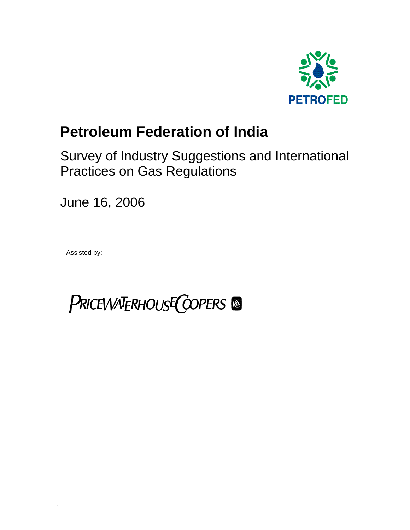

# **Petroleum Federation of India**

Survey of Industry Suggestions and International Practices on Gas Regulations

June 16, 2006

Assisted by:

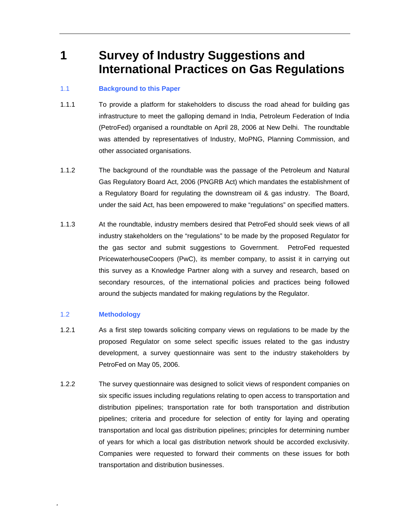# **1 Survey of Industry Suggestions and International Practices on Gas Regulations**

#### 1.1 **Background to this Paper**

- 1.1.1 To provide a platform for stakeholders to discuss the road ahead for building gas infrastructure to meet the galloping demand in India, Petroleum Federation of India (PetroFed) organised a roundtable on April 28, 2006 at New Delhi. The roundtable was attended by representatives of Industry, MoPNG, Planning Commission, and other associated organisations.
- 1.1.2 The background of the roundtable was the passage of the Petroleum and Natural Gas Regulatory Board Act, 2006 (PNGRB Act) which mandates the establishment of a Regulatory Board for regulating the downstream oil & gas industry. The Board, under the said Act, has been empowered to make "regulations" on specified matters.
- 1.1.3 At the roundtable, industry members desired that PetroFed should seek views of all industry stakeholders on the "regulations" to be made by the proposed Regulator for the gas sector and submit suggestions to Government. PetroFed requested PricewaterhouseCoopers (PwC), its member company, to assist it in carrying out this survey as a Knowledge Partner along with a survey and research, based on secondary resources, of the international policies and practices being followed around the subjects mandated for making regulations by the Regulator.

### 1.2 **Methodology**

- 1.2.1 As a first step towards soliciting company views on regulations to be made by the proposed Regulator on some select specific issues related to the gas industry development, a survey questionnaire was sent to the industry stakeholders by PetroFed on May 05, 2006.
- 1.2.2 The survey questionnaire was designed to solicit views of respondent companies on six specific issues including regulations relating to open access to transportation and distribution pipelines; transportation rate for both transportation and distribution pipelines; criteria and procedure for selection of entity for laying and operating transportation and local gas distribution pipelines; principles for determining number of years for which a local gas distribution network should be accorded exclusivity. Companies were requested to forward their comments on these issues for both transportation and distribution businesses.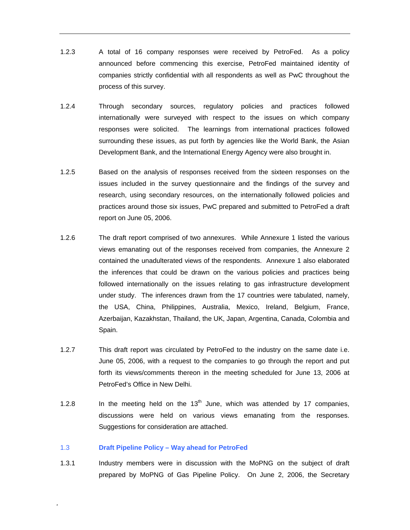- 1.2.3 A total of 16 company responses were received by PetroFed. As a policy announced before commencing this exercise, PetroFed maintained identity of companies strictly confidential with all respondents as well as PwC throughout the process of this survey.
- 1.2.4 Through secondary sources, regulatory policies and practices followed internationally were surveyed with respect to the issues on which company responses were solicited. The learnings from international practices followed surrounding these issues, as put forth by agencies like the World Bank, the Asian Development Bank, and the International Energy Agency were also brought in.
- 1.2.5 Based on the analysis of responses received from the sixteen responses on the issues included in the survey questionnaire and the findings of the survey and research, using secondary resources, on the internationally followed policies and practices around those six issues, PwC prepared and submitted to PetroFed a draft report on June 05, 2006.
- 1.2.6 The draft report comprised of two annexures. While Annexure 1 listed the various views emanating out of the responses received from companies, the Annexure 2 contained the unadulterated views of the respondents. Annexure 1 also elaborated the inferences that could be drawn on the various policies and practices being followed internationally on the issues relating to gas infrastructure development under study. The inferences drawn from the 17 countries were tabulated, namely, the USA, China, Philippines, Australia, Mexico, Ireland, Belgium, France, Azerbaijan, Kazakhstan, Thailand, the UK, Japan, Argentina, Canada, Colombia and Spain.
- 1.2.7 This draft report was circulated by PetroFed to the industry on the same date i.e. June 05, 2006, with a request to the companies to go through the report and put forth its views/comments thereon in the meeting scheduled for June 13, 2006 at PetroFed's Office in New Delhi.
- 1.2.8 In the meeting held on the  $13<sup>th</sup>$  June, which was attended by 17 companies, discussions were held on various views emanating from the responses. Suggestions for consideration are attached.

#### 1.3 **Draft Pipeline Policy – Way ahead for PetroFed**

1.3.1 Industry members were in discussion with the MoPNG on the subject of draft prepared by MoPNG of Gas Pipeline Policy. On June 2, 2006, the Secretary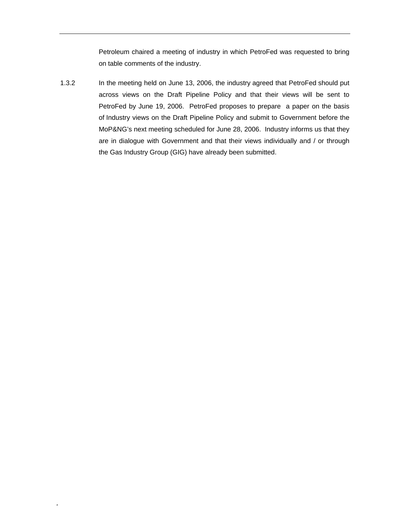Petroleum chaired a meeting of industry in which PetroFed was requested to bring on table comments of the industry.

1.3.2 In the meeting held on June 13, 2006, the industry agreed that PetroFed should put across views on the Draft Pipeline Policy and that their views will be sent to PetroFed by June 19, 2006. PetroFed proposes to prepare a paper on the basis of Industry views on the Draft Pipeline Policy and submit to Government before the MoP&NG's next meeting scheduled for June 28, 2006. Industry informs us that they are in dialogue with Government and that their views individually and / or through the Gas Industry Group (GIG) have already been submitted.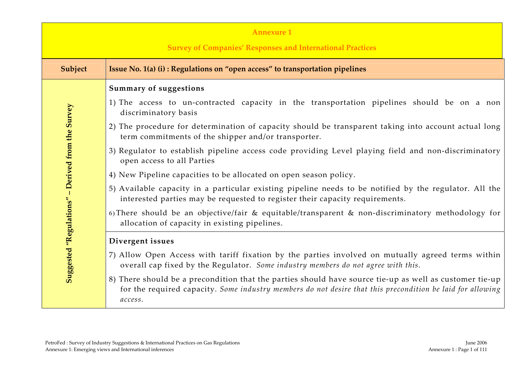| <b>Annexure 1</b><br><b>Survey of Companies' Responses and International Practices</b> |                                                                                                                                                                                                                                                                                                                                                                                                                                                                                                                                                                                                                                                                                                                                                                                                                                                                       |  |
|----------------------------------------------------------------------------------------|-----------------------------------------------------------------------------------------------------------------------------------------------------------------------------------------------------------------------------------------------------------------------------------------------------------------------------------------------------------------------------------------------------------------------------------------------------------------------------------------------------------------------------------------------------------------------------------------------------------------------------------------------------------------------------------------------------------------------------------------------------------------------------------------------------------------------------------------------------------------------|--|
| Subject                                                                                | Issue No. 1(a) (i): Regulations on "open access" to transportation pipelines                                                                                                                                                                                                                                                                                                                                                                                                                                                                                                                                                                                                                                                                                                                                                                                          |  |
| Suggested "Regulations" – Derived from the Survey                                      | Summary of suggestions<br>1) The access to un-contracted capacity in the transportation pipelines should be on a non<br>discriminatory basis<br>2) The procedure for determination of capacity should be transparent taking into account actual long<br>term commitments of the shipper and/or transporter.<br>3) Regulator to establish pipeline access code providing Level playing field and non-discriminatory<br>open access to all Parties<br>4) New Pipeline capacities to be allocated on open season policy.<br>5) Available capacity in a particular existing pipeline needs to be notified by the regulator. All the<br>interested parties may be requested to register their capacity requirements.<br>6) There should be an objective/fair & equitable/transparent & non-discriminatory methodology for<br>allocation of capacity in existing pipelines. |  |
|                                                                                        | Divergent issues<br>7) Allow Open Access with tariff fixation by the parties involved on mutually agreed terms within<br>overall cap fixed by the Regulator. Some industry members do not agree with this.<br>8) There should be a precondition that the parties should have source tie-up as well as customer tie-up<br>for the required capacity. Some industry members do not desire that this precondition be laid for allowing<br>access.                                                                                                                                                                                                                                                                                                                                                                                                                        |  |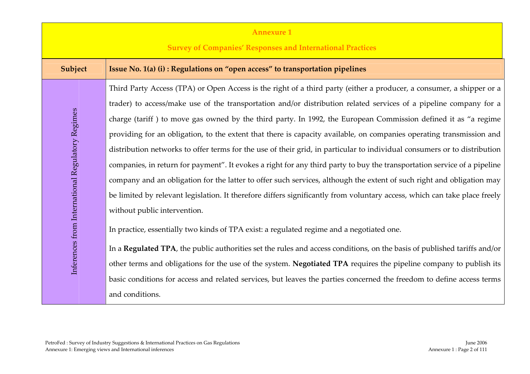| <b>Annexure 1</b><br><b>Survey of Companies' Responses and International Practices</b> |                                                                                                                                                                                                                                                                                                                                                                                                                                                                                                                                                                                                                                                                                                                                                                                                                                                                                                                                                                                                                                                                                                                                                                                                                                                                                                                                                                                                                                                                                                                              |
|----------------------------------------------------------------------------------------|------------------------------------------------------------------------------------------------------------------------------------------------------------------------------------------------------------------------------------------------------------------------------------------------------------------------------------------------------------------------------------------------------------------------------------------------------------------------------------------------------------------------------------------------------------------------------------------------------------------------------------------------------------------------------------------------------------------------------------------------------------------------------------------------------------------------------------------------------------------------------------------------------------------------------------------------------------------------------------------------------------------------------------------------------------------------------------------------------------------------------------------------------------------------------------------------------------------------------------------------------------------------------------------------------------------------------------------------------------------------------------------------------------------------------------------------------------------------------------------------------------------------------|
| Subject                                                                                | Issue No. 1(a) (i): Regulations on "open access" to transportation pipelines                                                                                                                                                                                                                                                                                                                                                                                                                                                                                                                                                                                                                                                                                                                                                                                                                                                                                                                                                                                                                                                                                                                                                                                                                                                                                                                                                                                                                                                 |
| Inferences from International Regulatory Regimes                                       | Third Party Access (TPA) or Open Access is the right of a third party (either a producer, a consumer, a shipper or a<br>trader) to access/make use of the transportation and/or distribution related services of a pipeline company for a<br>charge (tariff) to move gas owned by the third party. In 1992, the European Commission defined it as "a regime<br>providing for an obligation, to the extent that there is capacity available, on companies operating transmission and<br>distribution networks to offer terms for the use of their grid, in particular to individual consumers or to distribution<br>companies, in return for payment". It evokes a right for any third party to buy the transportation service of a pipeline<br>company and an obligation for the latter to offer such services, although the extent of such right and obligation may<br>be limited by relevant legislation. It therefore differs significantly from voluntary access, which can take place freely<br>without public intervention.<br>In practice, essentially two kinds of TPA exist: a regulated regime and a negotiated one.<br>In a Regulated TPA, the public authorities set the rules and access conditions, on the basis of published tariffs and/or<br>other terms and obligations for the use of the system. Negotiated TPA requires the pipeline company to publish its<br>basic conditions for access and related services, but leaves the parties concerned the freedom to define access terms<br>and conditions. |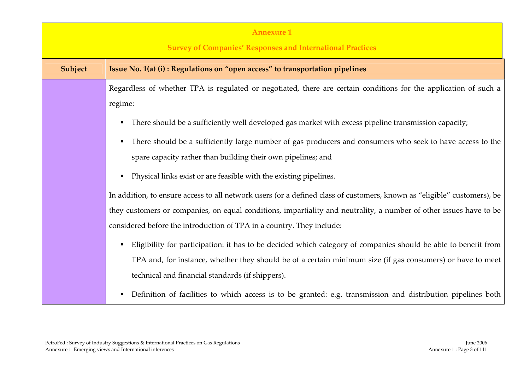| <b>Annexure 1</b><br><b>Survey of Companies' Responses and International Practices</b> |                                                                                                                                                                                                                                                                                  |
|----------------------------------------------------------------------------------------|----------------------------------------------------------------------------------------------------------------------------------------------------------------------------------------------------------------------------------------------------------------------------------|
| Subject                                                                                | Issue No. 1(a) (i): Regulations on "open access" to transportation pipelines                                                                                                                                                                                                     |
|                                                                                        | Regardless of whether TPA is regulated or negotiated, there are certain conditions for the application of such a<br>regime:                                                                                                                                                      |
|                                                                                        | There should be a sufficiently well developed gas market with excess pipeline transmission capacity;<br>п.                                                                                                                                                                       |
|                                                                                        | There should be a sufficiently large number of gas producers and consumers who seek to have access to the<br>spare capacity rather than building their own pipelines; and                                                                                                        |
|                                                                                        | Physical links exist or are feasible with the existing pipelines.                                                                                                                                                                                                                |
|                                                                                        | In addition, to ensure access to all network users (or a defined class of customers, known as "eligible" customers), be                                                                                                                                                          |
|                                                                                        | they customers or companies, on equal conditions, impartiality and neutrality, a number of other issues have to be<br>considered before the introduction of TPA in a country. They include:                                                                                      |
|                                                                                        | Eligibility for participation: it has to be decided which category of companies should be able to benefit from<br>TPA and, for instance, whether they should be of a certain minimum size (if gas consumers) or have to meet<br>technical and financial standards (if shippers). |
|                                                                                        | Definition of facilities to which access is to be granted: e.g. transmission and distribution pipelines both                                                                                                                                                                     |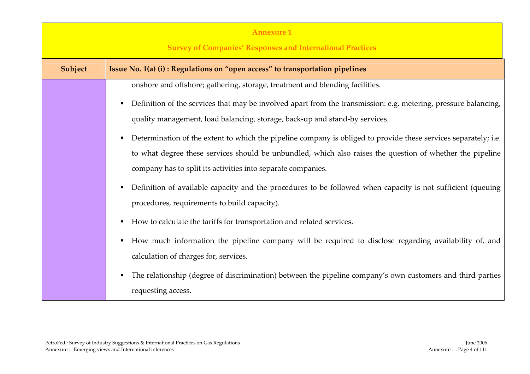| <b>Annexure 1</b><br><b>Survey of Companies' Responses and International Practices</b> |                                                                                                                       |
|----------------------------------------------------------------------------------------|-----------------------------------------------------------------------------------------------------------------------|
| Subject                                                                                | Issue No. 1(a) (i): Regulations on "open access" to transportation pipelines                                          |
|                                                                                        | onshore and offshore; gathering, storage, treatment and blending facilities.                                          |
|                                                                                        | Definition of the services that may be involved apart from the transmission: e.g. metering, pressure balancing,<br>п. |
|                                                                                        | quality management, load balancing, storage, back-up and stand-by services.                                           |
|                                                                                        | Determination of the extent to which the pipeline company is obliged to provide these services separately; i.e.       |
|                                                                                        | to what degree these services should be unbundled, which also raises the question of whether the pipeline             |
|                                                                                        | company has to split its activities into separate companies.                                                          |
|                                                                                        | Definition of available capacity and the procedures to be followed when capacity is not sufficient (queuing<br>п.     |
|                                                                                        | procedures, requirements to build capacity).                                                                          |
|                                                                                        | How to calculate the tariffs for transportation and related services.<br>п.                                           |
|                                                                                        | How much information the pipeline company will be required to disclose regarding availability of, and<br>п.           |
|                                                                                        | calculation of charges for, services.                                                                                 |
|                                                                                        | The relationship (degree of discrimination) between the pipeline company's own customers and third parties            |
|                                                                                        | requesting access.                                                                                                    |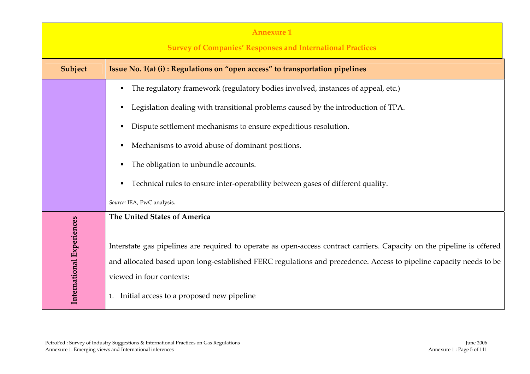| <b>Annexure 1</b><br><b>Survey of Companies' Responses and International Practices</b> |                                                                                                                                                                                                                                              |  |
|----------------------------------------------------------------------------------------|----------------------------------------------------------------------------------------------------------------------------------------------------------------------------------------------------------------------------------------------|--|
| Subject                                                                                | Issue No. 1(a) (i): Regulations on "open access" to transportation pipelines                                                                                                                                                                 |  |
|                                                                                        | The regulatory framework (regulatory bodies involved, instances of appeal, etc.)<br>п                                                                                                                                                        |  |
|                                                                                        | Legislation dealing with transitional problems caused by the introduction of TPA.<br>п                                                                                                                                                       |  |
|                                                                                        | Dispute settlement mechanisms to ensure expeditious resolution.                                                                                                                                                                              |  |
|                                                                                        | Mechanisms to avoid abuse of dominant positions.<br>п                                                                                                                                                                                        |  |
|                                                                                        | The obligation to unbundle accounts.                                                                                                                                                                                                         |  |
|                                                                                        | Technical rules to ensure inter-operability between gases of different quality.<br>п                                                                                                                                                         |  |
|                                                                                        | Source: IEA, PwC analysis.                                                                                                                                                                                                                   |  |
|                                                                                        | The United States of America                                                                                                                                                                                                                 |  |
| International Experiences                                                              | Interstate gas pipelines are required to operate as open-access contract carriers. Capacity on the pipeline is offered<br>and allocated based upon long-established FERC regulations and precedence. Access to pipeline capacity needs to be |  |
|                                                                                        | viewed in four contexts:                                                                                                                                                                                                                     |  |
|                                                                                        | Initial access to a proposed new pipeline                                                                                                                                                                                                    |  |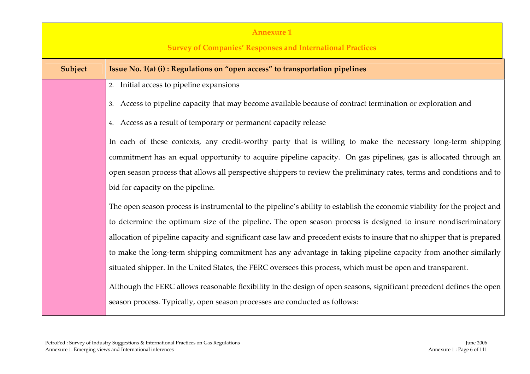| <b>Annexure 1</b><br><b>Survey of Companies' Responses and International Practices</b> |                                                                                                                           |
|----------------------------------------------------------------------------------------|---------------------------------------------------------------------------------------------------------------------------|
| Subject                                                                                | Issue No. 1(a) (i): Regulations on "open access" to transportation pipelines                                              |
|                                                                                        | 2. Initial access to pipeline expansions                                                                                  |
|                                                                                        | 3. Access to pipeline capacity that may become available because of contract termination or exploration and               |
|                                                                                        | 4. Access as a result of temporary or permanent capacity release                                                          |
|                                                                                        | In each of these contexts, any credit-worthy party that is willing to make the necessary long-term shipping               |
|                                                                                        | commitment has an equal opportunity to acquire pipeline capacity. On gas pipelines, gas is allocated through an           |
|                                                                                        | open season process that allows all perspective shippers to review the preliminary rates, terms and conditions and to     |
|                                                                                        | bid for capacity on the pipeline.                                                                                         |
|                                                                                        | The open season process is instrumental to the pipeline's ability to establish the economic viability for the project and |
|                                                                                        | to determine the optimum size of the pipeline. The open season process is designed to insure nondiscriminatory            |
|                                                                                        | allocation of pipeline capacity and significant case law and precedent exists to insure that no shipper that is prepared  |
|                                                                                        | to make the long-term shipping commitment has any advantage in taking pipeline capacity from another similarly            |
|                                                                                        | situated shipper. In the United States, the FERC oversees this process, which must be open and transparent.               |
|                                                                                        | Although the FERC allows reasonable flexibility in the design of open seasons, significant precedent defines the open     |
|                                                                                        | season process. Typically, open season processes are conducted as follows:                                                |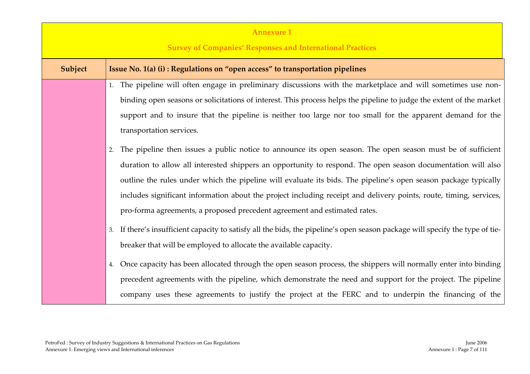| <b>Annexure 1</b>                                                 |                                                                                                                               |
|-------------------------------------------------------------------|-------------------------------------------------------------------------------------------------------------------------------|
| <b>Survey of Companies' Responses and International Practices</b> |                                                                                                                               |
| Subject                                                           | Issue No. 1(a) (i): Regulations on "open access" to transportation pipelines                                                  |
|                                                                   | 1. The pipeline will often engage in preliminary discussions with the marketplace and will sometimes use non-                 |
|                                                                   | binding open seasons or solicitations of interest. This process helps the pipeline to judge the extent of the market          |
|                                                                   | support and to insure that the pipeline is neither too large nor too small for the apparent demand for the                    |
|                                                                   | transportation services.                                                                                                      |
|                                                                   | The pipeline then issues a public notice to announce its open season. The open season must be of sufficient<br>2.             |
|                                                                   | duration to allow all interested shippers an opportunity to respond. The open season documentation will also                  |
|                                                                   | outline the rules under which the pipeline will evaluate its bids. The pipeline's open season package typically               |
|                                                                   | includes significant information about the project including receipt and delivery points, route, timing, services,            |
|                                                                   | pro-forma agreements, a proposed precedent agreement and estimated rates.                                                     |
|                                                                   | 3. If there's insufficient capacity to satisfy all the bids, the pipeline's open season package will specify the type of tie- |
|                                                                   | breaker that will be employed to allocate the available capacity.                                                             |
|                                                                   | 4. Once capacity has been allocated through the open season process, the shippers will normally enter into binding            |
|                                                                   | precedent agreements with the pipeline, which demonstrate the need and support for the project. The pipeline                  |
|                                                                   | company uses these agreements to justify the project at the FERC and to underpin the financing of the                         |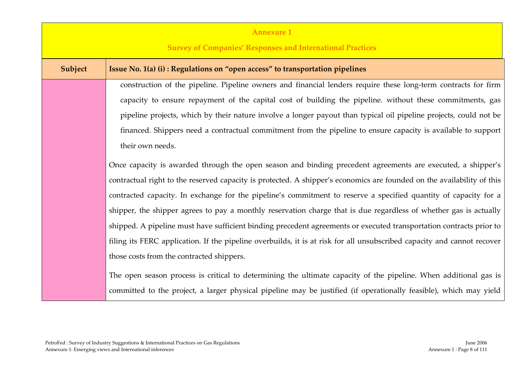| Subject | Issue No. 1(a) (i): Regulations on "open access" to transportation pipelines                                            |
|---------|-------------------------------------------------------------------------------------------------------------------------|
|         | construction of the pipeline. Pipeline owners and financial lenders require these long-term contracts for firm          |
|         | capacity to ensure repayment of the capital cost of building the pipeline. without these commitments, gas               |
|         | pipeline projects, which by their nature involve a longer payout than typical oil pipeline projects, could not be       |
|         | financed. Shippers need a contractual commitment from the pipeline to ensure capacity is available to support           |
|         | their own needs.                                                                                                        |
|         | Once capacity is awarded through the open season and binding precedent agreements are executed, a shipper's             |
|         | contractual right to the reserved capacity is protected. A shipper's economics are founded on the availability of this  |
|         | contracted capacity. In exchange for the pipeline's commitment to reserve a specified quantity of capacity for a        |
|         | shipper, the shipper agrees to pay a monthly reservation charge that is due regardless of whether gas is actually       |
|         | shipped. A pipeline must have sufficient binding precedent agreements or executed transportation contracts prior to     |
|         | filing its FERC application. If the pipeline overbuilds, it is at risk for all unsubscribed capacity and cannot recover |
|         | those costs from the contracted shippers.                                                                               |
|         | The open season process is critical to determining the ultimate capacity of the pipeline. When additional gas is        |
|         | committed to the project, a larger physical pipeline may be justified (if operationally feasible), which may yield      |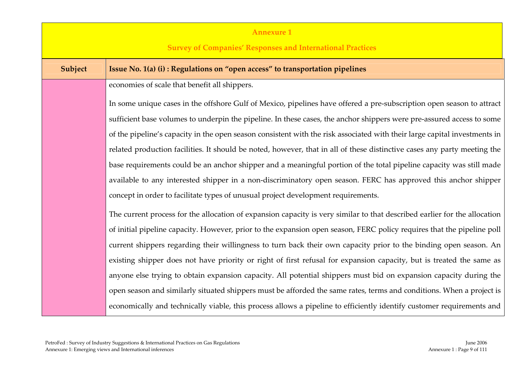### **Survey of Companies' Responses and International Practices**

# **Subject Issue No. 1(a) (i) : Regulations on "open access" to transportation pipelines**  economies of scale that benefit all shippers. In some unique cases in the offshore Gulf of Mexico, pipelines have offered a pre-subscription open season to attract sufficient base volumes to underpin the pipeline. In these cases, the anchor shippers were pre-assured access to some of the pipeline's capacity in the open season consistent with the risk associated with their large capital investments in related production facilities. It should be noted, however, that in all of these distinctive cases any party meeting the base requirements could be an anchor shipper and a meaningful portion of the total pipeline capacity was still made available to any interested shipper in a non-discriminatory open season. FERC has approved this anchor shipper concept in order to facilitate types of unusual project development requirements. The current process for the allocation of expansion capacity is very similar to that described earlier for the allocation of initial pipeline capacity. However, prior to the expansion open season, FERC policy requires that the pipeline poll current shippers regarding their willingness to turn back their own capacity prior to the binding open season. An existing shipper does not have priority or right of first refusal for expansion capacity, but is treated the same as anyone else trying to obtain expansion capacity. All potential shippers must bid on expansion capacity during the open season and similarly situated shippers must be afforded the same rates, terms and conditions. When a project is economically and technically viable, this process allows a pipeline to efficiently identify customer requirements and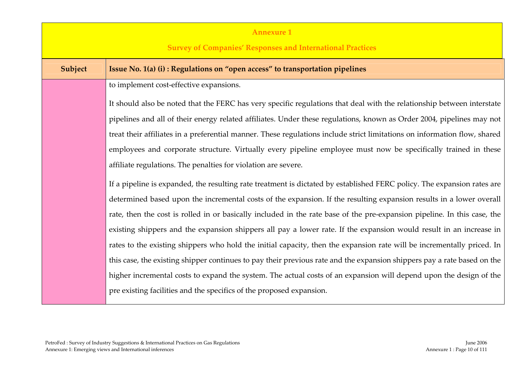| Subject | Issue No. 1(a) (i): Regulations on "open access" to transportation pipelines                                              |
|---------|---------------------------------------------------------------------------------------------------------------------------|
|         | to implement cost-effective expansions.                                                                                   |
|         | It should also be noted that the FERC has very specific regulations that deal with the relationship between interstate    |
|         | pipelines and all of their energy related affiliates. Under these regulations, known as Order 2004, pipelines may not     |
|         | treat their affiliates in a preferential manner. These regulations include strict limitations on information flow, shared |
|         | employees and corporate structure. Virtually every pipeline employee must now be specifically trained in these            |
|         | affiliate regulations. The penalties for violation are severe.                                                            |
|         | If a pipeline is expanded, the resulting rate treatment is dictated by established FERC policy. The expansion rates are   |
|         | determined based upon the incremental costs of the expansion. If the resulting expansion results in a lower overall       |
|         | rate, then the cost is rolled in or basically included in the rate base of the pre-expansion pipeline. In this case, the  |
|         | existing shippers and the expansion shippers all pay a lower rate. If the expansion would result in an increase in        |
|         | rates to the existing shippers who hold the initial capacity, then the expansion rate will be incrementally priced. In    |
|         | this case, the existing shipper continues to pay their previous rate and the expansion shippers pay a rate based on the   |
|         | higher incremental costs to expand the system. The actual costs of an expansion will depend upon the design of the        |
|         | pre existing facilities and the specifics of the proposed expansion.                                                      |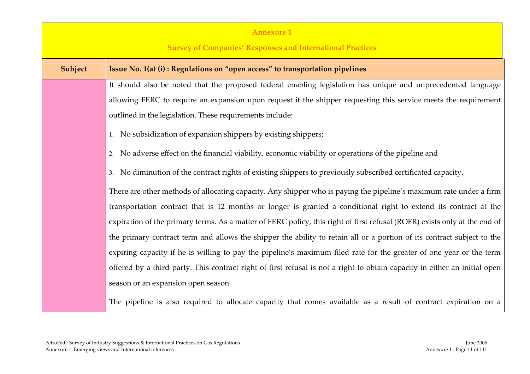| <b>Annexure 1</b>                                                 |                                                                                                                            |
|-------------------------------------------------------------------|----------------------------------------------------------------------------------------------------------------------------|
| <b>Survey of Companies' Responses and International Practices</b> |                                                                                                                            |
| Subject                                                           | Issue No. 1(a) (i): Regulations on "open access" to transportation pipelines                                               |
|                                                                   | It should also be noted that the proposed federal enabling legislation has unique and unprecedented language               |
|                                                                   | allowing FERC to require an expansion upon request if the shipper requesting this service meets the requirement            |
|                                                                   | outlined in the legislation. These requirements include:                                                                   |
|                                                                   | 1. No subsidization of expansion shippers by existing shippers;                                                            |
|                                                                   | No adverse effect on the financial viability, economic viability or operations of the pipeline and<br>2.                   |
|                                                                   | No diminution of the contract rights of existing shippers to previously subscribed certificated capacity.<br>3.            |
|                                                                   | There are other methods of allocating capacity. Any shipper who is paying the pipeline's maximum rate under a firm         |
|                                                                   | transportation contract that is 12 months or longer is granted a conditional right to extend its contract at the           |
|                                                                   | expiration of the primary terms. As a matter of FERC policy, this right of first refusal (ROFR) exists only at the end of  |
|                                                                   | the primary contract term and allows the shipper the ability to retain all or a portion of its contract subject to the     |
|                                                                   | expiring capacity if he is willing to pay the pipeline's maximum filed rate for the greater of one year or the term        |
|                                                                   | offered by a third party. This contract right of first refusal is not a right to obtain capacity in either an initial open |
|                                                                   | season or an expansion open season.                                                                                        |
|                                                                   | The pipeline is also required to allocate capacity that comes available as a result of contract expiration on a            |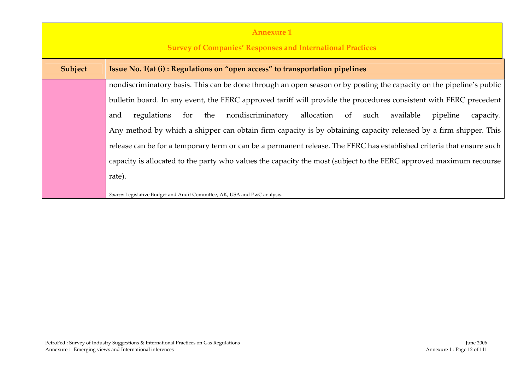| Subject | Issue No. 1(a) (i): Regulations on "open access" to transportation pipelines                                          |
|---------|-----------------------------------------------------------------------------------------------------------------------|
|         | nondiscriminatory basis. This can be done through an open season or by posting the capacity on the pipeline's public  |
|         | bulletin board. In any event, the FERC approved tariff will provide the procedures consistent with FERC precedent     |
|         | nondiscriminatory<br>allocation of such<br>available<br>pipeline<br>regulations<br>for<br>the<br>capacity.<br>and     |
|         | Any method by which a shipper can obtain firm capacity is by obtaining capacity released by a firm shipper. This      |
|         | release can be for a temporary term or can be a permanent release. The FERC has established criteria that ensure such |
|         | capacity is allocated to the party who values the capacity the most (subject to the FERC approved maximum recourse    |
|         | rate).                                                                                                                |
|         | Source: Legislative Budget and Audit Committee, AK, USA and PwC analysis.                                             |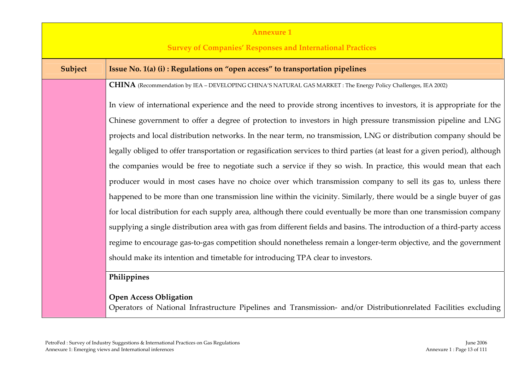### **Survey of Companies' Responses and International Practices**

| Subject | Issue No. 1(a) (i): Regulations on "open access" to transportation pipelines                                                |
|---------|-----------------------------------------------------------------------------------------------------------------------------|
|         | CHINA (Recommendation by IEA - DEVELOPING CHINA'S NATURAL GAS MARKET: The Energy Policy Challenges, IEA 2002)               |
|         | In view of international experience and the need to provide strong incentives to investors, it is appropriate for the       |
|         | Chinese government to offer a degree of protection to investors in high pressure transmission pipeline and LNG              |
|         | projects and local distribution networks. In the near term, no transmission, LNG or distribution company should be          |
|         | legally obliged to offer transportation or regasification services to third parties (at least for a given period), although |
|         | the companies would be free to negotiate such a service if they so wish. In practice, this would mean that each             |
|         | producer would in most cases have no choice over which transmission company to sell its gas to, unless there                |
|         | happened to be more than one transmission line within the vicinity. Similarly, there would be a single buyer of gas         |
|         | for local distribution for each supply area, although there could eventually be more than one transmission company          |
|         | supplying a single distribution area with gas from different fields and basins. The introduction of a third-party access    |
|         | regime to encourage gas-to-gas competition should nonetheless remain a longer-term objective, and the government            |
|         | should make its intention and timetable for introducing TPA clear to investors.                                             |
|         | Philippines                                                                                                                 |
|         |                                                                                                                             |

### **Open Access Obligation**

Operators of National Infrastructure Pipelines and Transmission- and/or Distributionrelated Facilities excluding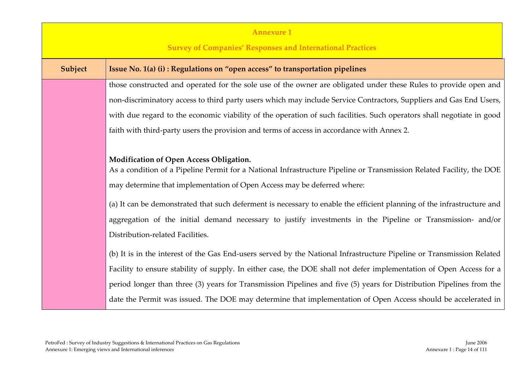| <b>Annexure 1</b> |                                                                                                                        |
|-------------------|------------------------------------------------------------------------------------------------------------------------|
|                   | <b>Survey of Companies' Responses and International Practices</b>                                                      |
| Subject           | Issue No. 1(a) (i): Regulations on "open access" to transportation pipelines                                           |
|                   | those constructed and operated for the sole use of the owner are obligated under these Rules to provide open and       |
|                   | non-discriminatory access to third party users which may include Service Contractors, Suppliers and Gas End Users,     |
|                   | with due regard to the economic viability of the operation of such facilities. Such operators shall negotiate in good  |
|                   | faith with third-party users the provision and terms of access in accordance with Annex 2.                             |
|                   |                                                                                                                        |
|                   | Modification of Open Access Obligation.                                                                                |
|                   | As a condition of a Pipeline Permit for a National Infrastructure Pipeline or Transmission Related Facility, the DOE   |
|                   | may determine that implementation of Open Access may be deferred where:                                                |
|                   | (a) It can be demonstrated that such deferment is necessary to enable the efficient planning of the infrastructure and |
|                   | aggregation of the initial demand necessary to justify investments in the Pipeline or Transmission- and/or             |
|                   | Distribution-related Facilities.                                                                                       |
|                   | (b) It is in the interest of the Gas End-users served by the National Infrastructure Pipeline or Transmission Related  |
|                   | Facility to ensure stability of supply. In either case, the DOE shall not defer implementation of Open Access for a    |
|                   | period longer than three (3) years for Transmission Pipelines and five (5) years for Distribution Pipelines from the   |
|                   | date the Permit was issued. The DOE may determine that implementation of Open Access should be accelerated in          |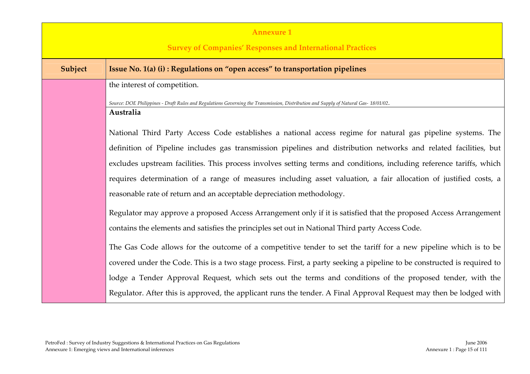| <b>Annexure 1</b> |                                                                                                                                     |
|-------------------|-------------------------------------------------------------------------------------------------------------------------------------|
|                   | <b>Survey of Companies' Responses and International Practices</b>                                                                   |
| Subject           | Issue No. 1(a) (i): Regulations on "open access" to transportation pipelines                                                        |
|                   | the interest of competition.                                                                                                        |
|                   | Source: DOE Philippines - Draft Rules and Regulations Governing the Transmission, Distribution and Supply of Natural Gas- 18/01/02. |
|                   | Australia                                                                                                                           |
|                   | National Third Party Access Code establishes a national access regime for natural gas pipeline systems. The                         |
|                   | definition of Pipeline includes gas transmission pipelines and distribution networks and related facilities, but                    |
|                   | excludes upstream facilities. This process involves setting terms and conditions, including reference tariffs, which                |
|                   | requires determination of a range of measures including asset valuation, a fair allocation of justified costs, a                    |
|                   | reasonable rate of return and an acceptable depreciation methodology.                                                               |
|                   | Regulator may approve a proposed Access Arrangement only if it is satisfied that the proposed Access Arrangement                    |
|                   | contains the elements and satisfies the principles set out in National Third party Access Code.                                     |
|                   | The Gas Code allows for the outcome of a competitive tender to set the tariff for a new pipeline which is to be                     |
|                   | covered under the Code. This is a two stage process. First, a party seeking a pipeline to be constructed is required to             |
|                   | lodge a Tender Approval Request, which sets out the terms and conditions of the proposed tender, with the                           |
|                   | Regulator. After this is approved, the applicant runs the tender. A Final Approval Request may then be lodged with                  |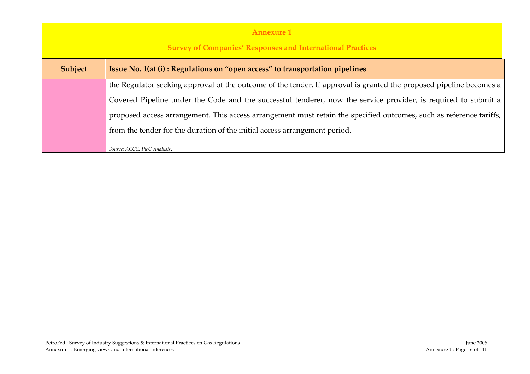| <b>Annexure 1</b><br><b>Survey of Companies' Responses and International Practices</b> |                                                                                                                     |
|----------------------------------------------------------------------------------------|---------------------------------------------------------------------------------------------------------------------|
| Subject                                                                                | Issue No. 1(a) (i): Regulations on "open access" to transportation pipelines                                        |
|                                                                                        | the Regulator seeking approval of the outcome of the tender. If approval is granted the proposed pipeline becomes a |
|                                                                                        | Covered Pipeline under the Code and the successful tenderer, now the service provider, is required to submit a      |
|                                                                                        | proposed access arrangement. This access arrangement must retain the specified outcomes, such as reference tariffs, |
|                                                                                        | from the tender for the duration of the initial access arrangement period.                                          |
|                                                                                        | Source: ACCC, PwC Analysis.                                                                                         |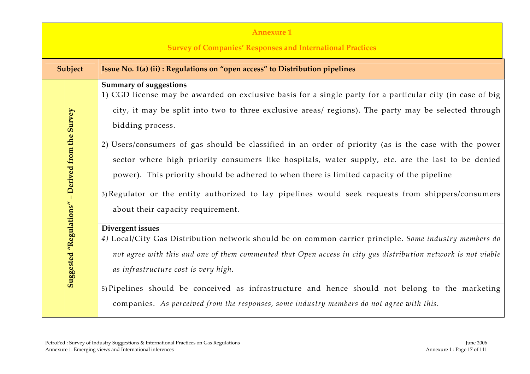| <b>Annexure 1</b><br><b>Survey of Companies' Responses and International Practices</b> |                                                                                                                                                                                                                                                                                                                                                                                                                                                                                                                                                                                                                                                                                                                                                                                                                                                                                                                                                                                                                                                                                                                                                                                                                     |
|----------------------------------------------------------------------------------------|---------------------------------------------------------------------------------------------------------------------------------------------------------------------------------------------------------------------------------------------------------------------------------------------------------------------------------------------------------------------------------------------------------------------------------------------------------------------------------------------------------------------------------------------------------------------------------------------------------------------------------------------------------------------------------------------------------------------------------------------------------------------------------------------------------------------------------------------------------------------------------------------------------------------------------------------------------------------------------------------------------------------------------------------------------------------------------------------------------------------------------------------------------------------------------------------------------------------|
| Subject                                                                                | Issue No. 1(a) (ii): Regulations on "open access" to Distribution pipelines                                                                                                                                                                                                                                                                                                                                                                                                                                                                                                                                                                                                                                                                                                                                                                                                                                                                                                                                                                                                                                                                                                                                         |
| Suggested "Regulations" – Derived from the Survey                                      | <b>Summary of suggestions</b><br>1) CGD license may be awarded on exclusive basis for a single party for a particular city (in case of big<br>city, it may be split into two to three exclusive areas/ regions). The party may be selected through<br>bidding process.<br>2) Users/consumers of gas should be classified in an order of priority (as is the case with the power<br>sector where high priority consumers like hospitals, water supply, etc. are the last to be denied<br>power). This priority should be adhered to when there is limited capacity of the pipeline<br>3) Regulator or the entity authorized to lay pipelines would seek requests from shippers/consumers<br>about their capacity requirement.<br>Divergent issues<br>4) Local/City Gas Distribution network should be on common carrier principle. Some industry members do<br>not agree with this and one of them commented that Open access in city gas distribution network is not viable<br>as infrastructure cost is very high.<br>5) Pipelines should be conceived as infrastructure and hence should not belong to the marketing<br>companies. As perceived from the responses, some industry members do not agree with this. |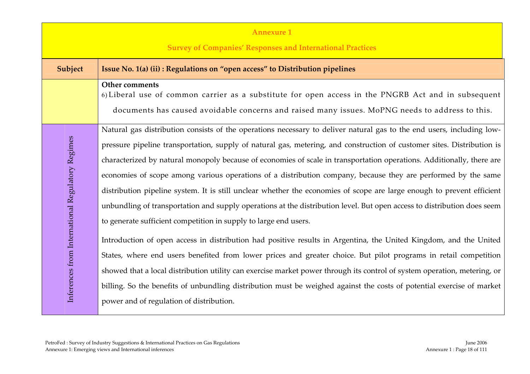| <b>Annexure 1</b>                                                                                                                                                                                                                                                                                                                                                                                                                                                                                                                                                                                                                                                                                                                                                                                                                                                                                                                                                                                                                                                                                                                                                                                                                                                                                                                                            |  |
|--------------------------------------------------------------------------------------------------------------------------------------------------------------------------------------------------------------------------------------------------------------------------------------------------------------------------------------------------------------------------------------------------------------------------------------------------------------------------------------------------------------------------------------------------------------------------------------------------------------------------------------------------------------------------------------------------------------------------------------------------------------------------------------------------------------------------------------------------------------------------------------------------------------------------------------------------------------------------------------------------------------------------------------------------------------------------------------------------------------------------------------------------------------------------------------------------------------------------------------------------------------------------------------------------------------------------------------------------------------|--|
| <b>Survey of Companies' Responses and International Practices</b>                                                                                                                                                                                                                                                                                                                                                                                                                                                                                                                                                                                                                                                                                                                                                                                                                                                                                                                                                                                                                                                                                                                                                                                                                                                                                            |  |
| Issue No. 1(a) (ii): Regulations on "open access" to Distribution pipelines                                                                                                                                                                                                                                                                                                                                                                                                                                                                                                                                                                                                                                                                                                                                                                                                                                                                                                                                                                                                                                                                                                                                                                                                                                                                                  |  |
| Other comments<br>6) Liberal use of common carrier as a substitute for open access in the PNGRB Act and in subsequent<br>documents has caused avoidable concerns and raised many issues. MoPNG needs to address to this.                                                                                                                                                                                                                                                                                                                                                                                                                                                                                                                                                                                                                                                                                                                                                                                                                                                                                                                                                                                                                                                                                                                                     |  |
| Natural gas distribution consists of the operations necessary to deliver natural gas to the end users, including low-<br>pressure pipeline transportation, supply of natural gas, metering, and construction of customer sites. Distribution is<br>characterized by natural monopoly because of economies of scale in transportation operations. Additionally, there are<br>economies of scope among various operations of a distribution company, because they are performed by the same<br>distribution pipeline system. It is still unclear whether the economies of scope are large enough to prevent efficient<br>unbundling of transportation and supply operations at the distribution level. But open access to distribution does seem<br>to generate sufficient competition in supply to large end users.<br>Introduction of open access in distribution had positive results in Argentina, the United Kingdom, and the United<br>States, where end users benefited from lower prices and greater choice. But pilot programs in retail competition<br>showed that a local distribution utility can exercise market power through its control of system operation, metering, or<br>billing. So the benefits of unbundling distribution must be weighed against the costs of potential exercise of market<br>power and of regulation of distribution. |  |
|                                                                                                                                                                                                                                                                                                                                                                                                                                                                                                                                                                                                                                                                                                                                                                                                                                                                                                                                                                                                                                                                                                                                                                                                                                                                                                                                                              |  |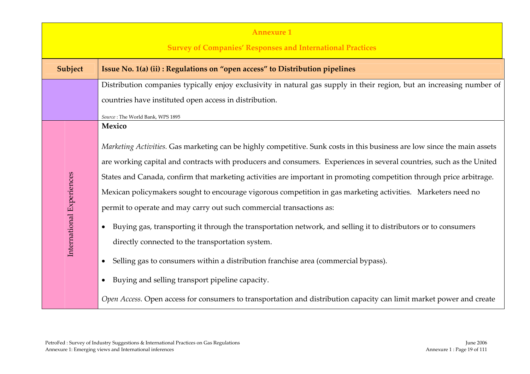| <b>Annexure 1</b>                                                 |                                                                                                                                                                                                                                                                                                                                                                                                                                                                                                                                                                                                                                                                                                                                                     |
|-------------------------------------------------------------------|-----------------------------------------------------------------------------------------------------------------------------------------------------------------------------------------------------------------------------------------------------------------------------------------------------------------------------------------------------------------------------------------------------------------------------------------------------------------------------------------------------------------------------------------------------------------------------------------------------------------------------------------------------------------------------------------------------------------------------------------------------|
| <b>Survey of Companies' Responses and International Practices</b> |                                                                                                                                                                                                                                                                                                                                                                                                                                                                                                                                                                                                                                                                                                                                                     |
|                                                                   |                                                                                                                                                                                                                                                                                                                                                                                                                                                                                                                                                                                                                                                                                                                                                     |
| Subject                                                           | Issue No. 1(a) (ii): Regulations on "open access" to Distribution pipelines                                                                                                                                                                                                                                                                                                                                                                                                                                                                                                                                                                                                                                                                         |
|                                                                   | Distribution companies typically enjoy exclusivity in natural gas supply in their region, but an increasing number of                                                                                                                                                                                                                                                                                                                                                                                                                                                                                                                                                                                                                               |
|                                                                   | countries have instituted open access in distribution.                                                                                                                                                                                                                                                                                                                                                                                                                                                                                                                                                                                                                                                                                              |
|                                                                   | Source: The World Bank, WPS 1895                                                                                                                                                                                                                                                                                                                                                                                                                                                                                                                                                                                                                                                                                                                    |
|                                                                   | Mexico                                                                                                                                                                                                                                                                                                                                                                                                                                                                                                                                                                                                                                                                                                                                              |
| International Experiences                                         | Marketing Activities. Gas marketing can be highly competitive. Sunk costs in this business are low since the main assets<br>are working capital and contracts with producers and consumers. Experiences in several countries, such as the United<br>States and Canada, confirm that marketing activities are important in promoting competition through price arbitrage.<br>Mexican policymakers sought to encourage vigorous competition in gas marketing activities. Marketers need no<br>permit to operate and may carry out such commercial transactions as:<br>Buying gas, transporting it through the transportation network, and selling it to distributors or to consumers<br>$\bullet$<br>directly connected to the transportation system. |
|                                                                   | Selling gas to consumers within a distribution franchise area (commercial bypass).<br>$\bullet$                                                                                                                                                                                                                                                                                                                                                                                                                                                                                                                                                                                                                                                     |
|                                                                   | Buying and selling transport pipeline capacity.<br>$\bullet$                                                                                                                                                                                                                                                                                                                                                                                                                                                                                                                                                                                                                                                                                        |
|                                                                   | Open Access. Open access for consumers to transportation and distribution capacity can limit market power and create                                                                                                                                                                                                                                                                                                                                                                                                                                                                                                                                                                                                                                |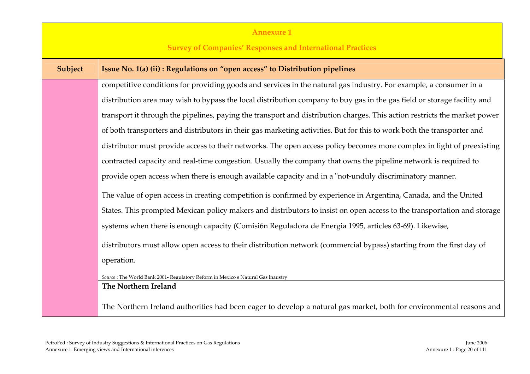| Subject | Issue No. 1(a) (ii): Regulations on "open access" to Distribution pipelines                                               |
|---------|---------------------------------------------------------------------------------------------------------------------------|
|         | competitive conditions for providing goods and services in the natural gas industry. For example, a consumer in a         |
|         | distribution area may wish to bypass the local distribution company to buy gas in the gas field or storage facility and   |
|         | transport it through the pipelines, paying the transport and distribution charges. This action restricts the market power |
|         | of both transporters and distributors in their gas marketing activities. But for this to work both the transporter and    |
|         | distributor must provide access to their networks. The open access policy becomes more complex in light of preexisting    |
|         | contracted capacity and real-time congestion. Usually the company that owns the pipeline network is required to           |
|         | provide open access when there is enough available capacity and in a "not-unduly discriminatory manner.                   |
|         | The value of open access in creating competition is confirmed by experience in Argentina, Canada, and the United          |
|         | States. This prompted Mexican policy makers and distributors to insist on open access to the transportation and storage   |
|         | systems when there is enough capacity (Comisi6n Reguladora de Energia 1995, articles 63-69). Likewise,                    |
|         | distributors must allow open access to their distribution network (commercial bypass) starting from the first day of      |
|         | operation.                                                                                                                |
|         |                                                                                                                           |
|         | Source : The World Bank 2001- Regulatory Reform in Mexico s Natural Gas lnaustry<br>The Northern Ireland                  |
|         | The Northern Ireland authorities had been eager to develop a natural gas market, both for environmental reasons and       |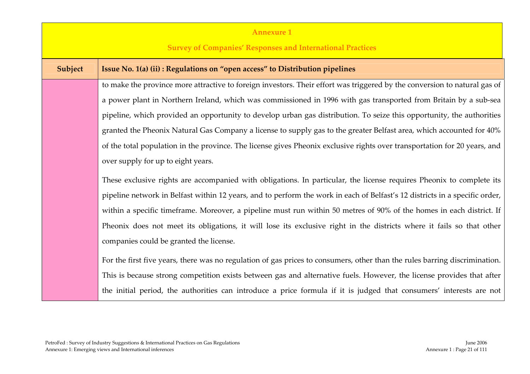| Subject | Issue No. 1(a) (ii): Regulations on "open access" to Distribution pipelines                                                 |
|---------|-----------------------------------------------------------------------------------------------------------------------------|
|         | to make the province more attractive to foreign investors. Their effort was triggered by the conversion to natural gas of   |
|         | a power plant in Northern Ireland, which was commissioned in 1996 with gas transported from Britain by a sub-sea            |
|         | pipeline, which provided an opportunity to develop urban gas distribution. To seize this opportunity, the authorities       |
|         | granted the Pheonix Natural Gas Company a license to supply gas to the greater Belfast area, which accounted for 40%        |
|         | of the total population in the province. The license gives Pheonix exclusive rights over transportation for 20 years, and   |
|         | over supply for up to eight years.                                                                                          |
|         | These exclusive rights are accompanied with obligations. In particular, the license requires Pheonix to complete its        |
|         | pipeline network in Belfast within 12 years, and to perform the work in each of Belfast's 12 districts in a specific order, |
|         | within a specific timeframe. Moreover, a pipeline must run within 50 metres of 90% of the homes in each district. If        |
|         | Pheonix does not meet its obligations, it will lose its exclusive right in the districts where it fails so that other       |
|         | companies could be granted the license.                                                                                     |
|         | For the first five years, there was no regulation of gas prices to consumers, other than the rules barring discrimination.  |
|         | This is because strong competition exists between gas and alternative fuels. However, the license provides that after       |
|         | the initial period, the authorities can introduce a price formula if it is judged that consumers' interests are not         |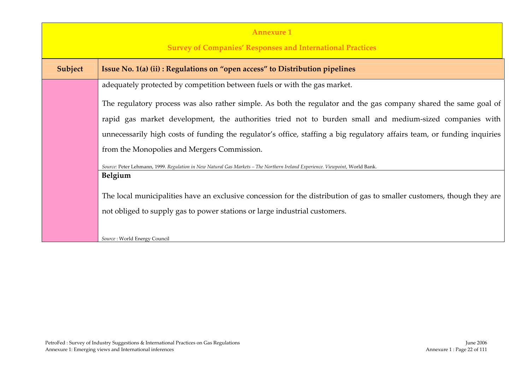| Subject | Issue No. 1(a) (ii): Regulations on "open access" to Distribution pipelines                                                  |
|---------|------------------------------------------------------------------------------------------------------------------------------|
|         | adequately protected by competition between fuels or with the gas market.                                                    |
|         | The regulatory process was also rather simple. As both the regulator and the gas company shared the same goal of             |
|         | rapid gas market development, the authorities tried not to burden small and medium-sized companies with                      |
|         | unnecessarily high costs of funding the regulator's office, staffing a big regulatory affairs team, or funding inquiries     |
|         | from the Monopolies and Mergers Commission.                                                                                  |
|         | Source: Peter Lehmann, 1999. Regulation in New Natural Gas Markets - The Northern Ireland Experience. Viewpoint, World Bank. |
|         | Belgium                                                                                                                      |
|         | The local municipalities have an exclusive concession for the distribution of gas to smaller customers, though they are      |
|         | not obliged to supply gas to power stations or large industrial customers.                                                   |
|         |                                                                                                                              |
|         | Source: World Energy Council                                                                                                 |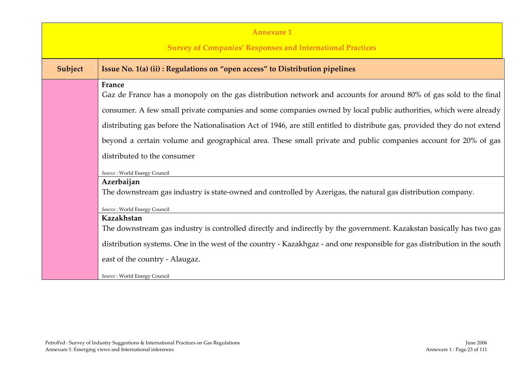| <b>Annexure 1</b>                                                 |                                                                                                                            |
|-------------------------------------------------------------------|----------------------------------------------------------------------------------------------------------------------------|
| <b>Survey of Companies' Responses and International Practices</b> |                                                                                                                            |
|                                                                   |                                                                                                                            |
| Subject                                                           | Issue No. 1(a) (ii): Regulations on "open access" to Distribution pipelines                                                |
|                                                                   | France                                                                                                                     |
|                                                                   | Gaz de France has a monopoly on the gas distribution network and accounts for around 80% of gas sold to the final          |
|                                                                   | consumer. A few small private companies and some companies owned by local public authorities, which were already           |
|                                                                   | distributing gas before the Nationalisation Act of 1946, are still entitled to distribute gas, provided they do not extend |
|                                                                   | beyond a certain volume and geographical area. These small private and public companies account for 20% of gas             |
|                                                                   | distributed to the consumer                                                                                                |
|                                                                   | Source: World Energy Council                                                                                               |
|                                                                   | Azerbaijan                                                                                                                 |
|                                                                   | The downstream gas industry is state-owned and controlled by Azerigas, the natural gas distribution company.               |
|                                                                   | Source: World Energy Council                                                                                               |
|                                                                   | Kazakhstan                                                                                                                 |
|                                                                   | The downstream gas industry is controlled directly and indirectly by the government. Kazakstan basically has two gas       |
|                                                                   | distribution systems. One in the west of the country - Kazakhgaz - and one responsible for gas distribution in the south   |
|                                                                   | east of the country - Alaugaz.                                                                                             |
|                                                                   | Source: World Energy Council                                                                                               |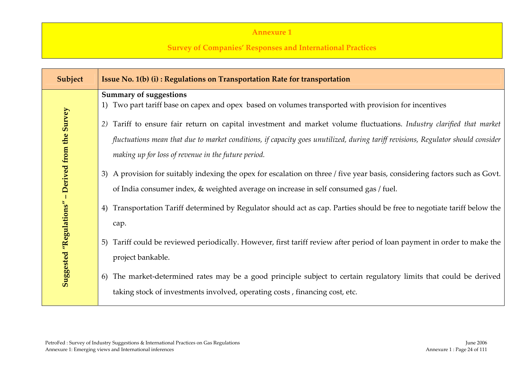| Subject                                           | Issue No. 1(b) (i): Regulations on Transportation Rate for transportation                                                        |
|---------------------------------------------------|----------------------------------------------------------------------------------------------------------------------------------|
|                                                   | <b>Summary of suggestions</b>                                                                                                    |
|                                                   | 1) Two part tariff base on capex and opex based on volumes transported with provision for incentives                             |
|                                                   | Tariff to ensure fair return on capital investment and market volume fluctuations. Industry clarified that market                |
|                                                   | fluctuations mean that due to market conditions, if capacity goes unutilized, during tariff revisions, Regulator should consider |
| Suggested "Regulations" – Derived from the Survey | making up for loss of revenue in the future period.                                                                              |
|                                                   | 3) A provision for suitably indexing the opex for escalation on three / five year basis, considering factors such as Govt.       |
|                                                   | of India consumer index, & weighted average on increase in self consumed gas / fuel.                                             |
|                                                   | Transportation Tariff determined by Regulator should act as cap. Parties should be free to negotiate tariff below the<br>4)      |
|                                                   | cap.                                                                                                                             |
|                                                   | Tariff could be reviewed periodically. However, first tariff review after period of loan payment in order to make the<br>5)      |
|                                                   | project bankable.                                                                                                                |
|                                                   | The market-determined rates may be a good principle subject to certain regulatory limits that could be derived<br>6)             |
|                                                   | taking stock of investments involved, operating costs, financing cost, etc.                                                      |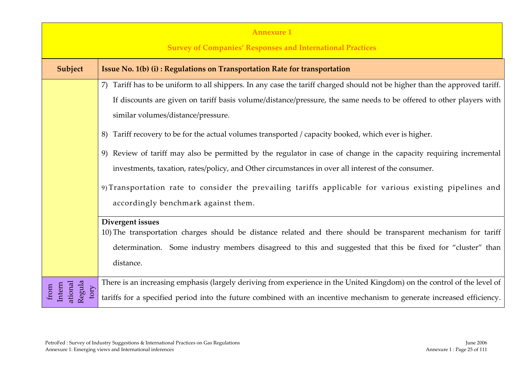| <b>Annexure 1</b>                           |                                                                                                                            |  |
|---------------------------------------------|----------------------------------------------------------------------------------------------------------------------------|--|
|                                             | <b>Survey of Companies' Responses and International Practices</b>                                                          |  |
|                                             |                                                                                                                            |  |
| Subject                                     | Issue No. 1(b) (i): Regulations on Transportation Rate for transportation                                                  |  |
|                                             | 7) Tariff has to be uniform to all shippers. In any case the tariff charged should not be higher than the approved tariff. |  |
|                                             | If discounts are given on tariff basis volume/distance/pressure, the same needs to be offered to other players with        |  |
|                                             | similar volumes/distance/pressure.                                                                                         |  |
|                                             | Tariff recovery to be for the actual volumes transported / capacity booked, which ever is higher.<br>8)                    |  |
|                                             | 9) Review of tariff may also be permitted by the regulator in case of change in the capacity requiring incremental         |  |
|                                             | investments, taxation, rates/policy, and Other circumstances in over all interest of the consumer.                         |  |
|                                             | 9) Transportation rate to consider the prevailing tariffs applicable for various existing pipelines and                    |  |
|                                             | accordingly benchmark against them.                                                                                        |  |
|                                             | Divergent issues                                                                                                           |  |
|                                             | 10) The transportation charges should be distance related and there should be transparent mechanism for tariff             |  |
|                                             | determination. Some industry members disagreed to this and suggested that this be fixed for "cluster" than                 |  |
|                                             | distance.                                                                                                                  |  |
|                                             | There is an increasing emphasis (largely deriving from experience in the United Kingdom) on the control of the level of    |  |
| Regula<br>ational<br>Intern<br>from<br>tory | tariffs for a specified period into the future combined with an incentive mechanism to generate increased efficiency.      |  |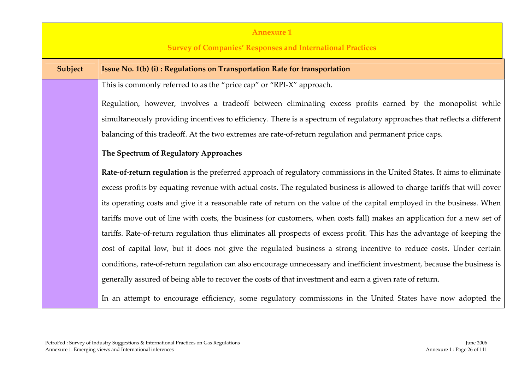| Subject | Issue No. 1(b) (i): Regulations on Transportation Rate for transportation                                                 |
|---------|---------------------------------------------------------------------------------------------------------------------------|
|         | This is commonly referred to as the "price cap" or "RPI-X" approach.                                                      |
|         | Regulation, however, involves a tradeoff between eliminating excess profits earned by the monopolist while                |
|         | simultaneously providing incentives to efficiency. There is a spectrum of regulatory approaches that reflects a different |
|         | balancing of this tradeoff. At the two extremes are rate-of-return regulation and permanent price caps.                   |
|         | The Spectrum of Regulatory Approaches                                                                                     |
|         | Rate-of-return regulation is the preferred approach of regulatory commissions in the United States. It aims to eliminate  |
|         | excess profits by equating revenue with actual costs. The regulated business is allowed to charge tariffs that will cover |
|         | its operating costs and give it a reasonable rate of return on the value of the capital employed in the business. When    |
|         | tariffs move out of line with costs, the business (or customers, when costs fall) makes an application for a new set of   |
|         | tariffs. Rate-of-return regulation thus eliminates all prospects of excess profit. This has the advantage of keeping the  |
|         | cost of capital low, but it does not give the regulated business a strong incentive to reduce costs. Under certain        |
|         | conditions, rate-of-return regulation can also encourage unnecessary and inefficient investment, because the business is  |
|         | generally assured of being able to recover the costs of that investment and earn a given rate of return.                  |
|         | In an attempt to encourage efficiency, some regulatory commissions in the United States have now adopted the              |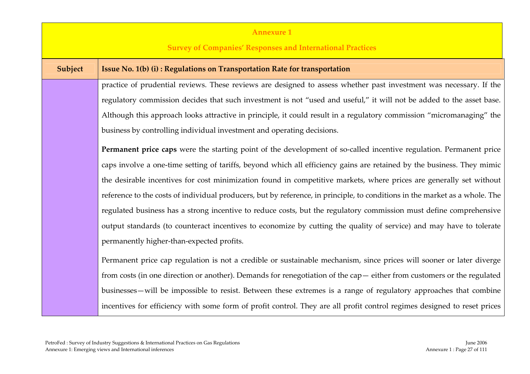| Subject | Issue No. 1(b) (i): Regulations on Transportation Rate for transportation                                                   |
|---------|-----------------------------------------------------------------------------------------------------------------------------|
|         | practice of prudential reviews. These reviews are designed to assess whether past investment was necessary. If the          |
|         | regulatory commission decides that such investment is not "used and useful," it will not be added to the asset base.        |
|         | Although this approach looks attractive in principle, it could result in a regulatory commission "micromanaging" the        |
|         | business by controlling individual investment and operating decisions.                                                      |
|         | Permanent price caps were the starting point of the development of so-called incentive regulation. Permanent price          |
|         | caps involve a one-time setting of tariffs, beyond which all efficiency gains are retained by the business. They mimic      |
|         | the desirable incentives for cost minimization found in competitive markets, where prices are generally set without         |
|         | reference to the costs of individual producers, but by reference, in principle, to conditions in the market as a whole. The |
|         | regulated business has a strong incentive to reduce costs, but the regulatory commission must define comprehensive          |
|         | output standards (to counteract incentives to economize by cutting the quality of service) and may have to tolerate         |
|         | permanently higher-than-expected profits.                                                                                   |
|         | Permanent price cap regulation is not a credible or sustainable mechanism, since prices will sooner or later diverge        |
|         | from costs (in one direction or another). Demands for renegotiation of the cap - either from customers or the regulated     |
|         | businesses-will be impossible to resist. Between these extremes is a range of regulatory approaches that combine            |
|         | incentives for efficiency with some form of profit control. They are all profit control regimes designed to reset prices    |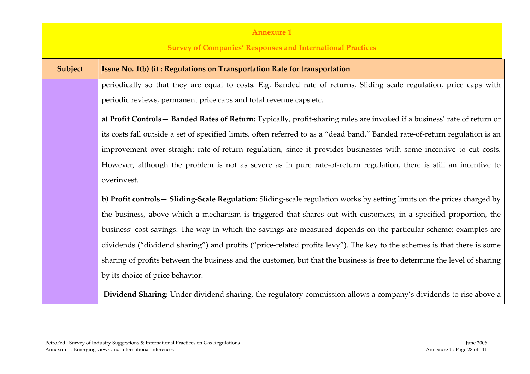| Subject | Issue No. 1(b) (i): Regulations on Transportation Rate for transportation                                                    |
|---------|------------------------------------------------------------------------------------------------------------------------------|
|         | periodically so that they are equal to costs. E.g. Banded rate of returns, Sliding scale regulation, price caps with         |
|         | periodic reviews, permanent price caps and total revenue caps etc.                                                           |
|         | a) Profit Controls- Banded Rates of Return: Typically, profit-sharing rules are invoked if a business' rate of return or     |
|         | its costs fall outside a set of specified limits, often referred to as a "dead band." Banded rate-of-return regulation is an |
|         | improvement over straight rate-of-return regulation, since it provides businesses with some incentive to cut costs.          |
|         | However, although the problem is not as severe as in pure rate-of-return regulation, there is still an incentive to          |
|         | overinvest.                                                                                                                  |
|         | b) Profit controls - Sliding-Scale Regulation: Sliding-scale regulation works by setting limits on the prices charged by     |
|         | the business, above which a mechanism is triggered that shares out with customers, in a specified proportion, the            |
|         | business' cost savings. The way in which the savings are measured depends on the particular scheme: examples are             |
|         | dividends ("dividend sharing") and profits ("price-related profits levy"). The key to the schemes is that there is some      |
|         | sharing of profits between the business and the customer, but that the business is free to determine the level of sharing    |
|         | by its choice of price behavior.                                                                                             |
|         | Dividend Sharing: Under dividend sharing, the regulatory commission allows a company's dividends to rise above a             |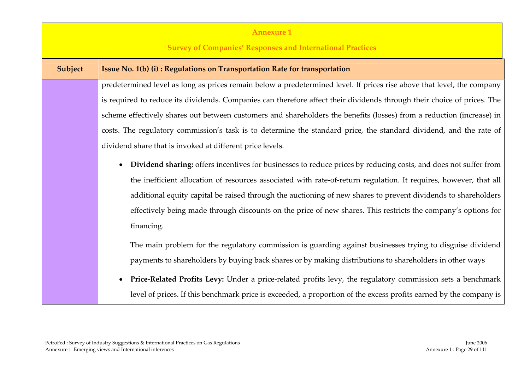| Subject | Issue No. 1(b) (i): Regulations on Transportation Rate for transportation                                               |
|---------|-------------------------------------------------------------------------------------------------------------------------|
|         | predetermined level as long as prices remain below a predetermined level. If prices rise above that level, the company  |
|         | is required to reduce its dividends. Companies can therefore affect their dividends through their choice of prices. The |
|         | scheme effectively shares out between customers and shareholders the benefits (losses) from a reduction (increase) in   |
|         | costs. The regulatory commission's task is to determine the standard price, the standard dividend, and the rate of      |
|         | dividend share that is invoked at different price levels.                                                               |
|         | Dividend sharing: offers incentives for businesses to reduce prices by reducing costs, and does not suffer from         |
|         | the inefficient allocation of resources associated with rate-of-return regulation. It requires, however, that all       |
|         | additional equity capital be raised through the auctioning of new shares to prevent dividends to shareholders           |
|         | effectively being made through discounts on the price of new shares. This restricts the company's options for           |
|         | financing.                                                                                                              |
|         | The main problem for the regulatory commission is guarding against businesses trying to disguise dividend               |
|         | payments to shareholders by buying back shares or by making distributions to shareholders in other ways                 |
|         | Price-Related Profits Levy: Under a price-related profits levy, the regulatory commission sets a benchmark              |
|         | level of prices. If this benchmark price is exceeded, a proportion of the excess profits earned by the company is       |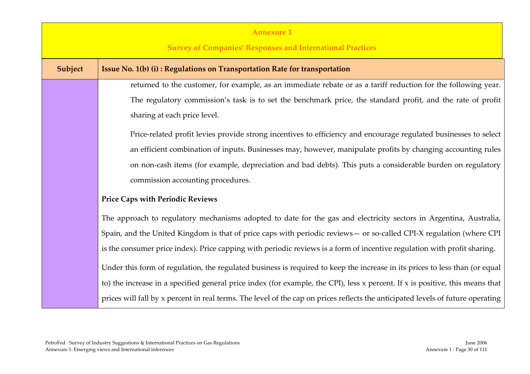| Subject | Issue No. 1(b) (i): Regulations on Transportation Rate for transportation                                                         |
|---------|-----------------------------------------------------------------------------------------------------------------------------------|
|         | returned to the customer, for example, as an immediate rebate or as a tariff reduction for the following year.                    |
|         | The regulatory commission's task is to set the benchmark price, the standard profit, and the rate of profit                       |
|         | sharing at each price level.                                                                                                      |
|         | Price-related profit levies provide strong incentives to efficiency and encourage regulated businesses to select                  |
|         | an efficient combination of inputs. Businesses may, however, manipulate profits by changing accounting rules                      |
|         | on non-cash items (for example, depreciation and bad debts). This puts a considerable burden on regulatory                        |
|         | commission accounting procedures.                                                                                                 |
|         | Price Caps with Periodic Reviews                                                                                                  |
|         | The approach to regulatory mechanisms adopted to date for the gas and electricity sectors in Argentina, Australia,                |
|         | Spain, and the United Kingdom is that of price caps with periodic reviews— or so-called CPI-X regulation (where CPI               |
|         | is the consumer price index). Price capping with periodic reviews is a form of incentive regulation with profit sharing.          |
|         | Under this form of regulation, the regulated business is required to keep the increase in its prices to less than (or equal       |
|         | to) the increase in a specified general price index (for example, the CPI), less $x$ percent. If $x$ is positive, this means that |
|         | prices will fall by x percent in real terms. The level of the cap on prices reflects the anticipated levels of future operating   |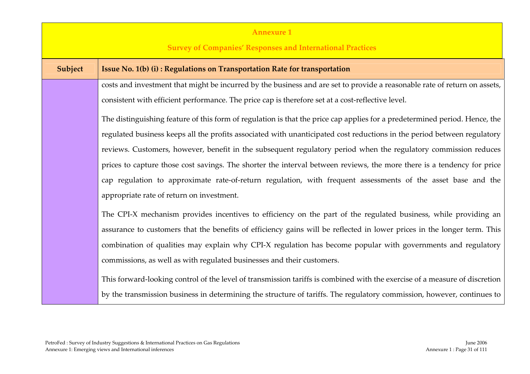| Subject | Issue No. 1(b) (i): Regulations on Transportation Rate for transportation                                                  |
|---------|----------------------------------------------------------------------------------------------------------------------------|
|         | costs and investment that might be incurred by the business and are set to provide a reasonable rate of return on assets,  |
|         | consistent with efficient performance. The price cap is therefore set at a cost-reflective level.                          |
|         | The distinguishing feature of this form of regulation is that the price cap applies for a predetermined period. Hence, the |
|         | regulated business keeps all the profits associated with unanticipated cost reductions in the period between regulatory    |
|         | reviews. Customers, however, benefit in the subsequent regulatory period when the regulatory commission reduces            |
|         | prices to capture those cost savings. The shorter the interval between reviews, the more there is a tendency for price     |
|         | cap regulation to approximate rate-of-return regulation, with frequent assessments of the asset base and the               |
|         | appropriate rate of return on investment.                                                                                  |
|         | The CPI-X mechanism provides incentives to efficiency on the part of the regulated business, while providing an            |
|         | assurance to customers that the benefits of efficiency gains will be reflected in lower prices in the longer term. This    |
|         | combination of qualities may explain why CPI-X regulation has become popular with governments and regulatory               |
|         | commissions, as well as with regulated businesses and their customers.                                                     |
|         | This forward-looking control of the level of transmission tariffs is combined with the exercise of a measure of discretion |
|         | by the transmission business in determining the structure of tariffs. The regulatory commission, however, continues to     |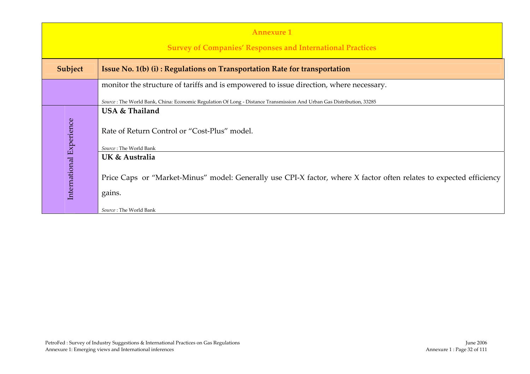| <b>Annexure 1</b>                                                 |                                                                                                                               |  |
|-------------------------------------------------------------------|-------------------------------------------------------------------------------------------------------------------------------|--|
| <b>Survey of Companies' Responses and International Practices</b> |                                                                                                                               |  |
| Subject                                                           | Issue No. 1(b) (i): Regulations on Transportation Rate for transportation                                                     |  |
|                                                                   | monitor the structure of tariffs and is empowered to issue direction, where necessary.                                        |  |
|                                                                   | Source : The World Bank, China: Economic Regulation Of Long - Distance Transmission And Urban Gas Distribution, 33285         |  |
|                                                                   | USA & Thailand                                                                                                                |  |
|                                                                   | Rate of Return Control or "Cost-Plus" model.                                                                                  |  |
|                                                                   | Source: The World Bank                                                                                                        |  |
| International Experience                                          | UK & Australia                                                                                                                |  |
|                                                                   | Price Caps or "Market-Minus" model: Generally use CPI-X factor, where X factor often relates to expected efficiency<br>gains. |  |
|                                                                   | Source: The World Bank                                                                                                        |  |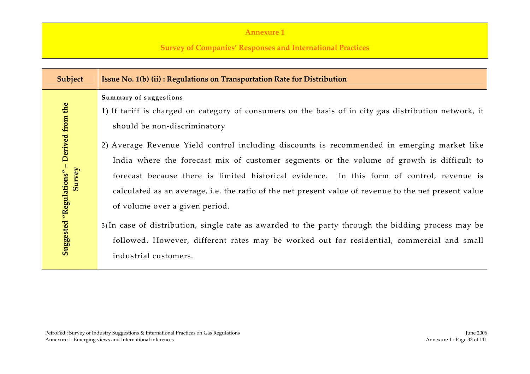| Subject                                              | Issue No. 1(b) (ii): Regulations on Transportation Rate for Distribution                                                                                                                                                                                                                                                                                                                                                                                                                                                                                                                                                                                                                                                                                                                                                          |
|------------------------------------------------------|-----------------------------------------------------------------------------------------------------------------------------------------------------------------------------------------------------------------------------------------------------------------------------------------------------------------------------------------------------------------------------------------------------------------------------------------------------------------------------------------------------------------------------------------------------------------------------------------------------------------------------------------------------------------------------------------------------------------------------------------------------------------------------------------------------------------------------------|
| Suggested "Regulations" - Derived from the<br>Survey | Summary of suggestions<br>1) If tariff is charged on category of consumers on the basis of in city gas distribution network, it<br>should be non-discriminatory<br>2) Average Revenue Yield control including discounts is recommended in emerging market like<br>India where the forecast mix of customer segments or the volume of growth is difficult to<br>forecast because there is limited historical evidence. In this form of control, revenue is<br>calculated as an average, i.e. the ratio of the net present value of revenue to the net present value<br>of volume over a given period.<br>3) In case of distribution, single rate as awarded to the party through the bidding process may be<br>followed. However, different rates may be worked out for residential, commercial and small<br>industrial customers. |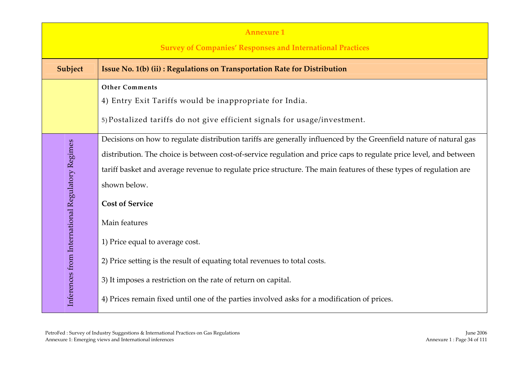| <b>Annexure 1</b><br><b>Survey of Companies' Responses and International Practices</b> |                                                                                                                                                                                                                                                                                                                                                                                                         |  |
|----------------------------------------------------------------------------------------|---------------------------------------------------------------------------------------------------------------------------------------------------------------------------------------------------------------------------------------------------------------------------------------------------------------------------------------------------------------------------------------------------------|--|
| Subject                                                                                | Issue No. 1(b) (ii): Regulations on Transportation Rate for Distribution                                                                                                                                                                                                                                                                                                                                |  |
|                                                                                        | <b>Other Comments</b><br>4) Entry Exit Tariffs would be inappropriate for India.                                                                                                                                                                                                                                                                                                                        |  |
|                                                                                        | 5) Postalized tariffs do not give efficient signals for usage/investment.                                                                                                                                                                                                                                                                                                                               |  |
| Inferences from International Regulatory Regimes                                       | Decisions on how to regulate distribution tariffs are generally influenced by the Greenfield nature of natural gas<br>distribution. The choice is between cost-of-service regulation and price caps to regulate price level, and between<br>tariff basket and average revenue to regulate price structure. The main features of these types of regulation are<br>shown below.<br><b>Cost of Service</b> |  |
|                                                                                        | Main features<br>1) Price equal to average cost.                                                                                                                                                                                                                                                                                                                                                        |  |
|                                                                                        | 2) Price setting is the result of equating total revenues to total costs.<br>3) It imposes a restriction on the rate of return on capital.                                                                                                                                                                                                                                                              |  |
|                                                                                        | 4) Prices remain fixed until one of the parties involved asks for a modification of prices.                                                                                                                                                                                                                                                                                                             |  |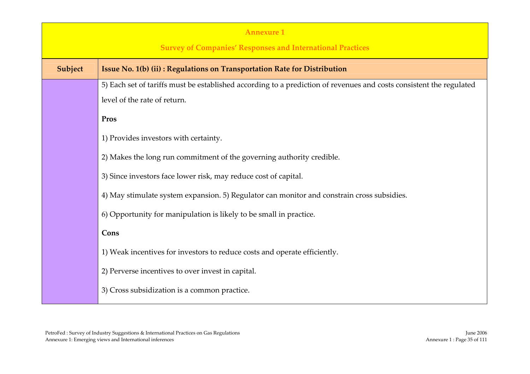| <b>Annexure 1</b> |                                                                                                                     |  |  |
|-------------------|---------------------------------------------------------------------------------------------------------------------|--|--|
|                   | <b>Survey of Companies' Responses and International Practices</b>                                                   |  |  |
| Subject           | Issue No. 1(b) (ii): Regulations on Transportation Rate for Distribution                                            |  |  |
|                   | 5) Each set of tariffs must be established according to a prediction of revenues and costs consistent the regulated |  |  |
|                   | level of the rate of return.                                                                                        |  |  |
|                   | Pros                                                                                                                |  |  |
|                   | 1) Provides investors with certainty.                                                                               |  |  |
|                   | 2) Makes the long run commitment of the governing authority credible.                                               |  |  |
|                   | 3) Since investors face lower risk, may reduce cost of capital.                                                     |  |  |
|                   | 4) May stimulate system expansion. 5) Regulator can monitor and constrain cross subsidies.                          |  |  |
|                   | 6) Opportunity for manipulation is likely to be small in practice.                                                  |  |  |
|                   | Cons                                                                                                                |  |  |
|                   | 1) Weak incentives for investors to reduce costs and operate efficiently.                                           |  |  |
|                   | 2) Perverse incentives to over invest in capital.                                                                   |  |  |
|                   | 3) Cross subsidization is a common practice.                                                                        |  |  |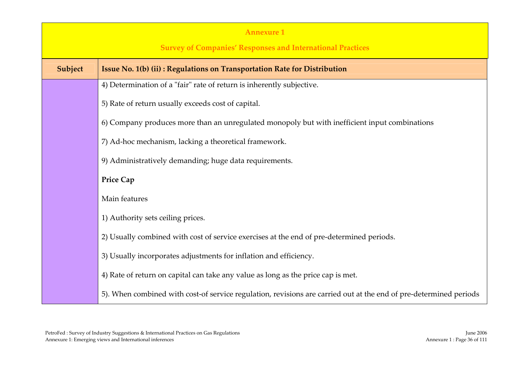## **Survey of Companies' Responses and International Practices**

| Subject | Issue No. 1(b) (ii): Regulations on Transportation Rate for Distribution                                          |  |
|---------|-------------------------------------------------------------------------------------------------------------------|--|
|         | 4) Determination of a "fair" rate of return is inherently subjective.                                             |  |
|         | 5) Rate of return usually exceeds cost of capital.                                                                |  |
|         | 6) Company produces more than an unregulated monopoly but with inefficient input combinations                     |  |
|         | 7) Ad-hoc mechanism, lacking a theoretical framework.                                                             |  |
|         | 9) Administratively demanding; huge data requirements.                                                            |  |
|         | <b>Price Cap</b>                                                                                                  |  |
|         | Main features                                                                                                     |  |
|         | 1) Authority sets ceiling prices.                                                                                 |  |
|         | 2) Usually combined with cost of service exercises at the end of pre-determined periods.                          |  |
|         | 3) Usually incorporates adjustments for inflation and efficiency.                                                 |  |
|         | 4) Rate of return on capital can take any value as long as the price cap is met.                                  |  |
|         | 5). When combined with cost-of service regulation, revisions are carried out at the end of pre-determined periods |  |
|         |                                                                                                                   |  |

PetroFed : Survey of Industry Suggestions & International Practices on Gas Regulations June 2006 Annexure 1: Emerging views and International inferences Annexure 1 : Page 36 of 111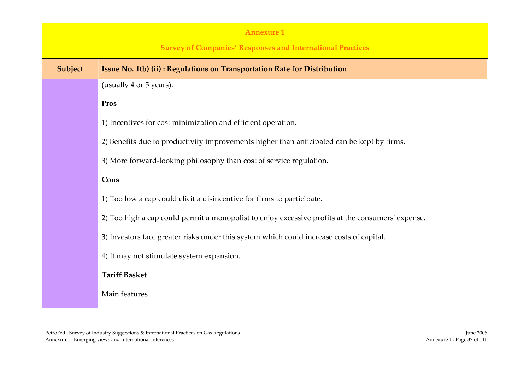| <b>Annexure 1</b> |                                                                                                   |  |  |
|-------------------|---------------------------------------------------------------------------------------------------|--|--|
|                   | <b>Survey of Companies' Responses and International Practices</b>                                 |  |  |
| Subject           | Issue No. 1(b) (ii): Regulations on Transportation Rate for Distribution                          |  |  |
|                   | (usually 4 or 5 years).                                                                           |  |  |
|                   | Pros                                                                                              |  |  |
|                   | 1) Incentives for cost minimization and efficient operation.                                      |  |  |
|                   | 2) Benefits due to productivity improvements higher than anticipated can be kept by firms.        |  |  |
|                   | 3) More forward-looking philosophy than cost of service regulation.                               |  |  |
|                   | Cons                                                                                              |  |  |
|                   | 1) Too low a cap could elicit a disincentive for firms to participate.                            |  |  |
|                   | 2) Too high a cap could permit a monopolist to enjoy excessive profits at the consumers' expense. |  |  |
|                   | 3) Investors face greater risks under this system which could increase costs of capital.          |  |  |
|                   | 4) It may not stimulate system expansion.                                                         |  |  |
|                   | <b>Tariff Basket</b>                                                                              |  |  |
|                   | Main features                                                                                     |  |  |
|                   |                                                                                                   |  |  |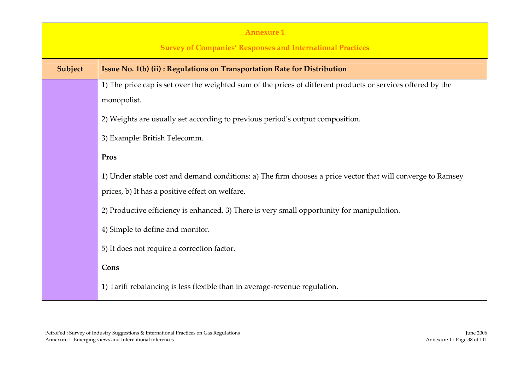| <b>Annexure 1</b>                                                 |                                                                                                              |  |  |
|-------------------------------------------------------------------|--------------------------------------------------------------------------------------------------------------|--|--|
| <b>Survey of Companies' Responses and International Practices</b> |                                                                                                              |  |  |
| Subject                                                           | Issue No. 1(b) (ii): Regulations on Transportation Rate for Distribution                                     |  |  |
|                                                                   | 1) The price cap is set over the weighted sum of the prices of different products or services offered by the |  |  |
|                                                                   | monopolist.                                                                                                  |  |  |
|                                                                   | 2) Weights are usually set according to previous period's output composition.                                |  |  |
|                                                                   | 3) Example: British Telecomm.                                                                                |  |  |
|                                                                   | Pros                                                                                                         |  |  |
|                                                                   | 1) Under stable cost and demand conditions: a) The firm chooses a price vector that will converge to Ramsey  |  |  |
|                                                                   | prices, b) It has a positive effect on welfare.                                                              |  |  |
|                                                                   | 2) Productive efficiency is enhanced. 3) There is very small opportunity for manipulation.                   |  |  |
|                                                                   | 4) Simple to define and monitor.                                                                             |  |  |
|                                                                   | 5) It does not require a correction factor.                                                                  |  |  |
|                                                                   | Cons                                                                                                         |  |  |
|                                                                   | 1) Tariff rebalancing is less flexible than in average-revenue regulation.                                   |  |  |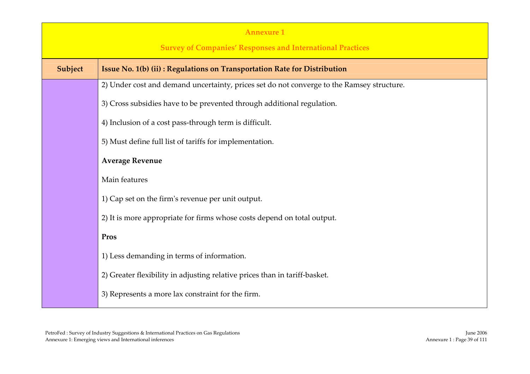## **Survey of Companies' Responses and International Practices**

| Subject | Issue No. 1(b) (ii): Regulations on Transportation Rate for Distribution                  |  |
|---------|-------------------------------------------------------------------------------------------|--|
|         | 2) Under cost and demand uncertainty, prices set do not converge to the Ramsey structure. |  |
|         | 3) Cross subsidies have to be prevented through additional regulation.                    |  |
|         | 4) Inclusion of a cost pass-through term is difficult.                                    |  |
|         | 5) Must define full list of tariffs for implementation.                                   |  |
|         | <b>Average Revenue</b>                                                                    |  |
|         | Main features                                                                             |  |
|         | 1) Cap set on the firm's revenue per unit output.                                         |  |
|         | 2) It is more appropriate for firms whose costs depend on total output.                   |  |
|         | Pros                                                                                      |  |
|         | 1) Less demanding in terms of information.                                                |  |
|         | 2) Greater flexibility in adjusting relative prices than in tariff-basket.                |  |
|         | 3) Represents a more lax constraint for the firm.                                         |  |

June 2006<br>PetroFed : Survey of Industry Suggestions & International Practices on Gas Regulations June 2006<br>Annexure 1 : Page 39 of 111 Annexure 1: Emerging views and International inferences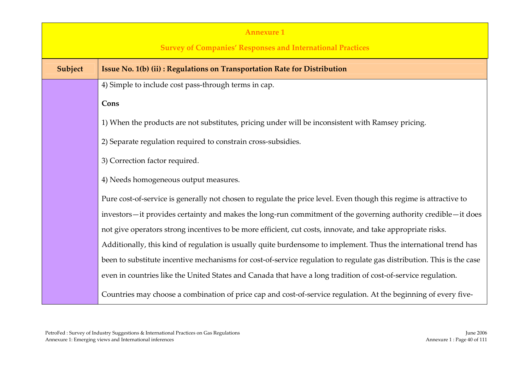| <u>Julycy of Companies Responses and International Flattice</u> |                                                                                                                       |  |
|-----------------------------------------------------------------|-----------------------------------------------------------------------------------------------------------------------|--|
| Subject                                                         | Issue No. 1(b) (ii): Regulations on Transportation Rate for Distribution                                              |  |
|                                                                 | 4) Simple to include cost pass-through terms in cap.                                                                  |  |
|                                                                 | Cons                                                                                                                  |  |
|                                                                 | 1) When the products are not substitutes, pricing under will be inconsistent with Ramsey pricing.                     |  |
|                                                                 | 2) Separate regulation required to constrain cross-subsidies.                                                         |  |
|                                                                 | 3) Correction factor required.                                                                                        |  |
|                                                                 | 4) Needs homogeneous output measures.                                                                                 |  |
|                                                                 | Pure cost-of-service is generally not chosen to regulate the price level. Even though this regime is attractive to    |  |
|                                                                 | investors—it provides certainty and makes the long-run commitment of the governing authority credible—it does         |  |
|                                                                 | not give operators strong incentives to be more efficient, cut costs, innovate, and take appropriate risks.           |  |
|                                                                 | Additionally, this kind of regulation is usually quite burdensome to implement. Thus the international trend has      |  |
|                                                                 | been to substitute incentive mechanisms for cost-of-service regulation to regulate gas distribution. This is the case |  |
|                                                                 | even in countries like the United States and Canada that have a long tradition of cost-of-service regulation.         |  |
|                                                                 | Countries may choose a combination of price cap and cost-of-service regulation. At the beginning of every five-       |  |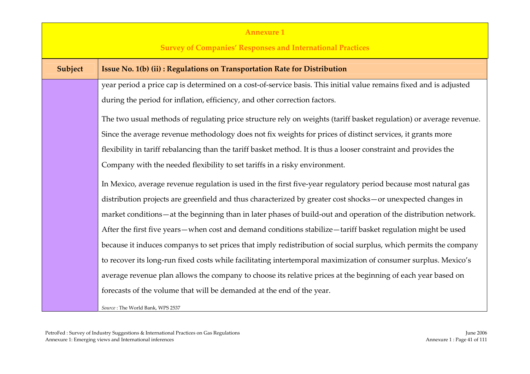| Subject | Issue No. 1(b) (ii): Regulations on Transportation Rate for Distribution                                           |
|---------|--------------------------------------------------------------------------------------------------------------------|
|         | year period a price cap is determined on a cost-of-service basis. This initial value remains fixed and is adjusted |
|         | during the period for inflation, efficiency, and other correction factors.                                         |
|         | The two usual methods of regulating price structure rely on weights (tariff basket regulation) or average revenue. |
|         | Since the average revenue methodology does not fix weights for prices of distinct services, it grants more         |
|         | flexibility in tariff rebalancing than the tariff basket method. It is thus a looser constraint and provides the   |
|         | Company with the needed flexibility to set tariffs in a risky environment.                                         |
|         | In Mexico, average revenue regulation is used in the first five-year regulatory period because most natural gas    |
|         | distribution projects are greenfield and thus characterized by greater cost shocks-or unexpected changes in        |
|         | market conditions—at the beginning than in later phases of build-out and operation of the distribution network.    |
|         | After the first five years—when cost and demand conditions stabilize—tariff basket regulation might be used        |
|         | because it induces companys to set prices that imply redistribution of social surplus, which permits the company   |
|         | to recover its long-run fixed costs while facilitating intertemporal maximization of consumer surplus. Mexico's    |
|         | average revenue plan allows the company to choose its relative prices at the beginning of each year based on       |
|         | forecasts of the volume that will be demanded at the end of the year.                                              |
|         | Source: The World Bank, WPS 2537                                                                                   |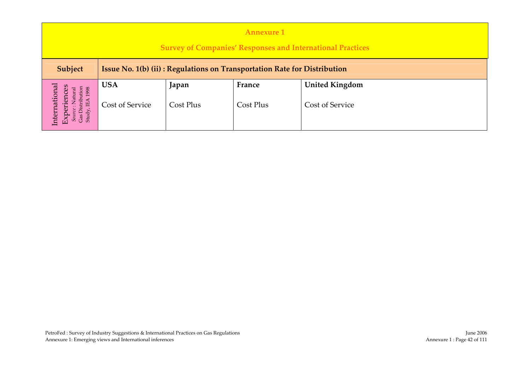| <b>Annexure 1</b><br><b>Survey of Companies' Responses and International Practices</b> |                                                                          |           |           |                       |
|----------------------------------------------------------------------------------------|--------------------------------------------------------------------------|-----------|-----------|-----------------------|
| Subject                                                                                | Issue No. 1(b) (ii): Regulations on Transportation Rate for Distribution |           |           |                       |
|                                                                                        | <b>USA</b>                                                               | Japan     | France    | <b>United Kingdom</b> |
| ational<br>Source : Natural<br>Gas Distribution<br>Study, IEA 1998<br>Intern<br>Expe   | Cost of Service                                                          | Cost Plus | Cost Plus | Cost of Service       |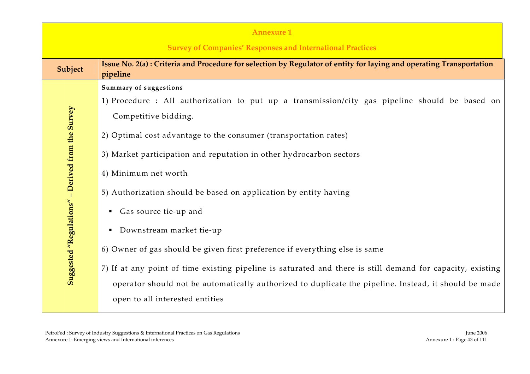| <b>Annexure 1</b>                                                 |                                                                                                                                                                                                                                                                                                                                                                                                                                                                                                                                                                                                                                                                                                                                                                                       |  |  |
|-------------------------------------------------------------------|---------------------------------------------------------------------------------------------------------------------------------------------------------------------------------------------------------------------------------------------------------------------------------------------------------------------------------------------------------------------------------------------------------------------------------------------------------------------------------------------------------------------------------------------------------------------------------------------------------------------------------------------------------------------------------------------------------------------------------------------------------------------------------------|--|--|
| <b>Survey of Companies' Responses and International Practices</b> |                                                                                                                                                                                                                                                                                                                                                                                                                                                                                                                                                                                                                                                                                                                                                                                       |  |  |
| Subject                                                           | Issue No. 2(a): Criteria and Procedure for selection by Regulator of entity for laying and operating Transportation<br>pipeline                                                                                                                                                                                                                                                                                                                                                                                                                                                                                                                                                                                                                                                       |  |  |
| Suggested "Regulations" – Derived from the Survey                 | Summary of suggestions<br>1) Procedure : All authorization to put up a transmission/city gas pipeline should be based on<br>Competitive bidding.<br>2) Optimal cost advantage to the consumer (transportation rates)<br>3) Market participation and reputation in other hydrocarbon sectors<br>4) Minimum net worth<br>5) Authorization should be based on application by entity having<br>Gas source tie-up and<br>Downstream market tie-up<br>6) Owner of gas should be given first preference if everything else is same<br>7) If at any point of time existing pipeline is saturated and there is still demand for capacity, existing<br>operator should not be automatically authorized to duplicate the pipeline. Instead, it should be made<br>open to all interested entities |  |  |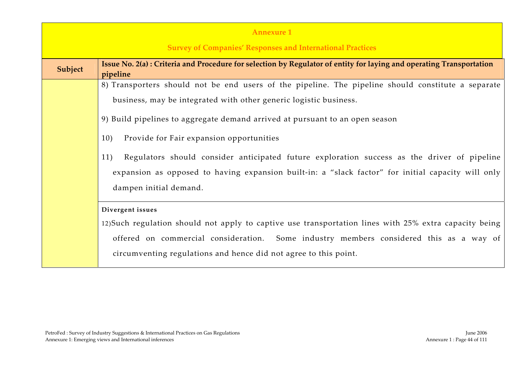|         | <b>Annexure 1</b>                                                                                                               |
|---------|---------------------------------------------------------------------------------------------------------------------------------|
|         | <b>Survey of Companies' Responses and International Practices</b>                                                               |
| Subject | Issue No. 2(a): Criteria and Procedure for selection by Regulator of entity for laying and operating Transportation<br>pipeline |
|         | 8) Transporters should not be end users of the pipeline. The pipeline should constitute a separate                              |
|         | business, may be integrated with other generic logistic business.                                                               |
|         | 9) Build pipelines to aggregate demand arrived at pursuant to an open season                                                    |
|         | Provide for Fair expansion opportunities<br>10)                                                                                 |
|         | Regulators should consider anticipated future exploration success as the driver of pipeline<br>11)                              |
|         | expansion as opposed to having expansion built-in: a "slack factor" for initial capacity will only                              |
|         | dampen initial demand.                                                                                                          |
|         | Divergent issues                                                                                                                |
|         | 12) Such regulation should not apply to captive use transportation lines with 25% extra capacity being                          |
|         | offered on commercial consideration. Some industry members considered this as a way of                                          |
|         | circumventing regulations and hence did not agree to this point.                                                                |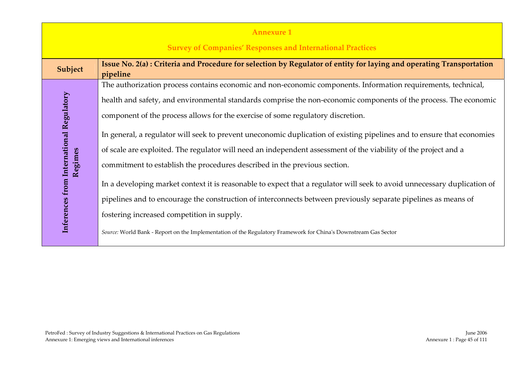| Subject                                  | Issue No. 2(a): Criteria and Procedure for selection by Regulator of entity for laying and operating Transportation<br>pipeline |
|------------------------------------------|---------------------------------------------------------------------------------------------------------------------------------|
|                                          | The authorization process contains economic and non-economic components. Information requirements, technical,                   |
|                                          | health and safety, and environmental standards comprise the non-economic components of the process. The economic                |
|                                          | component of the process allows for the exercise of some regulatory discretion.                                                 |
|                                          |                                                                                                                                 |
|                                          | In general, a regulator will seek to prevent uneconomic duplication of existing pipelines and to ensure that economies          |
| Inferences from International Regulatory | of scale are exploited. The regulator will need an independent assessment of the viability of the project and a                 |
| Regimes                                  | commitment to establish the procedures described in the previous section.                                                       |
|                                          |                                                                                                                                 |
|                                          | In a developing market context it is reasonable to expect that a regulator will seek to avoid unnecessary duplication of        |
|                                          | pipelines and to encourage the construction of interconnects between previously separate pipelines as means of                  |
|                                          | fostering increased competition in supply.                                                                                      |
|                                          | Source: World Bank - Report on the Implementation of the Regulatory Framework for China's Downstream Gas Sector                 |
|                                          |                                                                                                                                 |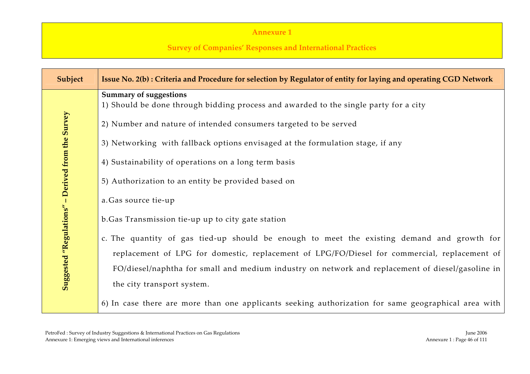| Subject                                           | Issue No. 2(b): Criteria and Procedure for selection by Regulator of entity for laying and operating CGD Network |
|---------------------------------------------------|------------------------------------------------------------------------------------------------------------------|
|                                                   | <b>Summary of suggestions</b>                                                                                    |
|                                                   | 1) Should be done through bidding process and awarded to the single party for a city                             |
| Suggested "Regulations" - Derived from the Survey | 2) Number and nature of intended consumers targeted to be served                                                 |
|                                                   | 3) Networking with fallback options envisaged at the formulation stage, if any                                   |
|                                                   | 4) Sustainability of operations on a long term basis                                                             |
|                                                   | 5) Authorization to an entity be provided based on                                                               |
|                                                   | a.Gas source tie-up                                                                                              |
|                                                   | b. Gas Transmission tie-up up to city gate station                                                               |
|                                                   | c. The quantity of gas tied-up should be enough to meet the existing demand and growth for                       |
|                                                   | replacement of LPG for domestic, replacement of LPG/FO/Diesel for commercial, replacement of                     |
|                                                   | FO/diesel/naphtha for small and medium industry on network and replacement of diesel/gasoline in                 |
|                                                   | the city transport system.                                                                                       |
|                                                   | 6) In case there are more than one applicants seeking authorization for same geographical area with              |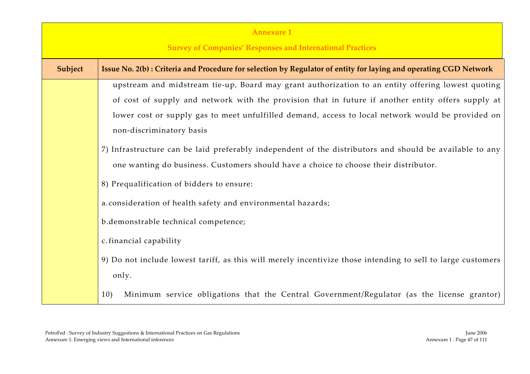## **Survey of Companies' Responses and International Practices**

| Subject | Issue No. 2(b): Criteria and Procedure for selection by Regulator of entity for laying and operating CGD Network |
|---------|------------------------------------------------------------------------------------------------------------------|
|         | upstream and midstream tie-up, Board may grant authorization to an entity offering lowest quoting                |
|         | of cost of supply and network with the provision that in future if another entity offers supply at               |
|         | lower cost or supply gas to meet unfulfilled demand, access to local network would be provided on                |
|         | non-discriminatory basis                                                                                         |
|         | 7) Infrastructure can be laid preferably independent of the distributors and should be available to any          |
|         | one wanting do business. Customers should have a choice to choose their distributor.                             |
|         | 8) Prequalification of bidders to ensure:                                                                        |
|         | a. consideration of health safety and environmental hazards;                                                     |
|         | b.demonstrable technical competence;                                                                             |
|         | c. financial capability                                                                                          |
|         | 9) Do not include lowest tariff, as this will merely incentivize those intending to sell to large customers      |
|         | only.                                                                                                            |
|         | Minimum service obligations that the Central Government/Regulator (as the license grantor)<br>10)                |

June 2006<br>PetroFed : Survey of Industry Suggestions & International Practices on Gas Regulations June 2006<br>Annexure 1 : Page 47 of 111 Annexure 1: Emerging views and International inferences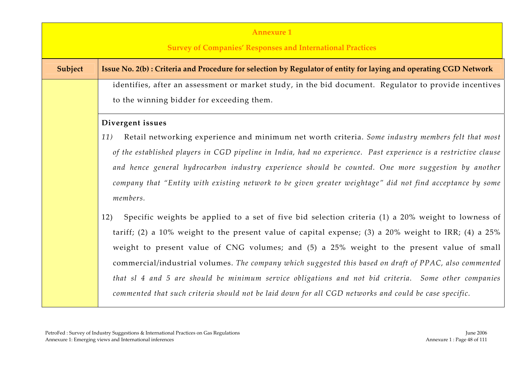| <b>Annexure 1</b> |                                                                                                                  |  |
|-------------------|------------------------------------------------------------------------------------------------------------------|--|
|                   | <b>Survey of Companies' Responses and International Practices</b>                                                |  |
| Subject           | Issue No. 2(b): Criteria and Procedure for selection by Regulator of entity for laying and operating CGD Network |  |
|                   | identifies, after an assessment or market study, in the bid document. Regulator to provide incentives            |  |
|                   | to the winning bidder for exceeding them.                                                                        |  |
|                   | Divergent issues                                                                                                 |  |
|                   | Retail networking experience and minimum net worth criteria. Some industry members felt that most<br>11)         |  |
|                   | of the established players in CGD pipeline in India, had no experience. Past experience is a restrictive clause  |  |
|                   | and hence general hydrocarbon industry experience should be counted. One more suggestion by another              |  |
|                   | company that "Entity with existing network to be given greater weightage" did not find acceptance by some        |  |
|                   | members.                                                                                                         |  |
|                   | Specific weights be applied to a set of five bid selection criteria (1) a 20% weight to lowness of<br>12)        |  |
|                   | tariff; (2) a 10% weight to the present value of capital expense; (3) a 20% weight to IRR; (4) a 25%             |  |
|                   | weight to present value of CNG volumes; and (5) a 25% weight to the present value of small                       |  |
|                   | commercial/industrial volumes. The company which suggested this based on draft of PPAC, also commented           |  |
|                   | that sl 4 and 5 are should be minimum service obligations and not bid criteria. Some other companies             |  |
|                   | commented that such criteria should not be laid down for all CGD networks and could be case specific.            |  |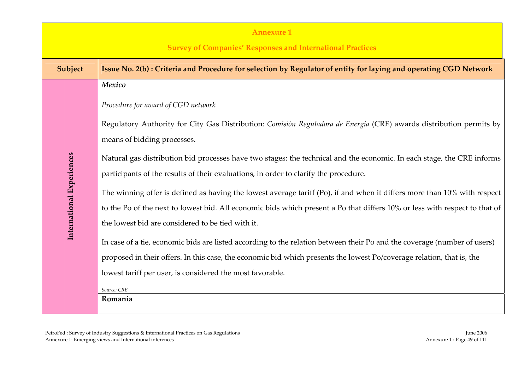| <b>Annexure 1</b><br><b>Survey of Companies' Responses and International Practices</b> |                                                                                                                                                                                                                                                                                                                                                                                                                                                                                                                                                                                                                                                                                                                                                                                                                                                                                                                                                                                                                                                                                 |
|----------------------------------------------------------------------------------------|---------------------------------------------------------------------------------------------------------------------------------------------------------------------------------------------------------------------------------------------------------------------------------------------------------------------------------------------------------------------------------------------------------------------------------------------------------------------------------------------------------------------------------------------------------------------------------------------------------------------------------------------------------------------------------------------------------------------------------------------------------------------------------------------------------------------------------------------------------------------------------------------------------------------------------------------------------------------------------------------------------------------------------------------------------------------------------|
| Subject                                                                                | Issue No. 2(b): Criteria and Procedure for selection by Regulator of entity for laying and operating CGD Network                                                                                                                                                                                                                                                                                                                                                                                                                                                                                                                                                                                                                                                                                                                                                                                                                                                                                                                                                                |
| International Experiences                                                              | Mexico<br>Procedure for award of CGD network<br>Regulatory Authority for City Gas Distribution: Comisión Reguladora de Energía (CRE) awards distribution permits by<br>means of bidding processes.<br>Natural gas distribution bid processes have two stages: the technical and the economic. In each stage, the CRE informs<br>participants of the results of their evaluations, in order to clarify the procedure.<br>The winning offer is defined as having the lowest average tariff (Po), if and when it differs more than 10% with respect<br>to the Po of the next to lowest bid. All economic bids which present a Po that differs 10% or less with respect to that of<br>the lowest bid are considered to be tied with it.<br>In case of a tie, economic bids are listed according to the relation between their Po and the coverage (number of users)<br>proposed in their offers. In this case, the economic bid which presents the lowest Po/coverage relation, that is, the<br>lowest tariff per user, is considered the most favorable.<br>Source: CRE<br>Romania |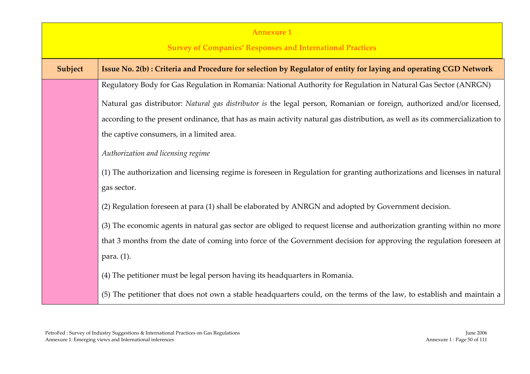| Subject | Issue No. 2(b): Criteria and Procedure for selection by Regulator of entity for laying and operating CGD Network            |
|---------|-----------------------------------------------------------------------------------------------------------------------------|
|         | Regulatory Body for Gas Regulation in Romania: National Authority for Regulation in Natural Gas Sector (ANRGN)              |
|         | Natural gas distributor: Natural gas distributor is the legal person, Romanian or foreign, authorized and/or licensed,      |
|         | according to the present ordinance, that has as main activity natural gas distribution, as well as its commercialization to |
|         | the captive consumers, in a limited area.                                                                                   |
|         | Authorization and licensing regime                                                                                          |
|         | (1) The authorization and licensing regime is foreseen in Regulation for granting authorizations and licenses in natural    |
|         | gas sector.                                                                                                                 |
|         | (2) Regulation foreseen at para (1) shall be elaborated by ANRGN and adopted by Government decision.                        |
|         | (3) The economic agents in natural gas sector are obliged to request license and authorization granting within no more      |
|         | that 3 months from the date of coming into force of the Government decision for approving the regulation foreseen at        |
|         | para. (1).                                                                                                                  |
|         | (4) The petitioner must be legal person having its headquarters in Romania.                                                 |
|         | (5) The petitioner that does not own a stable headquarters could, on the terms of the law, to establish and maintain a      |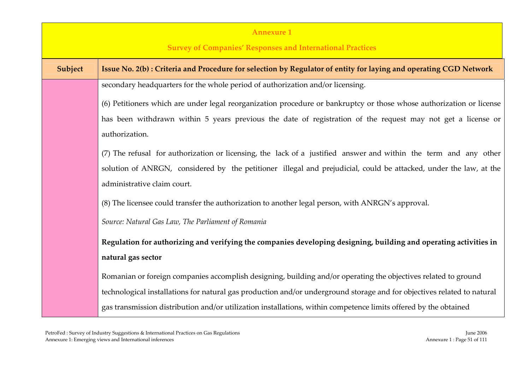| <b>Annexure 1</b>                                                 |                                                                                                                         |
|-------------------------------------------------------------------|-------------------------------------------------------------------------------------------------------------------------|
| <b>Survey of Companies' Responses and International Practices</b> |                                                                                                                         |
| Subject                                                           | Issue No. 2(b): Criteria and Procedure for selection by Regulator of entity for laying and operating CGD Network        |
|                                                                   | secondary headquarters for the whole period of authorization and/or licensing.                                          |
|                                                                   | (6) Petitioners which are under legal reorganization procedure or bankruptcy or those whose authorization or license    |
|                                                                   | has been withdrawn within 5 years previous the date of registration of the request may not get a license or             |
|                                                                   | authorization.                                                                                                          |
|                                                                   | (7) The refusal for authorization or licensing, the lack of a justified answer and within the term and any other        |
|                                                                   | solution of ANRGN, considered by the petitioner illegal and prejudicial, could be attacked, under the law, at the       |
|                                                                   | administrative claim court.                                                                                             |
|                                                                   | (8) The licensee could transfer the authorization to another legal person, with ANRGN's approval.                       |
|                                                                   | Source: Natural Gas Law, The Parliament of Romania                                                                      |
|                                                                   | Regulation for authorizing and verifying the companies developing designing, building and operating activities in       |
|                                                                   | natural gas sector                                                                                                      |
|                                                                   | Romanian or foreign companies accomplish designing, building and/or operating the objectives related to ground          |
|                                                                   | technological installations for natural gas production and/or underground storage and for objectives related to natural |
|                                                                   | gas transmission distribution and/or utilization installations, within competence limits offered by the obtained        |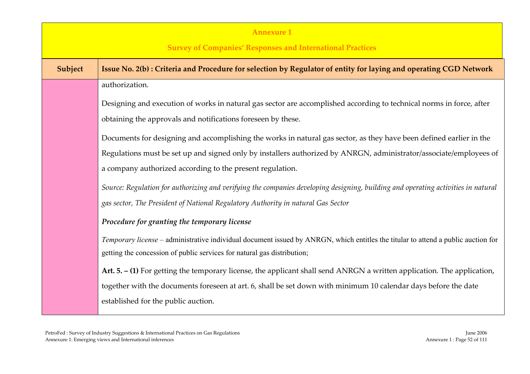| <b>Annexure 1</b> |                                                                                                                                   |  |
|-------------------|-----------------------------------------------------------------------------------------------------------------------------------|--|
|                   | <b>Survey of Companies' Responses and International Practices</b>                                                                 |  |
|                   |                                                                                                                                   |  |
| Subject           | Issue No. 2(b): Criteria and Procedure for selection by Regulator of entity for laying and operating CGD Network                  |  |
|                   | authorization.                                                                                                                    |  |
|                   |                                                                                                                                   |  |
|                   | Designing and execution of works in natural gas sector are accomplished according to technical norms in force, after              |  |
|                   | obtaining the approvals and notifications foreseen by these.                                                                      |  |
|                   | Documents for designing and accomplishing the works in natural gas sector, as they have been defined earlier in the               |  |
|                   | Regulations must be set up and signed only by installers authorized by ANRGN, administrator/associate/employees of                |  |
|                   | a company authorized according to the present regulation.                                                                         |  |
|                   | Source: Regulation for authorizing and verifying the companies developing designing, building and operating activities in natural |  |
|                   | gas sector, The President of National Regulatory Authority in natural Gas Sector                                                  |  |
|                   | Procedure for granting the temporary license                                                                                      |  |
|                   | Temporary license – administrative individual document issued by ANRGN, which entitles the titular to attend a public auction for |  |
|                   | getting the concession of public services for natural gas distribution;                                                           |  |
|                   | Art. 5. - (1) For getting the temporary license, the applicant shall send ANRGN a written application. The application,           |  |
|                   | together with the documents foreseen at art. 6, shall be set down with minimum 10 calendar days before the date                   |  |
|                   | established for the public auction.                                                                                               |  |
|                   |                                                                                                                                   |  |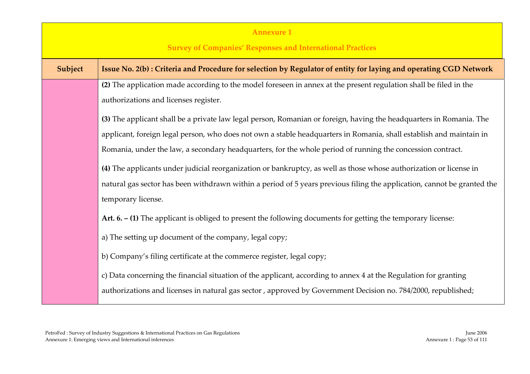| <b>Annexure 1</b><br><b>Survey of Companies' Responses and International Practices</b> |                                                                                                                         |  |
|----------------------------------------------------------------------------------------|-------------------------------------------------------------------------------------------------------------------------|--|
| Subject                                                                                | Issue No. 2(b): Criteria and Procedure for selection by Regulator of entity for laying and operating CGD Network        |  |
|                                                                                        | (2) The application made according to the model foreseen in annex at the present regulation shall be filed in the       |  |
|                                                                                        | authorizations and licenses register.                                                                                   |  |
|                                                                                        | (3) The applicant shall be a private law legal person, Romanian or foreign, having the headquarters in Romania. The     |  |
|                                                                                        | applicant, foreign legal person, who does not own a stable headquarters in Romania, shall establish and maintain in     |  |
|                                                                                        | Romania, under the law, a secondary headquarters, for the whole period of running the concession contract.              |  |
|                                                                                        | (4) The applicants under judicial reorganization or bankruptcy, as well as those whose authorization or license in      |  |
|                                                                                        | natural gas sector has been withdrawn within a period of 5 years previous filing the application, cannot be granted the |  |
|                                                                                        | temporary license.                                                                                                      |  |
|                                                                                        | Art. $6. - (1)$ The applicant is obliged to present the following documents for getting the temporary license:          |  |
|                                                                                        | a) The setting up document of the company, legal copy;                                                                  |  |
|                                                                                        | b) Company's filing certificate at the commerce register, legal copy;                                                   |  |
|                                                                                        | c) Data concerning the financial situation of the applicant, according to annex 4 at the Regulation for granting        |  |
|                                                                                        | authorizations and licenses in natural gas sector, approved by Government Decision no. 784/2000, republished;           |  |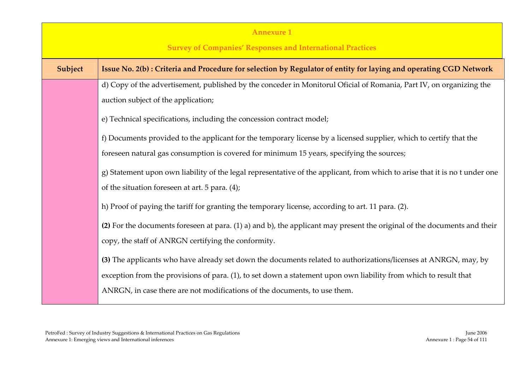| Subject | Issue No. 2(b): Criteria and Procedure for selection by Regulator of entity for laying and operating CGD Network            |
|---------|-----------------------------------------------------------------------------------------------------------------------------|
|         | d) Copy of the advertisement, published by the conceder in Monitorul Oficial of Romania, Part IV, on organizing the         |
|         | auction subject of the application;                                                                                         |
|         | e) Technical specifications, including the concession contract model;                                                       |
|         | f) Documents provided to the applicant for the temporary license by a licensed supplier, which to certify that the          |
|         | foreseen natural gas consumption is covered for minimum 15 years, specifying the sources;                                   |
|         | g) Statement upon own liability of the legal representative of the applicant, from which to arise that it is no t under one |
|         | of the situation foreseen at art. 5 para. (4);                                                                              |
|         | h) Proof of paying the tariff for granting the temporary license, according to art. 11 para. (2).                           |
|         | (2) For the documents foreseen at para. (1) a) and b), the applicant may present the original of the documents and their    |
|         | copy, the staff of ANRGN certifying the conformity.                                                                         |
|         | (3) The applicants who have already set down the documents related to authorizations/licenses at ANRGN, may, by             |
|         | exception from the provisions of para. (1), to set down a statement upon own liability from which to result that            |
|         | ANRGN, in case there are not modifications of the documents, to use them.                                                   |
|         |                                                                                                                             |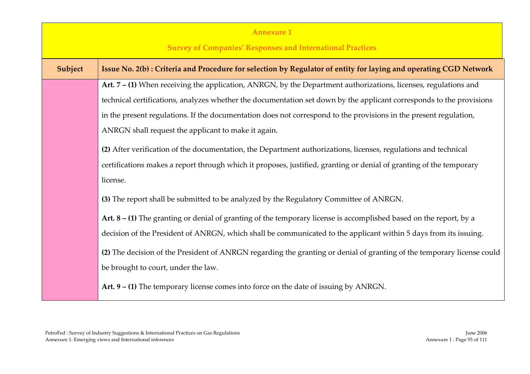| <b>Annexure 1</b> |                                                                                                                        |  |
|-------------------|------------------------------------------------------------------------------------------------------------------------|--|
|                   | <b>Survey of Companies' Responses and International Practices</b>                                                      |  |
|                   |                                                                                                                        |  |
| Subject           | Issue No. 2(b): Criteria and Procedure for selection by Regulator of entity for laying and operating CGD Network       |  |
|                   | Art. $7 - (1)$ When receiving the application, ANRGN, by the Department authorizations, licenses, regulations and      |  |
|                   | technical certifications, analyzes whether the documentation set down by the applicant corresponds to the provisions   |  |
|                   | in the present regulations. If the documentation does not correspond to the provisions in the present regulation,      |  |
|                   | ANRGN shall request the applicant to make it again.                                                                    |  |
|                   | (2) After verification of the documentation, the Department authorizations, licenses, regulations and technical        |  |
|                   | certifications makes a report through which it proposes, justified, granting or denial of granting of the temporary    |  |
|                   | license.                                                                                                               |  |
|                   | (3) The report shall be submitted to be analyzed by the Regulatory Committee of ANRGN.                                 |  |
|                   | Art. $8 - (1)$ The granting or denial of granting of the temporary license is accomplished based on the report, by a   |  |
|                   | decision of the President of ANRGN, which shall be communicated to the applicant within 5 days from its issuing.       |  |
|                   | (2) The decision of the President of ANRGN regarding the granting or denial of granting of the temporary license could |  |
|                   | be brought to court, under the law.                                                                                    |  |
|                   | Art. $9 - (1)$ The temporary license comes into force on the date of issuing by ANRGN.                                 |  |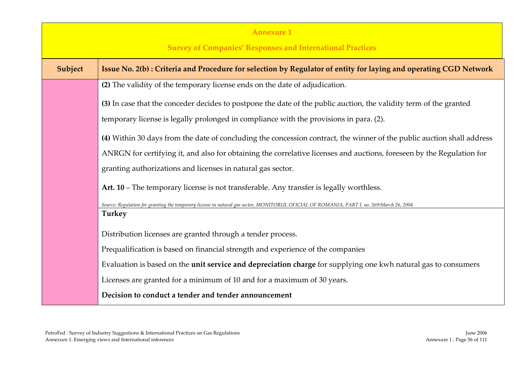| <b>Annexure 1</b> |                                                                                                                                           |  |
|-------------------|-------------------------------------------------------------------------------------------------------------------------------------------|--|
|                   | <b>Survey of Companies' Responses and International Practices</b>                                                                         |  |
| Subject           | Issue No. 2(b): Criteria and Procedure for selection by Regulator of entity for laying and operating CGD Network                          |  |
|                   | (2) The validity of the temporary license ends on the date of adjudication.                                                               |  |
|                   | (3) In case that the conceder decides to postpone the date of the public auction, the validity term of the granted                        |  |
|                   | temporary license is legally prolonged in compliance with the provisions in para. (2).                                                    |  |
|                   | (4) Within 30 days from the date of concluding the concession contract, the winner of the public auction shall address                    |  |
|                   | ANRGN for certifying it, and also for obtaining the correlative licenses and auctions, foreseen by the Regulation for                     |  |
|                   | granting authorizations and licenses in natural gas sector.                                                                               |  |
|                   | Art. 10 - The temporary license is not transferable. Any transfer is legally worthless.                                                   |  |
|                   | Source: Regulation for granting the temporary license in natural gas sector, MONITORUL OFICIAL OF ROMANIA, PART I, no. 269/March 26, 2004 |  |
|                   | Turkey                                                                                                                                    |  |
|                   | Distribution licenses are granted through a tender process.                                                                               |  |
|                   | Prequalification is based on financial strength and experience of the companies                                                           |  |
|                   | Evaluation is based on the unit service and depreciation charge for supplying one kwh natural gas to consumers                            |  |
|                   | Licenses are granted for a minimum of 10 and for a maximum of 30 years.                                                                   |  |
|                   | Decision to conduct a tender and tender announcement                                                                                      |  |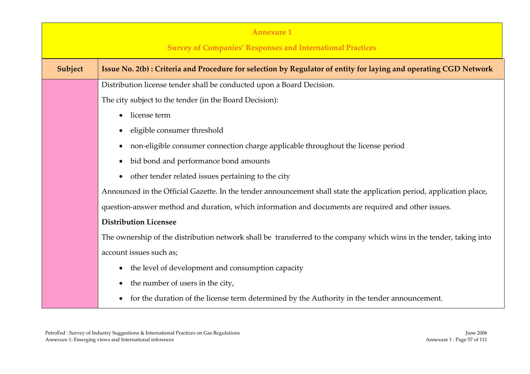| <b>Annexure 1</b><br><b>Survey of Companies' Responses and International Practices</b> |                                                                                                                      |
|----------------------------------------------------------------------------------------|----------------------------------------------------------------------------------------------------------------------|
| Subject                                                                                | Issue No. 2(b): Criteria and Procedure for selection by Regulator of entity for laying and operating CGD Network     |
|                                                                                        | Distribution license tender shall be conducted upon a Board Decision.                                                |
|                                                                                        | The city subject to the tender (in the Board Decision):                                                              |
|                                                                                        | license term<br>$\bullet$                                                                                            |
|                                                                                        | eligible consumer threshold                                                                                          |
|                                                                                        | non-eligible consumer connection charge applicable throughout the license period                                     |
|                                                                                        | bid bond and performance bond amounts                                                                                |
|                                                                                        | other tender related issues pertaining to the city                                                                   |
|                                                                                        | Announced in the Official Gazette. In the tender announcement shall state the application period, application place, |
|                                                                                        | question-answer method and duration, which information and documents are required and other issues.                  |
|                                                                                        | <b>Distribution Licensee</b>                                                                                         |
|                                                                                        | The ownership of the distribution network shall be transferred to the company which wins in the tender, taking into  |
|                                                                                        | account issues such as;                                                                                              |
|                                                                                        | the level of development and consumption capacity<br>٠                                                               |
|                                                                                        | the number of users in the city,<br>٠                                                                                |
|                                                                                        | for the duration of the license term determined by the Authority in the tender announcement.                         |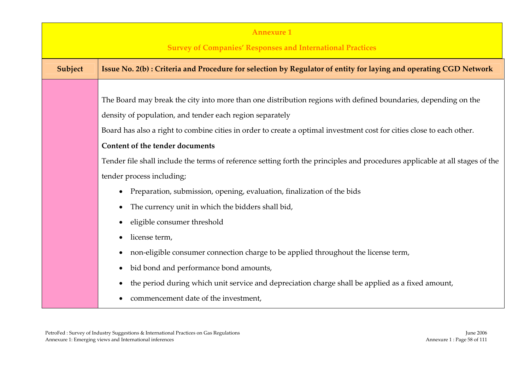| <b>Annexure 1</b>                                                 |                                                                                                                              |
|-------------------------------------------------------------------|------------------------------------------------------------------------------------------------------------------------------|
| <b>Survey of Companies' Responses and International Practices</b> |                                                                                                                              |
| Subject                                                           | Issue No. 2(b): Criteria and Procedure for selection by Regulator of entity for laying and operating CGD Network             |
|                                                                   |                                                                                                                              |
|                                                                   | The Board may break the city into more than one distribution regions with defined boundaries, depending on the               |
|                                                                   | density of population, and tender each region separately                                                                     |
|                                                                   | Board has also a right to combine cities in order to create a optimal investment cost for cities close to each other.        |
|                                                                   | Content of the tender documents                                                                                              |
|                                                                   | Tender file shall include the terms of reference setting forth the principles and procedures applicable at all stages of the |
|                                                                   | tender process including;                                                                                                    |
|                                                                   | Preparation, submission, opening, evaluation, finalization of the bids                                                       |
|                                                                   | The currency unit in which the bidders shall bid,                                                                            |
|                                                                   | eligible consumer threshold                                                                                                  |
|                                                                   | license term,                                                                                                                |
|                                                                   | non-eligible consumer connection charge to be applied throughout the license term,                                           |
|                                                                   | bid bond and performance bond amounts,                                                                                       |
|                                                                   | the period during which unit service and depreciation charge shall be applied as a fixed amount,                             |
|                                                                   | commencement date of the investment,                                                                                         |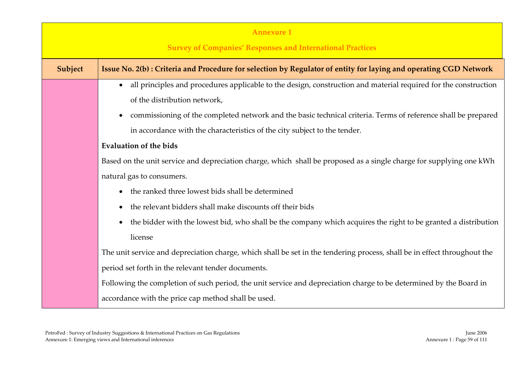|                                                                   | <b>Annexure 1</b>                                                                                                            |  |
|-------------------------------------------------------------------|------------------------------------------------------------------------------------------------------------------------------|--|
| <b>Survey of Companies' Responses and International Practices</b> |                                                                                                                              |  |
| Subject                                                           | Issue No. 2(b): Criteria and Procedure for selection by Regulator of entity for laying and operating CGD Network             |  |
|                                                                   | all principles and procedures applicable to the design, construction and material required for the construction<br>$\bullet$ |  |
|                                                                   | of the distribution network,                                                                                                 |  |
|                                                                   | commissioning of the completed network and the basic technical criteria. Terms of reference shall be prepared<br>$\bullet$   |  |
|                                                                   | in accordance with the characteristics of the city subject to the tender.                                                    |  |
|                                                                   | <b>Evaluation of the bids</b>                                                                                                |  |
|                                                                   | Based on the unit service and depreciation charge, which shall be proposed as a single charge for supplying one kWh          |  |
|                                                                   | natural gas to consumers.                                                                                                    |  |
|                                                                   | the ranked three lowest bids shall be determined<br>$\bullet$                                                                |  |
|                                                                   | the relevant bidders shall make discounts off their bids<br>$\bullet$                                                        |  |
|                                                                   | the bidder with the lowest bid, who shall be the company which acquires the right to be granted a distribution<br>$\bullet$  |  |
|                                                                   | license                                                                                                                      |  |
|                                                                   | The unit service and depreciation charge, which shall be set in the tendering process, shall be in effect throughout the     |  |
|                                                                   | period set forth in the relevant tender documents.                                                                           |  |
|                                                                   | Following the completion of such period, the unit service and depreciation charge to be determined by the Board in           |  |
|                                                                   | accordance with the price cap method shall be used.                                                                          |  |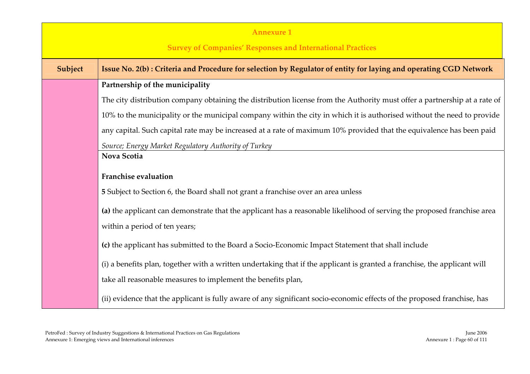| <b>Annexure 1</b><br><b>Survey of Companies' Responses and International Practices</b> |                                                                                                                           |
|----------------------------------------------------------------------------------------|---------------------------------------------------------------------------------------------------------------------------|
| Subject                                                                                | Issue No. 2(b): Criteria and Procedure for selection by Regulator of entity for laying and operating CGD Network          |
|                                                                                        | Partnership of the municipality                                                                                           |
|                                                                                        | The city distribution company obtaining the distribution license from the Authority must offer a partnership at a rate of |
|                                                                                        | 10% to the municipality or the municipal company within the city in which it is authorised without the need to provide    |
|                                                                                        | any capital. Such capital rate may be increased at a rate of maximum 10% provided that the equivalence has been paid      |
|                                                                                        | Source; Energy Market Regulatory Authority of Turkey                                                                      |
|                                                                                        | Nova Scotia                                                                                                               |
|                                                                                        | <b>Franchise evaluation</b>                                                                                               |
|                                                                                        | 5 Subject to Section 6, the Board shall not grant a franchise over an area unless                                         |
|                                                                                        | (a) the applicant can demonstrate that the applicant has a reasonable likelihood of serving the proposed franchise area   |
|                                                                                        | within a period of ten years;                                                                                             |
|                                                                                        | (c) the applicant has submitted to the Board a Socio-Economic Impact Statement that shall include                         |
|                                                                                        | (i) a benefits plan, together with a written undertaking that if the applicant is granted a franchise, the applicant will |
|                                                                                        | take all reasonable measures to implement the benefits plan,                                                              |
|                                                                                        | (ii) evidence that the applicant is fully aware of any significant socio-economic effects of the proposed franchise, has  |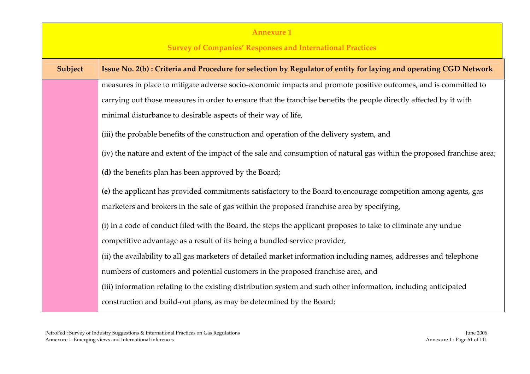| Subject | Issue No. 2(b): Criteria and Procedure for selection by Regulator of entity for laying and operating CGD Network        |
|---------|-------------------------------------------------------------------------------------------------------------------------|
|         | measures in place to mitigate adverse socio-economic impacts and promote positive outcomes, and is committed to         |
|         | carrying out those measures in order to ensure that the franchise benefits the people directly affected by it with      |
|         | minimal disturbance to desirable aspects of their way of life,                                                          |
|         | (iii) the probable benefits of the construction and operation of the delivery system, and                               |
|         | (iv) the nature and extent of the impact of the sale and consumption of natural gas within the proposed franchise area; |
|         | (d) the benefits plan has been approved by the Board;                                                                   |
|         | (e) the applicant has provided commitments satisfactory to the Board to encourage competition among agents, gas         |
|         | marketers and brokers in the sale of gas within the proposed franchise area by specifying,                              |
|         | (i) in a code of conduct filed with the Board, the steps the applicant proposes to take to eliminate any undue          |
|         | competitive advantage as a result of its being a bundled service provider,                                              |
|         | (ii) the availability to all gas marketers of detailed market information including names, addresses and telephone      |
|         | numbers of customers and potential customers in the proposed franchise area, and                                        |
|         | (iii) information relating to the existing distribution system and such other information, including anticipated        |
|         | construction and build-out plans, as may be determined by the Board;                                                    |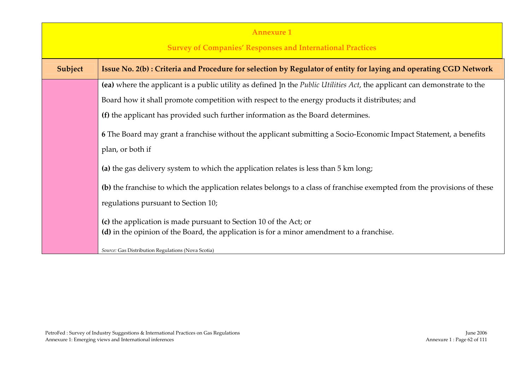| Subject | Issue No. 2(b): Criteria and Procedure for selection by Regulator of entity for laying and operating CGD Network                  |
|---------|-----------------------------------------------------------------------------------------------------------------------------------|
|         | (ea) where the applicant is a public utility as defined ]n the <i>Public Utilities Act</i> , the applicant can demonstrate to the |
|         | Board how it shall promote competition with respect to the energy products it distributes; and                                    |
|         | (f) the applicant has provided such further information as the Board determines.                                                  |
|         | 6 The Board may grant a franchise without the applicant submitting a Socio-Economic Impact Statement, a benefits                  |
|         | plan, or both if                                                                                                                  |
|         | (a) the gas delivery system to which the application relates is less than 5 km long;                                              |
|         | (b) the franchise to which the application relates belongs to a class of franchise exempted from the provisions of these          |
|         | regulations pursuant to Section 10;                                                                                               |
|         | (c) the application is made pursuant to Section 10 of the Act; or                                                                 |
|         | (d) in the opinion of the Board, the application is for a minor amendment to a franchise.                                         |
|         | Source: Gas Distribution Regulations (Nova Scotia)                                                                                |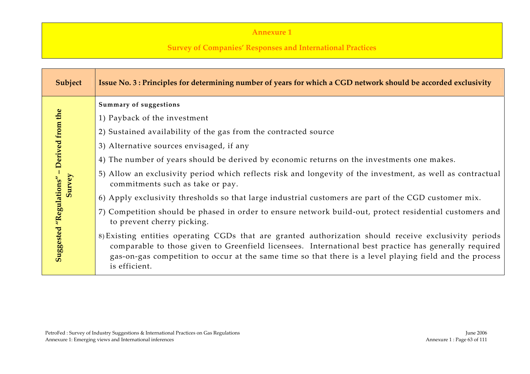| Subject                                    | Issue No. 3 : Principles for determining number of years for which a CGD network should be accorded exclusivity                                                                                                                                                                                                                            |
|--------------------------------------------|--------------------------------------------------------------------------------------------------------------------------------------------------------------------------------------------------------------------------------------------------------------------------------------------------------------------------------------------|
|                                            | Summary of suggestions                                                                                                                                                                                                                                                                                                                     |
|                                            | 1) Payback of the investment                                                                                                                                                                                                                                                                                                               |
|                                            | 2) Sustained availability of the gas from the contracted source                                                                                                                                                                                                                                                                            |
|                                            | 3) Alternative sources envisaged, if any                                                                                                                                                                                                                                                                                                   |
|                                            | 4) The number of years should be derived by economic returns on the investments one makes.                                                                                                                                                                                                                                                 |
| Survey                                     | 5) Allow an exclusivity period which reflects risk and longevity of the investment, as well as contractual<br>commitments such as take or pay.                                                                                                                                                                                             |
|                                            | 6) Apply exclusivity thresholds so that large industrial customers are part of the CGD customer mix.                                                                                                                                                                                                                                       |
|                                            | 7) Competition should be phased in order to ensure network build-out, protect residential customers and<br>to prevent cherry picking.                                                                                                                                                                                                      |
| Suggested "Regulations" - Derived from the | 8) Existing entities operating CGDs that are granted authorization should receive exclusivity periods<br>comparable to those given to Greenfield licensees. International best practice has generally required<br>gas-on-gas competition to occur at the same time so that there is a level playing field and the process<br>is efficient. |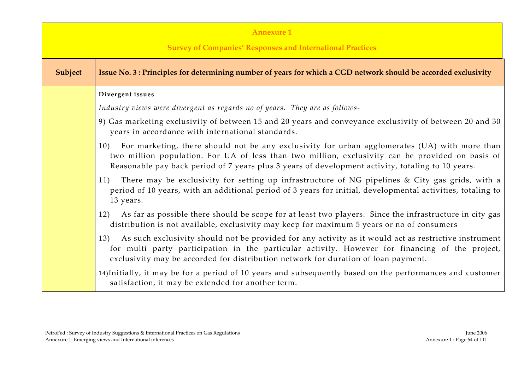| <b>Annexure 1</b>                                                 |                                                                                                                                                                                                                                                                                                               |
|-------------------------------------------------------------------|---------------------------------------------------------------------------------------------------------------------------------------------------------------------------------------------------------------------------------------------------------------------------------------------------------------|
| <b>Survey of Companies' Responses and International Practices</b> |                                                                                                                                                                                                                                                                                                               |
| Subject                                                           | Issue No. 3 : Principles for determining number of years for which a CGD network should be accorded exclusivity                                                                                                                                                                                               |
|                                                                   |                                                                                                                                                                                                                                                                                                               |
|                                                                   | Divergent issues                                                                                                                                                                                                                                                                                              |
|                                                                   | Industry views were divergent as regards no of years. They are as follows-                                                                                                                                                                                                                                    |
|                                                                   | 9) Gas marketing exclusivity of between 15 and 20 years and conveyance exclusivity of between 20 and 30<br>years in accordance with international standards.                                                                                                                                                  |
|                                                                   | For marketing, there should not be any exclusivity for urban agglomerates (UA) with more than<br>10)<br>two million population. For UA of less than two million, exclusivity can be provided on basis of<br>Reasonable pay back period of 7 years plus 3 years of development activity, totaling to 10 years. |
|                                                                   | There may be exclusivity for setting up infrastructure of NG pipelines & City gas grids, with a<br>11)<br>period of 10 years, with an additional period of 3 years for initial, developmental activities, totaling to<br>13 years.                                                                            |
|                                                                   | As far as possible there should be scope for at least two players. Since the infrastructure in city gas<br>12)<br>distribution is not available, exclusivity may keep for maximum 5 years or no of consumers                                                                                                  |
|                                                                   | As such exclusivity should not be provided for any activity as it would act as restrictive instrument<br>13)<br>for multi party participation in the particular activity. However for financing of the project,<br>exclusivity may be accorded for distribution network for duration of loan payment.         |
|                                                                   | 14) Initially, it may be for a period of 10 years and subsequently based on the performances and customer<br>satisfaction, it may be extended for another term.                                                                                                                                               |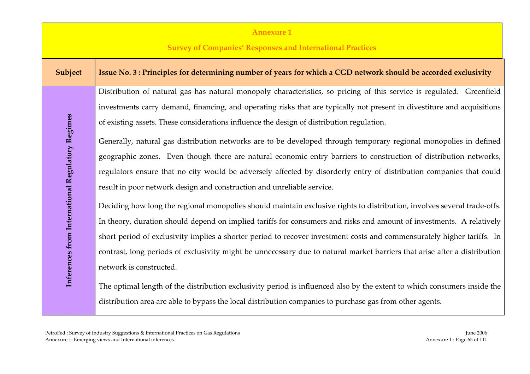| <b>Annexure 1</b>                                |                                                                                                                           |
|--------------------------------------------------|---------------------------------------------------------------------------------------------------------------------------|
|                                                  | <b>Survey of Companies' Responses and International Practices</b>                                                         |
| Subject                                          | Issue No. 3 : Principles for determining number of years for which a CGD network should be accorded exclusivity           |
|                                                  | Distribution of natural gas has natural monopoly characteristics, so pricing of this service is regulated. Greenfield     |
|                                                  | investments carry demand, financing, and operating risks that are typically not present in divestiture and acquisitions   |
|                                                  | of existing assets. These considerations influence the design of distribution regulation.                                 |
| Inferences from International Regulatory Regimes | Generally, natural gas distribution networks are to be developed through temporary regional monopolies in defined         |
|                                                  | geographic zones. Even though there are natural economic entry barriers to construction of distribution networks,         |
|                                                  | regulators ensure that no city would be adversely affected by disorderly entry of distribution companies that could       |
|                                                  | result in poor network design and construction and unreliable service.                                                    |
|                                                  | Deciding how long the regional monopolies should maintain exclusive rights to distribution, involves several trade-offs.  |
|                                                  | In theory, duration should depend on implied tariffs for consumers and risks and amount of investments. A relatively      |
|                                                  | short period of exclusivity implies a shorter period to recover investment costs and commensurately higher tariffs. In    |
|                                                  | contrast, long periods of exclusivity might be unnecessary due to natural market barriers that arise after a distribution |
|                                                  | network is constructed.                                                                                                   |
|                                                  | The optimal length of the distribution exclusivity period is influenced also by the extent to which consumers inside the  |
|                                                  | distribution area are able to bypass the local distribution companies to purchase gas from other agents.                  |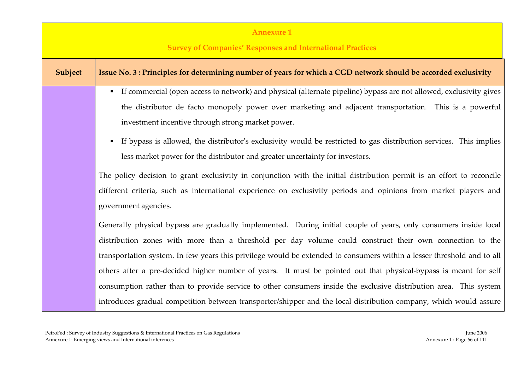| <b>Annexure 1</b><br><b>Survey of Companies' Responses and International Practices</b> |                                                                                                                                      |
|----------------------------------------------------------------------------------------|--------------------------------------------------------------------------------------------------------------------------------------|
| Subject                                                                                | Issue No. 3 : Principles for determining number of years for which a CGD network should be accorded exclusivity                      |
|                                                                                        | If commercial (open access to network) and physical (alternate pipeline) bypass are not allowed, exclusivity gives<br>$\blacksquare$ |
|                                                                                        | the distributor de facto monopoly power over marketing and adjacent transportation. This is a powerful                               |
|                                                                                        | investment incentive through strong market power.                                                                                    |
|                                                                                        | If bypass is allowed, the distributor's exclusivity would be restricted to gas distribution services. This implies<br>$\blacksquare$ |
|                                                                                        | less market power for the distributor and greater uncertainty for investors.                                                         |
|                                                                                        | The policy decision to grant exclusivity in conjunction with the initial distribution permit is an effort to reconcile               |
|                                                                                        | different criteria, such as international experience on exclusivity periods and opinions from market players and                     |
|                                                                                        |                                                                                                                                      |
|                                                                                        | government agencies.                                                                                                                 |
|                                                                                        | Generally physical bypass are gradually implemented. During initial couple of years, only consumers inside local                     |
|                                                                                        | distribution zones with more than a threshold per day volume could construct their own connection to the                             |
|                                                                                        | transportation system. In few years this privilege would be extended to consumers within a lesser threshold and to all               |
|                                                                                        | others after a pre-decided higher number of years. It must be pointed out that physical-bypass is meant for self                     |
|                                                                                        | consumption rather than to provide service to other consumers inside the exclusive distribution area. This system                    |
|                                                                                        | introduces gradual competition between transporter/shipper and the local distribution company, which would assure                    |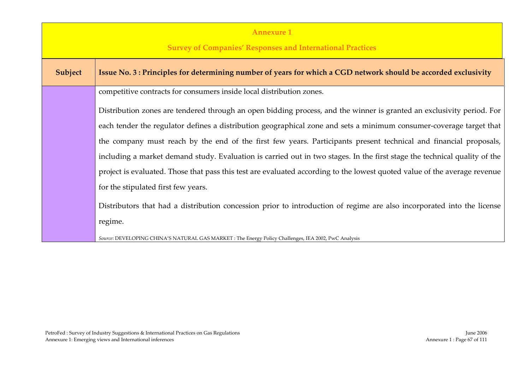| Subject | Issue No. 3 : Principles for determining number of years for which a CGD network should be accorded exclusivity           |
|---------|---------------------------------------------------------------------------------------------------------------------------|
|         | competitive contracts for consumers inside local distribution zones.                                                      |
|         | Distribution zones are tendered through an open bidding process, and the winner is granted an exclusivity period. For     |
|         | each tender the regulator defines a distribution geographical zone and sets a minimum consumer-coverage target that       |
|         | the company must reach by the end of the first few years. Participants present technical and financial proposals,         |
|         | including a market demand study. Evaluation is carried out in two stages. In the first stage the technical quality of the |
|         | project is evaluated. Those that pass this test are evaluated according to the lowest quoted value of the average revenue |
|         | for the stipulated first few years.                                                                                       |
|         | Distributors that had a distribution concession prior to introduction of regime are also incorporated into the license    |
|         | regime.                                                                                                                   |
|         | Source: DEVELOPING CHINA'S NATURAL GAS MARKET : The Energy Policy Challenges, IEA 2002, PwC Analysis                      |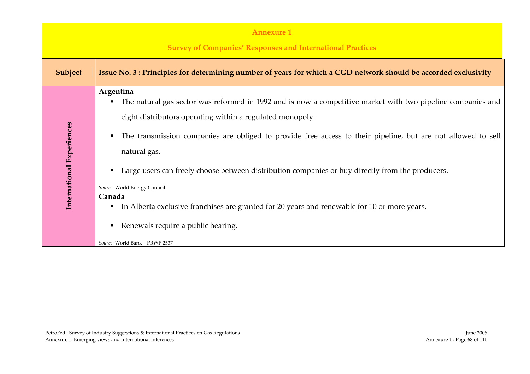| <b>Annexure 1</b><br><b>Survey of Companies' Responses and International Practices</b> |                                                                                                                                                                                                                                                                                                                                                                                                                                                                                                                                                                                                                      |
|----------------------------------------------------------------------------------------|----------------------------------------------------------------------------------------------------------------------------------------------------------------------------------------------------------------------------------------------------------------------------------------------------------------------------------------------------------------------------------------------------------------------------------------------------------------------------------------------------------------------------------------------------------------------------------------------------------------------|
| Subject                                                                                | Issue No. 3 : Principles for determining number of years for which a CGD network should be accorded exclusivity                                                                                                                                                                                                                                                                                                                                                                                                                                                                                                      |
| International Experiences                                                              | Argentina<br>The natural gas sector was reformed in 1992 and is now a competitive market with two pipeline companies and<br>eight distributors operating within a regulated monopoly.<br>The transmission companies are obliged to provide free access to their pipeline, but are not allowed to sell<br>natural gas.<br>Large users can freely choose between distribution companies or buy directly from the producers.<br>Source: World Energy Council<br>Canada<br>In Alberta exclusive franchises are granted for 20 years and renewable for 10 or more years.<br>п.<br>Renewals require a public hearing.<br>п |
|                                                                                        | Source: World Bank - PRWP 2537                                                                                                                                                                                                                                                                                                                                                                                                                                                                                                                                                                                       |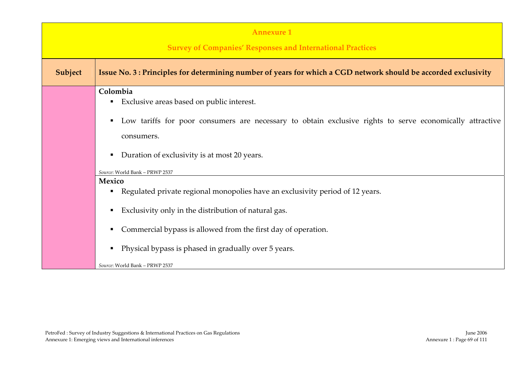| <b>Annexure 1</b> |                                                                                                                 |  |
|-------------------|-----------------------------------------------------------------------------------------------------------------|--|
|                   |                                                                                                                 |  |
|                   | <b>Survey of Companies' Responses and International Practices</b>                                               |  |
|                   |                                                                                                                 |  |
| Subject           | Issue No. 3 : Principles for determining number of years for which a CGD network should be accorded exclusivity |  |
|                   | Colombia                                                                                                        |  |
|                   | Exclusive areas based on public interest.                                                                       |  |
|                   |                                                                                                                 |  |
|                   | Low tariffs for poor consumers are necessary to obtain exclusive rights to serve economically attractive        |  |
|                   | consumers.                                                                                                      |  |
|                   |                                                                                                                 |  |
|                   | Duration of exclusivity is at most 20 years.                                                                    |  |
|                   | Source: World Bank - PRWP 2537                                                                                  |  |
|                   | Mexico                                                                                                          |  |
|                   | Regulated private regional monopolies have an exclusivity period of 12 years.                                   |  |
|                   | Exclusivity only in the distribution of natural gas.                                                            |  |
|                   | Commercial bypass is allowed from the first day of operation.                                                   |  |
|                   | Physical bypass is phased in gradually over 5 years.<br>$\blacksquare$                                          |  |
|                   | Source: World Bank - PRWP 2537                                                                                  |  |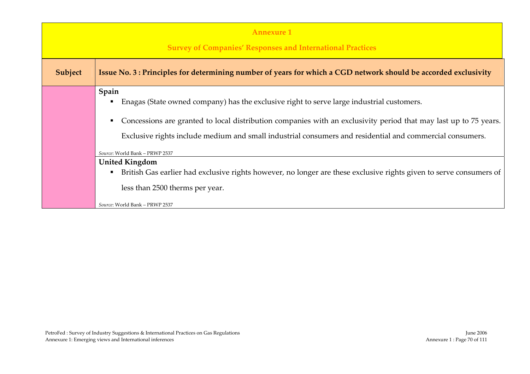| <b>Annexure 1</b>                                                 |                                                                                                                    |
|-------------------------------------------------------------------|--------------------------------------------------------------------------------------------------------------------|
| <b>Survey of Companies' Responses and International Practices</b> |                                                                                                                    |
| Subject                                                           | Issue No. 3 : Principles for determining number of years for which a CGD network should be accorded exclusivity    |
|                                                                   | Spain                                                                                                              |
|                                                                   | Enagas (State owned company) has the exclusive right to serve large industrial customers.                          |
|                                                                   | Concessions are granted to local distribution companies with an exclusivity period that may last up to 75 years.   |
|                                                                   | Exclusive rights include medium and small industrial consumers and residential and commercial consumers.           |
|                                                                   | Source: World Bank - PRWP 2537                                                                                     |
|                                                                   | <b>United Kingdom</b>                                                                                              |
|                                                                   | British Gas earlier had exclusive rights however, no longer are these exclusive rights given to serve consumers of |
|                                                                   | less than 2500 therms per year.                                                                                    |
|                                                                   | Source: World Bank - PRWP 2537                                                                                     |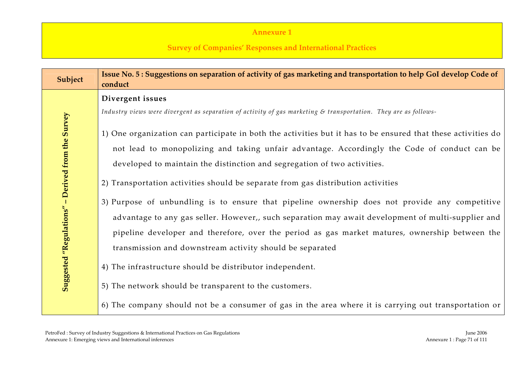| Subject                                           | Issue No. 5 : Suggestions on separation of activity of gas marketing and transportation to help GoI develop Code of<br>conduct |
|---------------------------------------------------|--------------------------------------------------------------------------------------------------------------------------------|
|                                                   | Divergent issues                                                                                                               |
|                                                   | Industry views were divergent as separation of activity of gas marketing & transportation. They are as follows-                |
|                                                   | 1) One organization can participate in both the activities but it has to be ensured that these activities do                   |
|                                                   | not lead to monopolizing and taking unfair advantage. Accordingly the Code of conduct can be                                   |
|                                                   | developed to maintain the distinction and segregation of two activities.                                                       |
| Suggested "Regulations" – Derived from the Survey | 2) Transportation activities should be separate from gas distribution activities                                               |
|                                                   | 3) Purpose of unbundling is to ensure that pipeline ownership does not provide any competitive                                 |
|                                                   | advantage to any gas seller. However,, such separation may await development of multi-supplier and                             |
|                                                   | pipeline developer and therefore, over the period as gas market matures, ownership between the                                 |
|                                                   | transmission and downstream activity should be separated                                                                       |
|                                                   | 4) The infrastructure should be distributor independent.                                                                       |
|                                                   | 5) The network should be transparent to the customers.                                                                         |
|                                                   | 6) The company should not be a consumer of gas in the area where it is carrying out transportation or                          |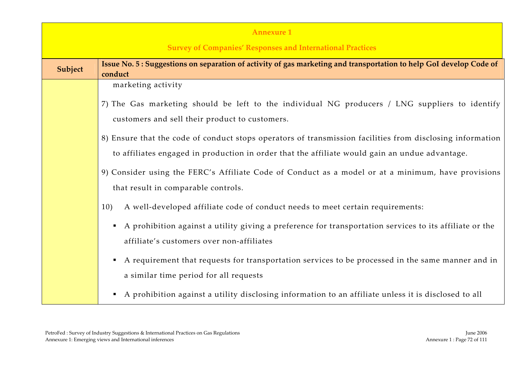|         | <b>Annexure 1</b>                                                                                                         |  |
|---------|---------------------------------------------------------------------------------------------------------------------------|--|
|         | <b>Survey of Companies' Responses and International Practices</b>                                                         |  |
| Subject | Issue No. 5 : Suggestions on separation of activity of gas marketing and transportation to help GoI develop Code of       |  |
|         | conduct                                                                                                                   |  |
|         | marketing activity                                                                                                        |  |
|         | 7) The Gas marketing should be left to the individual NG producers / LNG suppliers to identify                            |  |
|         | customers and sell their product to customers.                                                                            |  |
|         |                                                                                                                           |  |
|         | 8) Ensure that the code of conduct stops operators of transmission facilities from disclosing information                 |  |
|         | to affiliates engaged in production in order that the affiliate would gain an undue advantage.                            |  |
|         | 9) Consider using the FERC's Affiliate Code of Conduct as a model or at a minimum, have provisions                        |  |
|         | that result in comparable controls.                                                                                       |  |
|         |                                                                                                                           |  |
|         | A well-developed affiliate code of conduct needs to meet certain requirements:<br>10)                                     |  |
|         | A prohibition against a utility giving a preference for transportation services to its affiliate or the<br>$\blacksquare$ |  |
|         | affiliate's customers over non-affiliates                                                                                 |  |
|         |                                                                                                                           |  |
|         | A requirement that requests for transportation services to be processed in the same manner and in<br>$\blacksquare$       |  |
|         | a similar time period for all requests                                                                                    |  |
|         | A prohibition against a utility disclosing information to an affiliate unless it is disclosed to all<br>п                 |  |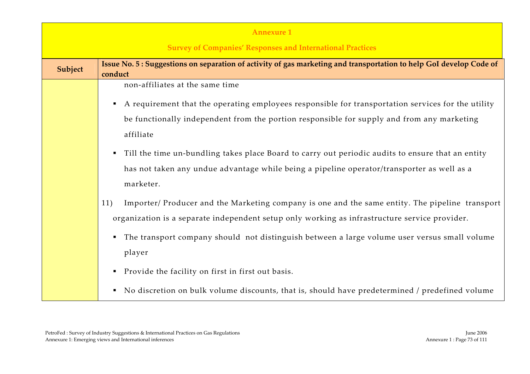| <b>Annexure 1</b>                                                 |                                                                                                                                                                                                                                                                                                                                                                                                                                                                                                        |
|-------------------------------------------------------------------|--------------------------------------------------------------------------------------------------------------------------------------------------------------------------------------------------------------------------------------------------------------------------------------------------------------------------------------------------------------------------------------------------------------------------------------------------------------------------------------------------------|
| <b>Survey of Companies' Responses and International Practices</b> |                                                                                                                                                                                                                                                                                                                                                                                                                                                                                                        |
| Subject                                                           | Issue No. 5 : Suggestions on separation of activity of gas marketing and transportation to help GoI develop Code of<br>conduct                                                                                                                                                                                                                                                                                                                                                                         |
|                                                                   | non-affiliates at the same time<br>A requirement that the operating employees responsible for transportation services for the utility<br>$\blacksquare$<br>be functionally independent from the portion responsible for supply and from any marketing<br>affiliate<br>Till the time un-bundling takes place Board to carry out periodic audits to ensure that an entity<br>$\blacksquare$<br>has not taken any undue advantage while being a pipeline operator/transporter as well as a<br>marketer.   |
|                                                                   | Importer/ Producer and the Marketing company is one and the same entity. The pipeline transport<br>11)<br>organization is a separate independent setup only working as infrastructure service provider.<br>The transport company should not distinguish between a large volume user versus small volume<br>$\blacksquare$<br>player<br>Provide the facility on first in first out basis.<br>п.<br>No discretion on bulk volume discounts, that is, should have predetermined / predefined volume<br>п. |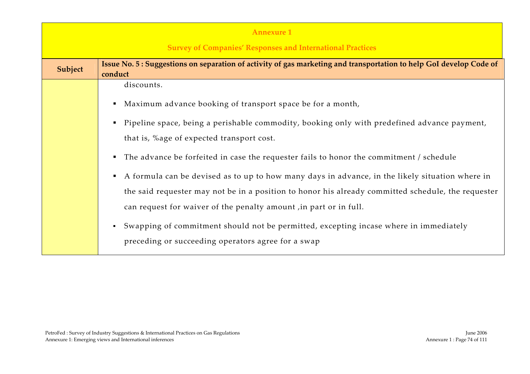|         | <b>Annexure 1</b>                                                                                                              |  |
|---------|--------------------------------------------------------------------------------------------------------------------------------|--|
|         | <b>Survey of Companies' Responses and International Practices</b>                                                              |  |
| Subject | Issue No. 5 : Suggestions on separation of activity of gas marketing and transportation to help GoI develop Code of<br>conduct |  |
|         | discounts.                                                                                                                     |  |
|         | Maximum advance booking of transport space be for a month,<br>л                                                                |  |
|         | Pipeline space, being a perishable commodity, booking only with predefined advance payment,<br>$\blacksquare$                  |  |
|         | that is, %age of expected transport cost.                                                                                      |  |
|         | The advance be forfeited in case the requester fails to honor the commitment / schedule<br>п                                   |  |
|         | A formula can be devised as to up to how many days in advance, in the likely situation where in<br>п                           |  |
|         | the said requester may not be in a position to honor his already committed schedule, the requester                             |  |
|         | can request for waiver of the penalty amount, in part or in full.                                                              |  |
|         | Swapping of commitment should not be permitted, excepting incase where in immediately<br>$\blacksquare$                        |  |
|         | preceding or succeeding operators agree for a swap                                                                             |  |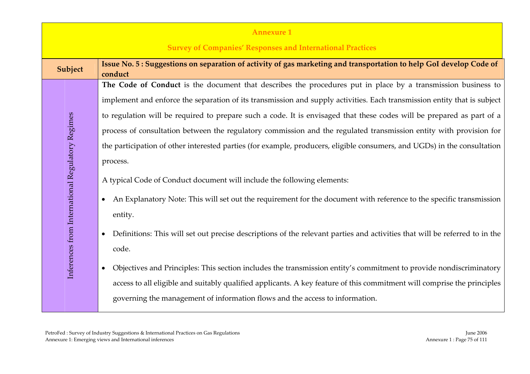| <b>Annexure 1</b>                                |                                                                                                                                         |  |
|--------------------------------------------------|-----------------------------------------------------------------------------------------------------------------------------------------|--|
|                                                  | <b>Survey of Companies' Responses and International Practices</b>                                                                       |  |
|                                                  |                                                                                                                                         |  |
| Subject                                          | Issue No. 5 : Suggestions on separation of activity of gas marketing and transportation to help GoI develop Code of<br>conduct          |  |
|                                                  | The Code of Conduct is the document that describes the procedures put in place by a transmission business to                            |  |
|                                                  | implement and enforce the separation of its transmission and supply activities. Each transmission entity that is subject                |  |
|                                                  | to regulation will be required to prepare such a code. It is envisaged that these codes will be prepared as part of a                   |  |
|                                                  | process of consultation between the regulatory commission and the regulated transmission entity with provision for                      |  |
| Inferences from International Regulatory Regimes | the participation of other interested parties (for example, producers, eligible consumers, and UGDs) in the consultation                |  |
|                                                  | process.                                                                                                                                |  |
|                                                  | A typical Code of Conduct document will include the following elements:                                                                 |  |
|                                                  | An Explanatory Note: This will set out the requirement for the document with reference to the specific transmission<br>$\bullet$        |  |
|                                                  | entity.                                                                                                                                 |  |
|                                                  | Definitions: This will set out precise descriptions of the relevant parties and activities that will be referred to in the<br>$\bullet$ |  |
|                                                  | code.                                                                                                                                   |  |
|                                                  | Objectives and Principles: This section includes the transmission entity's commitment to provide nondiscriminatory<br>$\bullet$         |  |
|                                                  | access to all eligible and suitably qualified applicants. A key feature of this commitment will comprise the principles                 |  |
|                                                  | governing the management of information flows and the access to information.                                                            |  |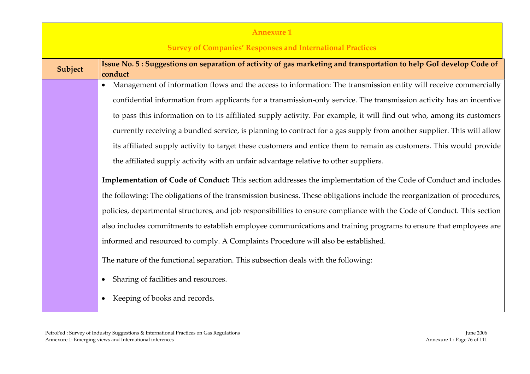# **Annexure 1 Survey of Companies' Responses and International Practices Issue No. 5 : Suggestions on separation of activity of gas marketing and transportation to help GoI develop Code of conduct** • Management of information flows and the access to information: The transmission entity will receive commercially confidential information from applicants for a transmission-only service. The transmission activity has an incentive to pass this information on to its affiliated supply activity. For example, it will find out who, among its customers currently receiving a bundled service, is planning to contract for a gas supply from another supplier. This will allow its affiliated supply activity to target these customers and entice them to remain as customers. This would provide the affiliated supply activity with an unfair advantage relative to other suppliers. **Implementation of Code of Conduct:** This section addresses the implementation of the Code of Conduct and includes the following: The obligations of the transmission business. These obligations include the reorganization of procedures, policies, departmental structures, and job responsibilities to ensure compliance with the Code of Conduct. This section

also includes commitments to establish employee communications and training programs to ensure that employees are informed and resourced to comply. A Complaints Procedure will also be established.

The nature of the functional separation. This subsection deals with the following:

- $\bullet$ Sharing of facilities and resources.
- $\bullet$ Keeping of books and records.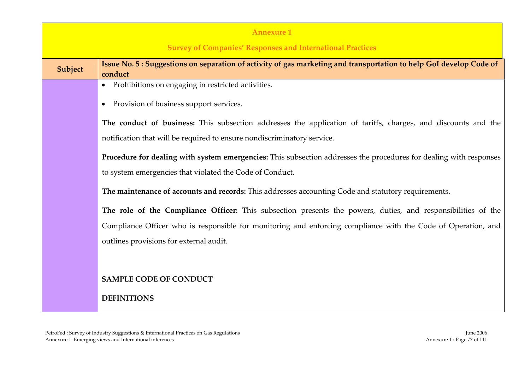| <b>Annexure 1</b>                                                 |                                                                                                                               |
|-------------------------------------------------------------------|-------------------------------------------------------------------------------------------------------------------------------|
| <b>Survey of Companies' Responses and International Practices</b> |                                                                                                                               |
| Subject                                                           | Issue No. 5: Suggestions on separation of activity of gas marketing and transportation to help GoI develop Code of<br>conduct |
|                                                                   | • Prohibitions on engaging in restricted activities.                                                                          |
|                                                                   | Provision of business support services.<br>$\bullet$                                                                          |
|                                                                   | The conduct of business: This subsection addresses the application of tariffs, charges, and discounts and the                 |
|                                                                   | notification that will be required to ensure nondiscriminatory service.                                                       |
|                                                                   | Procedure for dealing with system emergencies: This subsection addresses the procedures for dealing with responses            |
|                                                                   | to system emergencies that violated the Code of Conduct.                                                                      |
|                                                                   | The maintenance of accounts and records: This addresses accounting Code and statutory requirements.                           |
|                                                                   | The role of the Compliance Officer: This subsection presents the powers, duties, and responsibilities of the                  |
|                                                                   | Compliance Officer who is responsible for monitoring and enforcing compliance with the Code of Operation, and                 |
|                                                                   | outlines provisions for external audit.                                                                                       |
|                                                                   |                                                                                                                               |
|                                                                   | <b>SAMPLE CODE OF CONDUCT</b>                                                                                                 |
|                                                                   | <b>DEFINITIONS</b>                                                                                                            |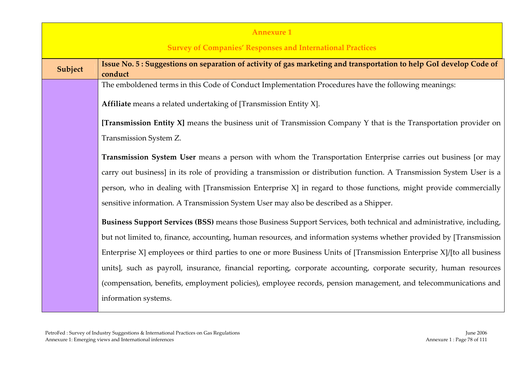# **Annexure 1 Survey of Companies' Responses and International Practices Issue No. 5 : Suggestions on separation of activity of gas marketing and transportation to help GoI develop Code of conduct** The emboldened terms in this Code of Conduct Implementation Procedures have the following meanings: **Affiliate** means a related undertaking of [Transmission Entity X]. **[Transmission Entity X]** means the business unit of Transmission Company Y that is the Transportation provider on Transmission System Z.

**Transmission System User** means a person with whom the Transportation Enterprise carries out business [or may carry out business] in its role of providing a transmission or distribution function. A Transmission System User is a person, who in dealing with [Transmission Enterprise X] in regard to those functions, might provide commercially sensitive information. A Transmission System User may also be described as a Shipper.

**Business Support Services (BSS)** means those Business Support Services, both technical and administrative, including, but not limited to, finance, accounting, human resources, and information systems whether provided by [Transmission Enterprise X] employees or third parties to one or more Business Units of [Transmission Enterprise X]/[to all business units], such as payroll, insurance, financial reporting, corporate accounting, corporate security, human resources (compensation, benefits, employment policies), employee records, pension management, and telecommunications and information systems.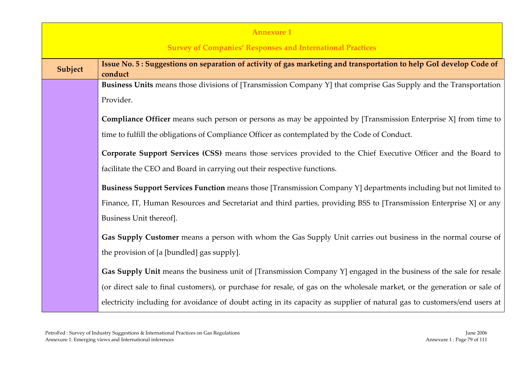| <b>Annexure 1</b>                                                 |                                                                                                                                |
|-------------------------------------------------------------------|--------------------------------------------------------------------------------------------------------------------------------|
| <b>Survey of Companies' Responses and International Practices</b> |                                                                                                                                |
| Subject                                                           | Issue No. 5 : Suggestions on separation of activity of gas marketing and transportation to help GoI develop Code of<br>conduct |
|                                                                   | Business Units means those divisions of [Transmission Company Y] that comprise Gas Supply and the Transportation               |
|                                                                   | Provider.                                                                                                                      |
|                                                                   | Compliance Officer means such person or persons as may be appointed by [Transmission Enterprise X] from time to                |
|                                                                   | time to fulfill the obligations of Compliance Officer as contemplated by the Code of Conduct.                                  |
|                                                                   | Corporate Support Services (CSS) means those services provided to the Chief Executive Officer and the Board to                 |
|                                                                   | facilitate the CEO and Board in carrying out their respective functions.                                                       |
|                                                                   | Business Support Services Function means those [Transmission Company Y] departments including but not limited to               |
|                                                                   | Finance, IT, Human Resources and Secretariat and third parties, providing BSS to [Transmission Enterprise X] or any            |
|                                                                   | Business Unit thereof].                                                                                                        |
|                                                                   | Gas Supply Customer means a person with whom the Gas Supply Unit carries out business in the normal course of                  |
|                                                                   | the provision of [a [bundled] gas supply].                                                                                     |
|                                                                   | Gas Supply Unit means the business unit of [Transmission Company Y] engaged in the business of the sale for resale             |
|                                                                   | (or direct sale to final customers), or purchase for resale, of gas on the wholesale market, or the generation or sale of      |
|                                                                   | electricity including for avoidance of doubt acting in its capacity as supplier of natural gas to customers/end users at       |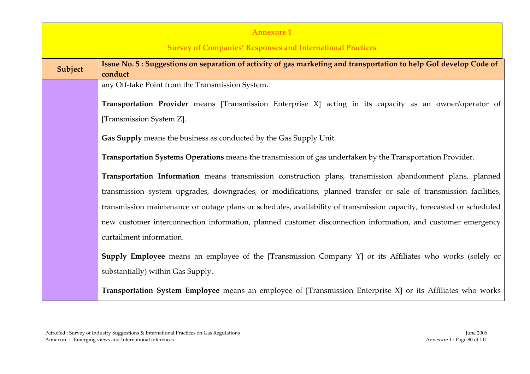| <b>Annexure 1</b>                                                 |                                                                                                                       |
|-------------------------------------------------------------------|-----------------------------------------------------------------------------------------------------------------------|
| <b>Survey of Companies' Responses and International Practices</b> |                                                                                                                       |
|                                                                   |                                                                                                                       |
| Subject                                                           | Issue No. 5 : Suggestions on separation of activity of gas marketing and transportation to help GoI develop Code of   |
|                                                                   | conduct                                                                                                               |
|                                                                   | any Off-take Point from the Transmission System.                                                                      |
|                                                                   | Transportation Provider means [Transmission Enterprise X] acting in its capacity as an owner/operator of              |
|                                                                   |                                                                                                                       |
|                                                                   | [Transmission System Z].                                                                                              |
|                                                                   | Gas Supply means the business as conducted by the Gas Supply Unit.                                                    |
|                                                                   |                                                                                                                       |
|                                                                   | Transportation Systems Operations means the transmission of gas undertaken by the Transportation Provider.            |
|                                                                   | Transportation Information means transmission construction plans, transmission abandonment plans, planned             |
|                                                                   |                                                                                                                       |
|                                                                   | transmission system upgrades, downgrades, or modifications, planned transfer or sale of transmission facilities,      |
|                                                                   | transmission maintenance or outage plans or schedules, availability of transmission capacity, forecasted or scheduled |
|                                                                   | new customer interconnection information, planned customer disconnection information, and customer emergency          |
|                                                                   |                                                                                                                       |
|                                                                   | curtailment information.                                                                                              |
|                                                                   | Supply Employee means an employee of the [Transmission Company Y] or its Affiliates who works (solely or              |
|                                                                   | substantially) within Gas Supply.                                                                                     |
|                                                                   |                                                                                                                       |
|                                                                   | Transportation System Employee means an employee of [Transmission Enterprise X] or its Affiliates who works           |
|                                                                   |                                                                                                                       |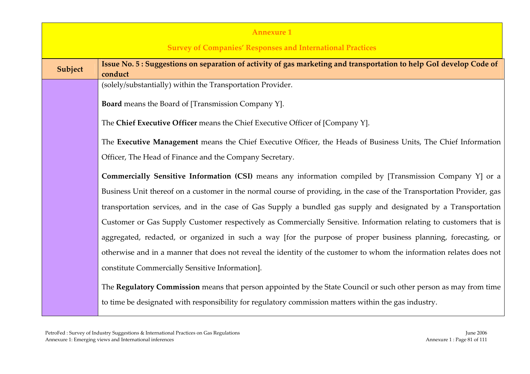| <b>Annexure 1</b>                                                 |                                                                                                                                |
|-------------------------------------------------------------------|--------------------------------------------------------------------------------------------------------------------------------|
| <b>Survey of Companies' Responses and International Practices</b> |                                                                                                                                |
| Subject                                                           | Issue No. 5 : Suggestions on separation of activity of gas marketing and transportation to help GoI develop Code of<br>conduct |
|                                                                   | (solely/substantially) within the Transportation Provider.                                                                     |
|                                                                   | <b>Board</b> means the Board of [Transmission Company Y].                                                                      |
|                                                                   | The Chief Executive Officer means the Chief Executive Officer of [Company Y].                                                  |
|                                                                   | The Executive Management means the Chief Executive Officer, the Heads of Business Units, The Chief Information                 |
|                                                                   | Officer, The Head of Finance and the Company Secretary.                                                                        |
|                                                                   | Commercially Sensitive Information (CSI) means any information compiled by [Transmission Company Y] or a                       |
|                                                                   | Business Unit thereof on a customer in the normal course of providing, in the case of the Transportation Provider, gas         |
|                                                                   | transportation services, and in the case of Gas Supply a bundled gas supply and designated by a Transportation                 |
|                                                                   | Customer or Gas Supply Customer respectively as Commercially Sensitive. Information relating to customers that is              |
|                                                                   | aggregated, redacted, or organized in such a way [for the purpose of proper business planning, forecasting, or                 |
|                                                                   | otherwise and in a manner that does not reveal the identity of the customer to whom the information relates does not           |
|                                                                   | constitute Commercially Sensitive Information].                                                                                |
|                                                                   | The Regulatory Commission means that person appointed by the State Council or such other person as may from time               |
|                                                                   | to time be designated with responsibility for regulatory commission matters within the gas industry.                           |
|                                                                   |                                                                                                                                |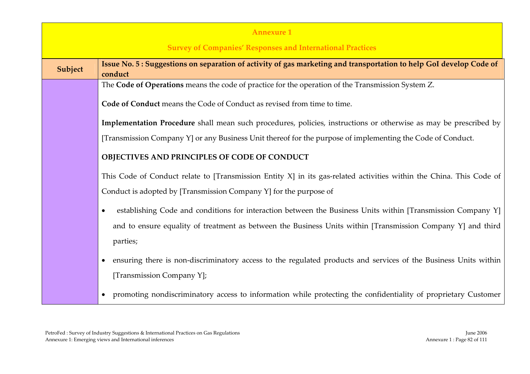| <b>Annexure 1</b>                                                 |                                                                                                                                |
|-------------------------------------------------------------------|--------------------------------------------------------------------------------------------------------------------------------|
| <b>Survey of Companies' Responses and International Practices</b> |                                                                                                                                |
| Subject                                                           | Issue No. 5 : Suggestions on separation of activity of gas marketing and transportation to help GoI develop Code of<br>conduct |
|                                                                   | The Code of Operations means the code of practice for the operation of the Transmission System Z.                              |
|                                                                   | Code of Conduct means the Code of Conduct as revised from time to time.                                                        |
|                                                                   | Implementation Procedure shall mean such procedures, policies, instructions or otherwise as may be prescribed by               |
|                                                                   | [Transmission Company Y] or any Business Unit thereof for the purpose of implementing the Code of Conduct.                     |
|                                                                   | OBJECTIVES AND PRINCIPLES OF CODE OF CONDUCT                                                                                   |
|                                                                   | This Code of Conduct relate to [Transmission Entity X] in its gas-related activities within the China. This Code of            |
|                                                                   | Conduct is adopted by [Transmission Company Y] for the purpose of                                                              |
|                                                                   | establishing Code and conditions for interaction between the Business Units within [Transmission Company Y]<br>$\bullet$       |
|                                                                   | and to ensure equality of treatment as between the Business Units within [Transmission Company Y] and third                    |
|                                                                   | parties;                                                                                                                       |
|                                                                   | ensuring there is non-discriminatory access to the regulated products and services of the Business Units within<br>$\bullet$   |
|                                                                   | [Transmission Company Y];                                                                                                      |
|                                                                   | promoting nondiscriminatory access to information while protecting the confidentiality of proprietary Customer<br>$\bullet$    |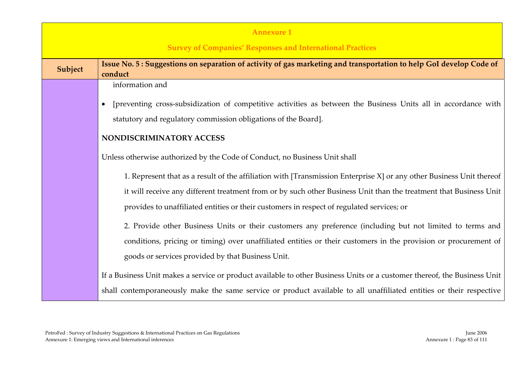| <b>Annexure 1</b> |                                                                                                                                |  |
|-------------------|--------------------------------------------------------------------------------------------------------------------------------|--|
|                   | <b>Survey of Companies' Responses and International Practices</b>                                                              |  |
| Subject           | Issue No. 5 : Suggestions on separation of activity of gas marketing and transportation to help GoI develop Code of<br>conduct |  |
|                   | information and                                                                                                                |  |
|                   | [preventing cross-subsidization of competitive activities as between the Business Units all in accordance with<br>$\bullet$    |  |
|                   | statutory and regulatory commission obligations of the Board].                                                                 |  |
|                   | NONDISCRIMINATORY ACCESS                                                                                                       |  |
|                   | Unless otherwise authorized by the Code of Conduct, no Business Unit shall                                                     |  |
|                   | 1. Represent that as a result of the affiliation with [Transmission Enterprise X] or any other Business Unit thereof           |  |
|                   | it will receive any different treatment from or by such other Business Unit than the treatment that Business Unit              |  |
|                   | provides to unaffiliated entities or their customers in respect of regulated services; or                                      |  |
|                   | 2. Provide other Business Units or their customers any preference (including but not limited to terms and                      |  |
|                   | conditions, pricing or timing) over unaffiliated entities or their customers in the provision or procurement of                |  |
|                   | goods or services provided by that Business Unit.                                                                              |  |
|                   | If a Business Unit makes a service or product available to other Business Units or a customer thereof, the Business Unit       |  |
|                   | shall contemporaneously make the same service or product available to all unaffiliated entities or their respective            |  |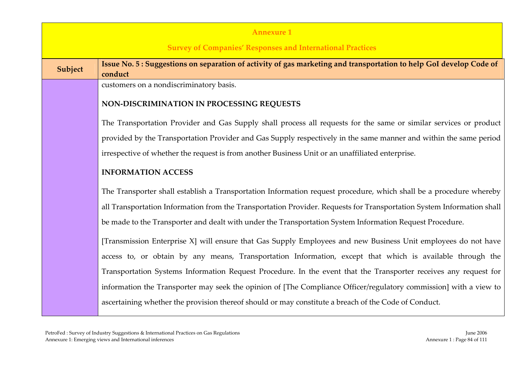| <b>Annexure 1</b>                                                 |                                                                                                                               |
|-------------------------------------------------------------------|-------------------------------------------------------------------------------------------------------------------------------|
| <b>Survey of Companies' Responses and International Practices</b> |                                                                                                                               |
| Subject                                                           | Issue No. 5: Suggestions on separation of activity of gas marketing and transportation to help GoI develop Code of<br>conduct |
|                                                                   | customers on a nondiscriminatory basis.                                                                                       |
|                                                                   | NON-DISCRIMINATION IN PROCESSING REQUESTS                                                                                     |
|                                                                   | The Transportation Provider and Gas Supply shall process all requests for the same or similar services or product             |
|                                                                   | provided by the Transportation Provider and Gas Supply respectively in the same manner and within the same period             |
|                                                                   | irrespective of whether the request is from another Business Unit or an unaffiliated enterprise.                              |
|                                                                   | <b>INFORMATION ACCESS</b>                                                                                                     |
|                                                                   | The Transporter shall establish a Transportation Information request procedure, which shall be a procedure whereby            |
|                                                                   | all Transportation Information from the Transportation Provider. Requests for Transportation System Information shall         |
|                                                                   | be made to the Transporter and dealt with under the Transportation System Information Request Procedure.                      |
|                                                                   | [Transmission Enterprise X] will ensure that Gas Supply Employees and new Business Unit employees do not have                 |
|                                                                   | access to, or obtain by any means, Transportation Information, except that which is available through the                     |
|                                                                   | Transportation Systems Information Request Procedure. In the event that the Transporter receives any request for              |
|                                                                   | information the Transporter may seek the opinion of [The Compliance Officer/regulatory commission] with a view to             |
|                                                                   | ascertaining whether the provision thereof should or may constitute a breach of the Code of Conduct.                          |
|                                                                   |                                                                                                                               |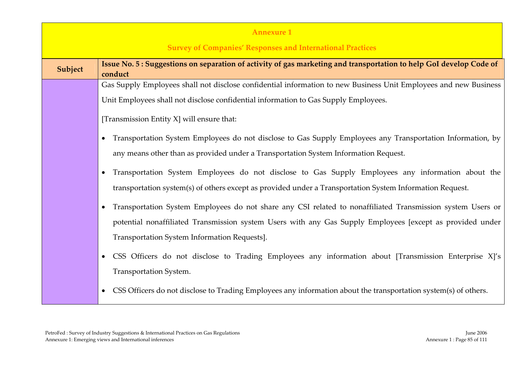| Subject | Issue No. 5 : Suggestions on separation of activity of gas marketing and transportation to help GoI develop Code of<br>conduct |
|---------|--------------------------------------------------------------------------------------------------------------------------------|
|         | Gas Supply Employees shall not disclose confidential information to new Business Unit Employees and new Business               |
|         | Unit Employees shall not disclose confidential information to Gas Supply Employees.                                            |
|         | [Transmission Entity X] will ensure that:                                                                                      |
|         | Transportation System Employees do not disclose to Gas Supply Employees any Transportation Information, by<br>$\bullet$        |
|         | any means other than as provided under a Transportation System Information Request.                                            |
|         | Transportation System Employees do not disclose to Gas Supply Employees any information about the<br>$\bullet$                 |
|         | transportation system(s) of others except as provided under a Transportation System Information Request.                       |
|         | Transportation System Employees do not share any CSI related to nonaffiliated Transmission system Users or<br>$\bullet$        |
|         | potential nonaffiliated Transmission system Users with any Gas Supply Employees [except as provided under                      |
|         | Transportation System Information Requests].                                                                                   |
|         | CSS Officers do not disclose to Trading Employees any information about [Transmission Enterprise X]'s<br>$\bullet$             |
|         | Transportation System.                                                                                                         |
|         | CSS Officers do not disclose to Trading Employees any information about the transportation system(s) of others.                |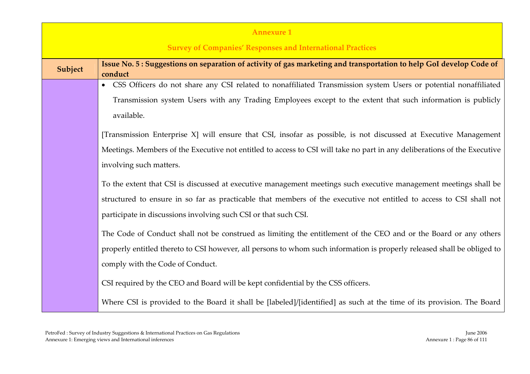| <b>Annexure 1</b>                                                 |                                                                                                                               |
|-------------------------------------------------------------------|-------------------------------------------------------------------------------------------------------------------------------|
| <b>Survey of Companies' Responses and International Practices</b> |                                                                                                                               |
| Subject                                                           | Issue No. 5: Suggestions on separation of activity of gas marketing and transportation to help GoI develop Code of<br>conduct |
|                                                                   | CSS Officers do not share any CSI related to nonaffiliated Transmission system Users or potential nonaffiliated<br>$\bullet$  |
|                                                                   | Transmission system Users with any Trading Employees except to the extent that such information is publicly                   |
|                                                                   | available.                                                                                                                    |
|                                                                   | [Transmission Enterprise X] will ensure that CSI, insofar as possible, is not discussed at Executive Management               |
|                                                                   | Meetings. Members of the Executive not entitled to access to CSI will take no part in any deliberations of the Executive      |
|                                                                   | involving such matters.                                                                                                       |
|                                                                   | To the extent that CSI is discussed at executive management meetings such executive management meetings shall be              |
|                                                                   | structured to ensure in so far as practicable that members of the executive not entitled to access to CSI shall not           |
|                                                                   | participate in discussions involving such CSI or that such CSI.                                                               |
|                                                                   | The Code of Conduct shall not be construed as limiting the entitlement of the CEO and or the Board or any others              |
|                                                                   | properly entitled thereto to CSI however, all persons to whom such information is properly released shall be obliged to       |
|                                                                   | comply with the Code of Conduct.                                                                                              |
|                                                                   | CSI required by the CEO and Board will be kept confidential by the CSS officers.                                              |
|                                                                   | Where CSI is provided to the Board it shall be [labeled]/[identified] as such at the time of its provision. The Board         |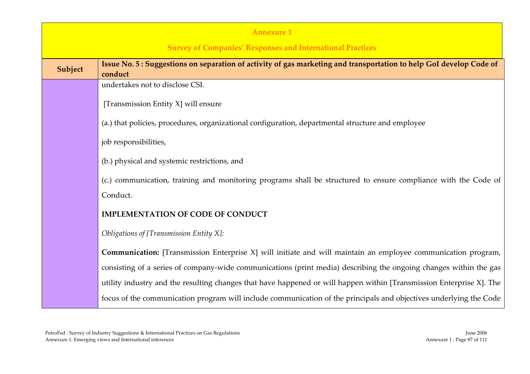| <b>Annexure 1</b>                                                 |                                                                                                                                |
|-------------------------------------------------------------------|--------------------------------------------------------------------------------------------------------------------------------|
| <b>Survey of Companies' Responses and International Practices</b> |                                                                                                                                |
| Subject                                                           | Issue No. 5 : Suggestions on separation of activity of gas marketing and transportation to help GoI develop Code of<br>conduct |
|                                                                   | undertakes not to disclose CSI.                                                                                                |
|                                                                   | [Transmission Entity X] will ensure                                                                                            |
|                                                                   | (a.) that policies, procedures, organizational configuration, departmental structure and employee                              |
|                                                                   | job responsibilities,                                                                                                          |
|                                                                   | (b.) physical and systemic restrictions, and                                                                                   |
|                                                                   | (c.) communication, training and monitoring programs shall be structured to ensure compliance with the Code of                 |
|                                                                   | Conduct.                                                                                                                       |
|                                                                   | <b>IMPLEMENTATION OF CODE OF CONDUCT</b>                                                                                       |
|                                                                   | Obligations of [Transmission Entity X]:                                                                                        |
|                                                                   | Communication: [Transmission Enterprise X] will initiate and will maintain an employee communication program,                  |
|                                                                   | consisting of a series of company-wide communications (print media) describing the ongoing changes within the gas              |
|                                                                   | utility industry and the resulting changes that have happened or will happen within [Transmission Enterprise X]. The           |
|                                                                   | focus of the communication program will include communication of the principals and objectives underlying the Code             |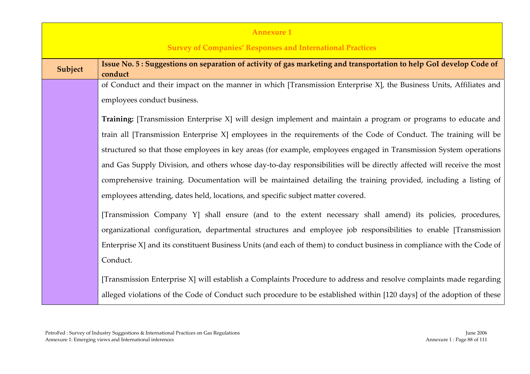| <b>Annexure 1</b> |                                                                                                                                |  |
|-------------------|--------------------------------------------------------------------------------------------------------------------------------|--|
|                   | <b>Survey of Companies' Responses and International Practices</b>                                                              |  |
| Subject           | Issue No. 5 : Suggestions on separation of activity of gas marketing and transportation to help GoI develop Code of<br>conduct |  |
|                   | of Conduct and their impact on the manner in which [Transmission Enterprise X], the Business Units, Affiliates and             |  |
|                   | employees conduct business.                                                                                                    |  |
|                   | Training: [Transmission Enterprise X] will design implement and maintain a program or programs to educate and                  |  |
|                   | train all [Transmission Enterprise X] employees in the requirements of the Code of Conduct. The training will be               |  |
|                   | structured so that those employees in key areas (for example, employees engaged in Transmission System operations              |  |
|                   | and Gas Supply Division, and others whose day-to-day responsibilities will be directly affected will receive the most          |  |
|                   | comprehensive training. Documentation will be maintained detailing the training provided, including a listing of               |  |
|                   | employees attending, dates held, locations, and specific subject matter covered.                                               |  |
|                   | [Transmission Company Y] shall ensure (and to the extent necessary shall amend) its policies, procedures,                      |  |
|                   | organizational configuration, departmental structures and employee job responsibilities to enable [Transmission                |  |
|                   | Enterprise X] and its constituent Business Units (and each of them) to conduct business in compliance with the Code of         |  |
|                   | Conduct.                                                                                                                       |  |
|                   | [Transmission Enterprise X] will establish a Complaints Procedure to address and resolve complaints made regarding             |  |
|                   | alleged violations of the Code of Conduct such procedure to be established within [120 days] of the adoption of these          |  |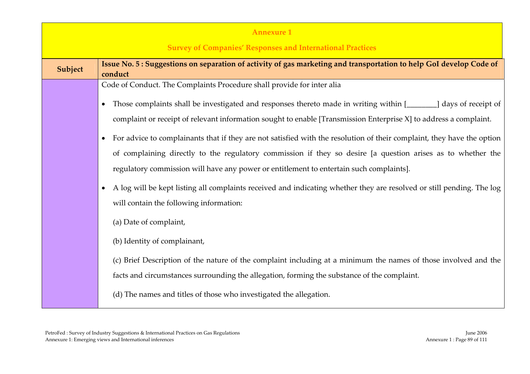| <b>Annexure 1</b>                                                 |                                                                                                                                     |
|-------------------------------------------------------------------|-------------------------------------------------------------------------------------------------------------------------------------|
| <b>Survey of Companies' Responses and International Practices</b> |                                                                                                                                     |
| Subject                                                           | Issue No. 5 : Suggestions on separation of activity of gas marketing and transportation to help GoI develop Code of<br>conduct      |
|                                                                   | Code of Conduct. The Complaints Procedure shall provide for inter alia                                                              |
|                                                                   | Those complaints shall be investigated and responses thereto made in writing within [______] days of receipt of<br>$\bullet$        |
|                                                                   | complaint or receipt of relevant information sought to enable [Transmission Enterprise X] to address a complaint.                   |
|                                                                   | For advice to complainants that if they are not satisfied with the resolution of their complaint, they have the option<br>$\bullet$ |
|                                                                   | of complaining directly to the regulatory commission if they so desire [a question arises as to whether the                         |
|                                                                   | regulatory commission will have any power or entitlement to entertain such complaints].                                             |
|                                                                   | A log will be kept listing all complaints received and indicating whether they are resolved or still pending. The log<br>$\bullet$  |
|                                                                   | will contain the following information:                                                                                             |
|                                                                   | (a) Date of complaint,                                                                                                              |
|                                                                   | (b) Identity of complainant,                                                                                                        |
|                                                                   | (c) Brief Description of the nature of the complaint including at a minimum the names of those involved and the                     |
|                                                                   | facts and circumstances surrounding the allegation, forming the substance of the complaint.                                         |
|                                                                   | (d) The names and titles of those who investigated the allegation.                                                                  |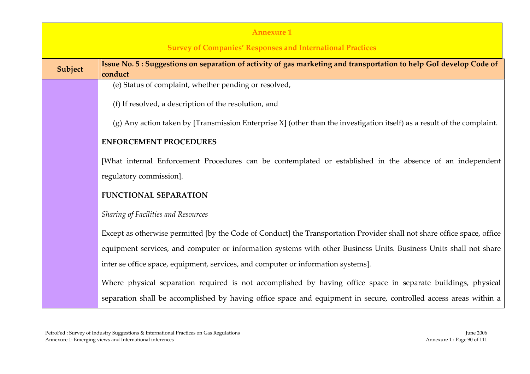| <b>Annexure 1</b>                                                 |                                                                                                                               |
|-------------------------------------------------------------------|-------------------------------------------------------------------------------------------------------------------------------|
| <b>Survey of Companies' Responses and International Practices</b> |                                                                                                                               |
| Subject                                                           | Issue No. 5: Suggestions on separation of activity of gas marketing and transportation to help GoI develop Code of<br>conduct |
|                                                                   | (e) Status of complaint, whether pending or resolved,                                                                         |
|                                                                   | (f) If resolved, a description of the resolution, and                                                                         |
|                                                                   | $(g)$ Any action taken by [Transmission Enterprise X] (other than the investigation itself) as a result of the complaint.     |
|                                                                   | <b>ENFORCEMENT PROCEDURES</b>                                                                                                 |
|                                                                   | [What internal Enforcement Procedures can be contemplated or established in the absence of an independent                     |
|                                                                   | regulatory commission].                                                                                                       |
|                                                                   | <b>FUNCTIONAL SEPARATION</b>                                                                                                  |
|                                                                   | Sharing of Facilities and Resources                                                                                           |
|                                                                   | Except as otherwise permitted [by the Code of Conduct] the Transportation Provider shall not share office space, office       |
|                                                                   | equipment services, and computer or information systems with other Business Units. Business Units shall not share             |
|                                                                   | inter se office space, equipment, services, and computer or information systems].                                             |
|                                                                   | Where physical separation required is not accomplished by having office space in separate buildings, physical                 |
|                                                                   | separation shall be accomplished by having office space and equipment in secure, controlled access areas within a             |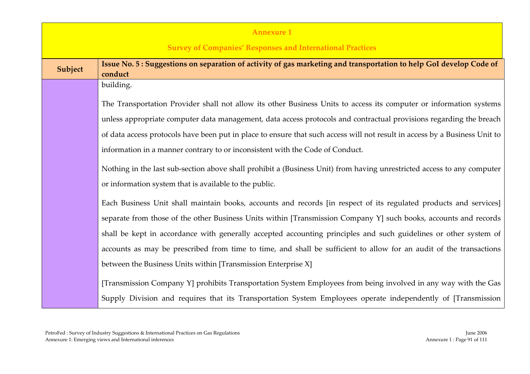| Subject | Issue No. 5: Suggestions on separation of activity of gas marketing and transportation to help GoI develop Code of<br>conduct                                                                                                            |
|---------|------------------------------------------------------------------------------------------------------------------------------------------------------------------------------------------------------------------------------------------|
|         | building.                                                                                                                                                                                                                                |
|         | The Transportation Provider shall not allow its other Business Units to access its computer or information systems<br>unless appropriate computer data management, data access protocols and contractual provisions regarding the breach |
|         | of data access protocols have been put in place to ensure that such access will not result in access by a Business Unit to                                                                                                               |
|         | information in a manner contrary to or inconsistent with the Code of Conduct.                                                                                                                                                            |
|         | Nothing in the last sub-section above shall prohibit a (Business Unit) from having unrestricted access to any computer<br>or information system that is available to the public.                                                         |
|         | Each Business Unit shall maintain books, accounts and records [in respect of its regulated products and services]                                                                                                                        |
|         | separate from those of the other Business Units within [Transmission Company Y] such books, accounts and records                                                                                                                         |
|         | shall be kept in accordance with generally accepted accounting principles and such guidelines or other system of                                                                                                                         |
|         | accounts as may be prescribed from time to time, and shall be sufficient to allow for an audit of the transactions                                                                                                                       |
|         | between the Business Units within [Transmission Enterprise X]                                                                                                                                                                            |
|         | [Transmission Company Y] prohibits Transportation System Employees from being involved in any way with the Gas                                                                                                                           |
|         | Supply Division and requires that its Transportation System Employees operate independently of [Transmission]                                                                                                                            |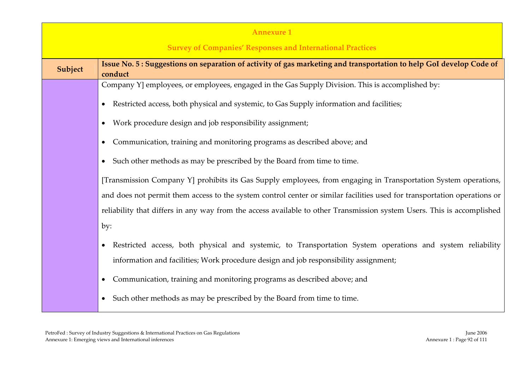| <b>Annexure 1</b>                                                 |                                                                                                                                |
|-------------------------------------------------------------------|--------------------------------------------------------------------------------------------------------------------------------|
|                                                                   |                                                                                                                                |
| <b>Survey of Companies' Responses and International Practices</b> |                                                                                                                                |
| Subject                                                           | Issue No. 5 : Suggestions on separation of activity of gas marketing and transportation to help GoI develop Code of<br>conduct |
|                                                                   | Company Y] employees, or employees, engaged in the Gas Supply Division. This is accomplished by:                               |
|                                                                   |                                                                                                                                |
|                                                                   | Restricted access, both physical and systemic, to Gas Supply information and facilities;<br>$\bullet$                          |
|                                                                   | Work procedure design and job responsibility assignment;<br>$\bullet$                                                          |
|                                                                   | Communication, training and monitoring programs as described above; and<br>$\bullet$                                           |
|                                                                   | Such other methods as may be prescribed by the Board from time to time.<br>$\bullet$                                           |
|                                                                   | [Transmission Company Y] prohibits its Gas Supply employees, from engaging in Transportation System operations,                |
|                                                                   | and does not permit them access to the system control center or similar facilities used for transportation operations or       |
|                                                                   | reliability that differs in any way from the access available to other Transmission system Users. This is accomplished         |
|                                                                   | by:                                                                                                                            |
|                                                                   | Restricted access, both physical and systemic, to Transportation System operations and system reliability                      |
|                                                                   | information and facilities; Work procedure design and job responsibility assignment;                                           |
|                                                                   | Communication, training and monitoring programs as described above; and<br>$\bullet$                                           |
|                                                                   | Such other methods as may be prescribed by the Board from time to time.<br>$\bullet$                                           |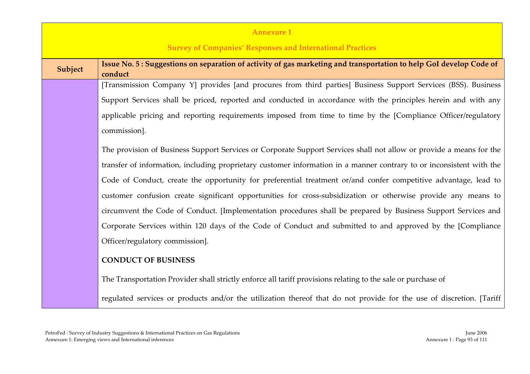| Subject | Issue No. 5: Suggestions on separation of activity of gas marketing and transportation to help GoI develop Code of<br>conduct |
|---------|-------------------------------------------------------------------------------------------------------------------------------|
|         | [Transmission Company Y] provides [and procures from third parties] Business Support Services (BSS). Business                 |
|         | Support Services shall be priced, reported and conducted in accordance with the principles herein and with any                |
|         | applicable pricing and reporting requirements imposed from time to time by the [Compliance Officer/regulatory                 |
|         | commission].                                                                                                                  |
|         | The provision of Business Support Services or Corporate Support Services shall not allow or provide a means for the           |
|         | transfer of information, including proprietary customer information in a manner contrary to or inconsistent with the          |
|         | Code of Conduct, create the opportunity for preferential treatment or/and confer competitive advantage, lead to               |
|         | customer confusion create significant opportunities for cross-subsidization or otherwise provide any means to                 |
|         | circumvent the Code of Conduct. [Implementation procedures shall be prepared by Business Support Services and                 |
|         | Corporate Services within 120 days of the Code of Conduct and submitted to and approved by the [Compliance                    |
|         | Officer/regulatory commission].                                                                                               |
|         | <b>CONDUCT OF BUSINESS</b>                                                                                                    |
|         | The Transportation Provider shall strictly enforce all tariff provisions relating to the sale or purchase of                  |
|         | regulated services or products and/or the utilization thereof that do not provide for the use of discretion. [Tariff          |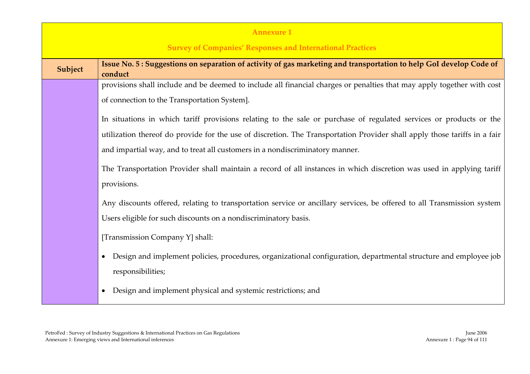|         | Issue No. 5 : Suggestions on separation of activity of gas marketing and transportation to help GoI develop Code of           |
|---------|-------------------------------------------------------------------------------------------------------------------------------|
| Subject | conduct                                                                                                                       |
|         | provisions shall include and be deemed to include all financial charges or penalties that may apply together with cost        |
|         | of connection to the Transportation System].                                                                                  |
|         | In situations in which tariff provisions relating to the sale or purchase of regulated services or products or the            |
|         | utilization thereof do provide for the use of discretion. The Transportation Provider shall apply those tariffs in a fair     |
|         | and impartial way, and to treat all customers in a nondiscriminatory manner.                                                  |
|         | The Transportation Provider shall maintain a record of all instances in which discretion was used in applying tariff          |
|         | provisions.                                                                                                                   |
|         | Any discounts offered, relating to transportation service or ancillary services, be offered to all Transmission system        |
|         | Users eligible for such discounts on a nondiscriminatory basis.                                                               |
|         | [Transmission Company Y] shall:                                                                                               |
|         | Design and implement policies, procedures, organizational configuration, departmental structure and employee job<br>$\bullet$ |
|         | responsibilities;                                                                                                             |
|         | Design and implement physical and systemic restrictions; and<br>$\bullet$                                                     |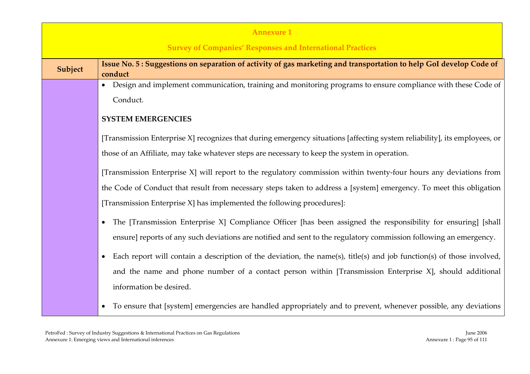| <b>Annexure 1</b> |                                                                                                                                |  |  |  |  |  |
|-------------------|--------------------------------------------------------------------------------------------------------------------------------|--|--|--|--|--|
|                   | <b>Survey of Companies' Responses and International Practices</b>                                                              |  |  |  |  |  |
| Subject           | Issue No. 5 : Suggestions on separation of activity of gas marketing and transportation to help GoI develop Code of<br>conduct |  |  |  |  |  |
|                   | Design and implement communication, training and monitoring programs to ensure compliance with these Code of                   |  |  |  |  |  |
|                   | Conduct.                                                                                                                       |  |  |  |  |  |
|                   | <b>SYSTEM EMERGENCIES</b>                                                                                                      |  |  |  |  |  |
|                   | [Transmission Enterprise X] recognizes that during emergency situations [affecting system reliability], its employees, or      |  |  |  |  |  |
|                   | those of an Affiliate, may take whatever steps are necessary to keep the system in operation.                                  |  |  |  |  |  |
|                   | [Transmission Enterprise X] will report to the regulatory commission within twenty-four hours any deviations from              |  |  |  |  |  |
|                   | the Code of Conduct that result from necessary steps taken to address a [system] emergency. To meet this obligation            |  |  |  |  |  |
|                   | [Transmission Enterprise X] has implemented the following procedures]:                                                         |  |  |  |  |  |
|                   | The [Transmission Enterprise X] Compliance Officer [has been assigned the responsibility for ensuring] [shall<br>$\bullet$     |  |  |  |  |  |
|                   | ensure] reports of any such deviations are notified and sent to the regulatory commission following an emergency.              |  |  |  |  |  |
|                   | Each report will contain a description of the deviation, the name(s), title(s) and job function(s) of those involved,          |  |  |  |  |  |
|                   | and the name and phone number of a contact person within [Transmission Enterprise X], should additional                        |  |  |  |  |  |
|                   | information be desired.                                                                                                        |  |  |  |  |  |
|                   | To ensure that [system] emergencies are handled appropriately and to prevent, whenever possible, any deviations                |  |  |  |  |  |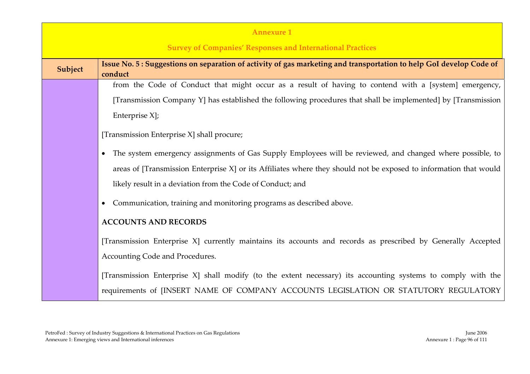|         | <b>Annexure 1</b>                                                                                                              |  |  |  |  |  |
|---------|--------------------------------------------------------------------------------------------------------------------------------|--|--|--|--|--|
|         | <b>Survey of Companies' Responses and International Practices</b>                                                              |  |  |  |  |  |
| Subject | Issue No. 5 : Suggestions on separation of activity of gas marketing and transportation to help GoI develop Code of<br>conduct |  |  |  |  |  |
|         | from the Code of Conduct that might occur as a result of having to contend with a [system] emergency,                          |  |  |  |  |  |
|         | [Transmission Company Y] has established the following procedures that shall be implemented] by [Transmission                  |  |  |  |  |  |
|         | Enterprise X];                                                                                                                 |  |  |  |  |  |
|         | [Transmission Enterprise X] shall procure;                                                                                     |  |  |  |  |  |
|         | The system emergency assignments of Gas Supply Employees will be reviewed, and changed where possible, to<br>$\bullet$         |  |  |  |  |  |
|         | areas of [Transmission Enterprise X] or its Affiliates where they should not be exposed to information that would              |  |  |  |  |  |
|         | likely result in a deviation from the Code of Conduct; and                                                                     |  |  |  |  |  |
|         | Communication, training and monitoring programs as described above.<br>$\bullet$                                               |  |  |  |  |  |
|         | <b>ACCOUNTS AND RECORDS</b>                                                                                                    |  |  |  |  |  |
|         | [Transmission Enterprise X] currently maintains its accounts and records as prescribed by Generally Accepted                   |  |  |  |  |  |
|         | Accounting Code and Procedures.                                                                                                |  |  |  |  |  |
|         | [Transmission Enterprise X] shall modify (to the extent necessary) its accounting systems to comply with the                   |  |  |  |  |  |
|         | requirements of [INSERT NAME OF COMPANY ACCOUNTS LEGISLATION OR STATUTORY REGULATORY                                           |  |  |  |  |  |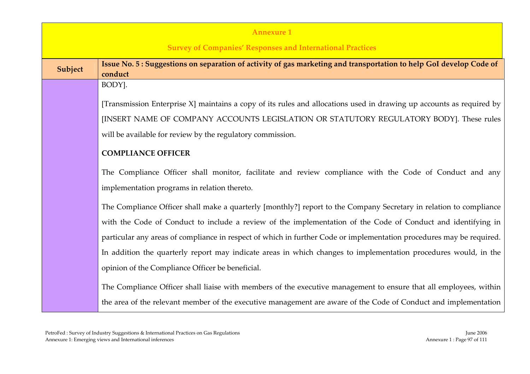| <b>Annexure 1</b> |                                                                                                                                |  |  |  |  |  |
|-------------------|--------------------------------------------------------------------------------------------------------------------------------|--|--|--|--|--|
|                   | <b>Survey of Companies' Responses and International Practices</b>                                                              |  |  |  |  |  |
| Subject           | Issue No. 5 : Suggestions on separation of activity of gas marketing and transportation to help GoI develop Code of<br>conduct |  |  |  |  |  |
|                   | BODY].                                                                                                                         |  |  |  |  |  |
|                   | [Transmission Enterprise X] maintains a copy of its rules and allocations used in drawing up accounts as required by           |  |  |  |  |  |
|                   | [INSERT NAME OF COMPANY ACCOUNTS LEGISLATION OR STATUTORY REGULATORY BODY]. These rules                                        |  |  |  |  |  |
|                   | will be available for review by the regulatory commission.                                                                     |  |  |  |  |  |
|                   | <b>COMPLIANCE OFFICER</b>                                                                                                      |  |  |  |  |  |
|                   | The Compliance Officer shall monitor, facilitate and review compliance with the Code of Conduct and any                        |  |  |  |  |  |
|                   | implementation programs in relation thereto.                                                                                   |  |  |  |  |  |
|                   | The Compliance Officer shall make a quarterly [monthly?] report to the Company Secretary in relation to compliance             |  |  |  |  |  |
|                   | with the Code of Conduct to include a review of the implementation of the Code of Conduct and identifying in                   |  |  |  |  |  |
|                   | particular any areas of compliance in respect of which in further Code or implementation procedures may be required.           |  |  |  |  |  |
|                   | In addition the quarterly report may indicate areas in which changes to implementation procedures would, in the                |  |  |  |  |  |
|                   | opinion of the Compliance Officer be beneficial.                                                                               |  |  |  |  |  |
|                   | The Compliance Officer shall liaise with members of the executive management to ensure that all employees, within              |  |  |  |  |  |
|                   | the area of the relevant member of the executive management are aware of the Code of Conduct and implementation                |  |  |  |  |  |

Г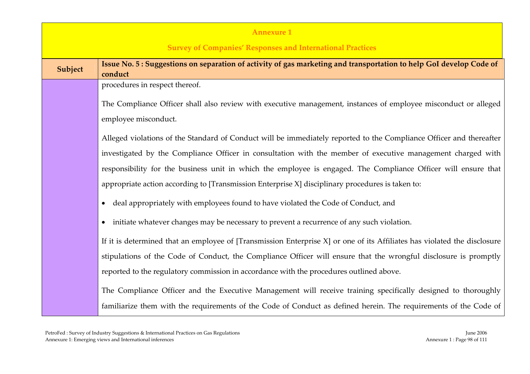|         | <b>Annexure 1</b>                                                                                                                       |  |  |  |  |  |
|---------|-----------------------------------------------------------------------------------------------------------------------------------------|--|--|--|--|--|
|         | <b>Survey of Companies' Responses and International Practices</b>                                                                       |  |  |  |  |  |
| Subject | Issue No. 5 : Suggestions on separation of activity of gas marketing and transportation to help GoI develop Code of<br>conduct          |  |  |  |  |  |
|         | procedures in respect thereof.                                                                                                          |  |  |  |  |  |
|         | The Compliance Officer shall also review with executive management, instances of employee misconduct or alleged<br>employee misconduct. |  |  |  |  |  |
|         | Alleged violations of the Standard of Conduct will be immediately reported to the Compliance Officer and thereafter                     |  |  |  |  |  |
|         | investigated by the Compliance Officer in consultation with the member of executive management charged with                             |  |  |  |  |  |
|         | responsibility for the business unit in which the employee is engaged. The Compliance Officer will ensure that                          |  |  |  |  |  |
|         | appropriate action according to [Transmission Enterprise X] disciplinary procedures is taken to:                                        |  |  |  |  |  |
|         | deal appropriately with employees found to have violated the Code of Conduct, and<br>$\bullet$                                          |  |  |  |  |  |
|         | initiate whatever changes may be necessary to prevent a recurrence of any such violation.<br>$\bullet$                                  |  |  |  |  |  |
|         | If it is determined that an employee of [Transmission Enterprise $X$ ] or one of its Affiliates has violated the disclosure             |  |  |  |  |  |
|         | stipulations of the Code of Conduct, the Compliance Officer will ensure that the wrongful disclosure is promptly                        |  |  |  |  |  |
|         | reported to the regulatory commission in accordance with the procedures outlined above.                                                 |  |  |  |  |  |
|         | The Compliance Officer and the Executive Management will receive training specifically designed to thoroughly                           |  |  |  |  |  |
|         | familiarize them with the requirements of the Code of Conduct as defined herein. The requirements of the Code of                        |  |  |  |  |  |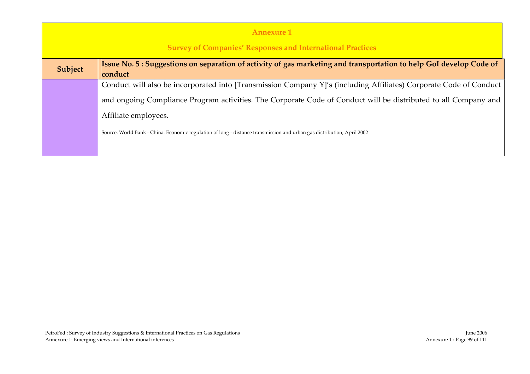| Subject | Issue No. 5 : Suggestions on separation of activity of gas marketing and transportation to help GoI develop Code of<br>conduct |
|---------|--------------------------------------------------------------------------------------------------------------------------------|
|         | Conduct will also be incorporated into [Transmission Company Y]'s (including Affiliates) Corporate Code of Conduct             |
|         | and ongoing Compliance Program activities. The Corporate Code of Conduct will be distributed to all Company and                |
|         | Affiliate employees.                                                                                                           |
|         | Source: World Bank - China: Economic regulation of long - distance transmission and urban gas distribution, April 2002         |
|         |                                                                                                                                |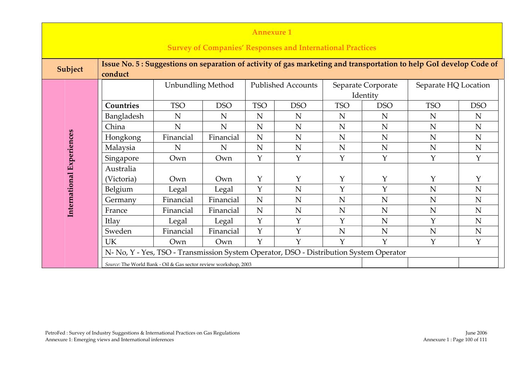| <b>Annexure 1</b><br><b>Survey of Companies' Responses and International Practices</b> |                                                                                                                               |                                                                                        |            |                           |             |                                |             |                      |            |
|----------------------------------------------------------------------------------------|-------------------------------------------------------------------------------------------------------------------------------|----------------------------------------------------------------------------------------|------------|---------------------------|-------------|--------------------------------|-------------|----------------------|------------|
| Subject                                                                                | Issue No. 5: Suggestions on separation of activity of gas marketing and transportation to help GoI develop Code of<br>conduct |                                                                                        |            |                           |             |                                |             |                      |            |
|                                                                                        |                                                                                                                               | <b>Unbundling Method</b>                                                               |            | <b>Published Accounts</b> |             | Separate Corporate<br>Identity |             | Separate HQ Location |            |
|                                                                                        | Countries                                                                                                                     | <b>TSO</b>                                                                             | <b>DSO</b> | <b>TSO</b>                | <b>DSO</b>  | <b>TSO</b>                     | <b>DSO</b>  | <b>TSO</b>           | <b>DSO</b> |
|                                                                                        | Bangladesh                                                                                                                    | N                                                                                      | N          | N                         | N           | N                              | N           | N                    | N          |
|                                                                                        | China                                                                                                                         | N                                                                                      | N          | N                         | N           | N                              | $\mathbf N$ | N                    | N          |
| International Experiences                                                              | Hongkong                                                                                                                      | Financial                                                                              | Financial  | N                         | N           | N                              | N           | N                    | N          |
|                                                                                        | Malaysia                                                                                                                      | N                                                                                      | N          | N                         | N           | N                              | N           | N                    | N          |
|                                                                                        | Singapore                                                                                                                     | Own                                                                                    | Own        | Y                         | Y           | Y                              | Y           | $\mathbf{Y}$         | Y          |
|                                                                                        | Australia                                                                                                                     |                                                                                        |            |                           |             |                                |             |                      |            |
|                                                                                        | (Victoria)                                                                                                                    | Own                                                                                    | Own        | Y                         | Y           | $\mathbf Y$                    | Y           | Y                    | Y          |
|                                                                                        | Belgium                                                                                                                       | Legal                                                                                  | Legal      | Y                         | N           | Y                              | Y           | N                    | N          |
|                                                                                        | Germany                                                                                                                       | Financial                                                                              | Financial  | N                         | N           | N                              | $\mathbf N$ | N                    | N          |
|                                                                                        | France                                                                                                                        | Financial                                                                              | Financial  | N                         | N           | N                              | N           | N                    | N          |
|                                                                                        | Itlay                                                                                                                         | Legal                                                                                  | Legal      | Y                         | $\mathbf Y$ | $\mathbf{Y}$                   | $\mathbf N$ | Y                    | N          |
|                                                                                        | Sweden                                                                                                                        | Financial                                                                              | Financial  | Y                         | Y           | N                              | N           | N                    | N          |
|                                                                                        | <b>UK</b>                                                                                                                     | Own                                                                                    | Own        | Y                         | Y           | $\mathbf{Y}$                   | Y           | Y                    | Y          |
|                                                                                        |                                                                                                                               | N- No, Y - Yes, TSO - Transmission System Operator, DSO - Distribution System Operator |            |                           |             |                                |             |                      |            |
|                                                                                        |                                                                                                                               | Source: The World Bank - Oil & Gas sector review workshop, 2003                        |            |                           |             |                                |             |                      |            |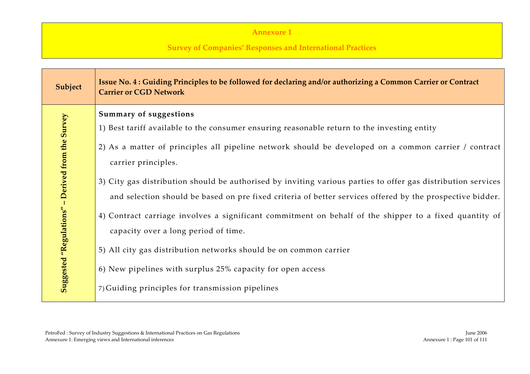| Subject                                           | Issue No. 4 : Guiding Principles to be followed for declaring and/or authorizing a Common Carrier or Contract<br><b>Carrier or CGD Network</b>                                                                            |
|---------------------------------------------------|---------------------------------------------------------------------------------------------------------------------------------------------------------------------------------------------------------------------------|
|                                                   | <b>Summary of suggestions</b><br>1) Best tariff available to the consumer ensuring reasonable return to the investing entity                                                                                              |
| Suggested "Regulations" – Derived from the Survey | 2) As a matter of principles all pipeline network should be developed on a common carrier / contract<br>carrier principles.                                                                                               |
|                                                   | 3) City gas distribution should be authorised by inviting various parties to offer gas distribution services<br>and selection should be based on pre fixed criteria of better services offered by the prospective bidder. |
|                                                   | 4) Contract carriage involves a significant commitment on behalf of the shipper to a fixed quantity of<br>capacity over a long period of time.                                                                            |
|                                                   | 5) All city gas distribution networks should be on common carrier                                                                                                                                                         |
|                                                   | 6) New pipelines with surplus 25% capacity for open access                                                                                                                                                                |
|                                                   | 7) Guiding principles for transmission pipelines                                                                                                                                                                          |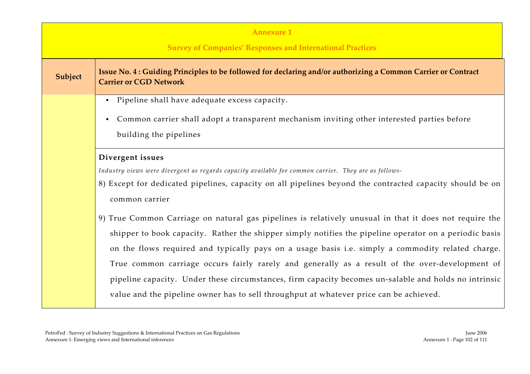|         | <b>Annexure 1</b>                                                                                                                             |  |  |  |  |  |
|---------|-----------------------------------------------------------------------------------------------------------------------------------------------|--|--|--|--|--|
|         | <b>Survey of Companies' Responses and International Practices</b>                                                                             |  |  |  |  |  |
| Subject | Issue No. 4: Guiding Principles to be followed for declaring and/or authorizing a Common Carrier or Contract<br><b>Carrier or CGD Network</b> |  |  |  |  |  |
|         | Pipeline shall have adequate excess capacity.<br>$\blacksquare$                                                                               |  |  |  |  |  |
|         | Common carrier shall adopt a transparent mechanism inviting other interested parties before<br>$\blacksquare$                                 |  |  |  |  |  |
|         | building the pipelines                                                                                                                        |  |  |  |  |  |
|         | Divergent issues                                                                                                                              |  |  |  |  |  |
|         | Industry views were divergent as regards capacity available for common carrier. They are as follows-                                          |  |  |  |  |  |
|         | 8) Except for dedicated pipelines, capacity on all pipelines beyond the contracted capacity should be on                                      |  |  |  |  |  |
|         | common carrier                                                                                                                                |  |  |  |  |  |
|         | 9) True Common Carriage on natural gas pipelines is relatively unusual in that it does not require the                                        |  |  |  |  |  |
|         | shipper to book capacity. Rather the shipper simply notifies the pipeline operator on a periodic basis                                        |  |  |  |  |  |
|         | on the flows required and typically pays on a usage basis i.e. simply a commodity related charge.                                             |  |  |  |  |  |
|         | True common carriage occurs fairly rarely and generally as a result of the over-development of                                                |  |  |  |  |  |
|         | pipeline capacity. Under these circumstances, firm capacity becomes un-salable and holds no intrinsic                                         |  |  |  |  |  |
|         | value and the pipeline owner has to sell throughput at whatever price can be achieved.                                                        |  |  |  |  |  |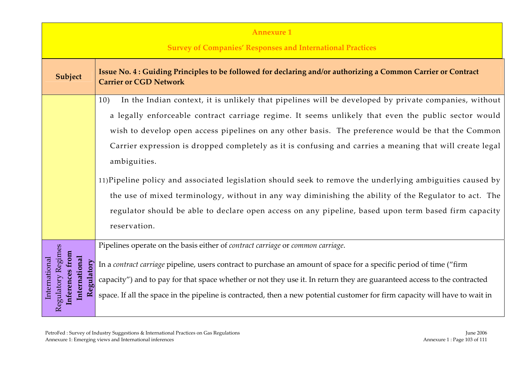|               |                                                                   |               |                                                                                                                                               | <b>Annexure 1</b>                                                                                                           |  |  |  |  |  |  |  |
|---------------|-------------------------------------------------------------------|---------------|-----------------------------------------------------------------------------------------------------------------------------------------------|-----------------------------------------------------------------------------------------------------------------------------|--|--|--|--|--|--|--|
|               | <b>Survey of Companies' Responses and International Practices</b> |               |                                                                                                                                               |                                                                                                                             |  |  |  |  |  |  |  |
|               |                                                                   |               |                                                                                                                                               |                                                                                                                             |  |  |  |  |  |  |  |
|               |                                                                   | Subject       | Issue No. 4: Guiding Principles to be followed for declaring and/or authorizing a Common Carrier or Contract<br><b>Carrier or CGD Network</b> |                                                                                                                             |  |  |  |  |  |  |  |
|               |                                                                   |               |                                                                                                                                               | In the Indian context, it is unlikely that pipelines will be developed by private companies, without<br>10)                 |  |  |  |  |  |  |  |
|               |                                                                   |               |                                                                                                                                               | a legally enforceable contract carriage regime. It seems unlikely that even the public sector would                         |  |  |  |  |  |  |  |
|               |                                                                   |               |                                                                                                                                               | wish to develop open access pipelines on any other basis. The preference would be that the Common                           |  |  |  |  |  |  |  |
|               |                                                                   |               |                                                                                                                                               | Carrier expression is dropped completely as it is confusing and carries a meaning that will create legal                    |  |  |  |  |  |  |  |
|               |                                                                   |               |                                                                                                                                               | ambiguities.                                                                                                                |  |  |  |  |  |  |  |
|               |                                                                   |               |                                                                                                                                               | 11) Pipeline policy and associated legislation should seek to remove the underlying ambiguities caused by                   |  |  |  |  |  |  |  |
|               |                                                                   |               |                                                                                                                                               | the use of mixed terminology, without in any way diminishing the ability of the Regulator to act. The                       |  |  |  |  |  |  |  |
|               |                                                                   |               |                                                                                                                                               | regulator should be able to declare open access on any pipeline, based upon term based firm capacity                        |  |  |  |  |  |  |  |
|               |                                                                   |               |                                                                                                                                               | reservation.                                                                                                                |  |  |  |  |  |  |  |
|               |                                                                   |               |                                                                                                                                               | Pipelines operate on the basis either of contract carriage or common carriage.                                              |  |  |  |  |  |  |  |
|               |                                                                   | International |                                                                                                                                               | In a contract carriage pipeline, users contract to purchase an amount of space for a specific period of time ("firm         |  |  |  |  |  |  |  |
|               |                                                                   |               | Regulatory                                                                                                                                    | capacity") and to pay for that space whether or not they use it. In return they are guaranteed access to the contracted     |  |  |  |  |  |  |  |
| International | Regulatory Regimes                                                | Inferences    |                                                                                                                                               | space. If all the space in the pipeline is contracted, then a new potential customer for firm capacity will have to wait in |  |  |  |  |  |  |  |
|               |                                                                   |               |                                                                                                                                               |                                                                                                                             |  |  |  |  |  |  |  |

PetroFed : Survey of Industry Suggestions & International Practices on Gas Regulations June 2006 Annexure 1: Emerging views and International inferences Annexure 1 : Page 103 of 111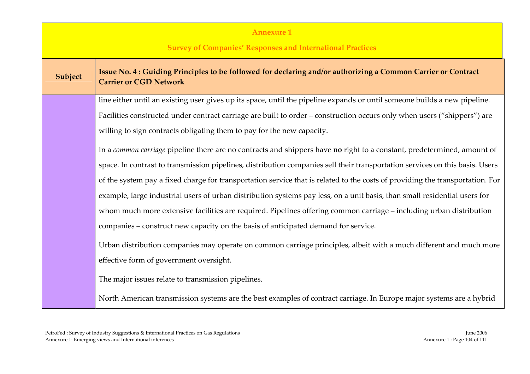| Subject | Issue No. 4: Guiding Principles to be followed for declaring and/or authorizing a Common Carrier or Contract<br><b>Carrier or CGD Network</b> |
|---------|-----------------------------------------------------------------------------------------------------------------------------------------------|
|         | line either until an existing user gives up its space, until the pipeline expands or until someone builds a new pipeline.                     |
|         | Facilities constructed under contract carriage are built to order – construction occurs only when users ("shippers") are                      |
|         | willing to sign contracts obligating them to pay for the new capacity.                                                                        |
|         | In a common carriage pipeline there are no contracts and shippers have no right to a constant, predetermined, amount of                       |
|         | space. In contrast to transmission pipelines, distribution companies sell their transportation services on this basis. Users                  |
|         | of the system pay a fixed charge for transportation service that is related to the costs of providing the transportation. For                 |
|         | example, large industrial users of urban distribution systems pay less, on a unit basis, than small residential users for                     |
|         | whom much more extensive facilities are required. Pipelines offering common carriage - including urban distribution                           |
|         | companies – construct new capacity on the basis of anticipated demand for service.                                                            |
|         | Urban distribution companies may operate on common carriage principles, albeit with a much different and much more                            |
|         | effective form of government oversight.                                                                                                       |
|         | The major issues relate to transmission pipelines.                                                                                            |
|         | North American transmission systems are the best examples of contract carriage. In Europe major systems are a hybrid                          |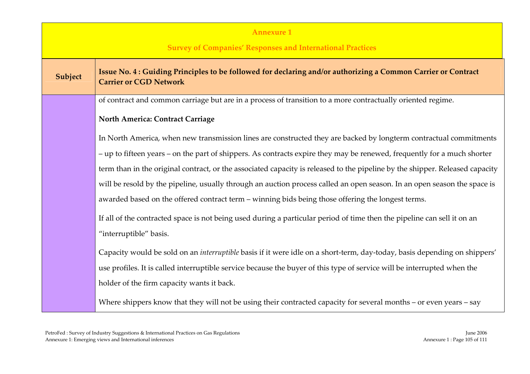| <b>Annexure 1</b><br><b>Survey of Companies' Responses and International Practices</b> |                                                                                                                                               |
|----------------------------------------------------------------------------------------|-----------------------------------------------------------------------------------------------------------------------------------------------|
| Subject                                                                                | Issue No. 4: Guiding Principles to be followed for declaring and/or authorizing a Common Carrier or Contract<br><b>Carrier or CGD Network</b> |
|                                                                                        | of contract and common carriage but are in a process of transition to a more contractually oriented regime.                                   |
|                                                                                        | <b>North America: Contract Carriage</b>                                                                                                       |
|                                                                                        | In North America, when new transmission lines are constructed they are backed by longterm contractual commitments                             |
|                                                                                        | - up to fifteen years - on the part of shippers. As contracts expire they may be renewed, frequently for a much shorter                       |
|                                                                                        | term than in the original contract, or the associated capacity is released to the pipeline by the shipper. Released capacity                  |
|                                                                                        | will be resold by the pipeline, usually through an auction process called an open season. In an open season the space is                      |
|                                                                                        | awarded based on the offered contract term - winning bids being those offering the longest terms.                                             |
|                                                                                        | If all of the contracted space is not being used during a particular period of time then the pipeline can sell it on an                       |
|                                                                                        | "interruptible" basis.                                                                                                                        |
|                                                                                        | Capacity would be sold on an <i>interruptible</i> basis if it were idle on a short-term, day-today, basis depending on shippers'              |
|                                                                                        | use profiles. It is called interruptible service because the buyer of this type of service will be interrupted when the                       |
|                                                                                        | holder of the firm capacity wants it back.                                                                                                    |
|                                                                                        | Where shippers know that they will not be using their contracted capacity for several months – or even years – say                            |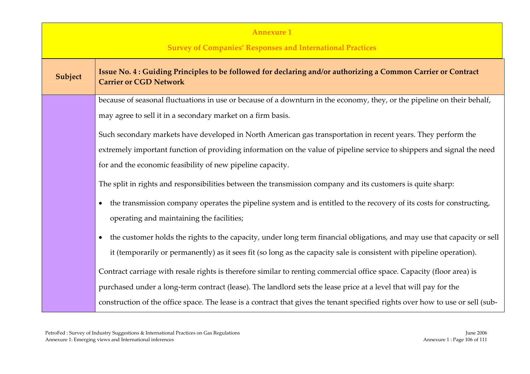# **Survey of Companies' Responses and International Practices**

| Subject | Issue No. 4: Guiding Principles to be followed for declaring and/or authorizing a Common Carrier or Contract<br><b>Carrier or CGD Network</b> |
|---------|-----------------------------------------------------------------------------------------------------------------------------------------------|
|         | because of seasonal fluctuations in use or because of a downturn in the economy, they, or the pipeline on their behalf,                       |
|         | may agree to sell it in a secondary market on a firm basis.                                                                                   |
|         | Such secondary markets have developed in North American gas transportation in recent years. They perform the                                  |
|         | extremely important function of providing information on the value of pipeline service to shippers and signal the need                        |
|         | for and the economic feasibility of new pipeline capacity.                                                                                    |
|         | The split in rights and responsibilities between the transmission company and its customers is quite sharp:                                   |
|         | the transmission company operates the pipeline system and is entitled to the recovery of its costs for constructing,<br>$\bullet$             |
|         | operating and maintaining the facilities;                                                                                                     |
|         | the customer holds the rights to the capacity, under long term financial obligations, and may use that capacity or sell<br>$\bullet$          |
|         | it (temporarily or permanently) as it sees fit (so long as the capacity sale is consistent with pipeline operation).                          |
|         | Contract carriage with resale rights is therefore similar to renting commercial office space. Capacity (floor area) is                        |
|         | purchased under a long-term contract (lease). The landlord sets the lease price at a level that will pay for the                              |
|         | construction of the office space. The lease is a contract that gives the tenant specified rights over how to use or sell (sub-                |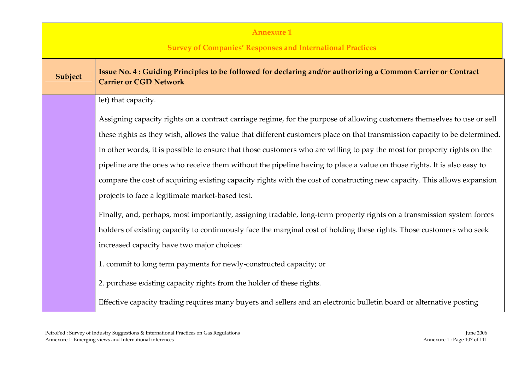| <b>Annexure 1</b><br><b>Survey of Companies' Responses and International Practices</b> |                                                                                                                                               |
|----------------------------------------------------------------------------------------|-----------------------------------------------------------------------------------------------------------------------------------------------|
| Subject                                                                                | Issue No. 4: Guiding Principles to be followed for declaring and/or authorizing a Common Carrier or Contract<br><b>Carrier or CGD Network</b> |
|                                                                                        | let) that capacity.                                                                                                                           |
|                                                                                        | Assigning capacity rights on a contract carriage regime, for the purpose of allowing customers themselves to use or sell                      |
|                                                                                        | these rights as they wish, allows the value that different customers place on that transmission capacity to be determined.                    |
|                                                                                        | In other words, it is possible to ensure that those customers who are willing to pay the most for property rights on the                      |
|                                                                                        | pipeline are the ones who receive them without the pipeline having to place a value on those rights. It is also easy to                       |
|                                                                                        | compare the cost of acquiring existing capacity rights with the cost of constructing new capacity. This allows expansion                      |
|                                                                                        | projects to face a legitimate market-based test.                                                                                              |
|                                                                                        | Finally, and, perhaps, most importantly, assigning tradable, long-term property rights on a transmission system forces                        |
|                                                                                        | holders of existing capacity to continuously face the marginal cost of holding these rights. Those customers who seek                         |
|                                                                                        | increased capacity have two major choices:                                                                                                    |
|                                                                                        | 1. commit to long term payments for newly-constructed capacity; or                                                                            |
|                                                                                        | 2. purchase existing capacity rights from the holder of these rights.                                                                         |
|                                                                                        | Effective capacity trading requires many buyers and sellers and an electronic bulletin board or alternative posting                           |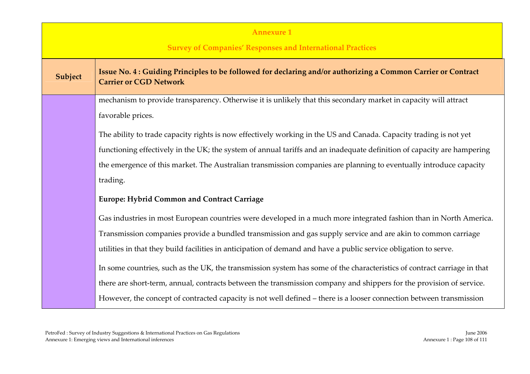| <b>Annexure 1</b><br><b>Survey of Companies' Responses and International Practices</b> |                                                                                                                                                |
|----------------------------------------------------------------------------------------|------------------------------------------------------------------------------------------------------------------------------------------------|
| Subject                                                                                | Issue No. 4 : Guiding Principles to be followed for declaring and/or authorizing a Common Carrier or Contract<br><b>Carrier or CGD Network</b> |
|                                                                                        | mechanism to provide transparency. Otherwise it is unlikely that this secondary market in capacity will attract                                |
|                                                                                        | favorable prices.                                                                                                                              |
|                                                                                        | The ability to trade capacity rights is now effectively working in the US and Canada. Capacity trading is not yet                              |
|                                                                                        | functioning effectively in the UK; the system of annual tariffs and an inadequate definition of capacity are hampering                         |
|                                                                                        | the emergence of this market. The Australian transmission companies are planning to eventually introduce capacity                              |
|                                                                                        | trading.                                                                                                                                       |
|                                                                                        | <b>Europe: Hybrid Common and Contract Carriage</b>                                                                                             |
|                                                                                        | Gas industries in most European countries were developed in a much more integrated fashion than in North America.                              |
|                                                                                        | Transmission companies provide a bundled transmission and gas supply service and are akin to common carriage                                   |
|                                                                                        | utilities in that they build facilities in anticipation of demand and have a public service obligation to serve.                               |
|                                                                                        | In some countries, such as the UK, the transmission system has some of the characteristics of contract carriage in that                        |
|                                                                                        | there are short-term, annual, contracts between the transmission company and shippers for the provision of service.                            |
|                                                                                        | However, the concept of contracted capacity is not well defined – there is a looser connection between transmission                            |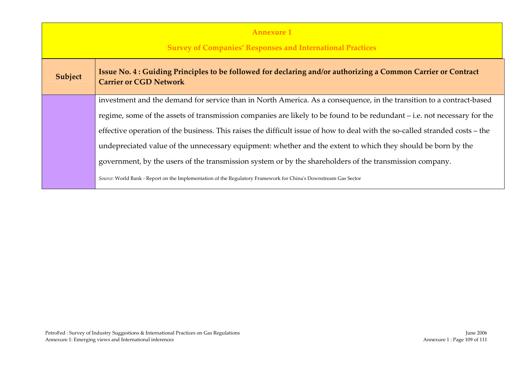# **Survey of Companies' Responses and International Practices**

| Subject | Issue No. 4: Guiding Principles to be followed for declaring and/or authorizing a Common Carrier or Contract<br><b>Carrier or CGD Network</b> |
|---------|-----------------------------------------------------------------------------------------------------------------------------------------------|
|         | investment and the demand for service than in North America. As a consequence, in the transition to a contract-based                          |
|         | regime, some of the assets of transmission companies are likely to be found to be redundant - i.e. not necessary for the                      |
|         | effective operation of the business. This raises the difficult issue of how to deal with the so-called stranded costs – the                   |
|         | undepreciated value of the unnecessary equipment: whether and the extent to which they should be born by the                                  |
|         | government, by the users of the transmission system or by the shareholders of the transmission company.                                       |
|         | Source: World Bank - Report on the Implementation of the Regulatory Framework for China's Downstream Gas Sector                               |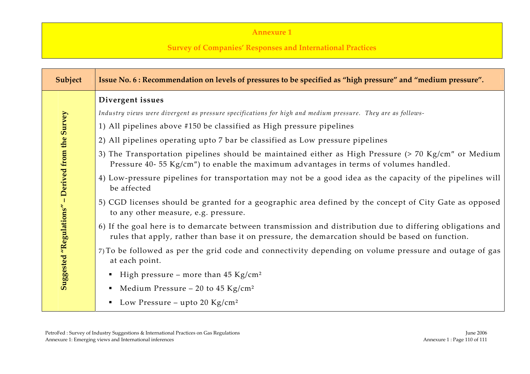# **Survey of Companies' Responses and International Practices**

| Subject                                           | Issue No. 6 : Recommendation on levels of pressures to be specified as "high pressure" and "medium pressure".                                                                                                 |
|---------------------------------------------------|---------------------------------------------------------------------------------------------------------------------------------------------------------------------------------------------------------------|
|                                                   | Divergent issues                                                                                                                                                                                              |
|                                                   | Industry views were divergent as pressure specifications for high and medium pressure. They are as follows-                                                                                                   |
|                                                   | 1) All pipelines above #150 be classified as High pressure pipelines                                                                                                                                          |
|                                                   | 2) All pipelines operating upto 7 bar be classified as Low pressure pipelines                                                                                                                                 |
|                                                   | 3) The Transportation pipelines should be maintained either as High Pressure (> 70 Kg/cm" or Medium<br>Pressure 40-55 Kg/cm") to enable the maximum advantages in terms of volumes handled.                   |
| Suggested "Regulations" – Derived from the Survey | 4) Low-pressure pipelines for transportation may not be a good idea as the capacity of the pipelines will<br>be affected                                                                                      |
|                                                   | 5) CGD licenses should be granted for a geographic area defined by the concept of City Gate as opposed<br>to any other measure, e.g. pressure.                                                                |
|                                                   | 6) If the goal here is to demarcate between transmission and distribution due to differing obligations and<br>rules that apply, rather than base it on pressure, the demarcation should be based on function. |
|                                                   | 7) To be followed as per the grid code and connectivity depending on volume pressure and outage of gas<br>at each point.                                                                                      |
|                                                   | ■ High pressure – more than $45$ Kg/cm <sup>2</sup>                                                                                                                                                           |
|                                                   | • Medium Pressure – 20 to 45 Kg/cm <sup>2</sup>                                                                                                                                                               |
|                                                   | Low Pressure – upto 20 $\text{Kg/cm}^2$                                                                                                                                                                       |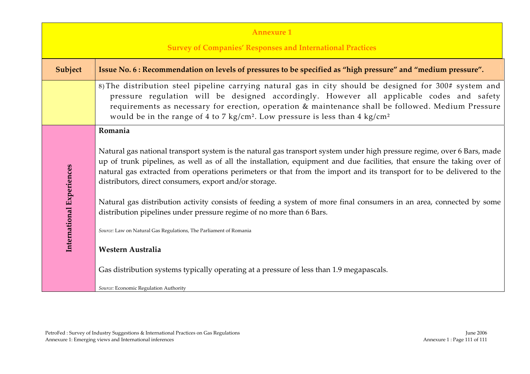| <b>Annexure 1</b>                                                 |                                                                                                                                                                                                                                                                                                                                                                                                                                       |
|-------------------------------------------------------------------|---------------------------------------------------------------------------------------------------------------------------------------------------------------------------------------------------------------------------------------------------------------------------------------------------------------------------------------------------------------------------------------------------------------------------------------|
| <b>Survey of Companies' Responses and International Practices</b> |                                                                                                                                                                                                                                                                                                                                                                                                                                       |
| Subject                                                           | Issue No. 6 : Recommendation on levels of pressures to be specified as "high pressure" and "medium pressure".                                                                                                                                                                                                                                                                                                                         |
|                                                                   | 8) The distribution steel pipeline carrying natural gas in city should be designed for 300# system and<br>pressure regulation will be designed accordingly. However all applicable codes and safety<br>requirements as necessary for erection, operation & maintenance shall be followed. Medium Pressure<br>would be in the range of 4 to 7 kg/cm <sup>2</sup> . Low pressure is less than 4 kg/cm <sup>2</sup>                      |
|                                                                   | Romania                                                                                                                                                                                                                                                                                                                                                                                                                               |
| International Experiences                                         | Natural gas national transport system is the natural gas transport system under high pressure regime, over 6 Bars, made<br>up of trunk pipelines, as well as of all the installation, equipment and due facilities, that ensure the taking over of<br>natural gas extracted from operations perimeters or that from the import and its transport for to be delivered to the<br>distributors, direct consumers, export and/or storage. |
|                                                                   | Natural gas distribution activity consists of feeding a system of more final consumers in an area, connected by some<br>distribution pipelines under pressure regime of no more than 6 Bars.                                                                                                                                                                                                                                          |
|                                                                   | Source: Law on Natural Gas Regulations, The Parliament of Romania                                                                                                                                                                                                                                                                                                                                                                     |
|                                                                   | Western Australia                                                                                                                                                                                                                                                                                                                                                                                                                     |
|                                                                   | Gas distribution systems typically operating at a pressure of less than 1.9 megapascals.                                                                                                                                                                                                                                                                                                                                              |
|                                                                   | Source: Economic Regulation Authority                                                                                                                                                                                                                                                                                                                                                                                                 |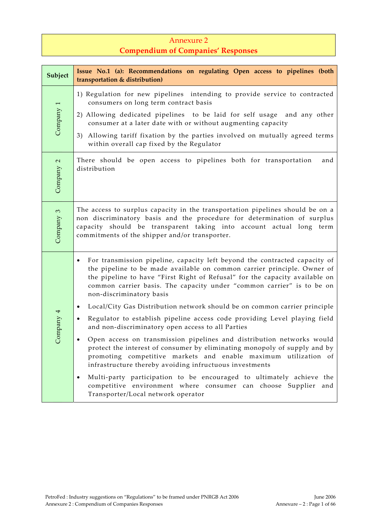#### **Compendium of Companies' Responses**

| Subject                      | Issue No.1 (a): Recommendations on regulating Open access to pipelines (both<br>transportation & distribution)                                                                                                                                                                                                                                                                                                                                                                                                                                                                                                                                                                                                                                                                                                                                                                                                                                                                                                                                                                |
|------------------------------|-------------------------------------------------------------------------------------------------------------------------------------------------------------------------------------------------------------------------------------------------------------------------------------------------------------------------------------------------------------------------------------------------------------------------------------------------------------------------------------------------------------------------------------------------------------------------------------------------------------------------------------------------------------------------------------------------------------------------------------------------------------------------------------------------------------------------------------------------------------------------------------------------------------------------------------------------------------------------------------------------------------------------------------------------------------------------------|
| Company 1                    | 1) Regulation for new pipelines intending to provide service to contracted<br>consumers on long term contract basis<br>2) Allowing dedicated pipelines to be laid for self usage and any other<br>consumer at a later date with or without augmenting capacity<br>3) Allowing tariff fixation by the parties involved on mutually agreed terms<br>within overall cap fixed by the Regulator                                                                                                                                                                                                                                                                                                                                                                                                                                                                                                                                                                                                                                                                                   |
| $\mathbf{\Omega}$<br>Company | There should be open access to pipelines both for transportation<br>and<br>distribution                                                                                                                                                                                                                                                                                                                                                                                                                                                                                                                                                                                                                                                                                                                                                                                                                                                                                                                                                                                       |
| $\infty$<br>Company          | The access to surplus capacity in the transportation pipelines should be on a<br>non discriminatory basis and the procedure for determination of surplus<br>capacity should be transparent taking into account actual long term<br>commitments of the shipper and/or transporter.                                                                                                                                                                                                                                                                                                                                                                                                                                                                                                                                                                                                                                                                                                                                                                                             |
| Company 4                    | For transmission pipeline, capacity left beyond the contracted capacity of<br>٠<br>the pipeline to be made available on common carrier principle. Owner of<br>the pipeline to have "First Right of Refusal" for the capacity available on<br>common carrier basis. The capacity under "common carrier" is to be on<br>non-discriminatory basis<br>Local/City Gas Distribution network should be on common carrier principle<br>$\bullet$<br>Regulator to establish pipeline access code providing Level playing field<br>٠<br>and non-discriminatory open access to all Parties<br>Open access on transmission pipelines and distribution networks would<br>$\bullet$<br>protect the interest of consumer by eliminating monopoly of supply and by<br>promoting competitive markets and enable maximum utilization of<br>infrastructure thereby avoiding infructuous investments<br>Multi-party participation to be encouraged to ultimately achieve the<br>$\bullet$<br>competitive environment where consumer can choose Supplier and<br>Transporter/Local network operator |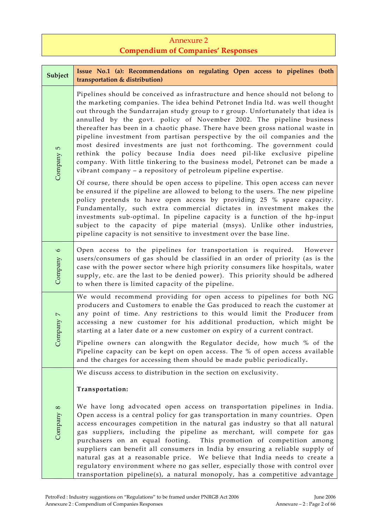| Subject                   | Issue No.1 (a): Recommendations on regulating Open access to pipelines (both<br>transportation & distribution)                                                                                                                                                                                                                                                                                                                                                                                                                                                                                                                                                                                                                                                                                     |
|---------------------------|----------------------------------------------------------------------------------------------------------------------------------------------------------------------------------------------------------------------------------------------------------------------------------------------------------------------------------------------------------------------------------------------------------------------------------------------------------------------------------------------------------------------------------------------------------------------------------------------------------------------------------------------------------------------------------------------------------------------------------------------------------------------------------------------------|
| $\overline{5}$<br>Company | Pipelines should be conceived as infrastructure and hence should not belong to<br>the marketing companies. The idea behind Petronet India ltd. was well thought<br>out through the Sundarrajan study group to r group. Unfortunately that idea is<br>annulled by the govt. policy of November 2002. The pipeline business<br>thereafter has been in a chaotic phase. There have been gross national waste in<br>pipeline investment from partisan perspective by the oil companies and the<br>most desired investments are just not forthcoming. The government could<br>rethink the policy because India does need pil-like exclusive pipeline<br>company. With little tinkering to the business model, Petronet can be made a<br>vibrant company - a repository of petroleum pipeline expertise. |
|                           | Of course, there should be open access to pipeline. This open access can never<br>be ensured if the pipeline are allowed to belong to the users. The new pipeline<br>policy pretends to have open access by providing 25 % spare capacity.<br>Fundamentally, such extra commercial dictates in investment makes the<br>investments sub-optimal. In pipeline capacity is a function of the hp-input<br>subject to the capacity of pipe material (msys). Unlike other industries,<br>pipeline capacity is not sensitive to investment over the base line.                                                                                                                                                                                                                                            |
| $\bullet$<br>Company      | Open access to the pipelines for transportation is required. However<br>users/consumers of gas should be classified in an order of priority (as is the<br>case with the power sector where high priority consumers like hospitals, water<br>supply, etc. are the last to be denied power). This priority should be adhered<br>to when there is limited capacity of the pipeline.                                                                                                                                                                                                                                                                                                                                                                                                                   |
| Company 7                 | We would recommend providing for open access to pipelines for both NG<br>producers and Customers to enable the Gas produced to reach the customer at<br>any point of time. Any restrictions to this would limit the Producer from<br>accessing a new customer for his additional production, which might be<br>starting at a later date or a new customer on expiry of a current contract.                                                                                                                                                                                                                                                                                                                                                                                                         |
|                           | Pipeline owners can alongwith the Regulator decide, how much % of the<br>Pipeline capacity can be kept on open access. The % of open access available<br>and the charges for accessing them should be made public periodically.                                                                                                                                                                                                                                                                                                                                                                                                                                                                                                                                                                    |
|                           | We discuss access to distribution in the section on exclusivity.                                                                                                                                                                                                                                                                                                                                                                                                                                                                                                                                                                                                                                                                                                                                   |
| Company 8                 | Transportation:<br>We have long advocated open access on transportation pipelines in India.<br>Open access is a central policy for gas transportation in many countries. Open<br>access encourages competition in the natural gas industry so that all natural<br>gas suppliers, including the pipeline as merchant, will compete for gas<br>purchasers on an equal footing.<br>This promotion of competition among<br>suppliers can benefit all consumers in India by ensuring a reliable supply of<br>natural gas at a reasonable price. We believe that India needs to create a<br>regulatory environment where no gas seller, especially those with control over<br>transportation pipeline(s), a natural monopoly, has a competitive advantage                                                |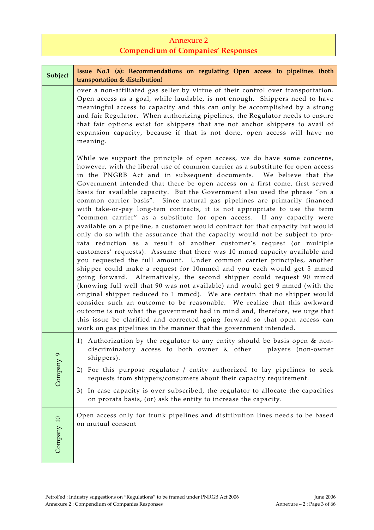| Subject    | Issue No.1 (a): Recommendations on regulating Open access to pipelines (both<br>transportation & distribution)                                                                                                                                                                                                                                                                                                                                                                                                                                                                                                                                                                                                                                                                                                                                                                                                                                                                                                                                                                                                                                                                                                                                                                                                                                                                                                                                                                                                                                                                                                                                                        |
|------------|-----------------------------------------------------------------------------------------------------------------------------------------------------------------------------------------------------------------------------------------------------------------------------------------------------------------------------------------------------------------------------------------------------------------------------------------------------------------------------------------------------------------------------------------------------------------------------------------------------------------------------------------------------------------------------------------------------------------------------------------------------------------------------------------------------------------------------------------------------------------------------------------------------------------------------------------------------------------------------------------------------------------------------------------------------------------------------------------------------------------------------------------------------------------------------------------------------------------------------------------------------------------------------------------------------------------------------------------------------------------------------------------------------------------------------------------------------------------------------------------------------------------------------------------------------------------------------------------------------------------------------------------------------------------------|
|            | over a non-affiliated gas seller by virtue of their control over transportation.<br>Open access as a goal, while laudable, is not enough. Shippers need to have<br>meaningful access to capacity and this can only be accomplished by a strong<br>and fair Regulator. When authorizing pipelines, the Regulator needs to ensure<br>that fair options exist for shippers that are not anchor shippers to avail of<br>expansion capacity, because if that is not done, open access will have no<br>meaning.                                                                                                                                                                                                                                                                                                                                                                                                                                                                                                                                                                                                                                                                                                                                                                                                                                                                                                                                                                                                                                                                                                                                                             |
|            | While we support the principle of open access, we do have some concerns,<br>however, with the liberal use of common carrier as a substitute for open access<br>in the PNGRB Act and in subsequent documents. We believe that the<br>Government intended that there be open access on a first come, first served<br>basis for available capacity. But the Government also used the phrase "on a<br>common carrier basis". Since natural gas pipelines are primarily financed<br>with take-or-pay long-tem contracts, it is not appropriate to use the term<br>"common carrier" as a substitute for open access. If any capacity were<br>available on a pipeline, a customer would contract for that capacity but would<br>only do so with the assurance that the capacity would not be subject to pro-<br>rata reduction as a result of another customer's request (or multiple<br>customers' requests). Assume that there was 10 mmcd capacity available and<br>you requested the full amount. Under common carrier principles, another<br>shipper could make a request for 10mmcd and you each would get 5 mmcd<br>going forward. Alternatively, the second shipper could request 90 mmcd<br>(knowing full well that 90 was not available) and would get 9 mmcd (with the<br>original shipper reduced to 1 mmcd). We are certain that no shipper would<br>consider such an outcome to be reasonable. We realize that this awkward<br>outcome is not what the government had in mind and, therefore, we urge that<br>this issue be clarified and corrected going forward so that open access can<br>work on gas pipelines in the manner that the government intended. |
| Company 9  | 1) Authorization by the regulator to any entity should be basis open & non-<br>discriminatory access to both owner & other<br>players (non-owner<br>shippers).<br>2) For this purpose regulator / entity authorized to lay pipelines to seek<br>requests from shippers/consumers about their capacity requirement.                                                                                                                                                                                                                                                                                                                                                                                                                                                                                                                                                                                                                                                                                                                                                                                                                                                                                                                                                                                                                                                                                                                                                                                                                                                                                                                                                    |
|            | In case capacity is over subscribed, the regulator to allocate the capacities<br>3)<br>on prorata basis, (or) ask the entity to increase the capacity.                                                                                                                                                                                                                                                                                                                                                                                                                                                                                                                                                                                                                                                                                                                                                                                                                                                                                                                                                                                                                                                                                                                                                                                                                                                                                                                                                                                                                                                                                                                |
| Company 10 | Open access only for trunk pipelines and distribution lines needs to be based<br>on mutual consent                                                                                                                                                                                                                                                                                                                                                                                                                                                                                                                                                                                                                                                                                                                                                                                                                                                                                                                                                                                                                                                                                                                                                                                                                                                                                                                                                                                                                                                                                                                                                                    |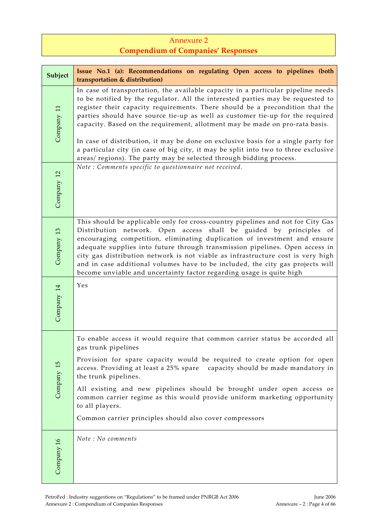| Subject    | Issue No.1 (a): Recommendations on regulating Open access to pipelines (both<br>transportation & distribution)                                                                                                                                                                                                                                                                                                                                                                                                                                                                                                                                                           |
|------------|--------------------------------------------------------------------------------------------------------------------------------------------------------------------------------------------------------------------------------------------------------------------------------------------------------------------------------------------------------------------------------------------------------------------------------------------------------------------------------------------------------------------------------------------------------------------------------------------------------------------------------------------------------------------------|
| Company 11 | In case of transportation, the available capacity in a particular pipeline needs<br>to be notified by the regulator. All the interested parties may be requested to<br>register their capacity requirements. There should be a precondition that the<br>parties should have source tie-up as well as customer tie-up for the required<br>capacity. Based on the requirement, allotment may be made on pro-rata basis.<br>In case of distribution, it may be done on exclusive basis for a single party for<br>a particular city (in case of big city, it may be split into two to three exclusive<br>areas/ regions). The party may be selected through bidding process. |
| Company 12 | Note: Comments specific to questionnaire not received.                                                                                                                                                                                                                                                                                                                                                                                                                                                                                                                                                                                                                   |
| Company 13 | This should be applicable only for cross-country pipelines and not for City Gas<br>Distribution network. Open access shall be guided by principles of<br>encouraging competition, eliminating duplication of investment and ensure<br>adequate supplies into future through transmission pipelines. Open access in<br>city gas distribution network is not viable as infrastructure cost is very high<br>and in case additional volumes have to be included, the city gas projects will<br>become unviable and uncertainty factor regarding usage is quite high                                                                                                          |
| Company 14 | Yes                                                                                                                                                                                                                                                                                                                                                                                                                                                                                                                                                                                                                                                                      |
| Company 15 | To enable access it would require that common carrier status be accorded all<br>gas trunk pipelines<br>Provision for spare capacity would be required to create option for open<br>access. Providing at least a 25% spare<br>capacity should be made mandatory in<br>the trunk pipelines.<br>All existing and new pipelines should be brought under open access or<br>common carrier regime as this would provide uniform marketing opportunity<br>to all players.<br>Common carrier principles should also cover compressors                                                                                                                                            |
| Company 16 | Note: No comments                                                                                                                                                                                                                                                                                                                                                                                                                                                                                                                                                                                                                                                        |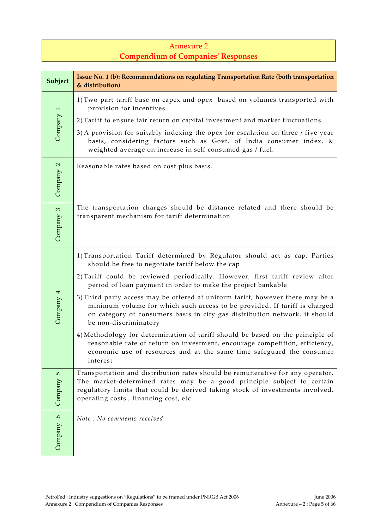| Subject                   | Issue No. 1 (b): Recommendations on regulating Transportation Rate (both transportation<br>& distribution)                                                                                                                                                                         |
|---------------------------|------------------------------------------------------------------------------------------------------------------------------------------------------------------------------------------------------------------------------------------------------------------------------------|
| Company 1                 | 1) Two part tariff base on capex and opex based on volumes transported with<br>provision for incentives                                                                                                                                                                            |
|                           | 2) Tariff to ensure fair return on capital investment and market fluctuations.                                                                                                                                                                                                     |
|                           | 3) A provision for suitably indexing the opex for escalation on three / five year<br>basis, considering factors such as Govt. of India consumer index, &<br>weighted average on increase in self consumed gas / fuel.                                                              |
| Company 2                 | Reasonable rates based on cost plus basis.                                                                                                                                                                                                                                         |
| Company 3                 | The transportation charges should be distance related and there should be<br>transparent mechanism for tariff determination                                                                                                                                                        |
|                           | 1) Transportation Tariff determined by Regulator should act as cap. Parties<br>should be free to negotiate tariff below the cap                                                                                                                                                    |
|                           | 2) Tariff could be reviewed periodically. However, first tariff review after<br>period of loan payment in order to make the project bankable                                                                                                                                       |
| Company $4$               | 3) Third party access may be offered at uniform tariff, however there may be a<br>minimum volume for which such access to be provided. If tariff is charged<br>on category of consumers basis in city gas distribution network, it should<br>be non-discriminatory                 |
|                           | 4) Methodology for determination of tariff should be based on the principle of<br>reasonable rate of return on investment, encourage competition, efficiency,<br>economic use of resources and at the same time safeguard the consumer<br>interest                                 |
| $\overline{5}$<br>Company | Transportation and distribution rates should be remunerative for any operator.<br>The market-determined rates may be a good principle subject to certain<br>regulatory limits that could be derived taking stock of investments involved,<br>operating costs, financing cost, etc. |
| Company 6                 | Note: No comments received                                                                                                                                                                                                                                                         |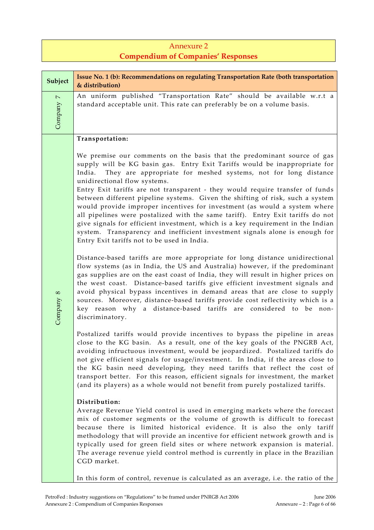| Subject                          | Issue No. 1 (b): Recommendations on regulating Transportation Rate (both transportation<br>& distribution)                                                                                                                                                                                                                                                                                                                                                                                                                                                                                                                                                                                                                                                                                                                                                                                                                                                                                                                                                                                                                                               |
|----------------------------------|----------------------------------------------------------------------------------------------------------------------------------------------------------------------------------------------------------------------------------------------------------------------------------------------------------------------------------------------------------------------------------------------------------------------------------------------------------------------------------------------------------------------------------------------------------------------------------------------------------------------------------------------------------------------------------------------------------------------------------------------------------------------------------------------------------------------------------------------------------------------------------------------------------------------------------------------------------------------------------------------------------------------------------------------------------------------------------------------------------------------------------------------------------|
| $\boldsymbol{\nabla}$<br>Company | An uniform published "Transportation Rate" should be available w.r.t a<br>standard acceptable unit. This rate can preferably be on a volume basis.                                                                                                                                                                                                                                                                                                                                                                                                                                                                                                                                                                                                                                                                                                                                                                                                                                                                                                                                                                                                       |
|                                  | Transportation:                                                                                                                                                                                                                                                                                                                                                                                                                                                                                                                                                                                                                                                                                                                                                                                                                                                                                                                                                                                                                                                                                                                                          |
|                                  | We premise our comments on the basis that the predominant source of gas<br>supply will be KG basin gas. Entry Exit Tariffs would be inappropriate for<br>They are appropriate for meshed systems, not for long distance<br>India.<br>unidirectional flow systems.<br>Entry Exit tariffs are not transparent - they would require transfer of funds<br>between different pipeline systems. Given the shifting of risk, such a system<br>would provide improper incentives for investment (as would a system where<br>all pipelines were postalized with the same tariff). Entry Exit tariffs do not<br>give signals for efficient investment, which is a key requirement in the Indian<br>system. Transparency and inefficient investment signals alone is enough for<br>Entry Exit tariffs not to be used in India.<br>Distance-based tariffs are more appropriate for long distance unidirectional<br>flow systems (as in India, the US and Australia) however, if the predominant<br>gas supplies are on the east coast of India, they will result in higher prices on<br>the west coast. Distance-based tariffs give efficient investment signals and |
| Company 8                        | avoid physical bypass incentives in demand areas that are close to supply<br>sources. Moreover, distance-based tariffs provide cost reflectivity which is a<br>key reason why a distance-based tariffs are considered to be non-<br>discriminatory.<br>Postalized tariffs would provide incentives to bypass the pipeline in areas                                                                                                                                                                                                                                                                                                                                                                                                                                                                                                                                                                                                                                                                                                                                                                                                                       |
|                                  | close to the KG basin. As a result, one of the key goals of the PNGRB Act,<br>avoiding infructuous investment, would be jeopardized. Postalized tariffs do<br>not give efficient signals for usage/investment. In India, if the areas close to<br>the KG basin need developing, they need tariffs that reflect the cost of<br>transport better. For this reason, efficient signals for investment, the market<br>(and its players) as a whole would not benefit from purely postalized tariffs.                                                                                                                                                                                                                                                                                                                                                                                                                                                                                                                                                                                                                                                          |
|                                  | Distribution:<br>Average Revenue Yield control is used in emerging markets where the forecast<br>mix of customer segments or the volume of growth is difficult to forecast<br>because there is limited historical evidence. It is also the only tariff<br>methodology that will provide an incentive for efficient network growth and is<br>typically used for green field sites or where network expansion is material.<br>The average revenue yield control method is currently in place in the Brazilian<br>CGD market.                                                                                                                                                                                                                                                                                                                                                                                                                                                                                                                                                                                                                               |

In this form of control, revenue is calculated as an average, i.e. the ratio of the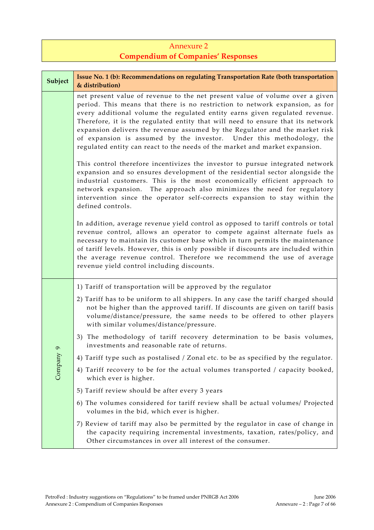| Annexure 2                                |
|-------------------------------------------|
| <b>Compendium of Companies' Responses</b> |

| Subject | Issue No. 1 (b): Recommendations on regulating Transportation Rate (both transportation<br>& distribution)                                                                                                                                                                                                                                                                                                                                                                                                                                                           |
|---------|----------------------------------------------------------------------------------------------------------------------------------------------------------------------------------------------------------------------------------------------------------------------------------------------------------------------------------------------------------------------------------------------------------------------------------------------------------------------------------------------------------------------------------------------------------------------|
|         | net present value of revenue to the net present value of volume over a given<br>period. This means that there is no restriction to network expansion, as for<br>every additional volume the regulated entity earns given regulated revenue.<br>Therefore, it is the regulated entity that will need to ensure that its network<br>expansion delivers the revenue assumed by the Regulator and the market risk<br>of expansion is assumed by the investor. Under this methodology, the<br>regulated entity can react to the needs of the market and market expansion. |
|         | This control therefore incentivizes the investor to pursue integrated network<br>expansion and so ensures development of the residential sector alongside the<br>industrial customers. This is the most economically efficient approach to<br>network expansion. The approach also minimizes the need for regulatory<br>intervention since the operator self-corrects expansion to stay within the<br>defined controls.                                                                                                                                              |
|         | In addition, average revenue yield control as opposed to tariff controls or total<br>revenue control, allows an operator to compete against alternate fuels as<br>necessary to maintain its customer base which in turn permits the maintenance<br>of tariff levels. However, this is only possible if discounts are included within<br>the average revenue control. Therefore we recommend the use of average<br>revenue yield control including discounts.                                                                                                         |
|         | 1) Tariff of transportation will be approved by the regulator                                                                                                                                                                                                                                                                                                                                                                                                                                                                                                        |
|         | 2) Tariff has to be uniform to all shippers. In any case the tariff charged should<br>not be higher than the approved tariff. If discounts are given on tariff basis<br>volume/distance/pressure, the same needs to be offered to other players<br>with similar volumes/distance/pressure.                                                                                                                                                                                                                                                                           |
| ᡡ       | 3) The methodology of tariff recovery determination to be basis volumes,<br>investments and reasonable rate of returns.                                                                                                                                                                                                                                                                                                                                                                                                                                              |
|         | 4) Tariff type such as postalised / Zonal etc. to be as specified by the regulator.                                                                                                                                                                                                                                                                                                                                                                                                                                                                                  |
| Company | 4) Tariff recovery to be for the actual volumes transported / capacity booked,<br>which ever is higher.                                                                                                                                                                                                                                                                                                                                                                                                                                                              |
|         | 5) Tariff review should be after every 3 years                                                                                                                                                                                                                                                                                                                                                                                                                                                                                                                       |
|         | 6) The volumes considered for tariff review shall be actual volumes/ Projected<br>volumes in the bid, which ever is higher.                                                                                                                                                                                                                                                                                                                                                                                                                                          |
|         | 7) Review of tariff may also be permitted by the regulator in case of change in<br>the capacity requiring incremental investments, taxation, rates/policy, and<br>Other circumstances in over all interest of the consumer.                                                                                                                                                                                                                                                                                                                                          |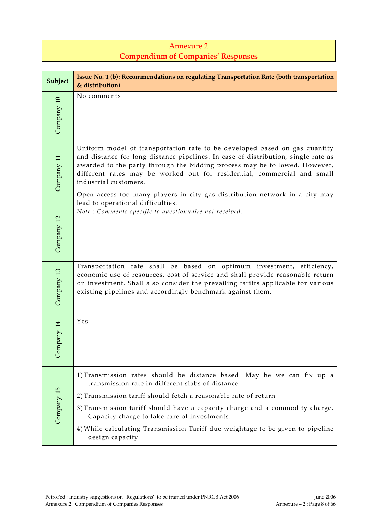| Subject        | Issue No. 1 (b): Recommendations on regulating Transportation Rate (both transportation<br>& distribution)                                                                                                                                                                                                                                                                                                                                                            |
|----------------|-----------------------------------------------------------------------------------------------------------------------------------------------------------------------------------------------------------------------------------------------------------------------------------------------------------------------------------------------------------------------------------------------------------------------------------------------------------------------|
| Company 10     | No comments                                                                                                                                                                                                                                                                                                                                                                                                                                                           |
| Company 11     | Uniform model of transportation rate to be developed based on gas quantity<br>and distance for long distance pipelines. In case of distribution, single rate as<br>awarded to the party through the bidding process may be followed. However,<br>different rates may be worked out for residential, commercial and small<br>industrial customers.<br>Open access too many players in city gas distribution network in a city may<br>lead to operational difficulties. |
| Company 12     | Note: Comments specific to questionnaire not received.                                                                                                                                                                                                                                                                                                                                                                                                                |
| Company 13     | Transportation rate shall be based on optimum investment, efficiency,<br>economic use of resources, cost of service and shall provide reasonable return<br>on investment. Shall also consider the prevailing tariffs applicable for various<br>existing pipelines and accordingly benchmark against them.                                                                                                                                                             |
| ompany 14<br>Ũ | Yes                                                                                                                                                                                                                                                                                                                                                                                                                                                                   |
| Company 15     | 1) Transmission rates should be distance based. May be we can fix up a<br>transmission rate in different slabs of distance<br>2) Transmission tariff should fetch a reasonable rate of return<br>3) Transmission tariff should have a capacity charge and a commodity charge.<br>Capacity charge to take care of investments.<br>4) While calculating Transmission Tariff due weightage to be given to pipeline<br>design capacity                                    |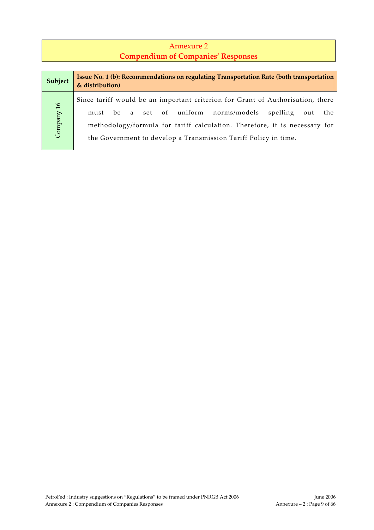| Subject    | Issue No. 1 (b): Recommendations on regulating Transportation Rate (both transportation<br>& distribution)                                                                                                                                                                                         |
|------------|----------------------------------------------------------------------------------------------------------------------------------------------------------------------------------------------------------------------------------------------------------------------------------------------------|
| Company 16 | Since tariff would be an important criterion for Grant of Authorisation, there<br>must be a set of uniform norms/models<br>spelling<br>the<br>out<br>methodology/formula for tariff calculation. Therefore, it is necessary for<br>the Government to develop a Transmission Tariff Policy in time. |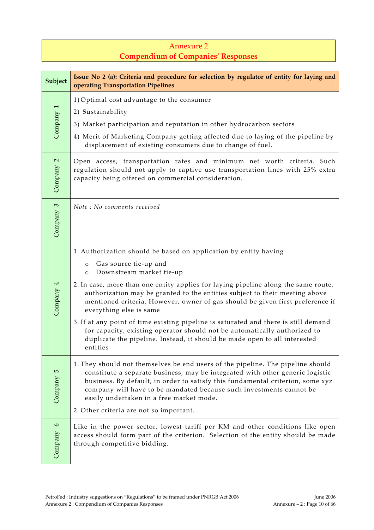| Subject                   | Issue No 2 (a): Criteria and procedure for selection by regulator of entity for laying and<br>operating Transportation Pipelines                                                                                                                                                                                                                                      |
|---------------------------|-----------------------------------------------------------------------------------------------------------------------------------------------------------------------------------------------------------------------------------------------------------------------------------------------------------------------------------------------------------------------|
|                           | 1) Optimal cost advantage to the consumer                                                                                                                                                                                                                                                                                                                             |
|                           | 2) Sustainability                                                                                                                                                                                                                                                                                                                                                     |
| Company 1                 | 3) Market participation and reputation in other hydrocarbon sectors                                                                                                                                                                                                                                                                                                   |
|                           | 4) Merit of Marketing Company getting affected due to laying of the pipeline by<br>displacement of existing consumers due to change of fuel.                                                                                                                                                                                                                          |
| Company 2                 | Open access, transportation rates and minimum net worth criteria. Such<br>regulation should not apply to captive use transportation lines with 25% extra<br>capacity being offered on commercial consideration.                                                                                                                                                       |
| Company 3                 | Note: No comments received                                                                                                                                                                                                                                                                                                                                            |
|                           | 1. Authorization should be based on application by entity having                                                                                                                                                                                                                                                                                                      |
|                           | Gas source tie-up and<br>$\circ$<br>Downstream market tie-up<br>$\circ$                                                                                                                                                                                                                                                                                               |
| Company 4                 | 2. In case, more than one entity applies for laying pipeline along the same route,<br>authorization may be granted to the entities subject to their meeting above<br>mentioned criteria. However, owner of gas should be given first preference if<br>everything else is same                                                                                         |
|                           | 3. If at any point of time existing pipeline is saturated and there is still demand<br>for capacity, existing operator should not be automatically authorized to<br>duplicate the pipeline. Instead, it should be made open to all interested<br>entities                                                                                                             |
| $\overline{5}$<br>Company | 1. They should not themselves be end users of the pipeline. The pipeline should<br>constitute a separate business, may be integrated with other generic logistic<br>business. By default, in order to satisfy this fundamental criterion, some xyz<br>company will have to be mandated because such investments cannot be<br>easily undertaken in a free market mode. |
|                           | 2. Other criteria are not so important.                                                                                                                                                                                                                                                                                                                               |
| Company 6                 | Like in the power sector, lowest tariff per KM and other conditions like open<br>access should form part of the criterion. Selection of the entity should be made<br>through competitive bidding.                                                                                                                                                                     |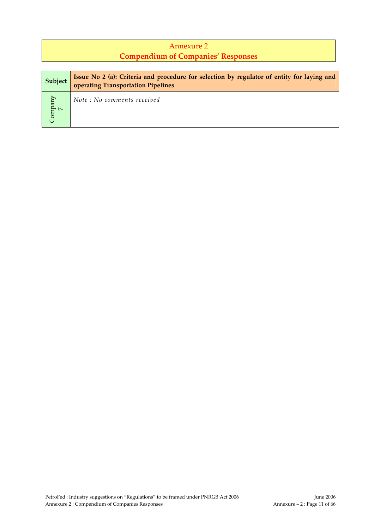|         | Annexure 2                                                                                                                       |
|---------|----------------------------------------------------------------------------------------------------------------------------------|
|         | <b>Compendium of Companies' Responses</b>                                                                                        |
|         |                                                                                                                                  |
| Subject | Issue No 2 (a): Criteria and procedure for selection by regulator of entity for laying and<br>operating Transportation Pipelines |

|     | <b>operating Transportation Pipelines</b> |
|-----|-------------------------------------------|
| jar | Note: No comments received                |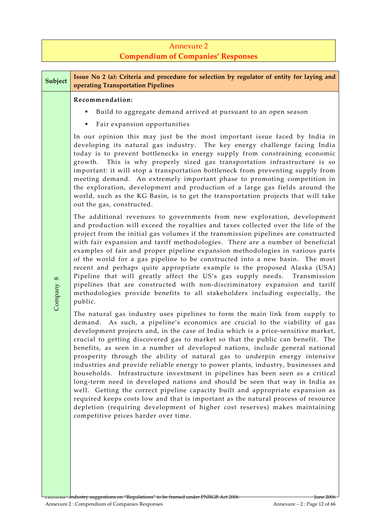| <b>Annexure 2</b>                         |  |                                                                                                                                                                                                                                                                                                                                                                                                                                                                                                                                                                                                                                                                                                                                                                                                                                                                                                                                                                                                                                                      |
|-------------------------------------------|--|------------------------------------------------------------------------------------------------------------------------------------------------------------------------------------------------------------------------------------------------------------------------------------------------------------------------------------------------------------------------------------------------------------------------------------------------------------------------------------------------------------------------------------------------------------------------------------------------------------------------------------------------------------------------------------------------------------------------------------------------------------------------------------------------------------------------------------------------------------------------------------------------------------------------------------------------------------------------------------------------------------------------------------------------------|
| <b>Compendium of Companies' Responses</b> |  |                                                                                                                                                                                                                                                                                                                                                                                                                                                                                                                                                                                                                                                                                                                                                                                                                                                                                                                                                                                                                                                      |
| Subject                                   |  | Issue No 2 (a): Criteria and procedure for selection by regulator of entity for laying and<br>operating Transportation Pipelines                                                                                                                                                                                                                                                                                                                                                                                                                                                                                                                                                                                                                                                                                                                                                                                                                                                                                                                     |
|                                           |  | Recommendation:                                                                                                                                                                                                                                                                                                                                                                                                                                                                                                                                                                                                                                                                                                                                                                                                                                                                                                                                                                                                                                      |
|                                           |  | Build to aggregate demand arrived at pursuant to an open season                                                                                                                                                                                                                                                                                                                                                                                                                                                                                                                                                                                                                                                                                                                                                                                                                                                                                                                                                                                      |
|                                           |  | Fair expansion opportunities                                                                                                                                                                                                                                                                                                                                                                                                                                                                                                                                                                                                                                                                                                                                                                                                                                                                                                                                                                                                                         |
| Company 8                                 |  | In our opinion this may just be the most important issue faced by India in<br>developing its natural gas industry. The key energy challenge facing India<br>today is to prevent bottlenecks in energy supply from constraining economic<br>This is why properly sized gas transportation infrastructure is so<br>growth.<br>important: it will stop a transportation bottleneck from preventing supply from<br>meeting demand. An extremely important phase to promoting competition in<br>the exploration, development and production of a large gas fields around the<br>world, such as the KG Basin, is to get the transportation projects that will take<br>out the gas, constructed.                                                                                                                                                                                                                                                                                                                                                            |
|                                           |  | The additional revenues to governments from new exploration, development<br>and production will exceed the royalties and taxes collected over the life of the<br>project from the initial gas volumes if the transmission pipelines are constructed<br>with fair expansion and tariff methodologies. There are a number of beneficial<br>examples of fair and proper pipeline expansion methodologies in various parts<br>of the world for a gas pipeline to be constructed into a new basin. The most<br>recent and perhaps quite appropriate example is the proposed Alaska (USA)<br>Pipeline that will greatly affect the US's gas supply needs. Transmission<br>pipelines that are constructed with non-discriminatory expansion and tariff<br>methodologies provide benefits to all stakeholders including especially, the<br>public.                                                                                                                                                                                                           |
|                                           |  | The natural gas industry uses pipelines to form the main link from supply to<br>demand. As such, a pipeline's economics are crucial to the viability of gas<br>development projects and, in the case of India which is a price-sensitive market,<br>crucial to getting discovered gas to market so that the public can benefit. The<br>benefits, as seen in a number of developed nations, include general national<br>prosperity through the ability of natural gas to underpin energy intensive<br>industries and provide reliable energy to power plants, industry, businesses and<br>households. Infrastructure investment in pipelines has been seen as a critical<br>long-term need in developed nations and should be seen that way in India as<br>well. Getting the correct pipeline capacity built and appropriate expansion as<br>required keeps costs low and that is important as the natural process of resource<br>depletion (requiring development of higher cost reserves) makes maintaining<br>competitive prices harder over time. |
|                                           |  |                                                                                                                                                                                                                                                                                                                                                                                                                                                                                                                                                                                                                                                                                                                                                                                                                                                                                                                                                                                                                                                      |

1 euorea : Industry suggestions on "Regulations" to be framed under PNRGB Act 2006  $\,$  June 2006  $\,$  June 2006  $\,$ Annexure 2 : Compendium of Companies Responses Annexure – 2 : Page 12 of 66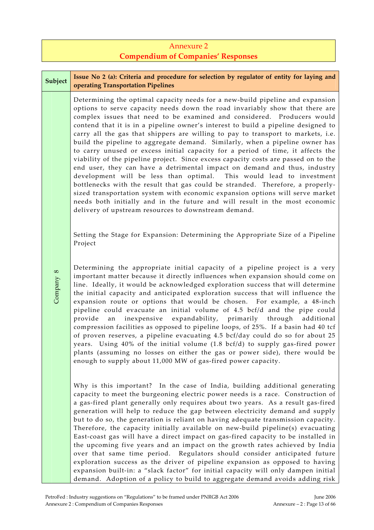| <b>Annexure 2</b>                         |                                                                                                                                                                                                                                                                                                                                                                                                                                                                                                                                                                                                                                                                                                                                                                                                                                                                                                                                                                                                                                                                                                                                                                                                                                          |
|-------------------------------------------|------------------------------------------------------------------------------------------------------------------------------------------------------------------------------------------------------------------------------------------------------------------------------------------------------------------------------------------------------------------------------------------------------------------------------------------------------------------------------------------------------------------------------------------------------------------------------------------------------------------------------------------------------------------------------------------------------------------------------------------------------------------------------------------------------------------------------------------------------------------------------------------------------------------------------------------------------------------------------------------------------------------------------------------------------------------------------------------------------------------------------------------------------------------------------------------------------------------------------------------|
| <b>Compendium of Companies' Responses</b> |                                                                                                                                                                                                                                                                                                                                                                                                                                                                                                                                                                                                                                                                                                                                                                                                                                                                                                                                                                                                                                                                                                                                                                                                                                          |
| Subject                                   | Issue No 2 (a): Criteria and procedure for selection by regulator of entity for laying and<br>operating Transportation Pipelines                                                                                                                                                                                                                                                                                                                                                                                                                                                                                                                                                                                                                                                                                                                                                                                                                                                                                                                                                                                                                                                                                                         |
|                                           | Determining the optimal capacity needs for a new-build pipeline and expansion<br>options to serve capacity needs down the road invariably show that there are<br>complex issues that need to be examined and considered. Producers would<br>contend that it is in a pipeline owner's interest to build a pipeline designed to<br>carry all the gas that shippers are willing to pay to transport to markets, i.e.<br>build the pipeline to aggregate demand. Similarly, when a pipeline owner has<br>to carry unused or excess initial capacity for a period of time, it affects the<br>viability of the pipeline project. Since excess capacity costs are passed on to the<br>end user, they can have a detrimental impact on demand and thus, industry<br>development will be less than optimal. This would lead to investment<br>bottlenecks with the result that gas could be stranded. Therefore, a properly-<br>sized transportation system with economic expansion options will serve market<br>needs both initially and in the future and will result in the most economic<br>delivery of upstream resources to downstream demand.<br>Setting the Stage for Expansion: Determining the Appropriate Size of a Pipeline<br>Project |
| Company 8                                 | Determining the appropriate initial capacity of a pipeline project is a very<br>important matter because it directly influences when expansion should come on<br>line. Ideally, it would be acknowledged exploration success that will determine<br>the initial capacity and anticipated exploration success that will influence the<br>expansion route or options that would be chosen. For example, a 48-inch<br>pipeline could evacuate an initial volume of 4.5 bcf/d and the pipe could<br>provide<br>an inexpensive expandability, primarily through additional<br>compression facilities as opposed to pipeline loops, of 25%. If a basin had 40 tcf<br>of proven reserves, a pipeline evacuating 4.5 bcf/day could do so for about 25<br>years. Using 40% of the initial volume (1.8 bcf/d) to supply gas-fired power<br>plants (assuming no losses on either the gas or power side), there would be<br>enough to supply about 11,000 MW of gas-fired power capacity.                                                                                                                                                                                                                                                            |
|                                           | Why is this important? In the case of India, building additional generating<br>capacity to meet the burgeoning electric power needs is a race. Construction of<br>a gas-fired plant generally only requires about two years. As a result gas-fired<br>generation will help to reduce the gap between electricity demand and supply<br>but to do so, the generation is reliant on having adequate transmission capacity.<br>Therefore, the capacity initially available on new-build pipeline(s) evacuating<br>East-coast gas will have a direct impact on gas-fired capacity to be installed in<br>the upcoming five years and an impact on the growth rates achieved by India<br>over that same time period. Regulators should consider anticipated future<br>exploration success as the driver of pipeline expansion as opposed to having<br>expansion built-in: a "slack factor" for initial capacity will only dampen initial                                                                                                                                                                                                                                                                                                        |

demand. Adoption of a policy to build to aggregate demand avoids adding risk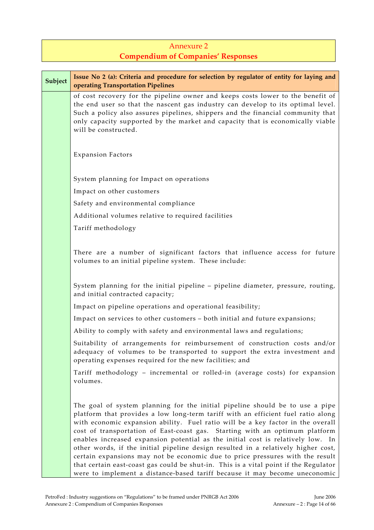| Subject | Issue No 2 (a): Criteria and procedure for selection by regulator of entity for laying and<br>operating Transportation Pipelines                                                                                                                                                                                                                                                                                                                                                                                                                                                                                                                                                                                                                                  |
|---------|-------------------------------------------------------------------------------------------------------------------------------------------------------------------------------------------------------------------------------------------------------------------------------------------------------------------------------------------------------------------------------------------------------------------------------------------------------------------------------------------------------------------------------------------------------------------------------------------------------------------------------------------------------------------------------------------------------------------------------------------------------------------|
|         | of cost recovery for the pipeline owner and keeps costs lower to the benefit of<br>the end user so that the nascent gas industry can develop to its optimal level.<br>Such a policy also assures pipelines, shippers and the financial community that<br>only capacity supported by the market and capacity that is economically viable<br>will be constructed.                                                                                                                                                                                                                                                                                                                                                                                                   |
|         | <b>Expansion Factors</b>                                                                                                                                                                                                                                                                                                                                                                                                                                                                                                                                                                                                                                                                                                                                          |
|         | System planning for Impact on operations                                                                                                                                                                                                                                                                                                                                                                                                                                                                                                                                                                                                                                                                                                                          |
|         | Impact on other customers                                                                                                                                                                                                                                                                                                                                                                                                                                                                                                                                                                                                                                                                                                                                         |
|         | Safety and environmental compliance                                                                                                                                                                                                                                                                                                                                                                                                                                                                                                                                                                                                                                                                                                                               |
|         | Additional volumes relative to required facilities                                                                                                                                                                                                                                                                                                                                                                                                                                                                                                                                                                                                                                                                                                                |
|         | Tariff methodology                                                                                                                                                                                                                                                                                                                                                                                                                                                                                                                                                                                                                                                                                                                                                |
|         | There are a number of significant factors that influence access for future<br>volumes to an initial pipeline system. These include:                                                                                                                                                                                                                                                                                                                                                                                                                                                                                                                                                                                                                               |
|         | System planning for the initial pipeline - pipeline diameter, pressure, routing,<br>and initial contracted capacity;                                                                                                                                                                                                                                                                                                                                                                                                                                                                                                                                                                                                                                              |
|         | Impact on pipeline operations and operational feasibility;                                                                                                                                                                                                                                                                                                                                                                                                                                                                                                                                                                                                                                                                                                        |
|         | Impact on services to other customers - both initial and future expansions;                                                                                                                                                                                                                                                                                                                                                                                                                                                                                                                                                                                                                                                                                       |
|         | Ability to comply with safety and environmental laws and regulations;                                                                                                                                                                                                                                                                                                                                                                                                                                                                                                                                                                                                                                                                                             |
|         | Suitability of arrangements for reimbursement of construction costs and/or<br>adequacy of volumes to be transported to support the extra investment and<br>operating expenses required for the new facilities; and                                                                                                                                                                                                                                                                                                                                                                                                                                                                                                                                                |
|         | Tariff methodology - incremental or rolled-in (average costs) for expansion<br>volumes.                                                                                                                                                                                                                                                                                                                                                                                                                                                                                                                                                                                                                                                                           |
|         | The goal of system planning for the initial pipeline should be to use a pipe<br>platform that provides a low long-term tariff with an efficient fuel ratio along<br>with economic expansion ability. Fuel ratio will be a key factor in the overall<br>cost of transportation of East-coast gas. Starting with an optimum platform<br>enables increased expansion potential as the initial cost is relatively low. In<br>other words, if the initial pipeline design resulted in a relatively higher cost,<br>certain expansions may not be economic due to price pressures with the result<br>that certain east-coast gas could be shut-in. This is a vital point if the Regulator<br>were to implement a distance-based tariff because it may become uneconomic |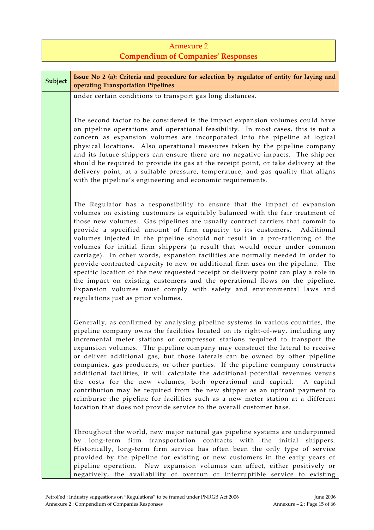| Subject | Issue No 2 (a): Criteria and procedure for selection by regulator of entity for laying and<br>operating Transportation Pipelines                                                                                                                                                                                                                                                                                                                                                                                                                                                                                                                                                                                                                                                                                                                                                                                                                |
|---------|-------------------------------------------------------------------------------------------------------------------------------------------------------------------------------------------------------------------------------------------------------------------------------------------------------------------------------------------------------------------------------------------------------------------------------------------------------------------------------------------------------------------------------------------------------------------------------------------------------------------------------------------------------------------------------------------------------------------------------------------------------------------------------------------------------------------------------------------------------------------------------------------------------------------------------------------------|
|         | under certain conditions to transport gas long distances.                                                                                                                                                                                                                                                                                                                                                                                                                                                                                                                                                                                                                                                                                                                                                                                                                                                                                       |
|         | The second factor to be considered is the impact expansion volumes could have<br>on pipeline operations and operational feasibility. In most cases, this is not a<br>concern as expansion volumes are incorporated into the pipeline at logical<br>physical locations. Also operational measures taken by the pipeline company<br>and its future shippers can ensure there are no negative impacts. The shipper<br>should be required to provide its gas at the receipt point, or take delivery at the<br>delivery point, at a suitable pressure, temperature, and gas quality that aligns<br>with the pipeline's engineering and economic requirements.                                                                                                                                                                                                                                                                                        |
|         | The Regulator has a responsibility to ensure that the impact of expansion<br>volumes on existing customers is equitably balanced with the fair treatment of<br>those new volumes. Gas pipelines are usually contract carriers that commit to<br>provide a specified amount of firm capacity to its customers. Additional<br>volumes injected in the pipeline should not result in a pro-rationing of the<br>volumes for initial firm shippers (a result that would occur under common<br>carriage). In other words, expansion facilities are normally needed in order to<br>provide contracted capacity to new or additional firm uses on the pipeline. The<br>specific location of the new requested receipt or delivery point can play a role in<br>the impact on existing customers and the operational flows on the pipeline.<br>Expansion volumes must comply with safety and environmental laws and<br>regulations just as prior volumes. |
|         | Generally, as confirmed by analysing pipeline systems in various countries, the<br>pipeline company owns the facilities located on its right-of-way, including any<br>incremental meter stations or compressor stations required to transport the<br>expansion volumes. The pipeline company may construct the lateral to receive<br>or deliver additional gas, but those laterals can be owned by other pipeline<br>companies, gas producers, or other parties. If the pipeline company constructs<br>additional facilities, it will calculate the additional potential revenues versus<br>the costs for the new volumes, both operational and capital. A capital<br>contribution may be required from the new shipper as an upfront payment to<br>reimburse the pipeline for facilities such as a new meter station at a different<br>location that does not provide service to the overall customer base.                                    |
|         | Throughout the world, new major natural gas pipeline systems are underpinned<br>by long-term firm transportation contracts with the initial shippers.<br>Historically, long-term firm service has often been the only type of service<br>provided by the pipeline for existing or new customers in the early years of<br>pipeline operation. New expansion volumes can affect, either positively or<br>negatively, the availability of overrun or interruptible service to existing                                                                                                                                                                                                                                                                                                                                                                                                                                                             |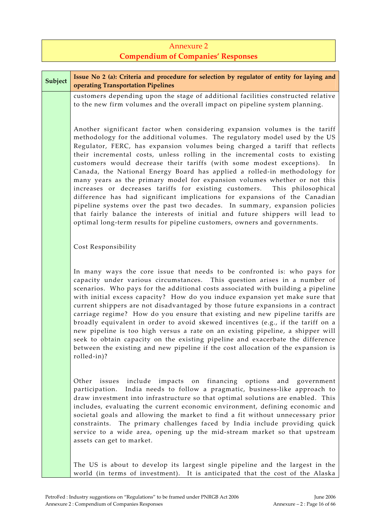| Subject | Issue No 2 (a): Criteria and procedure for selection by regulator of entity for laying and<br>operating Transportation Pipelines                                                                                                                                                                                                                                                                                                                                                                                                                                                                                                                                                                                                                                                                                                                                                                                                                                          |
|---------|---------------------------------------------------------------------------------------------------------------------------------------------------------------------------------------------------------------------------------------------------------------------------------------------------------------------------------------------------------------------------------------------------------------------------------------------------------------------------------------------------------------------------------------------------------------------------------------------------------------------------------------------------------------------------------------------------------------------------------------------------------------------------------------------------------------------------------------------------------------------------------------------------------------------------------------------------------------------------|
|         | customers depending upon the stage of additional facilities constructed relative<br>to the new firm volumes and the overall impact on pipeline system planning.                                                                                                                                                                                                                                                                                                                                                                                                                                                                                                                                                                                                                                                                                                                                                                                                           |
|         | Another significant factor when considering expansion volumes is the tariff<br>methodology for the additional volumes. The regulatory model used by the US<br>Regulator, FERC, has expansion volumes being charged a tariff that reflects<br>their incremental costs, unless rolling in the incremental costs to existing<br>customers would decrease their tariffs (with some modest exceptions).<br>In<br>Canada, the National Energy Board has applied a rolled-in methodology for<br>many years as the primary model for expansion volumes whether or not this<br>increases or decreases tariffs for existing customers. This philosophical<br>difference has had significant implications for expansions of the Canadian<br>pipeline systems over the past two decades. In summary, expansion policies<br>that fairly balance the interests of initial and future shippers will lead to<br>optimal long-term results for pipeline customers, owners and governments. |
|         | Cost Responsibility                                                                                                                                                                                                                                                                                                                                                                                                                                                                                                                                                                                                                                                                                                                                                                                                                                                                                                                                                       |
|         | In many ways the core issue that needs to be confronted is: who pays for<br>capacity under various circumstances. This question arises in a number of<br>scenarios. Who pays for the additional costs associated with building a pipeline<br>with initial excess capacity? How do you induce expansion yet make sure that<br>current shippers are not disadvantaged by those future expansions in a contract<br>carriage regime? How do you ensure that existing and new pipeline tariffs are<br>broadly equivalent in order to avoid skewed incentives (e.g., if the tariff on a<br>new pipeline is too high versus a rate on an existing pipeline, a shipper will<br>seek to obtain capacity on the existing pipeline and exacerbate the difference<br>between the existing and new pipeline if the cost allocation of the expansion is<br>rolled-in)?                                                                                                                  |
|         | Other issues include impacts on financing options and government<br>India needs to follow a pragmatic, business-like approach to<br>participation.<br>draw investment into infrastructure so that optimal solutions are enabled. This<br>includes, evaluating the current economic environment, defining economic and<br>societal goals and allowing the market to find a fit without unnecessary prior<br>constraints. The primary challenges faced by India include providing quick<br>service to a wide area, opening up the mid-stream market so that upstream<br>assets can get to market.                                                                                                                                                                                                                                                                                                                                                                           |
|         | The US is about to develop its largest single pipeline and the largest in the<br>world (in terms of investment). It is anticipated that the cost of the Alaska                                                                                                                                                                                                                                                                                                                                                                                                                                                                                                                                                                                                                                                                                                                                                                                                            |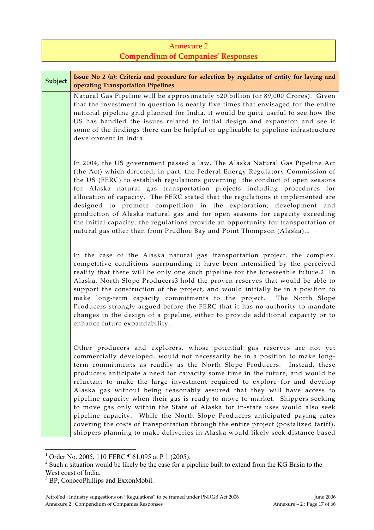|         | <b>Annexure 2</b>                                                                                                                                                                                                                                                                                                                            |
|---------|----------------------------------------------------------------------------------------------------------------------------------------------------------------------------------------------------------------------------------------------------------------------------------------------------------------------------------------------|
|         | <b>Compendium of Companies' Responses</b>                                                                                                                                                                                                                                                                                                    |
|         |                                                                                                                                                                                                                                                                                                                                              |
| Subject | Issue No 2 (a): Criteria and procedure for selection by regulator of entity for laying and<br>operating Transportation Pipelines                                                                                                                                                                                                             |
|         | Natural Gas Pipeline will be approximately \$20 billion (or 89,000 Crores). Given<br>that the investment in question is nearly five times that envisaged for the entire<br>national pipeline grid planned for India, it would be quite useful to see how the<br>US has handled the issues related to initial design and expansion and see if |

In 2004, the US government passed a law, The Alaska Natural Gas Pipeline Act (the Act) which directed, in part, the Federal Energy Regulatory Commission of the US (FERC) to establish regulations governing the conduct of open seasons for Alaska natural gas transportation projects including procedures for allocation of capacity. The FERC stated that the regulations it implemented are designed to promote competition in the exploration, development and production of Alaska natural gas and for open seasons for capacity exceeding the initial capacity, the regulations provide an opportunity for transportation of natural gas other than from Prudhoe Bay and Point Thompson (Alaska).1

some of the findings there can be helpful or applicable to pipeline infrastructure

In the case of the Alaska natural gas transportation project, the complex, competitive conditions surrounding it have been intensified by the perceived reality that there will be only one such pipeline for the foreseeable future.2 In Alaska, North Slope Producers3 hold the proven reserves that would be able to support the construction of the project, and would initially be in a position to make long-term capacity commitments to the project. The North Slope Producers strongly argued before the FERC that it has no authority to mandate changes in the design of a pipeline, either to provide additional capacity or to enhance future expandability.

Other producers and explorers, whose potential gas reserves are not yet commercially developed, would not necessarily be in a position to make longterm commitments as readily as the North Slope Producers. Instead, these producers anticipate a need for capacity some time in the future, and would be reluctant to make the large investment required to explore for and develop Alaska gas without being reasonably assured that they will have access to pipeline capacity when their gas is ready to move to market. Shippers seeking to move gas only within the State of Alaska for in-state uses would also seek pipeline capacity. While the North Slope Producers anticipated paying rates covering the costs of transportation through the entire project (postalized tariff), shippers planning to make deliveries in Alaska would likely seek distance-based

development in India.

 $\overline{a}$ 

<sup>1</sup> Order No. 2005, 110 FERC ¶ 61,095 at P 1 (2005).

 $2^{2}$  Such a situation would be likely be the case for a pipeline built to extend from the KG Basin to the West coast of India.

<sup>&</sup>lt;sup>3</sup> BP, ConocoPhillips and ExxonMobil.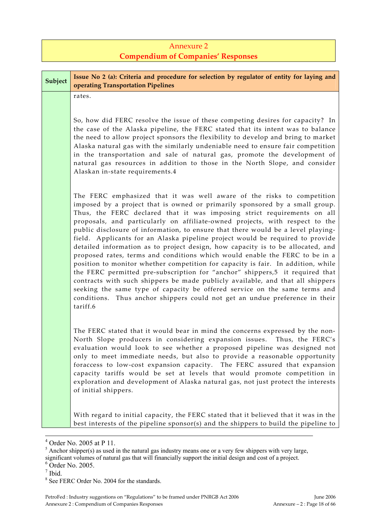| Subject | Issue No 2 (a): Criteria and procedure for selection by regulator of entity for laying and<br>operating Transportation Pipelines                                                                                                                                                                                                                                                                                                                                                                                                                                                                                                                                                                                                                                                                                                                                                                                                                                                                                                                                                                                          |
|---------|---------------------------------------------------------------------------------------------------------------------------------------------------------------------------------------------------------------------------------------------------------------------------------------------------------------------------------------------------------------------------------------------------------------------------------------------------------------------------------------------------------------------------------------------------------------------------------------------------------------------------------------------------------------------------------------------------------------------------------------------------------------------------------------------------------------------------------------------------------------------------------------------------------------------------------------------------------------------------------------------------------------------------------------------------------------------------------------------------------------------------|
|         | rates.<br>So, how did FERC resolve the issue of these competing desires for capacity? In<br>the case of the Alaska pipeline, the FERC stated that its intent was to balance<br>the need to allow project sponsors the flexibility to develop and bring to market<br>Alaska natural gas with the similarly undeniable need to ensure fair competition<br>in the transportation and sale of natural gas, promote the development of<br>natural gas resources in addition to those in the North Slope, and consider                                                                                                                                                                                                                                                                                                                                                                                                                                                                                                                                                                                                          |
|         | Alaskan in-state requirements.4<br>The FERC emphasized that it was well aware of the risks to competition<br>imposed by a project that is owned or primarily sponsored by a small group.<br>Thus, the FERC declared that it was imposing strict requirements on all<br>proposals, and particularly on affiliate-owned projects, with respect to the<br>public disclosure of information, to ensure that there would be a level playing-<br>field. Applicants for an Alaska pipeline project would be required to provide<br>detailed information as to project design, how capacity is to be allocated, and<br>proposed rates, terms and conditions which would enable the FERC to be in a<br>position to monitor whether competition for capacity is fair. In addition, while<br>the FERC permitted pre-subscription for "anchor" shippers,5 it required that<br>contracts with such shippers be made publicly available, and that all shippers<br>seeking the same type of capacity be offered service on the same terms and<br>conditions. Thus anchor shippers could not get an undue preference in their<br>tariff.6 |
|         | The FERC stated that it would bear in mind the concerns expressed by the non-<br>North Slope producers in considering expansion issues.<br>Thus, the FERC's<br>evaluation would look to see whether a proposed pipeline was designed not<br>only to meet immediate needs, but also to provide a reasonable opportunity<br>foraccess to low-cost expansion capacity. The FERC assured that expansion<br>capacity tariffs would be set at levels that would promote competition in<br>exploration and development of Alaska natural gas, not just protect the interests<br>of initial shippers.                                                                                                                                                                                                                                                                                                                                                                                                                                                                                                                             |
|         | With regard to initial capacity, the FERC stated that it believed that it was in the<br>best interests of the pipeline sponsor(s) and the shippers to build the pipeline to                                                                                                                                                                                                                                                                                                                                                                                                                                                                                                                                                                                                                                                                                                                                                                                                                                                                                                                                               |

 <sup>4</sup> Order No. 2005 at P 11.

 $<sup>5</sup>$  Anchor shipper(s) as used in the natural gas industry means one or a very few shippers with very large,</sup> significant volumes of natural gas that will financially support the initial design and cost of a project. 6 Order No. 2005.

<sup>7</sup> Ibid.

<sup>&</sup>lt;sup>8</sup> See FERC Order No. 2004 for the standards.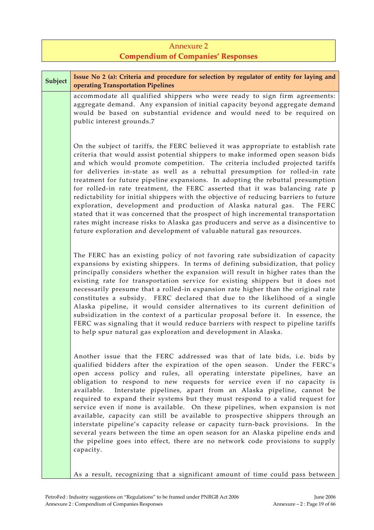| <b>Annexure 2</b>                         |
|-------------------------------------------|
| <b>Compendium of Companies' Responses</b> |

| Subject | Issue No 2 (a): Criteria and procedure for selection by regulator of entity for laying and<br>operating Transportation Pipelines                                                                                                                                                                                                                                                                                                                                                                                                                                                                                                                                                                                                                                                                                                                                                                                             |
|---------|------------------------------------------------------------------------------------------------------------------------------------------------------------------------------------------------------------------------------------------------------------------------------------------------------------------------------------------------------------------------------------------------------------------------------------------------------------------------------------------------------------------------------------------------------------------------------------------------------------------------------------------------------------------------------------------------------------------------------------------------------------------------------------------------------------------------------------------------------------------------------------------------------------------------------|
|         | accommodate all qualified shippers who were ready to sign firm agreements:<br>aggregate demand. Any expansion of initial capacity beyond aggregate demand<br>would be based on substantial evidence and would need to be required on<br>public interest grounds.7                                                                                                                                                                                                                                                                                                                                                                                                                                                                                                                                                                                                                                                            |
|         | On the subject of tariffs, the FERC believed it was appropriate to establish rate<br>criteria that would assist potential shippers to make informed open season bids<br>and which would promote competition. The criteria included projected tariffs<br>for deliveries in-state as well as a rebuttal presumption for rolled-in rate<br>treatment for future pipeline expansions. In adopting the rebuttal presumption<br>for rolled-in rate treatment, the FERC asserted that it was balancing rate p<br>redictability for initial shippers with the objective of reducing barriers to future<br>exploration, development and production of Alaska natural gas. The FERC<br>stated that it was concerned that the prospect of high incremental transportation<br>rates might increase risks to Alaska gas producers and serve as a disincentive to<br>future exploration and development of valuable natural gas resources. |
|         | The FERC has an existing policy of not favoring rate subsidization of capacity<br>expansions by existing shippers. In terms of defining subsidization, that policy<br>principally considers whether the expansion will result in higher rates than the<br>existing rate for transportation service for existing shippers but it does not<br>necessarily presume that a rolled-in expansion rate higher than the original rate<br>constitutes a subsidy. FERC declared that due to the likelihood of a single<br>Alaska pipeline, it would consider alternatives to its current definition of<br>subsidization in the context of a particular proposal before it. In essence, the<br>FERC was signaling that it would reduce barriers with respect to pipeline tariffs<br>to help spur natural gas exploration and development in Alaska.                                                                                     |
|         | Another issue that the FERC addressed was that of late bids, i.e. bids by<br>qualified bidders after the expiration of the open season. Under the FERC's<br>open access policy and rules, all operating interstate pipelines, have an<br>obligation to respond to new requests for service even if no capacity is<br>Interstate pipelines, apart from an Alaska pipeline, cannot be<br>available.<br>required to expand their systems but they must respond to a valid request for<br>service even if none is available. On these pipelines, when expansion is not<br>available, capacity can still be available to prospective shippers through an<br>interstate pipeline's capacity release or capacity turn-back provisions. In the<br>several years between the time an open season for an Alaska pipeline ends and<br>the pipeline goes into effect, there are no network code provisions to supply<br>capacity.        |

As a result, recognizing that a significant amount of time could pass between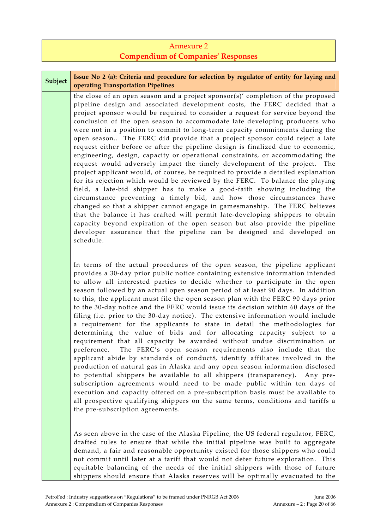| Subject | Issue No 2 (a): Criteria and procedure for selection by regulator of entity for laying and<br>operating Transportation Pipelines                                                                                                                                                                                                                                                                                                                                                                                                                                                                                                                                                                                                                                                                                                                                                                                                                                                                                                                                                                                                                                                                                                                                                                                                                                                                                                                       |
|---------|--------------------------------------------------------------------------------------------------------------------------------------------------------------------------------------------------------------------------------------------------------------------------------------------------------------------------------------------------------------------------------------------------------------------------------------------------------------------------------------------------------------------------------------------------------------------------------------------------------------------------------------------------------------------------------------------------------------------------------------------------------------------------------------------------------------------------------------------------------------------------------------------------------------------------------------------------------------------------------------------------------------------------------------------------------------------------------------------------------------------------------------------------------------------------------------------------------------------------------------------------------------------------------------------------------------------------------------------------------------------------------------------------------------------------------------------------------|
|         | the close of an open season and a project sponsor(s)' completion of the proposed<br>pipeline design and associated development costs, the FERC decided that a<br>project sponsor would be required to consider a request for service beyond the<br>conclusion of the open season to accommodate late developing producers who<br>were not in a position to commit to long-term capacity commitments during the<br>open season The FERC did provide that a project sponsor could reject a late<br>request either before or after the pipeline design is finalized due to economic,<br>engineering, design, capacity or operational constraints, or accommodating the<br>request would adversely impact the timely development of the project. The<br>project applicant would, of course, be required to provide a detailed explanation<br>for its rejection which would be reviewed by the FERC. To balance the playing<br>field, a late-bid shipper has to make a good-faith showing including the<br>circumstance preventing a timely bid, and how those circumstances have<br>changed so that a shipper cannot engage in gamesmanship. The FERC believes<br>that the balance it has crafted will permit late-developing shippers to obtain<br>capacity beyond expiration of the open season but also provide the pipeline<br>developer assurance that the pipeline can be designed and developed on<br>schedule.                                     |
|         | In terms of the actual procedures of the open season, the pipeline applicant<br>provides a 30-day prior public notice containing extensive information intended<br>to allow all interested parties to decide whether to participate in the open<br>season followed by an actual open season period of at least 90 days. In addition<br>to this, the applicant must file the open season plan with the FERC 90 days prior<br>to the 30-day notice and the FERC would issue its decision within 60 days of the<br>filing (i.e. prior to the 30-day notice). The extensive information would include<br>a requirement for the applicants to state in detail the methodologies for<br>determining the value of bids and for allocating capacity subject to a<br>requirement that all capacity be awarded without undue discrimination or<br>The FERC's open season requirements also include that the<br>preference.<br>applicant abide by standards of conduct8, identify affiliates involved in the<br>production of natural gas in Alaska and any open season information disclosed<br>to potential shippers be available to all shippers (transparency). Any pre-<br>subscription agreements would need to be made public within ten days of<br>execution and capacity offered on a pre-subscription basis must be available to<br>all prospective qualifying shippers on the same terms, conditions and tariffs a<br>the pre-subscription agreements. |
|         | As seen above in the case of the Alaska Pipeline, the US federal regulator, FERC,<br>drafted rules to ensure that while the initial pipeline was built to aggregate<br>demand, a fair and reasonable opportunity existed for those shippers who could<br>not commit until later at a tariff that would not deter future exploration. This<br>equitable balancing of the needs of the initial shippers with those of future                                                                                                                                                                                                                                                                                                                                                                                                                                                                                                                                                                                                                                                                                                                                                                                                                                                                                                                                                                                                                             |

shippers should ensure that Alaska reserves will be optimally evacuated to the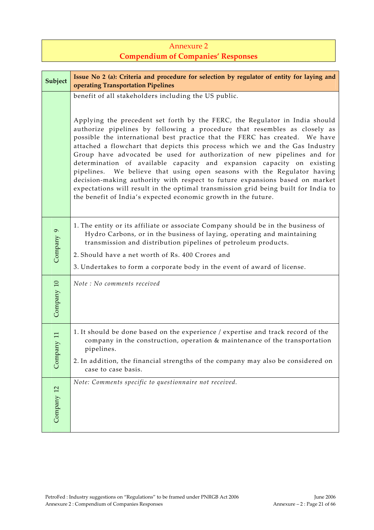| Subject        | Issue No 2 (a): Criteria and procedure for selection by regulator of entity for laying and<br>operating Transportation Pipelines                                                                                                                                                                                                                                                                                                                                                                                                                                                                                                                                                                                                                                                                                                                          |
|----------------|-----------------------------------------------------------------------------------------------------------------------------------------------------------------------------------------------------------------------------------------------------------------------------------------------------------------------------------------------------------------------------------------------------------------------------------------------------------------------------------------------------------------------------------------------------------------------------------------------------------------------------------------------------------------------------------------------------------------------------------------------------------------------------------------------------------------------------------------------------------|
|                | benefit of all stakeholders including the US public.<br>Applying the precedent set forth by the FERC, the Regulator in India should<br>authorize pipelines by following a procedure that resembles as closely as<br>possible the international best practice that the FERC has created. We have<br>attached a flowchart that depicts this process which we and the Gas Industry<br>Group have advocated be used for authorization of new pipelines and for<br>determination of available capacity and expansion capacity on existing<br>We believe that using open seasons with the Regulator having<br>pipelines.<br>decision-making authority with respect to future expansions based on market<br>expectations will result in the optimal transmission grid being built for India to<br>the benefit of India's expected economic growth in the future. |
| Company 9      | 1. The entity or its affiliate or associate Company should be in the business of<br>Hydro Carbons, or in the business of laying, operating and maintaining<br>transmission and distribution pipelines of petroleum products.<br>2. Should have a net worth of Rs. 400 Crores and<br>3. Undertakes to form a corporate body in the event of award of license.                                                                                                                                                                                                                                                                                                                                                                                                                                                                                              |
| Company 10     | Note: No comments received                                                                                                                                                                                                                                                                                                                                                                                                                                                                                                                                                                                                                                                                                                                                                                                                                                |
| pany 11<br>Com | 1. It should be done based on the experience / expertise and track record of the<br>company in the construction, operation & maintenance of the transportation<br>pipelines.<br>2. In addition, the financial strengths of the company may also be considered on<br>case to case basis.                                                                                                                                                                                                                                                                                                                                                                                                                                                                                                                                                                   |
| Company 12     | Note: Comments specific to questionnaire not received.                                                                                                                                                                                                                                                                                                                                                                                                                                                                                                                                                                                                                                                                                                                                                                                                    |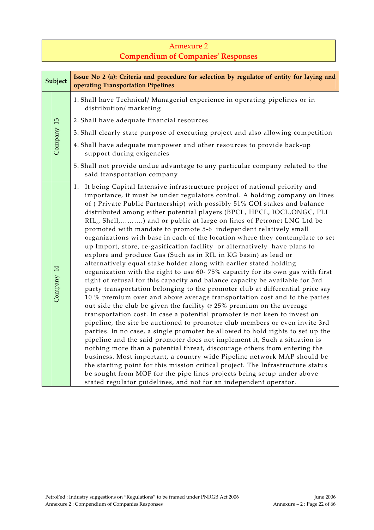| Annexure 2                                |
|-------------------------------------------|
| <b>Compendium of Companies' Responses</b> |

| Subject    | Issue No 2 (a): Criteria and procedure for selection by regulator of entity for laying and<br>operating Transportation Pipelines                                                                                                                                                                                                                                                                                                                                                                                                                                                                                                                                                                                                                                                                                                                                                                                                                                                                                                                                                                                                                                                                                                                                                                                                                                                                                                                                                                                                                                                                                                                                                                                                                                                                                                                                                                        |
|------------|---------------------------------------------------------------------------------------------------------------------------------------------------------------------------------------------------------------------------------------------------------------------------------------------------------------------------------------------------------------------------------------------------------------------------------------------------------------------------------------------------------------------------------------------------------------------------------------------------------------------------------------------------------------------------------------------------------------------------------------------------------------------------------------------------------------------------------------------------------------------------------------------------------------------------------------------------------------------------------------------------------------------------------------------------------------------------------------------------------------------------------------------------------------------------------------------------------------------------------------------------------------------------------------------------------------------------------------------------------------------------------------------------------------------------------------------------------------------------------------------------------------------------------------------------------------------------------------------------------------------------------------------------------------------------------------------------------------------------------------------------------------------------------------------------------------------------------------------------------------------------------------------------------|
|            | 1. Shall have Technical/ Managerial experience in operating pipelines or in<br>distribution/ marketing                                                                                                                                                                                                                                                                                                                                                                                                                                                                                                                                                                                                                                                                                                                                                                                                                                                                                                                                                                                                                                                                                                                                                                                                                                                                                                                                                                                                                                                                                                                                                                                                                                                                                                                                                                                                  |
|            | 2. Shall have adequate financial resources                                                                                                                                                                                                                                                                                                                                                                                                                                                                                                                                                                                                                                                                                                                                                                                                                                                                                                                                                                                                                                                                                                                                                                                                                                                                                                                                                                                                                                                                                                                                                                                                                                                                                                                                                                                                                                                              |
|            | 3. Shall clearly state purpose of executing project and also allowing competition                                                                                                                                                                                                                                                                                                                                                                                                                                                                                                                                                                                                                                                                                                                                                                                                                                                                                                                                                                                                                                                                                                                                                                                                                                                                                                                                                                                                                                                                                                                                                                                                                                                                                                                                                                                                                       |
| Company 13 | 4. Shall have adequate manpower and other resources to provide back-up<br>support during exigencies                                                                                                                                                                                                                                                                                                                                                                                                                                                                                                                                                                                                                                                                                                                                                                                                                                                                                                                                                                                                                                                                                                                                                                                                                                                                                                                                                                                                                                                                                                                                                                                                                                                                                                                                                                                                     |
|            | 5. Shall not provide undue advantage to any particular company related to the<br>said transportation company                                                                                                                                                                                                                                                                                                                                                                                                                                                                                                                                                                                                                                                                                                                                                                                                                                                                                                                                                                                                                                                                                                                                                                                                                                                                                                                                                                                                                                                                                                                                                                                                                                                                                                                                                                                            |
| Company 14 | It being Capital Intensive infrastructure project of national priority and<br>1.<br>importance, it must be under regulators control. A holding company on lines<br>of (Private Public Partnership) with possibly 51% GOI stakes and balance<br>distributed among either potential players (BPCL, HPCL, IOCL, ONGC, PLL<br>RIL,, Shell,) and or public at large on lines of Petronet LNG Ltd be<br>promoted with mandate to promote 5-6 independent relatively small<br>organizations with base in each of the location where they contemplate to set<br>up Import, store, re-gasification facility or alternatively have plans to<br>explore and produce Gas (Such as in RIL in KG basin) as lead or<br>alternatively equal stake holder along with earlier stated holding<br>organization with the right to use 60-75% capacity for its own gas with first<br>right of refusal for this capacity and balance capacity be available for 3rd<br>party transportation belonging to the promoter club at differential price say<br>10 % premium over and above average transportation cost and to the paries<br>out side the club be given the facility @ 25% premium on the average<br>transportation cost. In case a potential promoter is not keen to invest on<br>pipeline, the site be auctioned to promoter club members or even invite 3rd<br>parties. In no case, a single promoter be allowed to hold rights to set up the<br>pipeline and the said promoter does not implement it, Such a situation is<br>nothing more than a potential threat, discourage others from entering the<br>business. Most important, a country wide Pipeline network MAP should be<br>the starting point for this mission critical project. The Infrastructure status<br>be sought from MOF for the pipe lines projects being setup under above<br>stated regulator guidelines, and not for an independent operator. |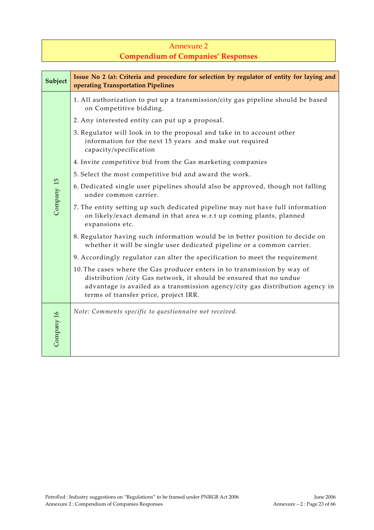| Subject    | Issue No 2 (a): Criteria and procedure for selection by regulator of entity for laying and<br>operating Transportation Pipelines                                                                                                                                         |
|------------|--------------------------------------------------------------------------------------------------------------------------------------------------------------------------------------------------------------------------------------------------------------------------|
|            | 1. All authorization to put up a transmission/city gas pipeline should be based<br>on Competitive bidding.                                                                                                                                                               |
|            | 2. Any interested entity can put up a proposal.                                                                                                                                                                                                                          |
|            | 3. Regulator will look in to the proposal and take in to account other<br>information for the next 15 years and make out required<br>capacity/specification                                                                                                              |
|            | 4. Invite competitive bid from the Gas marketing companies                                                                                                                                                                                                               |
|            | 5. Select the most competitive bid and award the work.                                                                                                                                                                                                                   |
| Company 15 | 6. Dedicated single user pipelines should also be approved, though not falling<br>under common carrier.                                                                                                                                                                  |
|            | 7. The entity setting up such dedicated pipeline may not have full information<br>on likely/exact demand in that area w.r.t up coming plants, planned<br>expansions etc.                                                                                                 |
|            | 8. Regulator having such information would be in better position to decide on<br>whether it will be single user dedicated pipeline or a common carrier.                                                                                                                  |
|            | 9. Accordingly regulator can alter the specification to meet the requirement                                                                                                                                                                                             |
|            | 10. The cases where the Gas producer enters in to transmission by way of<br>distribution /city Gas network, it should be ensured that no undue<br>advantage is availed as a transmission agency/city gas distribution agency in<br>terms of transfer price, project IRR. |
| Company 16 | Note: Comments specific to questionnaire not received.                                                                                                                                                                                                                   |
|            |                                                                                                                                                                                                                                                                          |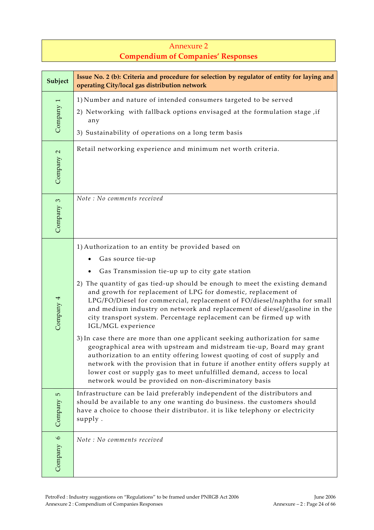| Subject                   | Issue No. 2 (b): Criteria and procedure for selection by regulator of entity for laying and<br>operating City/local gas distribution network                                                                                                                                                                                                                                                                                                                                                                                                                                                                                                                                                                                                                                                                                                                                                                                                                                          |
|---------------------------|---------------------------------------------------------------------------------------------------------------------------------------------------------------------------------------------------------------------------------------------------------------------------------------------------------------------------------------------------------------------------------------------------------------------------------------------------------------------------------------------------------------------------------------------------------------------------------------------------------------------------------------------------------------------------------------------------------------------------------------------------------------------------------------------------------------------------------------------------------------------------------------------------------------------------------------------------------------------------------------|
| Company 1                 | 1) Number and nature of intended consumers targeted to be served<br>2) Networking with fallback options envisaged at the formulation stage, if<br>any<br>3) Sustainability of operations on a long term basis                                                                                                                                                                                                                                                                                                                                                                                                                                                                                                                                                                                                                                                                                                                                                                         |
| Company 2                 | Retail networking experience and minimum net worth criteria.                                                                                                                                                                                                                                                                                                                                                                                                                                                                                                                                                                                                                                                                                                                                                                                                                                                                                                                          |
| Company 3                 | Note: No comments received                                                                                                                                                                                                                                                                                                                                                                                                                                                                                                                                                                                                                                                                                                                                                                                                                                                                                                                                                            |
| Company $4$               | 1) Authorization to an entity be provided based on<br>Gas source tie-up<br>Gas Transmission tie-up up to city gate station<br>2) The quantity of gas tied-up should be enough to meet the existing demand<br>and growth for replacement of LPG for domestic, replacement of<br>LPG/FO/Diesel for commercial, replacement of FO/diesel/naphtha for small<br>and medium industry on network and replacement of diesel/gasoline in the<br>city transport system. Percentage replacement can be firmed up with<br>IGL/MGL experience<br>3) In case there are more than one applicant seeking authorization for same<br>geographical area with upstream and midstream tie-up, Board may grant<br>authorization to an entity offering lowest quoting of cost of supply and<br>network with the provision that in future if another entity offers supply at<br>lower cost or supply gas to meet unfulfilled demand, access to local<br>network would be provided on non-discriminatory basis |
| $\overline{5}$<br>Company | Infrastructure can be laid preferably independent of the distributors and<br>should be available to any one wanting do business. the customers should<br>have a choice to choose their distributor. it is like telephony or electricity<br>supply.                                                                                                                                                                                                                                                                                                                                                                                                                                                                                                                                                                                                                                                                                                                                    |
| Company 6                 | Note: No comments received                                                                                                                                                                                                                                                                                                                                                                                                                                                                                                                                                                                                                                                                                                                                                                                                                                                                                                                                                            |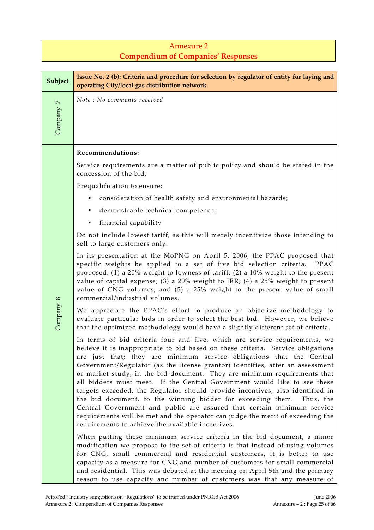| Subject                             | Issue No. 2 (b): Criteria and procedure for selection by regulator of entity for laying and<br>operating City/local gas distribution network                                                                                                                                                                                                                                                                                                                                                                                                                                                                                                                                                                                                                                                                                                                 |
|-------------------------------------|--------------------------------------------------------------------------------------------------------------------------------------------------------------------------------------------------------------------------------------------------------------------------------------------------------------------------------------------------------------------------------------------------------------------------------------------------------------------------------------------------------------------------------------------------------------------------------------------------------------------------------------------------------------------------------------------------------------------------------------------------------------------------------------------------------------------------------------------------------------|
| $\overline{\phantom{a}}$<br>Company | Note: No comments received                                                                                                                                                                                                                                                                                                                                                                                                                                                                                                                                                                                                                                                                                                                                                                                                                                   |
|                                     | Recommendations:                                                                                                                                                                                                                                                                                                                                                                                                                                                                                                                                                                                                                                                                                                                                                                                                                                             |
|                                     | Service requirements are a matter of public policy and should be stated in the<br>concession of the bid.                                                                                                                                                                                                                                                                                                                                                                                                                                                                                                                                                                                                                                                                                                                                                     |
|                                     | Prequalification to ensure:                                                                                                                                                                                                                                                                                                                                                                                                                                                                                                                                                                                                                                                                                                                                                                                                                                  |
|                                     | consideration of health safety and environmental hazards;                                                                                                                                                                                                                                                                                                                                                                                                                                                                                                                                                                                                                                                                                                                                                                                                    |
|                                     | demonstrable technical competence;<br>٠                                                                                                                                                                                                                                                                                                                                                                                                                                                                                                                                                                                                                                                                                                                                                                                                                      |
|                                     | financial capability<br>٠                                                                                                                                                                                                                                                                                                                                                                                                                                                                                                                                                                                                                                                                                                                                                                                                                                    |
|                                     | Do not include lowest tariff, as this will merely incentivize those intending to<br>sell to large customers only.                                                                                                                                                                                                                                                                                                                                                                                                                                                                                                                                                                                                                                                                                                                                            |
|                                     | In its presentation at the MoPNG on April 5, 2006, the PPAC proposed that<br>specific weights be applied to a set of five bid selection criteria.<br>PPAC<br>proposed: (1) a 20% weight to lowness of tariff; (2) a 10% weight to the present<br>value of capital expense; (3) a 20% weight to IRR; (4) a 25% weight to present<br>value of CNG volumes; and (5) a 25% weight to the present value of small<br>commercial/industrial volumes.                                                                                                                                                                                                                                                                                                                                                                                                                |
| Company 8                           | We appreciate the PPAC's effort to produce an objective methodology to<br>evaluate particular bids in order to select the best bid. However, we believe<br>that the optimized methodology would have a slightly different set of criteria.                                                                                                                                                                                                                                                                                                                                                                                                                                                                                                                                                                                                                   |
|                                     | In terms of bid criteria four and five, which are service requirements, we<br>believe it is inappropriate to bid based on these criteria. Service obligations<br>are just that; they are minimum service obligations that the Central<br>Government/Regulator (as the license grantor) identifies, after an assessment<br>or market study, in the bid document. They are minimum requirements that<br>all bidders must meet. If the Central Government would like to see these<br>targets exceeded, the Regulator should provide incentives, also identified in<br>the bid document, to the winning bidder for exceeding them.<br>Thus, the<br>Central Government and public are assured that certain minimum service<br>requirements will be met and the operator can judge the merit of exceeding the<br>requirements to achieve the available incentives. |
|                                     | When putting these minimum service criteria in the bid document, a minor<br>modification we propose to the set of criteria is that instead of using volumes<br>for CNG, small commercial and residential customers, it is better to use<br>capacity as a measure for CNG and number of customers for small commercial<br>and residential. This was debated at the meeting on April 5th and the primary<br>reason to use capacity and number of customers was that any measure of                                                                                                                                                                                                                                                                                                                                                                             |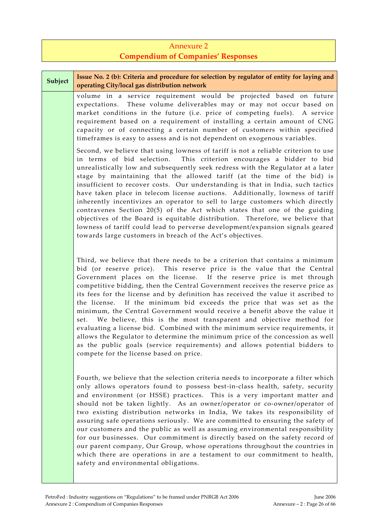| Subject | Issue No. 2 (b): Criteria and procedure for selection by regulator of entity for laying and<br>operating City/local gas distribution network                                                                                                                                                                                                                                                                                                                                                                                                                                                                                                                                                                                                                                                                                                                                                                                          |
|---------|---------------------------------------------------------------------------------------------------------------------------------------------------------------------------------------------------------------------------------------------------------------------------------------------------------------------------------------------------------------------------------------------------------------------------------------------------------------------------------------------------------------------------------------------------------------------------------------------------------------------------------------------------------------------------------------------------------------------------------------------------------------------------------------------------------------------------------------------------------------------------------------------------------------------------------------|
|         | volume in a service requirement would be projected based on future<br>expectations. These volume deliverables may or may not occur based on<br>market conditions in the future (i.e. price of competing fuels). A service<br>requirement based on a requirement of installing a certain amount of CNG<br>capacity or of connecting a certain number of customers within specified<br>timeframes is easy to assess and is not dependent on exogenous variables.                                                                                                                                                                                                                                                                                                                                                                                                                                                                        |
|         | Second, we believe that using lowness of tariff is not a reliable criterion to use<br>in terms of bid selection. This criterion encourages a bidder to bid<br>unrealistically low and subsequently seek redress with the Regulator at a later<br>stage by maintaining that the allowed tariff (at the time of the bid) is<br>insufficient to recover costs. Our understanding is that in India, such tactics<br>have taken place in telecom license auctions. Additionally, lowness of tariff<br>inherently incentivizes an operator to sell to large customers which directly<br>contravenes Section 20(5) of the Act which states that one of the guiding<br>objectives of the Board is equitable distribution. Therefore, we believe that<br>lowness of tariff could lead to perverse development/expansion signals geared<br>towards large customers in breach of the Act's objectives.                                           |
|         | Third, we believe that there needs to be a criterion that contains a minimum<br>bid (or reserve price). This reserve price is the value that the Central<br>Government places on the license. If the reserve price is met through<br>competitive bidding, then the Central Government receives the reserve price as<br>its fees for the license and by definition has received the value it ascribed to<br>the license. If the minimum bid exceeds the price that was set as the<br>minimum, the Central Government would receive a benefit above the value it<br>We believe, this is the most transparent and objective method for<br>set.<br>evaluating a license bid. Combined with the minimum service requirements, it<br>allows the Regulator to determine the minimum price of the concession as well<br>as the public goals (service requirements) and allows potential bidders to<br>compete for the license based on price. |
|         | Fourth, we believe that the selection criteria needs to incorporate a filter which<br>only allows operators found to possess best-in-class health, safety, security<br>and environment (or HSSE) practices. This is a very important matter and<br>should not be taken lightly. As an owner/operator or co-owner/operator of<br>two existing distribution networks in India, We takes its responsibility of<br>assuring safe operations seriously. We are committed to ensuring the safety of<br>our customers and the public as well as assuming environmental responsibility<br>for our businesses. Our commitment is directly based on the safety record of<br>our parent company, Our Group, whose operations throughout the countries in<br>which there are operations in are a testament to our commitment to health,<br>safety and environmental obligations.                                                                  |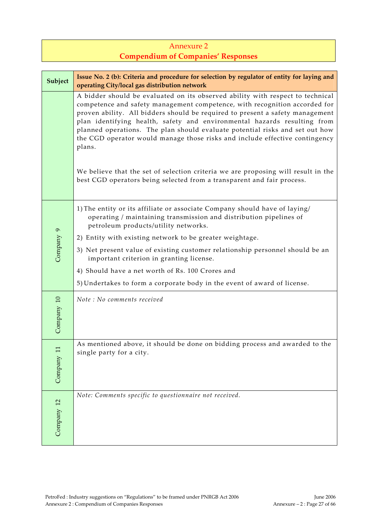| Annexure 2                                |  |
|-------------------------------------------|--|
| <b>Compendium of Companies' Responses</b> |  |

| Subject          | Issue No. 2 (b): Criteria and procedure for selection by regulator of entity for laying and<br>operating City/local gas distribution network                                                                                                                                                                                                                                                                                                                                                                                                                                                                                                                      |
|------------------|-------------------------------------------------------------------------------------------------------------------------------------------------------------------------------------------------------------------------------------------------------------------------------------------------------------------------------------------------------------------------------------------------------------------------------------------------------------------------------------------------------------------------------------------------------------------------------------------------------------------------------------------------------------------|
|                  | A bidder should be evaluated on its observed ability with respect to technical<br>competence and safety management competence, with recognition accorded for<br>proven ability. All bidders should be required to present a safety management<br>plan identifying health, safety and environmental hazards resulting from<br>planned operations. The plan should evaluate potential risks and set out how<br>the CGD operator would manage those risks and include effective contingency<br>plans.<br>We believe that the set of selection criteria we are proposing will result in the<br>best CGD operators being selected from a transparent and fair process. |
| Company 9        | 1) The entity or its affiliate or associate Company should have of laying/<br>operating / maintaining transmission and distribution pipelines of<br>petroleum products/utility networks.<br>2) Entity with existing network to be greater weightage.                                                                                                                                                                                                                                                                                                                                                                                                              |
|                  | 3) Net present value of existing customer relationship personnel should be an<br>important criterion in granting license.                                                                                                                                                                                                                                                                                                                                                                                                                                                                                                                                         |
|                  | 4) Should have a net worth of Rs. 100 Crores and                                                                                                                                                                                                                                                                                                                                                                                                                                                                                                                                                                                                                  |
|                  | 5) Undertakes to form a corporate body in the event of award of license.                                                                                                                                                                                                                                                                                                                                                                                                                                                                                                                                                                                          |
| Company 10       | Note: No comments received                                                                                                                                                                                                                                                                                                                                                                                                                                                                                                                                                                                                                                        |
| $\Xi$<br>Company | As mentioned above, it should be done on bidding process and awarded to the<br>single party for a city.                                                                                                                                                                                                                                                                                                                                                                                                                                                                                                                                                           |
| Company 12       | Note: Comments specific to questionnaire not received.                                                                                                                                                                                                                                                                                                                                                                                                                                                                                                                                                                                                            |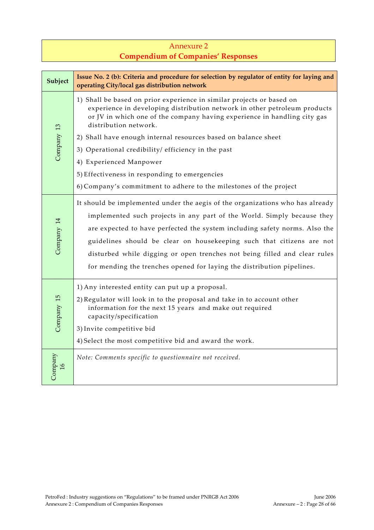| Annexure 2                                |  |
|-------------------------------------------|--|
| <b>Compendium of Companies' Responses</b> |  |

| Subject    | Issue No. 2 (b): Criteria and procedure for selection by regulator of entity for laying and<br>operating City/local gas distribution network                                                                                                                                                                                                                                                                                                                           |
|------------|------------------------------------------------------------------------------------------------------------------------------------------------------------------------------------------------------------------------------------------------------------------------------------------------------------------------------------------------------------------------------------------------------------------------------------------------------------------------|
| Company 13 | 1) Shall be based on prior experience in similar projects or based on<br>experience in developing distribution network in other petroleum products<br>or JV in which one of the company having experience in handling city gas<br>distribution network.                                                                                                                                                                                                                |
|            | 2) Shall have enough internal resources based on balance sheet                                                                                                                                                                                                                                                                                                                                                                                                         |
|            | 3) Operational credibility/ efficiency in the past                                                                                                                                                                                                                                                                                                                                                                                                                     |
|            | 4) Experienced Manpower                                                                                                                                                                                                                                                                                                                                                                                                                                                |
|            | 5) Effectiveness in responding to emergencies                                                                                                                                                                                                                                                                                                                                                                                                                          |
|            | 6) Company's commitment to adhere to the milestones of the project                                                                                                                                                                                                                                                                                                                                                                                                     |
| Company 14 | It should be implemented under the aegis of the organizations who has already<br>implemented such projects in any part of the World. Simply because they<br>are expected to have perfected the system including safety norms. Also the<br>guidelines should be clear on housekeeping such that citizens are not<br>disturbed while digging or open trenches not being filled and clear rules<br>for mending the trenches opened for laying the distribution pipelines. |
| Company 15 | 1) Any interested entity can put up a proposal.                                                                                                                                                                                                                                                                                                                                                                                                                        |
|            | 2) Regulator will look in to the proposal and take in to account other<br>information for the next 15 years and make out required<br>capacity/specification                                                                                                                                                                                                                                                                                                            |
|            | 3) Invite competitive bid                                                                                                                                                                                                                                                                                                                                                                                                                                              |
|            | 4) Select the most competitive bid and award the work.                                                                                                                                                                                                                                                                                                                                                                                                                 |
| Company    | Note: Comments specific to questionnaire not received.                                                                                                                                                                                                                                                                                                                                                                                                                 |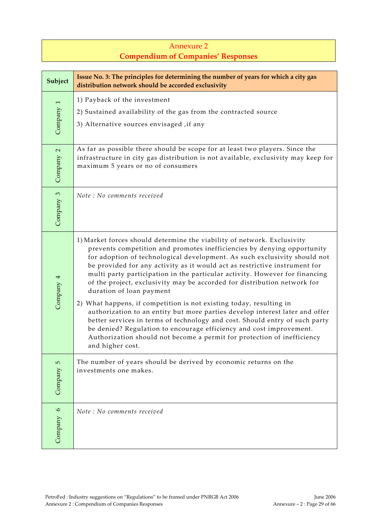| Subject                   | Issue No. 3: The principles for determining the number of years for which a city gas<br>distribution network should be accorded exclusivity                                                                                                                                                                                                                                                                                                                                                                                                                                                                                                                                                                                                                                                                                                                                                                      |
|---------------------------|------------------------------------------------------------------------------------------------------------------------------------------------------------------------------------------------------------------------------------------------------------------------------------------------------------------------------------------------------------------------------------------------------------------------------------------------------------------------------------------------------------------------------------------------------------------------------------------------------------------------------------------------------------------------------------------------------------------------------------------------------------------------------------------------------------------------------------------------------------------------------------------------------------------|
| Company 1                 | 1) Payback of the investment<br>2) Sustained availability of the gas from the contracted source<br>3) Alternative sources envisaged , if any                                                                                                                                                                                                                                                                                                                                                                                                                                                                                                                                                                                                                                                                                                                                                                     |
| Company 2                 | As far as possible there should be scope for at least two players. Since the<br>infrastructure in city gas distribution is not available, exclusivity may keep for<br>maximum 5 years or no of consumers                                                                                                                                                                                                                                                                                                                                                                                                                                                                                                                                                                                                                                                                                                         |
| Company 3                 | Note: No comments received                                                                                                                                                                                                                                                                                                                                                                                                                                                                                                                                                                                                                                                                                                                                                                                                                                                                                       |
| Company 4                 | 1) Market forces should determine the viability of network. Exclusivity<br>prevents competition and promotes inefficiencies by denying opportunity<br>for adoption of technological development. As such exclusivity should not<br>be provided for any activity as it would act as restrictive instrument for<br>multi party participation in the particular activity. However for financing<br>of the project, exclusivity may be accorded for distribution network for<br>duration of loan payment<br>2) What happens, if competition is not existing today, resulting in<br>authorization to an entity but more parties develop interest later and offer<br>better services in terms of technology and cost. Should entry of such party<br>be denied? Regulation to encourage efficiency and cost improvement.<br>Authorization should not become a permit for protection of inefficiency<br>and higher cost. |
| $\overline{5}$<br>Company | The number of years should be derived by economic returns on the<br>investments one makes.                                                                                                                                                                                                                                                                                                                                                                                                                                                                                                                                                                                                                                                                                                                                                                                                                       |
| $\bullet$<br>Company      | Note: No comments received                                                                                                                                                                                                                                                                                                                                                                                                                                                                                                                                                                                                                                                                                                                                                                                                                                                                                       |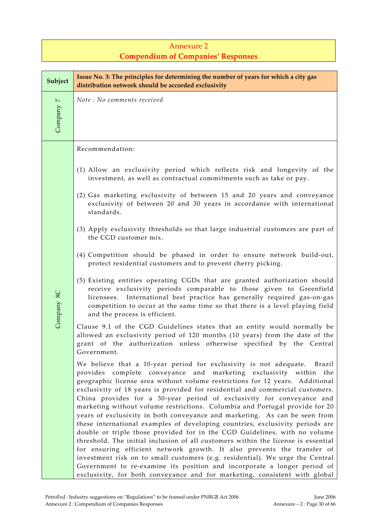| Subject                          | Issue No. 3: The principles for determining the number of years for which a city gas<br>distribution network should be accorded exclusivity                                                                                                                                                                                                                                                                                                                                                                                                                                                                                                                                                                                                                                                                                                                                                                                                                                                                                                                                                                                      |
|----------------------------------|----------------------------------------------------------------------------------------------------------------------------------------------------------------------------------------------------------------------------------------------------------------------------------------------------------------------------------------------------------------------------------------------------------------------------------------------------------------------------------------------------------------------------------------------------------------------------------------------------------------------------------------------------------------------------------------------------------------------------------------------------------------------------------------------------------------------------------------------------------------------------------------------------------------------------------------------------------------------------------------------------------------------------------------------------------------------------------------------------------------------------------|
| $\boldsymbol{\nabla}$<br>Company | Note: No comments received                                                                                                                                                                                                                                                                                                                                                                                                                                                                                                                                                                                                                                                                                                                                                                                                                                                                                                                                                                                                                                                                                                       |
|                                  | Recommendation:<br>(1) Allow an exclusivity period which reflects risk and longevity of the<br>investment, as well as contractual commitments such as take or pay.                                                                                                                                                                                                                                                                                                                                                                                                                                                                                                                                                                                                                                                                                                                                                                                                                                                                                                                                                               |
|                                  | (2) Gas marketing exclusivity of between 15 and 20 years and conveyance<br>exclusivity of between 20 and 30 years in accordance with international<br>standards.                                                                                                                                                                                                                                                                                                                                                                                                                                                                                                                                                                                                                                                                                                                                                                                                                                                                                                                                                                 |
|                                  | (3) Apply exclusivity thresholds so that large industrial customers are part of<br>the CGD customer mix.                                                                                                                                                                                                                                                                                                                                                                                                                                                                                                                                                                                                                                                                                                                                                                                                                                                                                                                                                                                                                         |
|                                  | (4) Competition should be phased in order to ensure network build-out,<br>protect residential customers and to prevent cherry picking.                                                                                                                                                                                                                                                                                                                                                                                                                                                                                                                                                                                                                                                                                                                                                                                                                                                                                                                                                                                           |
| Company 8C                       | (5) Existing entities operating CGDs that are granted authorization should<br>receive exclusivity periods comparable to those given to Greenfield<br>licensees. International best practice has generally required gas-on-gas<br>competition to occur at the same time so that there is a level playing field<br>and the process is efficient.                                                                                                                                                                                                                                                                                                                                                                                                                                                                                                                                                                                                                                                                                                                                                                                   |
|                                  | Clause 9.1 of the CGD Guidelines states that an entity would normally be<br>allowed an exclusivity period of 120 months (10 years) from the date of the<br>grant of the authorization unless otherwise specified by the Central<br>Government.                                                                                                                                                                                                                                                                                                                                                                                                                                                                                                                                                                                                                                                                                                                                                                                                                                                                                   |
|                                  | We believe that a 10-year period for exclusivity is not adequate.<br>Brazil<br>provides complete conveyance and marketing exclusivity within the<br>geographic license area without volume restrictions for 12 years. Additional<br>exclusivity of 18 years is provided for residential and commercial customers.<br>China provides for a 30-year period of exclusivity for conveyance and<br>marketing without volume restrictions. Columbia and Portugal provide for 20<br>years of exclusivity in both conveyance and marketing. As can be seen from<br>these international examples of developing countries, exclusivity periods are<br>double or triple those provided for in the CGD Guidelines, with no volume<br>threshold. The initial inclusion of all customers within the license is essential<br>for ensuring efficient network growth. It also prevents the transfer of<br>investment risk on to small customers (e.g. residential). We urge the Central<br>Government to re-examine its position and incorporate a longer period of<br>exclusivity, for both conveyance and for marketing, consistent with global |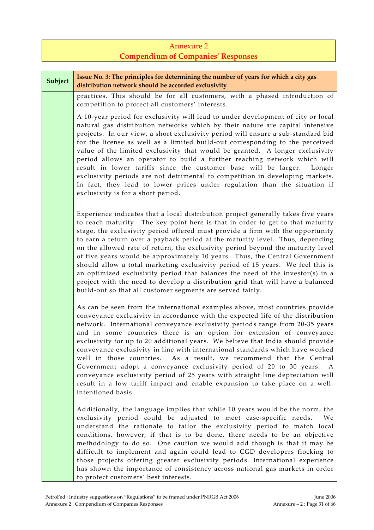| Subject | Issue No. 3: The principles for determining the number of years for which a city gas<br>distribution network should be accorded exclusivity                                                                                                                                                                                                                                                                                                                                                                                                                                                                                                                                                                                                                                                                                                        |
|---------|----------------------------------------------------------------------------------------------------------------------------------------------------------------------------------------------------------------------------------------------------------------------------------------------------------------------------------------------------------------------------------------------------------------------------------------------------------------------------------------------------------------------------------------------------------------------------------------------------------------------------------------------------------------------------------------------------------------------------------------------------------------------------------------------------------------------------------------------------|
|         | practices. This should be for all customers, with a phased introduction of<br>competition to protect all customers' interests.                                                                                                                                                                                                                                                                                                                                                                                                                                                                                                                                                                                                                                                                                                                     |
|         | A 10-year period for exclusivity will lead to under development of city or local<br>natural gas distribution networks which by their nature are capital intensive<br>projects. In our view, a short exclusivity period will ensure a sub-standard bid<br>for the license as well as a limited build-out corresponding to the perceived<br>value of the limited exclusivity that would be granted. A longer exclusivity<br>period allows an operator to build a further reaching network which will<br>result in lower tariffs since the customer base will be larger.<br>Longer<br>exclusivity periods are not detrimental to competition in developing markets.<br>In fact, they lead to lower prices under regulation than the situation if<br>exclusivity is for a short period.                                                                |
|         | Experience indicates that a local distribution project generally takes five years<br>to reach maturity. The key point here is that in order to get to that maturity<br>stage, the exclusivity period offered must provide a firm with the opportunity<br>to earn a return over a payback period at the maturity level. Thus, depending<br>on the allowed rate of return, the exclusivity period beyond the maturity level<br>of five years would be approximately 10 years. Thus, the Central Government<br>should allow a total marketing exclusivity period of 15 years. We feel this is<br>an optimized exclusivity period that balances the need of the investor(s) in a<br>project with the need to develop a distribution grid that will have a balanced<br>build-out so that all customer segments are served fairly.                       |
|         | As can be seen from the international examples above, most countries provide<br>conveyance exclusivity in accordance with the expected life of the distribution<br>network. International conveyance exclusivity periods range from 20-35 years<br>and in some countries there is an option for extension of conveyance<br>exclusivity for up to 20 additional years. We believe that India should provide<br>conveyance exclusivity in line with international standards which have worked<br>well in those countries. As a result, we recommend that the Central<br>Government adopt a conveyance exclusivity period of 20 to 30 years.<br>$\overline{A}$<br>conveyance exclusivity period of 25 years with straight line depreciation will<br>result in a low tariff impact and enable expansion to take place on a well-<br>intentioned basis. |
|         | Additionally, the language implies that while 10 years would be the norm, the<br>exclusivity period could be adjusted to meet case-specific needs.<br>We<br>understand the rationale to tailor the exclusivity period to match local<br>conditions, however, if that is to be done, there needs to be an objective<br>methodology to do so. One caution we would add though is that it may be<br>difficult to implement and again could lead to CGD developers flocking to<br>those projects offering greater exclusivity periods. International experience<br>has shown the importance of consistency across national gas markets in order<br>to protect customers' best interests.                                                                                                                                                               |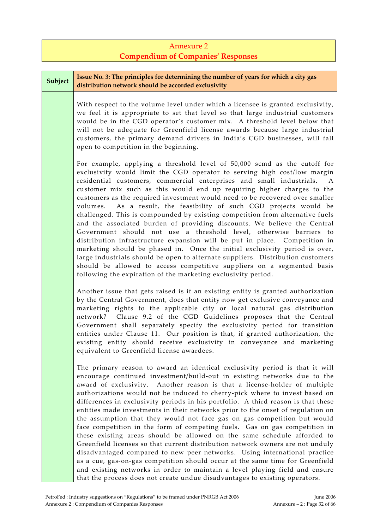| Subject | Issue No. 3: The principles for determining the number of years for which a city gas<br>distribution network should be accorded exclusivity                                                                                                                                                                                                                                                                                                                                                                                                                                                                                                                                                                                                                                                                                                                                                                                                                                                                                                                                                                                                    |
|---------|------------------------------------------------------------------------------------------------------------------------------------------------------------------------------------------------------------------------------------------------------------------------------------------------------------------------------------------------------------------------------------------------------------------------------------------------------------------------------------------------------------------------------------------------------------------------------------------------------------------------------------------------------------------------------------------------------------------------------------------------------------------------------------------------------------------------------------------------------------------------------------------------------------------------------------------------------------------------------------------------------------------------------------------------------------------------------------------------------------------------------------------------|
|         | With respect to the volume level under which a licensee is granted exclusivity,<br>we feel it is appropriate to set that level so that large industrial customers<br>would be in the CGD operator's customer mix. A threshold level below that<br>will not be adequate for Greenfield license awards because large industrial<br>customers, the primary demand drivers in India's CGD businesses, will fall<br>open to competition in the beginning.                                                                                                                                                                                                                                                                                                                                                                                                                                                                                                                                                                                                                                                                                           |
|         | For example, applying a threshold level of 50,000 scmd as the cutoff for<br>exclusivity would limit the CGD operator to serving high cost/low margin<br>residential customers, commercial enterprises and small industrials. A<br>customer mix such as this would end up requiring higher charges to the<br>customers as the required investment would need to be recovered over smaller<br>volumes. As a result, the feasibility of such CGD projects would be<br>challenged. This is compounded by existing competition from alternative fuels<br>and the associated burden of providing discounts. We believe the Central<br>Government should not use a threshold level, otherwise barriers to<br>distribution infrastructure expansion will be put in place. Competition in<br>marketing should be phased in. Once the initial exclusivity period is over,<br>large industrials should be open to alternate suppliers. Distribution customers<br>should be allowed to access competitive suppliers on a segmented basis<br>following the expiration of the marketing exclusivity period.                                                  |
|         | Another issue that gets raised is if an existing entity is granted authorization<br>by the Central Government, does that entity now get exclusive conveyance and<br>marketing rights to the applicable city or local natural gas distribution<br>network? Clause 9.2 of the CGD Guidelines proposes that the Central<br>Government shall separately specify the exclusivity period for transition<br>entities under Clause 11. Our position is that, if granted authorization, the<br>existing entity should receive exclusivity in conveyance and marketing<br>equivalent to Greenfield license awardees.                                                                                                                                                                                                                                                                                                                                                                                                                                                                                                                                     |
|         | The primary reason to award an identical exclusivity period is that it will<br>encourage continued investment/build-out in existing networks due to the<br>award of exclusivity. Another reason is that a license-holder of multiple<br>authorizations would not be induced to cherry-pick where to invest based on<br>differences in exclusivity periods in his portfolio. A third reason is that these<br>entities made investments in their networks prior to the onset of regulation on<br>the assumption that they would not face gas on gas competition but would<br>face competition in the form of competing fuels. Gas on gas competition in<br>these existing areas should be allowed on the same schedule afforded to<br>Greenfield licenses so that current distribution network owners are not unduly<br>disadvantaged compared to new peer networks. Using international practice<br>as a cue, gas-on-gas competition should occur at the same time for Greenfield<br>and existing networks in order to maintain a level playing field and ensure<br>that the process does not create undue disadvantages to existing operators. |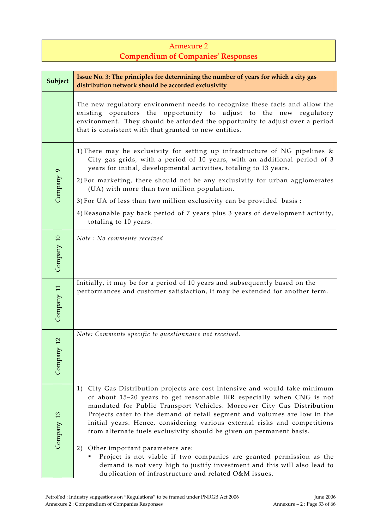| Subject              | Issue No. 3: The principles for determining the number of years for which a city gas<br>distribution network should be accorded exclusivity                                                                                                                                                                                                                                                                                                                                                                                                                                                                                                                                                                               |
|----------------------|---------------------------------------------------------------------------------------------------------------------------------------------------------------------------------------------------------------------------------------------------------------------------------------------------------------------------------------------------------------------------------------------------------------------------------------------------------------------------------------------------------------------------------------------------------------------------------------------------------------------------------------------------------------------------------------------------------------------------|
|                      | The new regulatory environment needs to recognize these facts and allow the<br>existing operators the opportunity to adjust to the new regulatory<br>environment. They should be afforded the opportunity to adjust over a period<br>that is consistent with that granted to new entities.                                                                                                                                                                                                                                                                                                                                                                                                                                |
|                      | 1) There may be exclusivity for setting up infrastructure of NG pipelines $\&$<br>City gas grids, with a period of 10 years, with an additional period of 3<br>years for initial, developmental activities, totaling to 13 years.                                                                                                                                                                                                                                                                                                                                                                                                                                                                                         |
| Company <sub>9</sub> | 2) For marketing, there should not be any exclusivity for urban agglomerates<br>(UA) with more than two million population.                                                                                                                                                                                                                                                                                                                                                                                                                                                                                                                                                                                               |
|                      | 3) For UA of less than two million exclusivity can be provided basis :                                                                                                                                                                                                                                                                                                                                                                                                                                                                                                                                                                                                                                                    |
|                      | 4) Reasonable pay back period of 7 years plus 3 years of development activity,<br>totaling to 10 years.                                                                                                                                                                                                                                                                                                                                                                                                                                                                                                                                                                                                                   |
| Company 10           | Note: No comments received                                                                                                                                                                                                                                                                                                                                                                                                                                                                                                                                                                                                                                                                                                |
| Company 11           | Initially, it may be for a period of 10 years and subsequently based on the<br>performances and customer satisfaction, it may be extended for another term.                                                                                                                                                                                                                                                                                                                                                                                                                                                                                                                                                               |
| 12<br>Compar         | Note: Comments specific to questionnaire not received.                                                                                                                                                                                                                                                                                                                                                                                                                                                                                                                                                                                                                                                                    |
| Company 13           | City Gas Distribution projects are cost intensive and would take minimum<br>1)<br>of about 15~20 years to get reasonable IRR especially when CNG is not<br>mandated for Public Transport Vehicles. Moreover City Gas Distribution<br>Projects cater to the demand of retail segment and volumes are low in the<br>initial years. Hence, considering various external risks and competitions<br>from alternate fuels exclusivity should be given on permanent basis.<br>Other important parameters are:<br>2)<br>Project is not viable if two companies are granted permission as the<br>demand is not very high to justify investment and this will also lead to<br>duplication of infrastructure and related O&M issues. |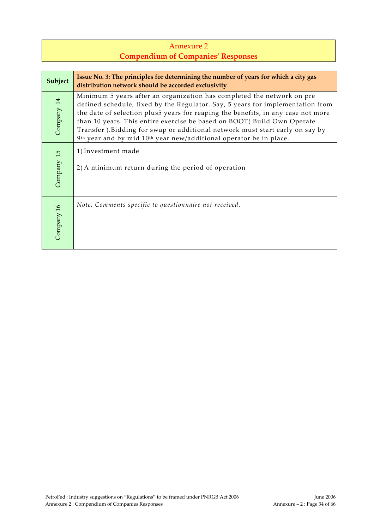| Subject    | Issue No. 3: The principles for determining the number of years for which a city gas<br>distribution network should be accorded exclusivity                                                                                                                                                                                                                                                                                                                                    |
|------------|--------------------------------------------------------------------------------------------------------------------------------------------------------------------------------------------------------------------------------------------------------------------------------------------------------------------------------------------------------------------------------------------------------------------------------------------------------------------------------|
| Company 14 | Minimum 5 years after an organization has completed the network on pre<br>defined schedule, fixed by the Regulator. Say, 5 years for implementation from<br>the date of selection plus5 years for reaping the benefits, in any case not more<br>than 10 years. This entire exercise be based on BOOT( Build Own Operate<br>Transfer ). Bidding for swap or additional network must start early on say by<br>9th year and by mid 10th year new/additional operator be in place. |
| Company 15 | 1) Investment made<br>2) A minimum return during the period of operation                                                                                                                                                                                                                                                                                                                                                                                                       |
| Company 16 | Note: Comments specific to questionnaire not received.                                                                                                                                                                                                                                                                                                                                                                                                                         |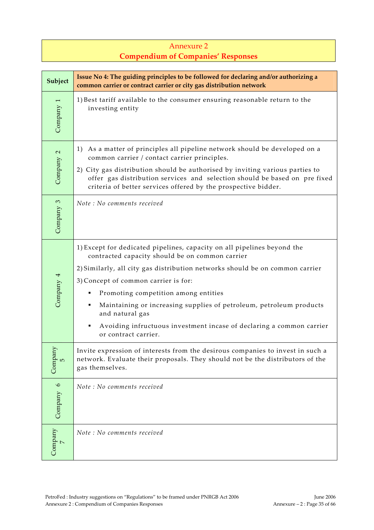| Subject                             | Issue No 4: The guiding principles to be followed for declaring and/or authorizing a<br>common carrier or contract carrier or city gas distribution network                                                                                                                                                                                                                                                                                                                               |
|-------------------------------------|-------------------------------------------------------------------------------------------------------------------------------------------------------------------------------------------------------------------------------------------------------------------------------------------------------------------------------------------------------------------------------------------------------------------------------------------------------------------------------------------|
| $\overline{\phantom{0}}$<br>Company | 1) Best tariff available to the consumer ensuring reasonable return to the<br>investing entity                                                                                                                                                                                                                                                                                                                                                                                            |
| $\mathbf{z}$<br>Company             | As a matter of principles all pipeline network should be developed on a<br>1)<br>common carrier / contact carrier principles.<br>2) City gas distribution should be authorised by inviting various parties to<br>offer gas distribution services and selection should be based on pre fixed<br>criteria of better services offered by the prospective bidder.                                                                                                                             |
| Company 3                           | Note: No comments received                                                                                                                                                                                                                                                                                                                                                                                                                                                                |
| Company 4                           | 1) Except for dedicated pipelines, capacity on all pipelines beyond the<br>contracted capacity should be on common carrier<br>2) Similarly, all city gas distribution networks should be on common carrier<br>3) Concept of common carrier is for:<br>Promoting competition among entities<br>Maintaining or increasing supplies of petroleum, petroleum products<br>٠<br>and natural gas<br>Avoiding infructuous investment incase of declaring a common carrier<br>or contract carrier. |
| ξ<br>Compar<br>$\overline{5}$       | Invite expression of interests from the desirous companies to invest in such a<br>network. Evaluate their proposals. They should not be the distributors of the<br>gas themselves.                                                                                                                                                                                                                                                                                                        |
| $\mathbf{\hat{e}}$<br>Company       | Note: No comments received                                                                                                                                                                                                                                                                                                                                                                                                                                                                |
| Company<br>$\overline{a}$           | Note: No comments received                                                                                                                                                                                                                                                                                                                                                                                                                                                                |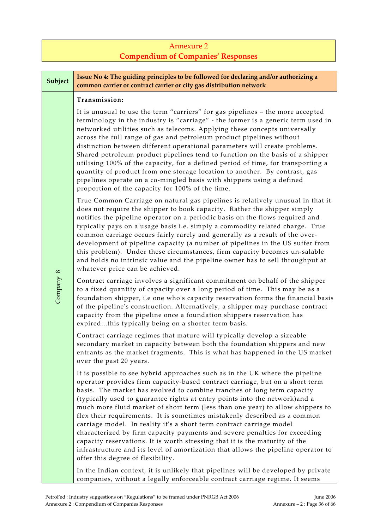| <b>Annexure 2</b><br><b>Compendium of Companies' Responses</b> |                                                                                                                                                                                                                                                                                                                                                                                                                                                                                                                                                                                                                                                                                                                                                                                                                                                      |
|----------------------------------------------------------------|------------------------------------------------------------------------------------------------------------------------------------------------------------------------------------------------------------------------------------------------------------------------------------------------------------------------------------------------------------------------------------------------------------------------------------------------------------------------------------------------------------------------------------------------------------------------------------------------------------------------------------------------------------------------------------------------------------------------------------------------------------------------------------------------------------------------------------------------------|
|                                                                |                                                                                                                                                                                                                                                                                                                                                                                                                                                                                                                                                                                                                                                                                                                                                                                                                                                      |
| Subject                                                        | Issue No 4: The guiding principles to be followed for declaring and/or authorizing a<br>common carrier or contract carrier or city gas distribution network                                                                                                                                                                                                                                                                                                                                                                                                                                                                                                                                                                                                                                                                                          |
|                                                                | Transmission:                                                                                                                                                                                                                                                                                                                                                                                                                                                                                                                                                                                                                                                                                                                                                                                                                                        |
|                                                                | It is unusual to use the term "carriers" for gas pipelines - the more accepted<br>terminology in the industry is "carriage" - the former is a generic term used in<br>networked utilities such as telecoms. Applying these concepts universally<br>across the full range of gas and petroleum product pipelines without<br>distinction between different operational parameters will create problems.<br>Shared petroleum product pipelines tend to function on the basis of a shipper<br>utilising 100% of the capacity, for a defined period of time, for transporting a<br>quantity of product from one storage location to another. By contrast, gas<br>pipelines operate on a co-mingled basis with shippers using a defined<br>proportion of the capacity for 100% of the time.                                                                |
|                                                                | True Common Carriage on natural gas pipelines is relatively unusual in that it<br>does not require the shipper to book capacity. Rather the shipper simply<br>notifies the pipeline operator on a periodic basis on the flows required and<br>typically pays on a usage basis i.e. simply a commodity related charge. True<br>common carriage occurs fairly rarely and generally as a result of the over-<br>development of pipeline capacity (a number of pipelines in the US suffer from<br>this problem). Under these circumstances, firm capacity becomes un-salable<br>and holds no intrinsic value and the pipeline owner has to sell throughput at<br>whatever price can be achieved.                                                                                                                                                         |
| Company 8                                                      | Contract carriage involves a significant commitment on behalf of the shipper<br>to a fixed quantity of capacity over a long period of time. This may be as a<br>foundation shipper, i.e one who's capacity reservation forms the financial basis<br>of the pipeline's construction. Alternatively, a shipper may purchase contract<br>capacity from the pipeline once a foundation shippers reservation has<br>expiredthis typically being on a shorter term basis.                                                                                                                                                                                                                                                                                                                                                                                  |
|                                                                | Contract carriage regimes that mature will typically develop a sizeable<br>secondary market in capacity between both the foundation shippers and new<br>entrants as the market fragments. This is what has happened in the US market<br>over the past 20 years.                                                                                                                                                                                                                                                                                                                                                                                                                                                                                                                                                                                      |
|                                                                | It is possible to see hybrid approaches such as in the UK where the pipeline<br>operator provides firm capacity-based contract carriage, but on a short term<br>basis. The market has evolved to combine tranches of long term capacity<br>(typically used to guarantee rights at entry points into the network) and a<br>much more fluid market of short term (less than one year) to allow shippers to<br>flex their requirements. It is sometimes mistakenly described as a common<br>carriage model. In reality it's a short term contract carriage model<br>characterized by firm capacity payments and severe penalties for exceeding<br>capacity reservations. It is worth stressing that it is the maturity of the<br>infrastructure and its level of amortization that allows the pipeline operator to<br>offer this degree of flexibility. |
|                                                                | In the Indian context, it is unlikely that pipelines will be developed by private<br>companies, without a legally enforceable contract carriage regime. It seems                                                                                                                                                                                                                                                                                                                                                                                                                                                                                                                                                                                                                                                                                     |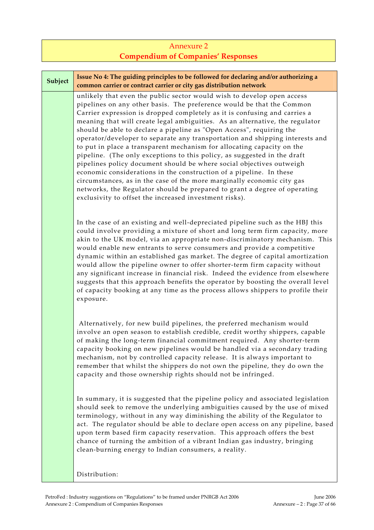| Annexure 2                                |  |
|-------------------------------------------|--|
| <b>Compendium of Companies' Responses</b> |  |
|                                           |  |

**The State** 

| Subject | Issue No 4: The guiding principles to be followed for declaring and/or authorizing a<br>common carrier or contract carrier or city gas distribution network                                                                                                                                                                                                                                                                                                                                                                                                                                                                                                                                                                                                                                                                                                                                                                                                                                |
|---------|--------------------------------------------------------------------------------------------------------------------------------------------------------------------------------------------------------------------------------------------------------------------------------------------------------------------------------------------------------------------------------------------------------------------------------------------------------------------------------------------------------------------------------------------------------------------------------------------------------------------------------------------------------------------------------------------------------------------------------------------------------------------------------------------------------------------------------------------------------------------------------------------------------------------------------------------------------------------------------------------|
|         | unlikely that even the public sector would wish to develop open access<br>pipelines on any other basis. The preference would be that the Common<br>Carrier expression is dropped completely as it is confusing and carries a<br>meaning that will create legal ambiguities. As an alternative, the regulator<br>should be able to declare a pipeline as "Open Access", requiring the<br>operator/developer to separate any transportation and shipping interests and<br>to put in place a transparent mechanism for allocating capacity on the<br>pipeline. (The only exceptions to this policy, as suggested in the draft<br>pipelines policy document should be where social objectives outweigh<br>economic considerations in the construction of a pipeline. In these<br>circumstances, as in the case of the more marginally economic city gas<br>networks, the Regulator should be prepared to grant a degree of operating<br>exclusivity to offset the increased investment risks). |
|         | In the case of an existing and well-depreciated pipeline such as the HBJ this<br>could involve providing a mixture of short and long term firm capacity, more<br>akin to the UK model, via an appropriate non-discriminatory mechanism. This<br>would enable new entrants to serve consumers and provide a competitive<br>dynamic within an established gas market. The degree of capital amortization<br>would allow the pipeline owner to offer shorter-term firm capacity without<br>any significant increase in financial risk. Indeed the evidence from elsewhere<br>suggests that this approach benefits the operator by boosting the overall level<br>of capacity booking at any time as the process allows shippers to profile their<br>exposure.                                                                                                                                                                                                                                  |
|         | Alternatively, for new build pipelines, the preferred mechanism would<br>involve an open season to establish credible, credit worthy shippers, capable<br>of making the long-term financial commitment required. Any shorter-term<br>capacity booking on new pipelines would be handled via a secondary trading<br>mechanism, not by controlled capacity release. It is always important to<br>remember that whilst the shippers do not own the pipeline, they do own the<br>capacity and those ownership rights should not be infringed.                                                                                                                                                                                                                                                                                                                                                                                                                                                  |
|         | In summary, it is suggested that the pipeline policy and associated legislation<br>should seek to remove the underlying ambiguities caused by the use of mixed<br>terminology, without in any way diminishing the ability of the Regulator to<br>act. The regulator should be able to declare open access on any pipeline, based<br>upon term based firm capacity reservation. This approach offers the best<br>chance of turning the ambition of a vibrant Indian gas industry, bringing<br>clean-burning energy to Indian consumers, a reality.                                                                                                                                                                                                                                                                                                                                                                                                                                          |
|         | Distribution:                                                                                                                                                                                                                                                                                                                                                                                                                                                                                                                                                                                                                                                                                                                                                                                                                                                                                                                                                                              |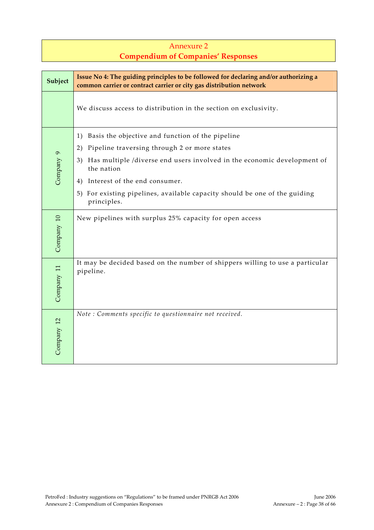| Subject    | Issue No 4: The guiding principles to be followed for declaring and/or authorizing a<br>common carrier or contract carrier or city gas distribution network |
|------------|-------------------------------------------------------------------------------------------------------------------------------------------------------------|
|            | We discuss access to distribution in the section on exclusivity.                                                                                            |
|            | Basis the objective and function of the pipeline<br>1)                                                                                                      |
|            | Pipeline traversing through 2 or more states<br>2)                                                                                                          |
| Company 9  | Has multiple /diverse end users involved in the economic development of<br>3)<br>the nation                                                                 |
|            | Interest of the end consumer.<br>4)                                                                                                                         |
|            | 5) For existing pipelines, available capacity should be one of the guiding<br>principles.                                                                   |
| Company 10 | New pipelines with surplus 25% capacity for open access                                                                                                     |
| Company 11 | It may be decided based on the number of shippers willing to use a particular<br>pipeline.                                                                  |
| Company 12 | Note: Comments specific to questionnaire not received.                                                                                                      |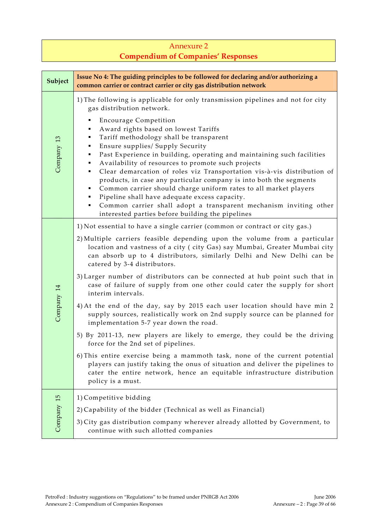| Annexure 2                                |  |
|-------------------------------------------|--|
| <b>Compendium of Companies' Responses</b> |  |

| Subject    | Issue No 4: The guiding principles to be followed for declaring and/or authorizing a<br>common carrier or contract carrier or city gas distribution network                                                                                                                                                                                                                                                                                                                                                                                                                                                                                                                                                                     |
|------------|---------------------------------------------------------------------------------------------------------------------------------------------------------------------------------------------------------------------------------------------------------------------------------------------------------------------------------------------------------------------------------------------------------------------------------------------------------------------------------------------------------------------------------------------------------------------------------------------------------------------------------------------------------------------------------------------------------------------------------|
|            | 1) The following is applicable for only transmission pipelines and not for city<br>gas distribution network.                                                                                                                                                                                                                                                                                                                                                                                                                                                                                                                                                                                                                    |
| Company 13 | <b>Encourage Competition</b><br>٠<br>Award rights based on lowest Tariffs<br>п<br>Tariff methodology shall be transparent<br>٠<br>Ensure supplies/ Supply Security<br>٠<br>Past Experience in building, operating and maintaining such facilities<br>٠<br>Availability of resources to promote such projects<br>٠<br>Clear demarcation of roles viz Transportation vis-à-vis distribution of<br>٠<br>products, in case any particular company is into both the segments<br>Common carrier should charge uniform rates to all market players<br>٠<br>Pipeline shall have adequate excess capacity.<br>٠<br>Common carrier shall adopt a transparent mechanism inviting other<br>interested parties before building the pipelines |
|            | 1) Not essential to have a single carrier (common or contract or city gas.)                                                                                                                                                                                                                                                                                                                                                                                                                                                                                                                                                                                                                                                     |
|            | 2) Multiple carriers feasible depending upon the volume from a particular<br>location and vastness of a city ( city Gas) say Mumbai, Greater Mumbai city<br>can absorb up to 4 distributors, similarly Delhi and New Delhi can be<br>catered by 3-4 distributors.                                                                                                                                                                                                                                                                                                                                                                                                                                                               |
|            | 3) Larger number of distributors can be connected at hub point such that in<br>case of failure of supply from one other could cater the supply for short<br>interim intervals.                                                                                                                                                                                                                                                                                                                                                                                                                                                                                                                                                  |
| Company 14 | 4) At the end of the day, say by 2015 each user location should have min 2<br>supply sources, realistically work on 2nd supply source can be planned for<br>implementation 5-7 year down the road.                                                                                                                                                                                                                                                                                                                                                                                                                                                                                                                              |
|            | 5) By 2011-13, new players are likely to emerge, they could be the driving<br>force for the 2nd set of pipelines.                                                                                                                                                                                                                                                                                                                                                                                                                                                                                                                                                                                                               |
|            | 6) This entire exercise being a mammoth task, none of the current potential<br>players can justify taking the onus of situation and deliver the pipelines to<br>cater the entire network, hence an equitable infrastructure distribution<br>policy is a must.                                                                                                                                                                                                                                                                                                                                                                                                                                                                   |
|            | 1) Competitive bidding                                                                                                                                                                                                                                                                                                                                                                                                                                                                                                                                                                                                                                                                                                          |
| Company 15 | 2) Capability of the bidder (Technical as well as Financial)                                                                                                                                                                                                                                                                                                                                                                                                                                                                                                                                                                                                                                                                    |
|            | 3) City gas distribution company wherever already allotted by Government, to<br>continue with such allotted companies                                                                                                                                                                                                                                                                                                                                                                                                                                                                                                                                                                                                           |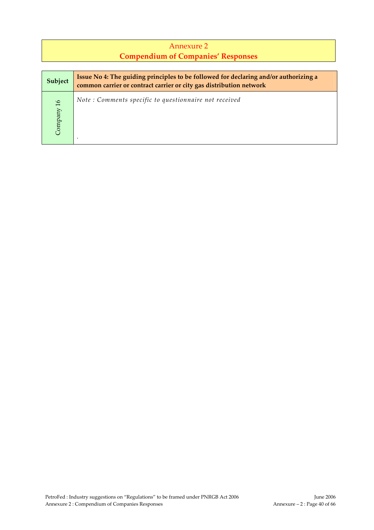| Annexure 2<br><b>Compendium of Companies' Responses</b> |                                                                                                                                                             |
|---------------------------------------------------------|-------------------------------------------------------------------------------------------------------------------------------------------------------------|
| Subject                                                 | Issue No 4: The guiding principles to be followed for declaring and/or authorizing a<br>common carrier or contract carrier or city gas distribution network |
| Company 16                                              | Note: Comments specific to questionnaire not received                                                                                                       |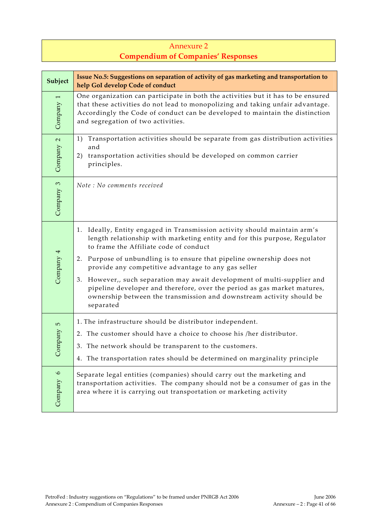| Subject                   | Issue No.5: Suggestions on separation of activity of gas marketing and transportation to<br>help GoI develop Code of conduct                                                                                                                                                                                                                                                                                                                                                                                                                                                   |
|---------------------------|--------------------------------------------------------------------------------------------------------------------------------------------------------------------------------------------------------------------------------------------------------------------------------------------------------------------------------------------------------------------------------------------------------------------------------------------------------------------------------------------------------------------------------------------------------------------------------|
| Company 1                 | One organization can participate in both the activities but it has to be ensured<br>that these activities do not lead to monopolizing and taking unfair advantage.<br>Accordingly the Code of conduct can be developed to maintain the distinction<br>and segregation of two activities.                                                                                                                                                                                                                                                                                       |
| Company 2                 | 1) Transportation activities should be separate from gas distribution activities<br>and<br>2) transportation activities should be developed on common carrier<br>principles.                                                                                                                                                                                                                                                                                                                                                                                                   |
| Company 3                 | Note: No comments received                                                                                                                                                                                                                                                                                                                                                                                                                                                                                                                                                     |
| Company 4                 | 1. Ideally, Entity engaged in Transmission activity should maintain arm's<br>length relationship with marketing entity and for this purpose, Regulator<br>to frame the Affiliate code of conduct<br>2. Purpose of unbundling is to ensure that pipeline ownership does not<br>provide any competitive advantage to any gas seller<br>3. However,, such separation may await development of multi-supplier and<br>pipeline developer and therefore, over the period as gas market matures,<br>ownership between the transmission and downstream activity should be<br>separated |
| $\overline{c}$<br>Company | 1. The infrastructure should be distributor independent.<br>2. The customer should have a choice to choose his /her distributor.<br>3. The network should be transparent to the customers.<br>4. The transportation rates should be determined on marginality principle                                                                                                                                                                                                                                                                                                        |
| Company 6                 | Separate legal entities (companies) should carry out the marketing and<br>transportation activities. The company should not be a consumer of gas in the<br>area where it is carrying out transportation or marketing activity                                                                                                                                                                                                                                                                                                                                                  |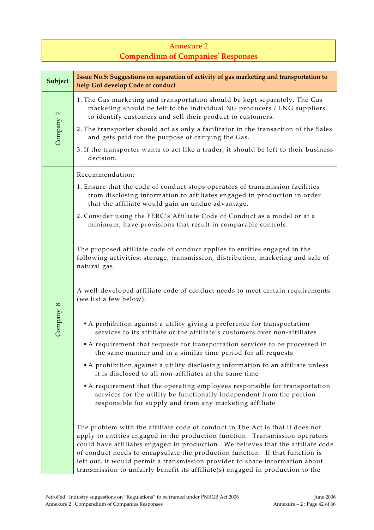| Subject   | Issue No.5: Suggestions on separation of activity of gas marketing and transportation to<br>help GoI develop Code of conduct                                                                                                                                                                                                                                                                                                                                                                        |
|-----------|-----------------------------------------------------------------------------------------------------------------------------------------------------------------------------------------------------------------------------------------------------------------------------------------------------------------------------------------------------------------------------------------------------------------------------------------------------------------------------------------------------|
| Company 7 | 1. The Gas marketing and transportation should be kept separately. The Gas<br>marketing should be left to the individual NG producers / LNG suppliers<br>to identify customers and sell their product to customers.                                                                                                                                                                                                                                                                                 |
|           | 2. The transporter should act as only a facilitator in the transaction of the Sales<br>and gets paid for the purpose of carrying the Gas.                                                                                                                                                                                                                                                                                                                                                           |
|           | 3. If the transporter wants to act like a trader, it should be left to their business<br>decision.                                                                                                                                                                                                                                                                                                                                                                                                  |
|           | Recommendation:                                                                                                                                                                                                                                                                                                                                                                                                                                                                                     |
|           | 1. Ensure that the code of conduct stops operators of transmission facilities<br>from disclosing information to affiliates engaged in production in order<br>that the affiliate would gain an undue advantage.                                                                                                                                                                                                                                                                                      |
|           | 2. Consider using the FERC's Affiliate Code of Conduct as a model or at a<br>minimum, have provisions that result in comparable controls.                                                                                                                                                                                                                                                                                                                                                           |
|           | The proposed affiliate code of conduct applies to entities engaged in the<br>following activities: storage, transmission, distribution, marketing and sale of<br>natural gas.                                                                                                                                                                                                                                                                                                                       |
|           | A well-developed affiliate code of conduct needs to meet certain requirements<br>(we list a few below):                                                                                                                                                                                                                                                                                                                                                                                             |
| Company 8 | A prohibition against a utility giving a preference for transportation<br>services to its affiliate or the affiliate's customers over non-affiliates                                                                                                                                                                                                                                                                                                                                                |
|           | A requirement that requests for transportation services to be processed in<br>the same manner and in a similar time period for all requests                                                                                                                                                                                                                                                                                                                                                         |
|           | " A prohibition against a utility disclosing information to an affiliate unless<br>it is disclosed to all non-affiliates at the same time                                                                                                                                                                                                                                                                                                                                                           |
|           | A requirement that the operating employees responsible for transportation<br>services for the utility be functionally independent from the portion<br>responsible for supply and from any marketing affiliate                                                                                                                                                                                                                                                                                       |
|           | The problem with the affiliate code of conduct in The Act is that it does not<br>apply to entities engaged in the production function. Transmission operators<br>could have affiliates engaged in production. We believes that the affiliate code<br>of conduct needs to encapsulate the production function. If that function is<br>left out, it would permit a transmission provider to share information about<br>transmission to unfairly benefit its affiliate(s) engaged in production to the |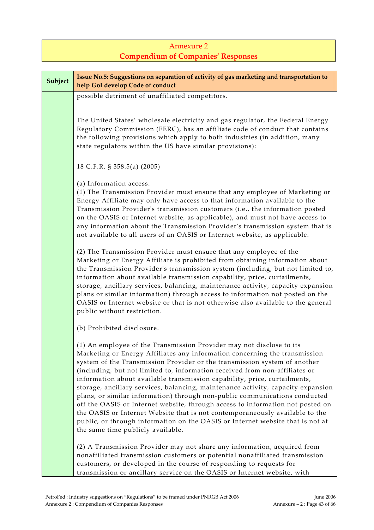| Subject | Issue No.5: Suggestions on separation of activity of gas marketing and transportation to<br>help GoI develop Code of conduct                                                                                                                                                                                                                                                                                                                                                                                                                                                                                                                                                                                                                                                                                                                           |
|---------|--------------------------------------------------------------------------------------------------------------------------------------------------------------------------------------------------------------------------------------------------------------------------------------------------------------------------------------------------------------------------------------------------------------------------------------------------------------------------------------------------------------------------------------------------------------------------------------------------------------------------------------------------------------------------------------------------------------------------------------------------------------------------------------------------------------------------------------------------------|
|         | possible detriment of unaffiliated competitors.                                                                                                                                                                                                                                                                                                                                                                                                                                                                                                                                                                                                                                                                                                                                                                                                        |
|         | The United States' wholesale electricity and gas regulator, the Federal Energy<br>Regulatory Commission (FERC), has an affiliate code of conduct that contains<br>the following provisions which apply to both industries (in addition, many<br>state regulators within the US have similar provisions):                                                                                                                                                                                                                                                                                                                                                                                                                                                                                                                                               |
|         | 18 C.F.R. § 358.5(a) (2005)                                                                                                                                                                                                                                                                                                                                                                                                                                                                                                                                                                                                                                                                                                                                                                                                                            |
|         | (a) Information access.<br>(1) The Transmission Provider must ensure that any employee of Marketing or<br>Energy Affiliate may only have access to that information available to the<br>Transmission Provider's transmission customers (i.e., the information posted<br>on the OASIS or Internet website, as applicable), and must not have access to<br>any information about the Transmission Provider's transmission system that is<br>not available to all users of an OASIS or Internet website, as applicable.                                                                                                                                                                                                                                                                                                                                   |
|         | (2) The Transmission Provider must ensure that any employee of the<br>Marketing or Energy Affiliate is prohibited from obtaining information about<br>the Transmission Provider's transmission system (including, but not limited to,<br>information about available transmission capability, price, curtailments,<br>storage, ancillary services, balancing, maintenance activity, capacity expansion<br>plans or similar information) through access to information not posted on the<br>OASIS or Internet website or that is not otherwise also available to the general<br>public without restriction.                                                                                                                                                                                                                                             |
|         | (b) Prohibited disclosure.                                                                                                                                                                                                                                                                                                                                                                                                                                                                                                                                                                                                                                                                                                                                                                                                                             |
|         | (1) An employee of the Transmission Provider may not disclose to its<br>Marketing or Energy Affiliates any information concerning the transmission<br>system of the Transmission Provider or the transmission system of another<br>(including, but not limited to, information received from non-affiliates or<br>information about available transmission capability, price, curtailments,<br>storage, ancillary services, balancing, maintenance activity, capacity expansion<br>plans, or similar information) through non-public communications conducted<br>off the OASIS or Internet website, through access to information not posted on<br>the OASIS or Internet Website that is not contemporaneously available to the<br>public, or through information on the OASIS or Internet website that is not at<br>the same time publicly available. |
|         | (2) A Transmission Provider may not share any information, acquired from<br>nonaffiliated transmission customers or potential nonaffiliated transmission<br>customers, or developed in the course of responding to requests for<br>transmission or ancillary service on the OASIS or Internet website, with                                                                                                                                                                                                                                                                                                                                                                                                                                                                                                                                            |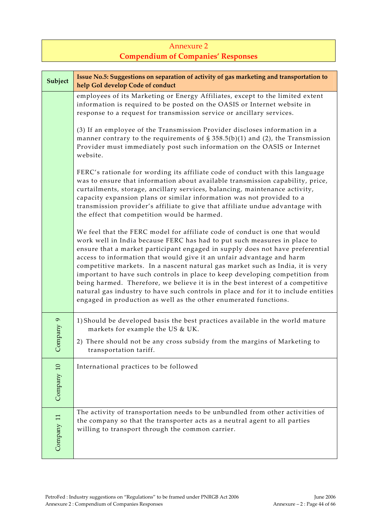| Annexure 2                                |  |
|-------------------------------------------|--|
| <b>Compendium of Companies' Responses</b> |  |

| Subject    | Issue No.5: Suggestions on separation of activity of gas marketing and transportation to<br>help GoI develop Code of conduct                                                                                                                                                                                                                                                                                                                                                                                                                                                                                                                                                                                                     |
|------------|----------------------------------------------------------------------------------------------------------------------------------------------------------------------------------------------------------------------------------------------------------------------------------------------------------------------------------------------------------------------------------------------------------------------------------------------------------------------------------------------------------------------------------------------------------------------------------------------------------------------------------------------------------------------------------------------------------------------------------|
|            | employees of its Marketing or Energy Affiliates, except to the limited extent<br>information is required to be posted on the OASIS or Internet website in<br>response to a request for transmission service or ancillary services.                                                                                                                                                                                                                                                                                                                                                                                                                                                                                               |
|            | (3) If an employee of the Transmission Provider discloses information in a<br>manner contrary to the requirements of $\S 358.5(b)(1)$ and (2), the Transmission<br>Provider must immediately post such information on the OASIS or Internet<br>website.                                                                                                                                                                                                                                                                                                                                                                                                                                                                          |
|            | FERC's rationale for wording its affiliate code of conduct with this language<br>was to ensure that information about available transmission capability, price,<br>curtailments, storage, ancillary services, balancing, maintenance activity,<br>capacity expansion plans or similar information was not provided to a<br>transmission provider's affiliate to give that affiliate undue advantage with<br>the effect that competition would be harmed.                                                                                                                                                                                                                                                                         |
|            | We feel that the FERC model for affiliate code of conduct is one that would<br>work well in India because FERC has had to put such measures in place to<br>ensure that a market participant engaged in supply does not have preferential<br>access to information that would give it an unfair advantage and harm<br>competitive markets. In a nascent natural gas market such as India, it is very<br>important to have such controls in place to keep developing competition from<br>being harmed. Therefore, we believe it is in the best interest of a competitive<br>natural gas industry to have such controls in place and for it to include entities<br>engaged in production as well as the other enumerated functions. |
| Company 9  | 1) Should be developed basis the best practices available in the world mature<br>markets for example the US & UK.                                                                                                                                                                                                                                                                                                                                                                                                                                                                                                                                                                                                                |
|            | 2) There should not be any cross subsidy from the margins of Marketing to<br>transportation tariff.                                                                                                                                                                                                                                                                                                                                                                                                                                                                                                                                                                                                                              |
| Company 10 | International practices to be followed                                                                                                                                                                                                                                                                                                                                                                                                                                                                                                                                                                                                                                                                                           |
| Company 11 | The activity of transportation needs to be unbundled from other activities of<br>the company so that the transporter acts as a neutral agent to all parties<br>willing to transport through the common carrier.                                                                                                                                                                                                                                                                                                                                                                                                                                                                                                                  |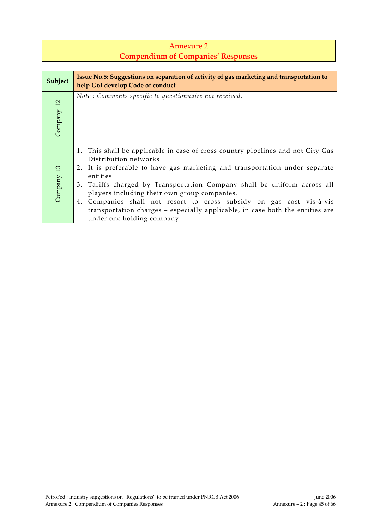| Subject    | Issue No.5: Suggestions on separation of activity of gas marketing and transportation to<br>help GoI develop Code of conduct                                                                                                                                                                                                                                                                                                                                                                                          |
|------------|-----------------------------------------------------------------------------------------------------------------------------------------------------------------------------------------------------------------------------------------------------------------------------------------------------------------------------------------------------------------------------------------------------------------------------------------------------------------------------------------------------------------------|
| Company 12 | Note: Comments specific to questionnaire not received.                                                                                                                                                                                                                                                                                                                                                                                                                                                                |
| Company 13 | 1. This shall be applicable in case of cross country pipelines and not City Gas<br>Distribution networks<br>2. It is preferable to have gas marketing and transportation under separate<br>entities<br>3. Tariffs charged by Transportation Company shall be uniform across all<br>players including their own group companies.<br>4. Companies shall not resort to cross subsidy on gas cost vis-à-vis<br>transportation charges - especially applicable, in case both the entities are<br>under one holding company |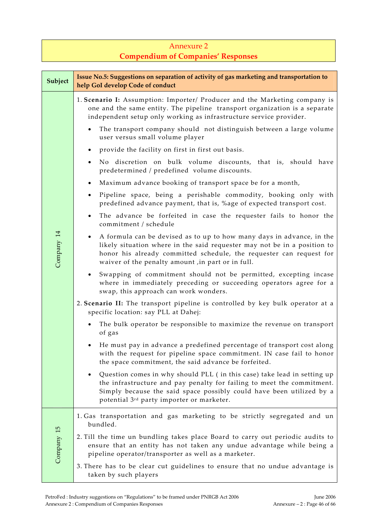| Annexure 2                                |  |
|-------------------------------------------|--|
| <b>Compendium of Companies' Responses</b> |  |

| Subject    | Issue No.5: Suggestions on separation of activity of gas marketing and transportation to<br>help GoI develop Code of conduct                                                                                                                                                       |
|------------|------------------------------------------------------------------------------------------------------------------------------------------------------------------------------------------------------------------------------------------------------------------------------------|
|            | 1. Scenario I: Assumption: Importer/ Producer and the Marketing company is<br>one and the same entity. The pipeline transport organization is a separate<br>independent setup only working as infrastructure service provider.                                                     |
|            | The transport company should not distinguish between a large volume<br>$\bullet$<br>user versus small volume player                                                                                                                                                                |
|            | provide the facility on first in first out basis.                                                                                                                                                                                                                                  |
|            | No discretion on bulk volume discounts, that is, should have<br>predetermined / predefined volume discounts.                                                                                                                                                                       |
|            | Maximum advance booking of transport space be for a month,<br>٠                                                                                                                                                                                                                    |
| Company 14 | Pipeline space, being a perishable commodity, booking only with<br>٠<br>predefined advance payment, that is, %age of expected transport cost.                                                                                                                                      |
|            | The advance be forfeited in case the requester fails to honor the<br>٠<br>commitment / schedule                                                                                                                                                                                    |
|            | A formula can be devised as to up to how many days in advance, in the<br>٠<br>likely situation where in the said requester may not be in a position to<br>honor his already committed schedule, the requester can request for<br>waiver of the penalty amount, in part or in full. |
|            | Swapping of commitment should not be permitted, excepting incase<br>where in immediately preceding or succeeding operators agree for a<br>swap, this approach can work wonders.                                                                                                    |
|            | 2. Scenario II: The transport pipeline is controlled by key bulk operator at a<br>specific location: say PLL at Dahej:                                                                                                                                                             |
|            | The bulk operator be responsible to maximize the revenue on transport<br>of gas                                                                                                                                                                                                    |
|            | He must pay in advance a predefined percentage of transport cost along<br>with the request for pipeline space commitment. IN case fail to honor<br>the space commitment, the said advance be forfeited.                                                                            |
|            | Question comes in why should PLL (in this case) take lead in setting up<br>٠<br>the infrastructure and pay penalty for failing to meet the commitment.<br>Simply because the said space possibly could have been utilized by a<br>potential 3rd party importer or marketer.        |
| Company 15 | 1. Gas transportation and gas marketing to be strictly segregated and un<br>bundled.                                                                                                                                                                                               |
|            | 2. Till the time un bundling takes place Board to carry out periodic audits to<br>ensure that an entity has not taken any undue advantage while being a<br>pipeline operator/transporter as well as a marketer.                                                                    |
|            | 3. There has to be clear cut guidelines to ensure that no undue advantage is<br>taken by such players                                                                                                                                                                              |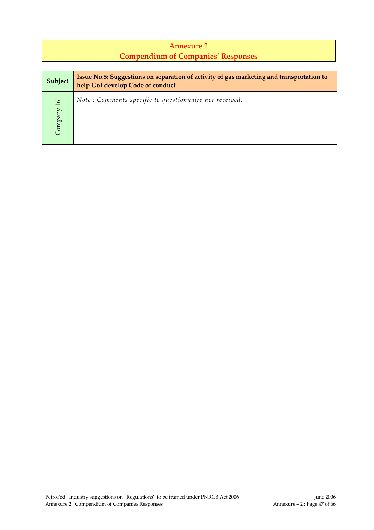| Subject                   | Issue No.5: Suggestions on separation of activity of gas marketing and transportation to<br>help GoI develop Code of conduct |
|---------------------------|------------------------------------------------------------------------------------------------------------------------------|
| $\frac{9}{16}$<br>Company | Note: Comments specific to questionnaire not received.                                                                       |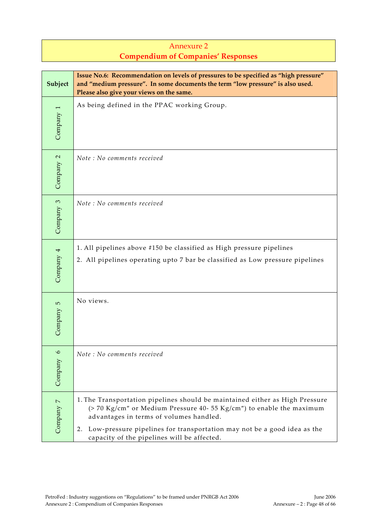| Subject                       | Issue No.6: Recommendation on levels of pressures to be specified as "high pressure"<br>and "medium pressure". In some documents the term "low pressure" is also used.<br>Please also give your views on the same.                                                                                                              |
|-------------------------------|---------------------------------------------------------------------------------------------------------------------------------------------------------------------------------------------------------------------------------------------------------------------------------------------------------------------------------|
| Company 1                     | As being defined in the PPAC working Group.                                                                                                                                                                                                                                                                                     |
| Company 2                     | Note: No comments received                                                                                                                                                                                                                                                                                                      |
| Company 3                     | Note: No comments received                                                                                                                                                                                                                                                                                                      |
| Company 4                     | 1. All pipelines above #150 be classified as High pressure pipelines<br>2. All pipelines operating upto 7 bar be classified as Low pressure pipelines                                                                                                                                                                           |
| $\overline{5}$<br>Company     | No views.                                                                                                                                                                                                                                                                                                                       |
| $\mathbf{\hat{e}}$<br>Company | Note: No comments received                                                                                                                                                                                                                                                                                                      |
| Company 7                     | 1. The Transportation pipelines should be maintained either as High Pressure<br>(> 70 Kg/cm" or Medium Pressure 40- 55 Kg/cm") to enable the maximum<br>advantages in terms of volumes handled.<br>Low-pressure pipelines for transportation may not be a good idea as the<br>2.<br>capacity of the pipelines will be affected. |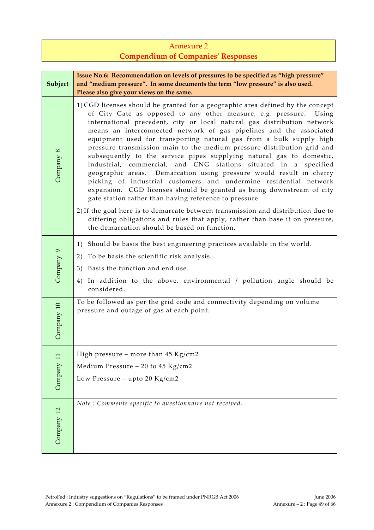| Subject              | Issue No.6: Recommendation on levels of pressures to be specified as "high pressure"<br>and "medium pressure". In some documents the term "low pressure" is also used.<br>Please also give your views on the same.                                                                                                                                                                                                                                                                                                                                                                                                                                                                                                                                                                                                                                                                                                                                                                                                                                                                                         |  |
|----------------------|------------------------------------------------------------------------------------------------------------------------------------------------------------------------------------------------------------------------------------------------------------------------------------------------------------------------------------------------------------------------------------------------------------------------------------------------------------------------------------------------------------------------------------------------------------------------------------------------------------------------------------------------------------------------------------------------------------------------------------------------------------------------------------------------------------------------------------------------------------------------------------------------------------------------------------------------------------------------------------------------------------------------------------------------------------------------------------------------------------|--|
| Company 8            | 1) CGD licenses should be granted for a geographic area defined by the concept<br>of City Gate as opposed to any other measure, e.g. pressure.<br>Using<br>international precedent, city or local natural gas distribution network<br>means an interconnected network of gas pipelines and the associated<br>equipment used for transporting natural gas from a bulk supply high<br>pressure transmission main to the medium pressure distribution grid and<br>subsequently to the service pipes supplying natural gas to domestic,<br>industrial, commercial, and CNG stations situated in a specified<br>geographic areas. Demarcation using pressure would result in cherry<br>picking of industrial customers and undermine residential network<br>expansion. CGD licenses should be granted as being downstream of city<br>gate station rather than having reference to pressure.<br>2) If the goal here is to demarcate between transmission and distribution due to<br>differing obligations and rules that apply, rather than base it on pressure,<br>the demarcation should be based on function. |  |
| Company <sub>9</sub> | 1) Should be basis the best engineering practices available in the world.<br>To be basis the scientific risk analysis.<br>2)<br>3) Basis the function and end use.<br>4) In addition to the above, environmental / pollution angle should be<br>considered.                                                                                                                                                                                                                                                                                                                                                                                                                                                                                                                                                                                                                                                                                                                                                                                                                                                |  |
| Company 10           | To be followed as per the grid code and connectivity depending on volume<br>pressure and outage of gas at each point.                                                                                                                                                                                                                                                                                                                                                                                                                                                                                                                                                                                                                                                                                                                                                                                                                                                                                                                                                                                      |  |
| Company 11           | High pressure – more than $45 \text{ Kg/cm2}$<br>Medium Pressure - 20 to 45 Kg/cm2<br>Low Pressure - upto 20 Kg/cm2                                                                                                                                                                                                                                                                                                                                                                                                                                                                                                                                                                                                                                                                                                                                                                                                                                                                                                                                                                                        |  |
| Company 12           | Note: Comments specific to questionnaire not received.                                                                                                                                                                                                                                                                                                                                                                                                                                                                                                                                                                                                                                                                                                                                                                                                                                                                                                                                                                                                                                                     |  |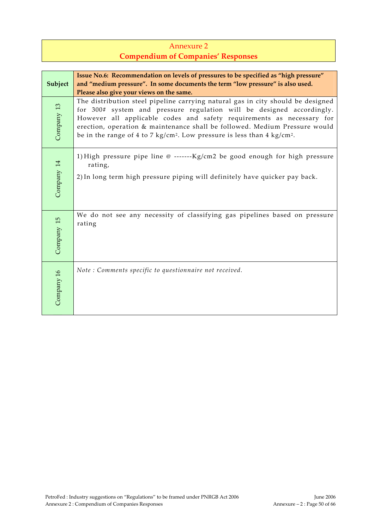| Annexure 2                                |
|-------------------------------------------|
| <b>Compendium of Companies' Responses</b> |

| Subject    | Issue No.6: Recommendation on levels of pressures to be specified as "high pressure"<br>and "medium pressure". In some documents the term "low pressure" is also used.<br>Please also give your views on the same.                                                                                                                                                                                                 |
|------------|--------------------------------------------------------------------------------------------------------------------------------------------------------------------------------------------------------------------------------------------------------------------------------------------------------------------------------------------------------------------------------------------------------------------|
| Company 13 | The distribution steel pipeline carrying natural gas in city should be designed<br>for 300# system and pressure regulation will be designed accordingly.<br>However all applicable codes and safety requirements as necessary for<br>erection, operation & maintenance shall be followed. Medium Pressure would<br>be in the range of 4 to 7 kg/cm <sup>2</sup> . Low pressure is less than 4 kg/cm <sup>2</sup> . |
| Company 14 | 1) High pressure pipe line @ -------Kg/cm2 be good enough for high pressure<br>rating,<br>2) In long term high pressure piping will definitely have quicker pay back.                                                                                                                                                                                                                                              |
| Company 15 | We do not see any necessity of classifying gas pipelines based on pressure<br>rating                                                                                                                                                                                                                                                                                                                               |
| Company 16 | Note: Comments specific to questionnaire not received.                                                                                                                                                                                                                                                                                                                                                             |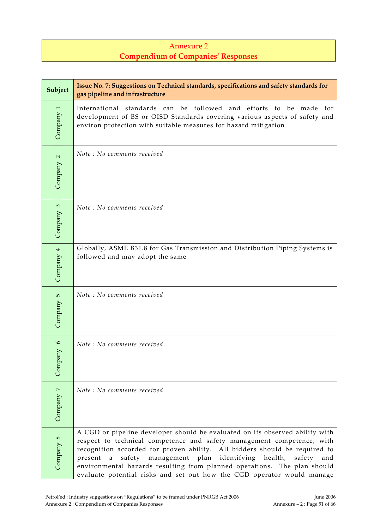| Subject                   | Issue No. 7: Suggestions on Technical standards, specifications and safety standards for<br>gas pipeline and infrastructure                                                                                                                                                                                                                                                                                                                                                                |
|---------------------------|--------------------------------------------------------------------------------------------------------------------------------------------------------------------------------------------------------------------------------------------------------------------------------------------------------------------------------------------------------------------------------------------------------------------------------------------------------------------------------------------|
| Company 1                 | International standards can be followed and efforts to be made for<br>development of BS or OISD Standards covering various aspects of safety and<br>environ protection with suitable measures for hazard mitigation                                                                                                                                                                                                                                                                        |
| $\sim$<br>Company         | Note: No comments received                                                                                                                                                                                                                                                                                                                                                                                                                                                                 |
| Company 3                 | Note: No comments received                                                                                                                                                                                                                                                                                                                                                                                                                                                                 |
| Company 4                 | Globally, ASME B31.8 for Gas Transmission and Distribution Piping Systems is<br>followed and may adopt the same                                                                                                                                                                                                                                                                                                                                                                            |
| $\overline{5}$<br>Company | Note: No comments received                                                                                                                                                                                                                                                                                                                                                                                                                                                                 |
| $\circ$<br>pany<br>Comp   | Note: No comments received                                                                                                                                                                                                                                                                                                                                                                                                                                                                 |
| Company 7                 | Note: No comments received                                                                                                                                                                                                                                                                                                                                                                                                                                                                 |
| Company 8                 | A CGD or pipeline developer should be evaluated on its observed ability with<br>respect to technical competence and safety management competence, with<br>recognition accorded for proven ability. All bidders should be required to<br>management plan identifying<br>present<br>health,<br>safety<br>safety<br>$\mathbf{a}$<br>and<br>environmental hazards resulting from planned operations. The plan should<br>evaluate potential risks and set out how the CGD operator would manage |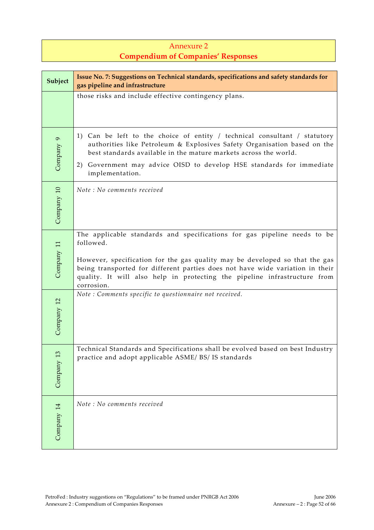| Subject    | Issue No. 7: Suggestions on Technical standards, specifications and safety standards for<br>gas pipeline and infrastructure                                                                                                                                                                                                                      |
|------------|--------------------------------------------------------------------------------------------------------------------------------------------------------------------------------------------------------------------------------------------------------------------------------------------------------------------------------------------------|
|            | those risks and include effective contingency plans.                                                                                                                                                                                                                                                                                             |
| Company 9  | 1) Can be left to the choice of entity / technical consultant / statutory<br>authorities like Petroleum & Explosives Safety Organisation based on the<br>best standards available in the mature markets across the world.<br>2) Government may advice OISD to develop HSE standards for immediate                                                |
| Company 10 | implementation.<br>Note: No comments received                                                                                                                                                                                                                                                                                                    |
| Company 11 | The applicable standards and specifications for gas pipeline needs to be<br>followed.<br>However, specification for the gas quality may be developed so that the gas<br>being transported for different parties does not have wide variation in their<br>quality. It will also help in protecting the pipeline infrastructure from<br>corrosion. |
| Company 12 | Note: Comments specific to questionnaire not received.                                                                                                                                                                                                                                                                                           |
| Company 13 | Technical Standards and Specifications shall be evolved based on best Industry<br>practice and adopt applicable ASME/ BS/ IS standards                                                                                                                                                                                                           |
| Company 14 | Note: No comments received                                                                                                                                                                                                                                                                                                                       |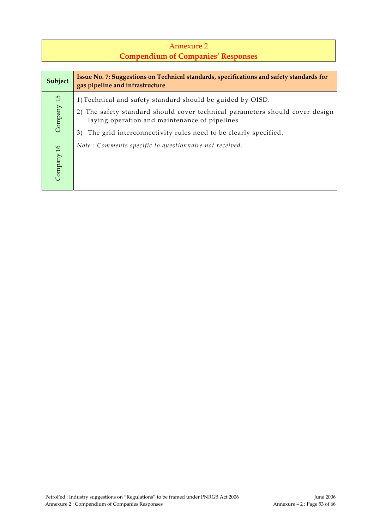| Subject                   | Issue No. 7: Suggestions on Technical standards, specifications and safety standards for<br>gas pipeline and infrastructure                                                                                                                                         |
|---------------------------|---------------------------------------------------------------------------------------------------------------------------------------------------------------------------------------------------------------------------------------------------------------------|
| $\overline{1}$<br>Company | 1) Technical and safety standard should be guided by OISD.<br>2) The safety standard should cover technical parameters should cover design<br>laying operation and maintenance of pipelines<br>The grid interconnectivity rules need to be clearly specified.<br>3) |
| Company 16                | Note: Comments specific to questionnaire not received.                                                                                                                                                                                                              |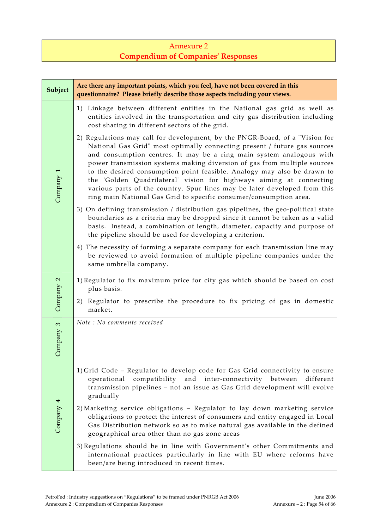| Annexure 2                                |  |
|-------------------------------------------|--|
| <b>Compendium of Companies' Responses</b> |  |

| Subject   | Are there any important points, which you feel, have not been covered in this<br>questionnaire? Please briefly describe those aspects including your views.                                                                                                                                                                                                                                                                                                                                                                                                                                                        |
|-----------|--------------------------------------------------------------------------------------------------------------------------------------------------------------------------------------------------------------------------------------------------------------------------------------------------------------------------------------------------------------------------------------------------------------------------------------------------------------------------------------------------------------------------------------------------------------------------------------------------------------------|
| Company 1 | 1) Linkage between different entities in the National gas grid as well as<br>entities involved in the transportation and city gas distribution including<br>cost sharing in different sectors of the grid.                                                                                                                                                                                                                                                                                                                                                                                                         |
|           | 2) Regulations may call for development, by the PNGR-Board, of a "Vision for<br>National Gas Grid" most optimally connecting present / future gas sources<br>and consumption centres. It may be a ring main system analogous with<br>power transmission systems making diversion of gas from multiple sources<br>to the desired consumption point feasible. Analogy may also be drawn to<br>the 'Golden Quadrilateral' vision for highways aiming at connecting<br>various parts of the country. Spur lines may be later developed from this<br>ring main National Gas Grid to specific consumer/consumption area. |
|           | 3) On defining transmission / distribution gas pipelines, the geo-political state<br>boundaries as a criteria may be dropped since it cannot be taken as a valid<br>basis. Instead, a combination of length, diameter, capacity and purpose of<br>the pipeline should be used for developing a criterion.                                                                                                                                                                                                                                                                                                          |
|           | 4) The necessity of forming a separate company for each transmission line may<br>be reviewed to avoid formation of multiple pipeline companies under the<br>same umbrella company.                                                                                                                                                                                                                                                                                                                                                                                                                                 |
| Company 2 | 1) Regulator to fix maximum price for city gas which should be based on cost<br>plus basis.                                                                                                                                                                                                                                                                                                                                                                                                                                                                                                                        |
|           | 2) Regulator to prescribe the procedure to fix pricing of gas in domestic<br>market.                                                                                                                                                                                                                                                                                                                                                                                                                                                                                                                               |
|           | Note: No comments received                                                                                                                                                                                                                                                                                                                                                                                                                                                                                                                                                                                         |
| Company 3 |                                                                                                                                                                                                                                                                                                                                                                                                                                                                                                                                                                                                                    |
| Company 4 | 1) Grid Code - Regulator to develop code for Gas Grid connectivity to ensure<br>compatibility<br>inter-connectivity<br>operational<br>and<br>between<br>different<br>transmission pipelines - not an issue as Gas Grid development will evolve<br>gradually                                                                                                                                                                                                                                                                                                                                                        |
|           | 2) Marketing service obligations - Regulator to lay down marketing service<br>obligations to protect the interest of consumers and entity engaged in Local<br>Gas Distribution network so as to make natural gas available in the defined<br>geographical area other than no gas zone areas                                                                                                                                                                                                                                                                                                                        |
|           | 3) Regulations should be in line with Government's other Commitments and<br>international practices particularly in line with EU where reforms have<br>been/are being introduced in recent times.                                                                                                                                                                                                                                                                                                                                                                                                                  |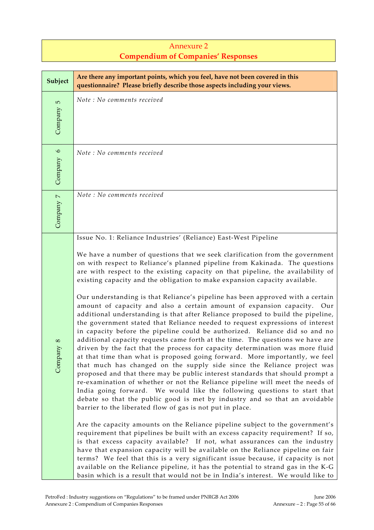| Subject                   | Are there any important points, which you feel, have not been covered in this<br>questionnaire? Please briefly describe those aspects including your views.                                                                                                                                                                                                                                                                                                                                                                                                                                                                                                                                                                                                                                                                                                                                                                                                                                                                                                                                                                                                                                                                                                                                                                                                                                                                                                                                                                                                                                                                                                                                                                                                                                                                                                                                                                                                                                                                                                                                                                                |
|---------------------------|--------------------------------------------------------------------------------------------------------------------------------------------------------------------------------------------------------------------------------------------------------------------------------------------------------------------------------------------------------------------------------------------------------------------------------------------------------------------------------------------------------------------------------------------------------------------------------------------------------------------------------------------------------------------------------------------------------------------------------------------------------------------------------------------------------------------------------------------------------------------------------------------------------------------------------------------------------------------------------------------------------------------------------------------------------------------------------------------------------------------------------------------------------------------------------------------------------------------------------------------------------------------------------------------------------------------------------------------------------------------------------------------------------------------------------------------------------------------------------------------------------------------------------------------------------------------------------------------------------------------------------------------------------------------------------------------------------------------------------------------------------------------------------------------------------------------------------------------------------------------------------------------------------------------------------------------------------------------------------------------------------------------------------------------------------------------------------------------------------------------------------------------|
| $\overline{5}$<br>Company | Note: No comments received                                                                                                                                                                                                                                                                                                                                                                                                                                                                                                                                                                                                                                                                                                                                                                                                                                                                                                                                                                                                                                                                                                                                                                                                                                                                                                                                                                                                                                                                                                                                                                                                                                                                                                                                                                                                                                                                                                                                                                                                                                                                                                                 |
| Company 6                 | Note: No comments received                                                                                                                                                                                                                                                                                                                                                                                                                                                                                                                                                                                                                                                                                                                                                                                                                                                                                                                                                                                                                                                                                                                                                                                                                                                                                                                                                                                                                                                                                                                                                                                                                                                                                                                                                                                                                                                                                                                                                                                                                                                                                                                 |
| Company 7                 | Note: No comments received                                                                                                                                                                                                                                                                                                                                                                                                                                                                                                                                                                                                                                                                                                                                                                                                                                                                                                                                                                                                                                                                                                                                                                                                                                                                                                                                                                                                                                                                                                                                                                                                                                                                                                                                                                                                                                                                                                                                                                                                                                                                                                                 |
| Compar                    | Issue No. 1: Reliance Industries' (Reliance) East-West Pipeline<br>We have a number of questions that we seek clarification from the government<br>on with respect to Reliance's planned pipeline from Kakinada. The questions<br>are with respect to the existing capacity on that pipeline, the availability of<br>existing capacity and the obligation to make expansion capacity available.<br>Our understanding is that Reliance's pipeline has been approved with a certain<br>amount of capacity and also a certain amount of expansion capacity.<br>Our<br>additional understanding is that after Reliance proposed to build the pipeline,<br>the government stated that Reliance needed to request expressions of interest<br>in capacity before the pipeline could be authorized. Reliance did so and no<br>additional capacity requests came forth at the time. The questions we have are<br>driven by the fact that the process for capacity determination was more fluid<br>at that time than what is proposed going forward. More importantly, we feel<br>that much has changed on the supply side since the Reliance project was<br>proposed and that there may be public interest standards that should prompt a<br>re-examination of whether or not the Reliance pipeline will meet the needs of<br>India going forward. We would like the following questions to start that<br>debate so that the public good is met by industry and so that an avoidable<br>barrier to the liberated flow of gas is not put in place.<br>Are the capacity amounts on the Reliance pipeline subject to the government's<br>requirement that pipelines be built with an excess capacity requirement? If so,<br>is that excess capacity available? If not, what assurances can the industry<br>have that expansion capacity will be available on the Reliance pipeline on fair<br>terms? We feel that this is a very significant issue because, if capacity is not<br>available on the Reliance pipeline, it has the potential to strand gas in the K-G<br>basin which is a result that would not be in India's interest. We would like to |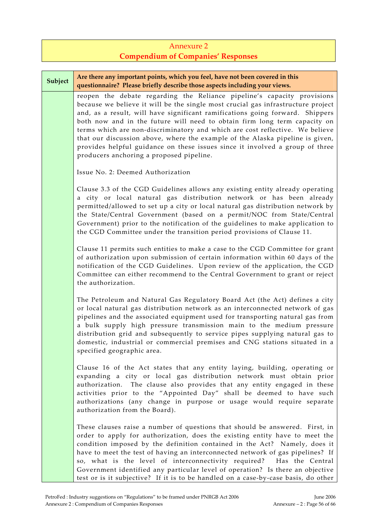| Subject | Are there any important points, which you feel, have not been covered in this<br>questionnaire? Please briefly describe those aspects including your views.                                                                                                                                                                                                                                                                                                                                                                                                                                                            |
|---------|------------------------------------------------------------------------------------------------------------------------------------------------------------------------------------------------------------------------------------------------------------------------------------------------------------------------------------------------------------------------------------------------------------------------------------------------------------------------------------------------------------------------------------------------------------------------------------------------------------------------|
|         | reopen the debate regarding the Reliance pipeline's capacity provisions<br>because we believe it will be the single most crucial gas infrastructure project<br>and, as a result, will have significant ramifications going forward. Shippers<br>both now and in the future will need to obtain firm long term capacity on<br>terms which are non-discriminatory and which are cost reflective. We believe<br>that our discussion above, where the example of the Alaska pipeline is given,<br>provides helpful guidance on these issues since it involved a group of three<br>producers anchoring a proposed pipeline. |
|         | Issue No. 2: Deemed Authorization                                                                                                                                                                                                                                                                                                                                                                                                                                                                                                                                                                                      |
|         | Clause 3.3 of the CGD Guidelines allows any existing entity already operating<br>a city or local natural gas distribution network or has been already<br>permitted/allowed to set up a city or local natural gas distribution network by<br>the State/Central Government (based on a permit/NOC from State/Central<br>Government) prior to the notification of the guidelines to make application to<br>the CGD Committee under the transition period provisions of Clause 11.                                                                                                                                         |
|         | Clause 11 permits such entities to make a case to the CGD Committee for grant<br>of authorization upon submission of certain information within 60 days of the<br>notification of the CGD Guidelines. Upon review of the application, the CGD<br>Committee can either recommend to the Central Government to grant or reject<br>the authorization.                                                                                                                                                                                                                                                                     |
|         | The Petroleum and Natural Gas Regulatory Board Act (the Act) defines a city<br>or local natural gas distribution network as an interconnected network of gas<br>pipelines and the associated equipment used for transporting natural gas from<br>a bulk supply high pressure transmission main to the medium pressure<br>distribution grid and subsequently to service pipes supplying natural gas to<br>domestic, industrial or commercial premises and CNG stations situated in a<br>specified geographic area.                                                                                                      |
|         | Clause 16 of the Act states that any entity laying, building, operating or<br>expanding a city or local gas distribution network must obtain prior<br>authorization. The clause also provides that any entity engaged in these<br>activities prior to the "Appointed Day" shall be deemed to have such<br>authorizations (any change in purpose or usage would require separate<br>authorization from the Board).                                                                                                                                                                                                      |
|         | These clauses raise a number of questions that should be answered. First, in<br>order to apply for authorization, does the existing entity have to meet the<br>condition imposed by the definition contained in the Act? Namely, does it<br>have to meet the test of having an interconnected network of gas pipelines? If<br>so, what is the level of interconnectivity required?<br>Has the Central<br>Government identified any particular level of operation? Is there an objective<br>test or is it subjective? If it is to be handled on a case-by-case basis, do other                                          |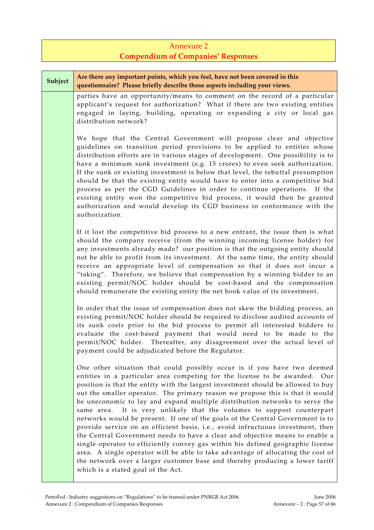| Subject | Are there any important points, which you feel, have not been covered in this<br>questionnaire? Please briefly describe those aspects including your views.                                                                                                                                                                                                                                                                                                                                                                                                                                                                                                                                                                                                                                                                                                                                                                                                                                                                              |
|---------|------------------------------------------------------------------------------------------------------------------------------------------------------------------------------------------------------------------------------------------------------------------------------------------------------------------------------------------------------------------------------------------------------------------------------------------------------------------------------------------------------------------------------------------------------------------------------------------------------------------------------------------------------------------------------------------------------------------------------------------------------------------------------------------------------------------------------------------------------------------------------------------------------------------------------------------------------------------------------------------------------------------------------------------|
|         | parties have an opportunity/means to comment on the record of a particular<br>applicant's request for authorization? What if there are two existing entities<br>engaged in laying, building, operating or expanding a city or local gas<br>distribution network?                                                                                                                                                                                                                                                                                                                                                                                                                                                                                                                                                                                                                                                                                                                                                                         |
|         | We hope that the Central Government will propose clear and objective<br>guidelines on transition period provisions to be applied to entities whose<br>distribution efforts are in various stages of development. One possibility is to<br>have a minimum sunk investment (e.g. 15 crores) to even seek authorization.<br>If the sunk or existing investment is below that level, the rebuttal presumption<br>should be that the existing entity would have to enter into a competitive bid<br>process as per the CGD Guidelines in order to continue operations. If the<br>existing entity won the competitive bid process, it would then be granted<br>authorization and would develop its CGD business in conformance with the<br>authorization.                                                                                                                                                                                                                                                                                       |
|         | If it lost the competitive bid process to a new entrant, the issue then is what<br>should the company receive (from the winning incoming license holder) for<br>any investments already made? our position is that the outgoing entity should<br>not be able to profit from its investment. At the same time, the entity should<br>receive an appropriate level of compensation so that it does not incur a<br>"taking". Therefore, we believe that compensation by a winning bidder to an<br>existing permit/NOC holder should be cost-based and the compensation<br>should remunerate the existing entity the net book value of its investment.                                                                                                                                                                                                                                                                                                                                                                                        |
|         | In order that the issue of compensation does not skew the bidding process, an<br>existing permit/NOC holder should be required to disclose audited accounts of<br>its sunk costs prior to the bid process to permit all interested bidders to<br>evaluate the cost-based payment that would need to be made to the<br>permit/NOC holder. Thereafter, any disagreement over the actual level of<br>payment could be adjudicated before the Regulator.                                                                                                                                                                                                                                                                                                                                                                                                                                                                                                                                                                                     |
|         | One other situation that could possibly occur is if you have two deemed<br>entities in a particular area competing for the license to be awarded. Our<br>position is that the entity with the largest investment should be allowed to buy<br>out the smaller operator. The primary reason we propose this is that it would<br>be uneconomic to lay and expand multiple distribution networks to serve the<br>It is very unlikely that the volumes to support counterpart<br>same area.<br>networks would be present. If one of the goals of the Central Government is to<br>provide service on an efficient basis, i.e., avoid infructuous investment, then<br>the Central Government needs to have a clear and objective means to enable a<br>single operator to efficiently convey gas within his defined geographic license<br>area. A single operator will be able to take advantage of allocating the cost of<br>the network over a larger customer base and thereby producing a lower tariff<br>which is a stated goal of the Act. |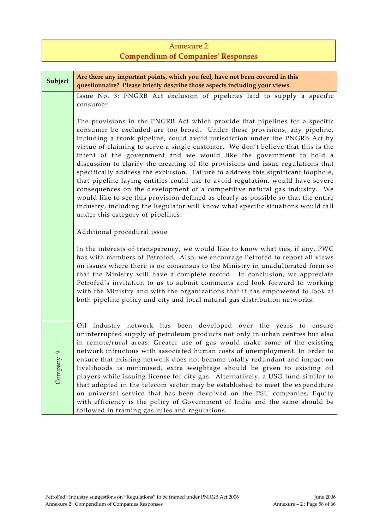| Subject             | Are there any important points, which you feel, have not been covered in this<br>questionnaire? Please briefly describe those aspects including your views.                                                                                                                                                                                                                                                                                                                                                                                                                                                                                                                                                                                                                                                                                                                                                                                                                           |
|---------------------|---------------------------------------------------------------------------------------------------------------------------------------------------------------------------------------------------------------------------------------------------------------------------------------------------------------------------------------------------------------------------------------------------------------------------------------------------------------------------------------------------------------------------------------------------------------------------------------------------------------------------------------------------------------------------------------------------------------------------------------------------------------------------------------------------------------------------------------------------------------------------------------------------------------------------------------------------------------------------------------|
|                     | Issue No. 3: PNGRB Act exclusion of pipelines laid to supply a specific<br>consumer                                                                                                                                                                                                                                                                                                                                                                                                                                                                                                                                                                                                                                                                                                                                                                                                                                                                                                   |
|                     | The provisions in the PNGRB Act which provide that pipelines for a specific<br>consumer be excluded are too broad. Under these provisions, any pipeline,<br>including a trunk pipeline, could avoid jurisdiction under the PNGRB Act by<br>virtue of claiming to serve a single customer. We don't believe that this is the<br>intent of the government and we would like the government to hold a<br>discussion to clarify the meaning of the provisions and issue regulations that<br>specifically address the exclusion. Failure to address this significant loophole,<br>that pipeline laying entities could use to avoid regulation, would have severe<br>consequences on the development of a competitive natural gas industry. We<br>would like to see this provision defined as clearly as possible so that the entire<br>industry, including the Regulator will know what specific situations would fall<br>under this category of pipelines.<br>Additional procedural issue |
|                     | In the interests of transparency, we would like to know what ties, if any, PWC<br>has with members of Petrofed. Also, we encourage Petrofed to report all views<br>on issues where there is no consensus to the Ministry in unadulterated form so<br>that the Ministry will have a complete record. In conclusion, we appreciate<br>Petrofed's invitation to us to submit comments and look forward to working<br>with the Ministry and with the organizations that it has empowered to look at<br>both pipeline policy and city and local natural gas distribution networks.                                                                                                                                                                                                                                                                                                                                                                                                         |
| $\sigma$<br>Company | Oil industry network has been developed over the years to ensure<br>uninterrupted supply of petroleum products not only in urban centres but also<br>in remote/rural areas. Greater use of gas would make some of the existing<br>network infructous with associated human costs of unemployment. In order to<br>ensure that existing network does not become totally redundant and impact on<br>livelihoods is minimised, extra weightage should be given to existing oil<br>players while issuing license for city gas. Alternatively, a USO fund similar to<br>that adopted in the telecom sector may be established to meet the expenditure<br>on universal service that has been devolved on the PSU companies. Equity<br>with efficiency is the policy of Government of India and the same should be<br>followed in framing gas rules and regulations.                                                                                                                          |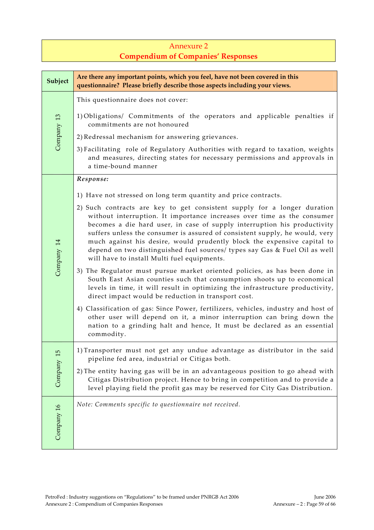| Subject         | Are there any important points, which you feel, have not been covered in this<br>questionnaire? Please briefly describe those aspects including your views.                                                                                                                                                                                                                                                                                                                                                            |
|-----------------|------------------------------------------------------------------------------------------------------------------------------------------------------------------------------------------------------------------------------------------------------------------------------------------------------------------------------------------------------------------------------------------------------------------------------------------------------------------------------------------------------------------------|
| Company 13      | This questionnaire does not cover:                                                                                                                                                                                                                                                                                                                                                                                                                                                                                     |
|                 | 1) Obligations/ Commitments of the operators and applicable penalties if<br>commitments are not honoured                                                                                                                                                                                                                                                                                                                                                                                                               |
|                 | 2) Redressal mechanism for answering grievances.                                                                                                                                                                                                                                                                                                                                                                                                                                                                       |
|                 | 3) Facilitating role of Regulatory Authorities with regard to taxation, weights<br>and measures, directing states for necessary permissions and approvals in<br>a time-bound manner                                                                                                                                                                                                                                                                                                                                    |
|                 | Response:                                                                                                                                                                                                                                                                                                                                                                                                                                                                                                              |
|                 | 1) Have not stressed on long term quantity and price contracts.                                                                                                                                                                                                                                                                                                                                                                                                                                                        |
| Company 14      | 2) Such contracts are key to get consistent supply for a longer duration<br>without interruption. It importance increases over time as the consumer<br>becomes a die hard user, in case of supply interruption his productivity<br>suffers unless the consumer is assured of consistent supply, he would, very<br>much against his desire, would prudently block the expensive capital to<br>depend on two distinguished fuel sources/ types say Gas & Fuel Oil as well<br>will have to install Multi fuel equipments. |
|                 | 3) The Regulator must pursue market oriented policies, as has been done in<br>South East Asian counties such that consumption shoots up to economical<br>levels in time, it will result in optimizing the infrastructure productivity,<br>direct impact would be reduction in transport cost.                                                                                                                                                                                                                          |
|                 | 4) Classification of gas: Since Power, fertilizers, vehicles, industry and host of<br>other user will depend on it, a minor interruption can bring down the<br>nation to a grinding halt and hence, It must be declared as an essential<br>commodity.                                                                                                                                                                                                                                                                  |
| 5<br>Company 1. | 1) Transporter must not get any undue advantage as distributor in the said<br>pipeline fed area, industrial or Citigas both.                                                                                                                                                                                                                                                                                                                                                                                           |
|                 | 2) The entity having gas will be in an advantageous position to go ahead with<br>Citigas Distribution project. Hence to bring in competition and to provide a<br>level playing field the profit gas may be reserved for City Gas Distribution.                                                                                                                                                                                                                                                                         |
| Company 16      | Note: Comments specific to questionnaire not received.                                                                                                                                                                                                                                                                                                                                                                                                                                                                 |
|                 |                                                                                                                                                                                                                                                                                                                                                                                                                                                                                                                        |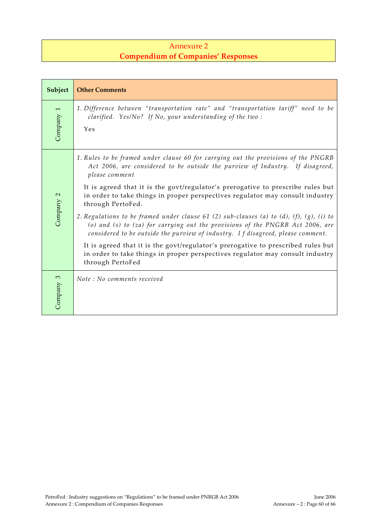| Subject   | <b>Other Comments</b>                                                                                                                                                                                                                                         |
|-----------|---------------------------------------------------------------------------------------------------------------------------------------------------------------------------------------------------------------------------------------------------------------|
| Company 1 | 1. Difference between "transportation rate" and "transportation tariff" need to be<br>clarified. Yes/No? If No, your understanding of the two:<br>Yes                                                                                                         |
| Company 2 | 1. Rules to be framed under clause 60 for carrying out the provisions of the PNGRB<br>Act 2006, are considered to be outside the purview of Industry. If disagreed,<br>please comment                                                                         |
|           | It is agreed that it is the govt/regulator's prerogative to prescribe rules but<br>in order to take things in proper perspectives regulator may consult industry<br>through PertoFed.                                                                         |
|           | 2. Regulations to be framed under clause 61 (2) sub-clauses (a) to (d), (f), (g), (i) to<br>(o) and (s) to (za) for carrying out the provisions of the PNGRB Act 2006, are<br>considered to be outside the purview of industry. If disagreed, please comment. |
|           | It is agreed that it is the govt/regulator's prerogative to prescribed rules but<br>in order to take things in proper perspectives regulator may consult industry<br>through PertoFed                                                                         |
| Company 3 | Note: No comments received                                                                                                                                                                                                                                    |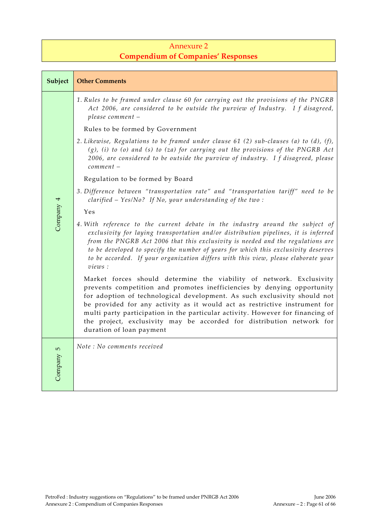| Subject   | <b>Other Comments</b>                                                                                                                                                                                                                                                                                                                                                                                                                                                                             |
|-----------|---------------------------------------------------------------------------------------------------------------------------------------------------------------------------------------------------------------------------------------------------------------------------------------------------------------------------------------------------------------------------------------------------------------------------------------------------------------------------------------------------|
|           | 1. Rules to be framed under clause 60 for carrying out the provisions of the PNGRB<br>Act 2006, are considered to be outside the purview of Industry. If disagreed,<br>please comment -                                                                                                                                                                                                                                                                                                           |
|           | Rules to be formed by Government                                                                                                                                                                                                                                                                                                                                                                                                                                                                  |
|           | 2. Likewise, Regulations to be framed under clause 61 (2) sub-clauses (a) to (d), (f),<br>$(g)$ , (i) to (o) and (s) to (za) for carrying out the provisions of the PNGRB Act<br>2006, are considered to be outside the purview of industry. If disagreed, please<br>$command-$                                                                                                                                                                                                                   |
|           | Regulation to be formed by Board                                                                                                                                                                                                                                                                                                                                                                                                                                                                  |
|           | 3. Difference between "transportation rate" and "transportation tariff" need to be<br>$clarified - Yes/No?$ If No, your understanding of the two:                                                                                                                                                                                                                                                                                                                                                 |
|           | Yes                                                                                                                                                                                                                                                                                                                                                                                                                                                                                               |
| Company 4 | 4. With reference to the current debate in the industry around the subject of<br>exclusivity for laying transportation and/or distribution pipelines, it is inferred<br>from the PNGRB Act 2006 that this exclusivity is needed and the regulations are<br>to be developed to specify the number of years for which this exclusivity deserves<br>to be accorded. If your organization differs with this view, please elaborate your<br>views:                                                     |
|           | Market forces should determine the viability of network. Exclusivity<br>prevents competition and promotes inefficiencies by denying opportunity<br>for adoption of technological development. As such exclusivity should not<br>be provided for any activity as it would act as restrictive instrument for<br>multi party participation in the particular activity. However for financing of<br>the project, exclusivity may be accorded for distribution network for<br>duration of loan payment |
|           | Note: No comments received                                                                                                                                                                                                                                                                                                                                                                                                                                                                        |
| Company 5 |                                                                                                                                                                                                                                                                                                                                                                                                                                                                                                   |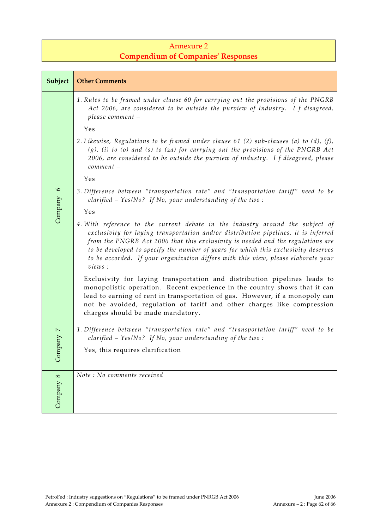| Subject             | <b>Other Comments</b>                                                                                                                                                                                                                                                                                                                                                                                                                          |
|---------------------|------------------------------------------------------------------------------------------------------------------------------------------------------------------------------------------------------------------------------------------------------------------------------------------------------------------------------------------------------------------------------------------------------------------------------------------------|
|                     | 1. Rules to be framed under clause 60 for carrying out the provisions of the PNGRB<br>Act 2006, are considered to be outside the purview of Industry. If disagreed,<br>please comment -                                                                                                                                                                                                                                                        |
|                     | Yes                                                                                                                                                                                                                                                                                                                                                                                                                                            |
| Company 6           | 2. Likewise, Regulations to be framed under clause $61$ (2) sub-clauses (a) to (d), (f),<br>$(g)$ , (i) to (o) and (s) to (za) for carrying out the provisions of the PNGRB Act<br>2006, are considered to be outside the purview of industry. If disagreed, please<br>$command-$                                                                                                                                                              |
|                     | Yes                                                                                                                                                                                                                                                                                                                                                                                                                                            |
|                     | 3. Difference between "transportation rate" and "transportation tariff" need to be<br>$clarified - Yes/No?$ If No, your understanding of the two:                                                                                                                                                                                                                                                                                              |
|                     | Yes                                                                                                                                                                                                                                                                                                                                                                                                                                            |
|                     | 4. With reference to the current debate in the industry around the subject of<br>exclusivity for laying transportation and/or distribution pipelines, it is inferred<br>from the PNGRB Act 2006 that this exclusivity is needed and the regulations are<br>to be developed to specify the number of years for which this exclusivity deserves<br>to be accorded. If your organization differs with this view, please elaborate your<br>views : |
|                     | Exclusivity for laying transportation and distribution pipelines leads to<br>monopolistic operation. Recent experience in the country shows that it can<br>lead to earning of rent in transportation of gas. However, if a monopoly can<br>not be avoided, regulation of tariff and other charges like compression<br>charges should be made mandatory.                                                                                        |
| T ymqn<br>ටි        | 1. Difference between "transportation rate" and "transportation tariff" need to be<br>$clarified - Yes/No?$ If No, your understanding of the two:                                                                                                                                                                                                                                                                                              |
|                     | Yes, this requires clarification                                                                                                                                                                                                                                                                                                                                                                                                               |
| $\infty$<br>Company | Note: No comments received                                                                                                                                                                                                                                                                                                                                                                                                                     |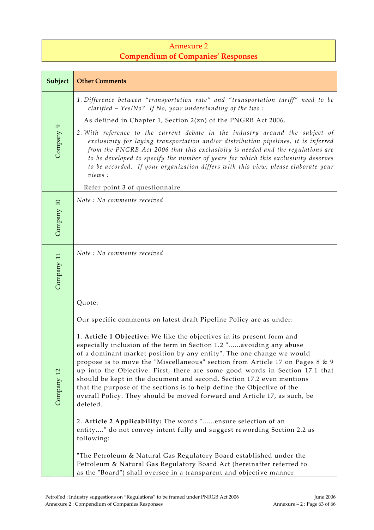| Subject     | <b>Other Comments</b>                                                                                                                                                                                                                                                                                                                                                                                                                                                                                                                                                                                                               |
|-------------|-------------------------------------------------------------------------------------------------------------------------------------------------------------------------------------------------------------------------------------------------------------------------------------------------------------------------------------------------------------------------------------------------------------------------------------------------------------------------------------------------------------------------------------------------------------------------------------------------------------------------------------|
|             | 1. Difference between "transportation rate" and "transportation tariff" need to be<br>$clarified - Yes/No?$ If No, your understanding of the two:<br>As defined in Chapter 1, Section 2(zn) of the PNGRB Act 2006.                                                                                                                                                                                                                                                                                                                                                                                                                  |
| $Company$ 9 | 2. With reference to the current debate in the industry around the subject of<br>exclusivity for laying transportation and/or distribution pipelines, it is inferred<br>from the PNGRB Act 2006 that this exclusivity is needed and the regulations are<br>to be developed to specify the number of years for which this exclusivity deserves<br>to be accorded. If your organization differs with this view, please elaborate your<br>views:                                                                                                                                                                                       |
|             | Refer point 3 of questionnaire                                                                                                                                                                                                                                                                                                                                                                                                                                                                                                                                                                                                      |
| Company 10  | Note: No comments received                                                                                                                                                                                                                                                                                                                                                                                                                                                                                                                                                                                                          |
| Company 11  | Note: No comments received                                                                                                                                                                                                                                                                                                                                                                                                                                                                                                                                                                                                          |
|             | Quote:                                                                                                                                                                                                                                                                                                                                                                                                                                                                                                                                                                                                                              |
|             | Our specific comments on latest draft Pipeline Policy are as under:                                                                                                                                                                                                                                                                                                                                                                                                                                                                                                                                                                 |
| Company 12  | 1. Article 1 Objective: We like the objectives in its present form and<br>especially inclusion of the term in Section 1.2 "avoiding any abuse<br>of a dominant market position by any entity". The one change we would<br>propose is to move the "Miscellaneous" section from Article 17 on Pages 8 & 9<br>up into the Objective. First, there are some good words in Section 17.1 that<br>should be kept in the document and second, Section 17.2 even mentions<br>that the purpose of the sections is to help define the Objective of the<br>overall Policy. They should be moved forward and Article 17, as such, be<br>deleted. |
|             | 2. Article 2 Applicability: The words "ensure selection of an<br>entity" do not convey intent fully and suggest rewording Section 2.2 as<br>following:                                                                                                                                                                                                                                                                                                                                                                                                                                                                              |
|             | "The Petroleum & Natural Gas Regulatory Board established under the<br>Petroleum & Natural Gas Regulatory Board Act (hereinafter referred to<br>as the "Board") shall oversee in a transparent and objective manner                                                                                                                                                                                                                                                                                                                                                                                                                 |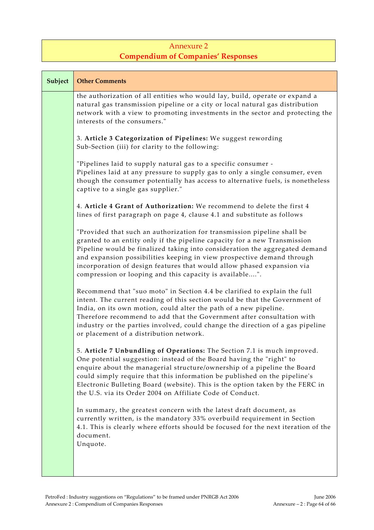| Subject | <b>Other Comments</b>                                                                                                                                                                                                                                                                                                                                                                                                                                   |
|---------|---------------------------------------------------------------------------------------------------------------------------------------------------------------------------------------------------------------------------------------------------------------------------------------------------------------------------------------------------------------------------------------------------------------------------------------------------------|
|         | the authorization of all entities who would lay, build, operate or expand a<br>natural gas transmission pipeline or a city or local natural gas distribution<br>network with a view to promoting investments in the sector and protecting the<br>interests of the consumers."                                                                                                                                                                           |
|         | 3. Article 3 Categorization of Pipelines: We suggest rewording<br>Sub-Section (iii) for clarity to the following:                                                                                                                                                                                                                                                                                                                                       |
|         | "Pipelines laid to supply natural gas to a specific consumer -<br>Pipelines laid at any pressure to supply gas to only a single consumer, even<br>though the consumer potentially has access to alternative fuels, is nonetheless<br>captive to a single gas supplier."                                                                                                                                                                                 |
|         | 4. Article 4 Grant of Authorization: We recommend to delete the first 4<br>lines of first paragraph on page 4, clause 4.1 and substitute as follows                                                                                                                                                                                                                                                                                                     |
|         | "Provided that such an authorization for transmission pipeline shall be<br>granted to an entity only if the pipeline capacity for a new Transmission<br>Pipeline would be finalized taking into consideration the aggregated demand<br>and expansion possibilities keeping in view prospective demand through<br>incorporation of design features that would allow phased expansion via<br>compression or looping and this capacity is available".      |
|         | Recommend that "suo moto" in Section 4.4 be clarified to explain the full<br>intent. The current reading of this section would be that the Government of<br>India, on its own motion, could alter the path of a new pipeline.<br>Therefore recommend to add that the Government after consultation with<br>industry or the parties involved, could change the direction of a gas pipeline<br>or placement of a distribution network.                    |
|         | 5. Article 7 Unbundling of Operations: The Section 7.1 is much improved.<br>One potential suggestion: instead of the Board having the "right" to<br>enquire about the managerial structure/ownership of a pipeline the Board<br>could simply require that this information be published on the pipeline's<br>Electronic Bulleting Board (website). This is the option taken by the FERC in<br>the U.S. via its Order 2004 on Affiliate Code of Conduct. |
|         | In summary, the greatest concern with the latest draft document, as<br>currently written, is the mandatory 33% overbuild requirement in Section<br>4.1. This is clearly where efforts should be focused for the next iteration of the<br>document.<br>Unquote.                                                                                                                                                                                          |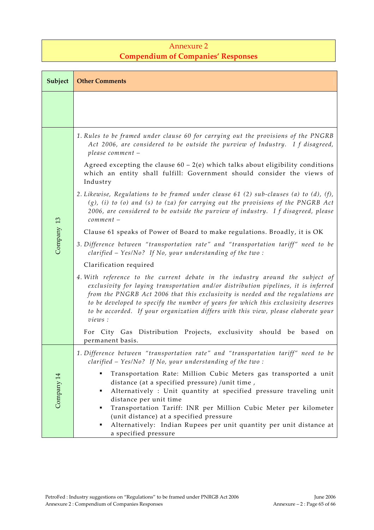| Subject    | <b>Other Comments</b>                                                                                                                                                                                                                                                                                                                                                                                                                         |
|------------|-----------------------------------------------------------------------------------------------------------------------------------------------------------------------------------------------------------------------------------------------------------------------------------------------------------------------------------------------------------------------------------------------------------------------------------------------|
|            |                                                                                                                                                                                                                                                                                                                                                                                                                                               |
|            | 1. Rules to be framed under clause 60 for carrying out the provisions of the PNGRB<br>Act 2006, are considered to be outside the purview of Industry. If disagreed,<br>please comment -                                                                                                                                                                                                                                                       |
|            | Agreed excepting the clause $60 - 2(e)$ which talks about eligibility conditions<br>which an entity shall fulfill: Government should consider the views of<br>Industry                                                                                                                                                                                                                                                                        |
|            | 2. Likewise, Regulations to be framed under clause $61$ (2) sub-clauses (a) to (d), (f),<br>$(g)$ , (i) to (o) and (s) to (za) for carrying out the provisions of the PNGRB Act<br>2006, are considered to be outside the purview of industry. If disagreed, please<br>$command-$                                                                                                                                                             |
|            | Clause 61 speaks of Power of Board to make regulations. Broadly, it is OK                                                                                                                                                                                                                                                                                                                                                                     |
| Company 13 | 3. Difference between "transportation rate" and "transportation tariff" need to be<br>$clarified - Yes/No?$ If No, your understanding of the two:                                                                                                                                                                                                                                                                                             |
|            | Clarification required                                                                                                                                                                                                                                                                                                                                                                                                                        |
|            | 4. With reference to the current debate in the industry around the subject of<br>exclusivity for laying transportation and/or distribution pipelines, it is inferred<br>from the PNGRB Act 2006 that this exclusivity is needed and the regulations are<br>to be developed to specify the number of years for which this exclusivity deserves<br>to be accorded. If your organization differs with this view, please elaborate your<br>views: |
|            | For City Gas Distribution Projects, exclusivity should be based on<br>permanent basis.                                                                                                                                                                                                                                                                                                                                                        |
| Company 14 | 1. Difference between "transportation rate" and "transportation tariff" need to be<br>$clarified - Yes/No?$ If No, your understanding of the two:                                                                                                                                                                                                                                                                                             |
|            | Transportation Rate: Million Cubic Meters gas transported a unit<br>distance (at a specified pressure) /unit time,<br>Alternatively : Unit quantity at specified pressure traveling unit<br>٠<br>distance per unit time<br>Transportation Tariff: INR per Million Cubic Meter per kilometer<br>٠<br>(unit distance) at a specified pressure<br>Alternatively: Indian Rupees per unit quantity per unit distance at<br>a specified pressure    |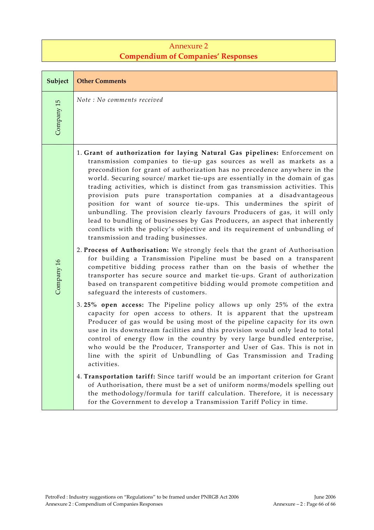## Annexure 2 **Compendium of Companies' Responses**

| Subject    | <b>Other Comments</b>                                                                                                                                                                                                                                                                                                                                                                                                                                                                                                                                                                                                                                                                                                                                                                                                                                                                                                                                                                                                                                                                                                                                                                                                                                                                                                                                                                                                                                                                                                                                                                                                                                                                                                                                                                                                                                                                                                                                                                                                                                                                                                                   |
|------------|-----------------------------------------------------------------------------------------------------------------------------------------------------------------------------------------------------------------------------------------------------------------------------------------------------------------------------------------------------------------------------------------------------------------------------------------------------------------------------------------------------------------------------------------------------------------------------------------------------------------------------------------------------------------------------------------------------------------------------------------------------------------------------------------------------------------------------------------------------------------------------------------------------------------------------------------------------------------------------------------------------------------------------------------------------------------------------------------------------------------------------------------------------------------------------------------------------------------------------------------------------------------------------------------------------------------------------------------------------------------------------------------------------------------------------------------------------------------------------------------------------------------------------------------------------------------------------------------------------------------------------------------------------------------------------------------------------------------------------------------------------------------------------------------------------------------------------------------------------------------------------------------------------------------------------------------------------------------------------------------------------------------------------------------------------------------------------------------------------------------------------------------|
| Company 15 | Note: No comments received                                                                                                                                                                                                                                                                                                                                                                                                                                                                                                                                                                                                                                                                                                                                                                                                                                                                                                                                                                                                                                                                                                                                                                                                                                                                                                                                                                                                                                                                                                                                                                                                                                                                                                                                                                                                                                                                                                                                                                                                                                                                                                              |
| Company 16 | 1. Grant of authorization for laying Natural Gas pipelines: Enforcement on<br>transmission companies to tie-up gas sources as well as markets as a<br>precondition for grant of authorization has no precedence anywhere in the<br>world. Securing source/ market tie-ups are essentially in the domain of gas<br>trading activities, which is distinct from gas transmission activities. This<br>provision puts pure transportation companies at a disadvantageous<br>position for want of source tie-ups. This undermines the spirit of<br>unbundling. The provision clearly favours Producers of gas, it will only<br>lead to bundling of businesses by Gas Producers, an aspect that inherently<br>conflicts with the policy's objective and its requirement of unbundling of<br>transmission and trading businesses.<br>2. Process of Authorisation: We strongly feels that the grant of Authorisation<br>for building a Transmission Pipeline must be based on a transparent<br>competitive bidding process rather than on the basis of whether the<br>transporter has secure source and market tie-ups. Grant of authorization<br>based on transparent competitive bidding would promote competition and<br>safeguard the interests of customers.<br>3.25% open access: The Pipeline policy allows up only 25% of the extra<br>capacity for open access to others. It is apparent that the upstream<br>Producer of gas would be using most of the pipeline capacity for its own<br>use in its downstream facilities and this provision would only lead to total<br>control of energy flow in the country by very large bundled enterprise,<br>who would be the Producer, Transporter and User of Gas. This is not in<br>line with the spirit of Unbundling of Gas Transmission and Trading<br>activities.<br>4. Transportation tariff: Since tariff would be an important criterion for Grant<br>of Authorisation, there must be a set of uniform norms/models spelling out<br>the methodology/formula for tariff calculation. Therefore, it is necessary<br>for the Government to develop a Transmission Tariff Policy in time. |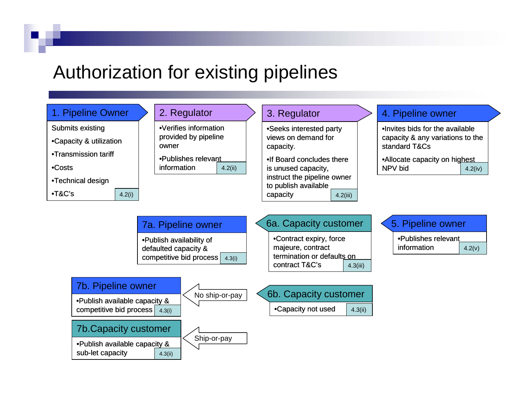## Authorization for existing pipelines

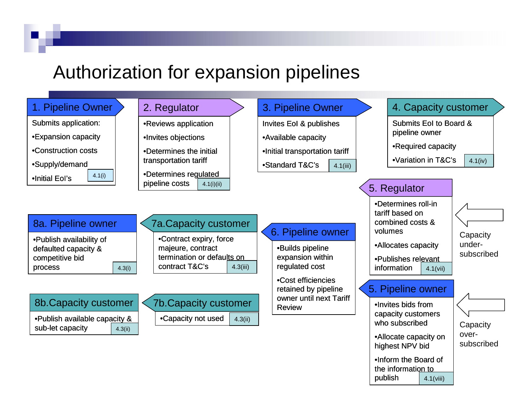## Authorization for expansion pipelines